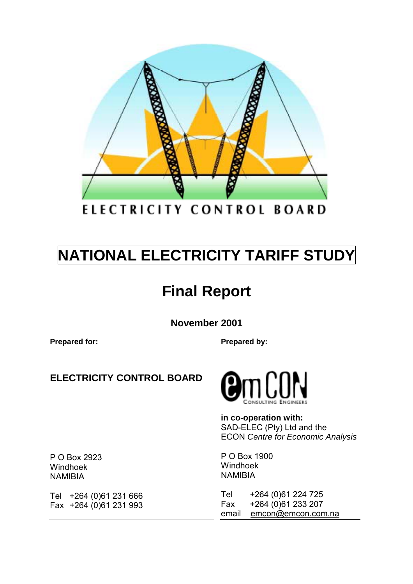

ELECTRICITY CONTROL BOARD

# **NATIONAL ELECTRICITY TARIFF STUDY**

# **Final Report**

**November 2001** 

**Prepared for:** Prepared by:

## **ELECTRICITY CONTROL BOARD**



**in co-operation with:**  SAD-ELEC (Pty) Ltd and the ECON *Centre for Economic Analysis*

P O Box 1900 Windhoek NAMIBIA

Tel +264 (0)61 224 725 Fax +264 (0)61 233 207 email emcon@emcon.com.na

P O Box 2923 Windhoek NAMIBIA

Tel +264 (0)61 231 666 Fax +264 (0)61 231 993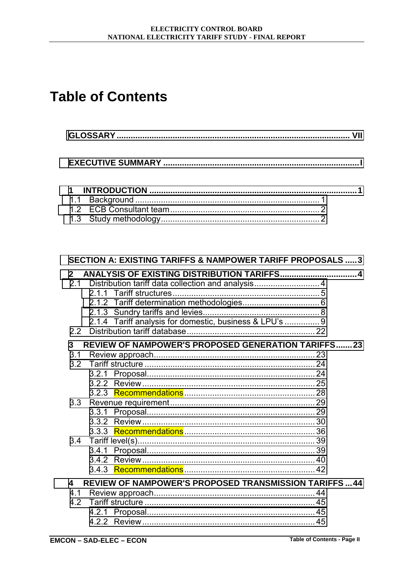## **Table of Contents**

| $\mathbf{A}$ and $\mathbf{B}$ and $\mathbf{A}$ are the set of the set of the set of the set of the set of the set of the set of the set of the set of the set of the set of the set of the set of the set of the set of the set of the se |  |
|-------------------------------------------------------------------------------------------------------------------------------------------------------------------------------------------------------------------------------------------|--|

| <b>SECTION A: EXISTING TARIFFS &amp; NAMPOWER TARIFF PROPOSALS  3</b>                                                                                                                             |  |
|---------------------------------------------------------------------------------------------------------------------------------------------------------------------------------------------------|--|
| ANALYSIS OF EXISTING DISTRIBUTION TARIFFS 4<br>$\mathbf{2}$<br>2.1<br>Distribution tariff data collection and analysis 4<br>211<br>2.1.4 Tariff analysis for domestic, business & LPU's  9<br>2.2 |  |
| <b>REVIEW OF NAMPOWER'S PROPOSED GENERATION TARIFFS23</b><br>3                                                                                                                                    |  |
| 3.1                                                                                                                                                                                               |  |
| 3.2                                                                                                                                                                                               |  |
|                                                                                                                                                                                                   |  |
|                                                                                                                                                                                                   |  |
|                                                                                                                                                                                                   |  |
| 3.3 <sub>2</sub>                                                                                                                                                                                  |  |
|                                                                                                                                                                                                   |  |
|                                                                                                                                                                                                   |  |
|                                                                                                                                                                                                   |  |
| 3.4                                                                                                                                                                                               |  |
|                                                                                                                                                                                                   |  |
|                                                                                                                                                                                                   |  |
|                                                                                                                                                                                                   |  |
| <b>REVIEW OF NAMPOWER'S PROPOSED TRANSMISSION TARIFFS44</b><br>4                                                                                                                                  |  |
| 4.1                                                                                                                                                                                               |  |
| 4.2                                                                                                                                                                                               |  |
| 4.2.1                                                                                                                                                                                             |  |
|                                                                                                                                                                                                   |  |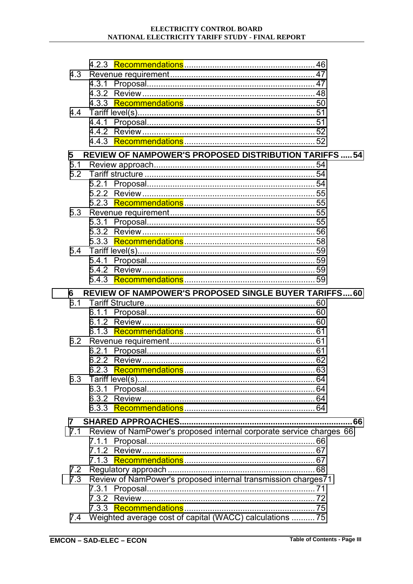#### ELECTRICITY CONTROL BOARD NATIONAL ELECTRICITY TARIFF STUDY - FINAL REPORT

| 4.3          |                                                                     |    |
|--------------|---------------------------------------------------------------------|----|
|              |                                                                     |    |
|              |                                                                     |    |
|              |                                                                     |    |
| 4.4          |                                                                     |    |
|              | 4.4.1                                                               |    |
|              |                                                                     |    |
|              |                                                                     |    |
| 5            | <b>REVIEW OF NAMPOWER'S PROPOSED DISTRIBUTION TARIFFS54</b>         |    |
|              |                                                                     |    |
|              |                                                                     |    |
|              | 5.2.1                                                               |    |
|              |                                                                     |    |
|              |                                                                     |    |
| 5.3          |                                                                     |    |
|              | 5.3.1                                                               |    |
|              |                                                                     |    |
|              |                                                                     |    |
|              |                                                                     |    |
|              | 5.4.1                                                               |    |
|              |                                                                     |    |
|              |                                                                     |    |
|              |                                                                     |    |
|              |                                                                     |    |
| 6            | <b>REVIEW OF NAMPOWER'S PROPOSED SINGLE BUYER TARIFFS 60</b>        |    |
| 6.1          |                                                                     |    |
|              | 6.1.1                                                               |    |
|              |                                                                     |    |
|              |                                                                     |    |
|              |                                                                     |    |
|              | 6.2.1                                                               |    |
|              |                                                                     |    |
|              |                                                                     |    |
| 6.3          |                                                                     |    |
|              | 6.3.1                                                               |    |
|              |                                                                     |    |
|              |                                                                     |    |
| $\mathbf{7}$ |                                                                     | 66 |
| 7.1          | Review of NamPower's proposed internal corporate service charges 66 |    |
|              | 7.1.1                                                               |    |
|              |                                                                     |    |
|              |                                                                     |    |
| 7.2          |                                                                     |    |
| 7.3          | Review of NamPower's proposed internal transmission charges71       |    |
|              | 7.3.1                                                               |    |
|              |                                                                     |    |
| 7.4          | Weighted average cost of capital (WACC) calculations  75            |    |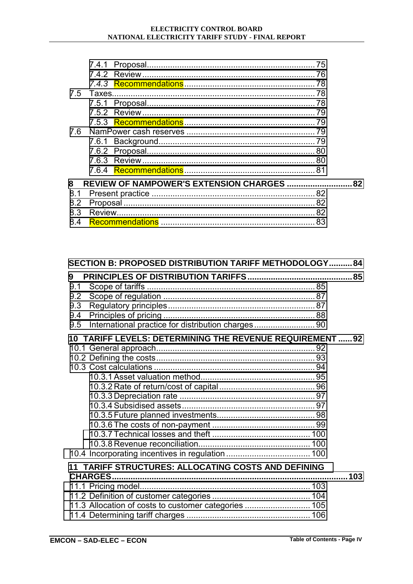|     | 7.5 Taxes. |                                            |  |
|-----|------------|--------------------------------------------|--|
|     |            |                                            |  |
|     |            |                                            |  |
|     |            |                                            |  |
|     |            |                                            |  |
|     |            |                                            |  |
|     |            |                                            |  |
|     |            |                                            |  |
|     |            |                                            |  |
| 8   |            | REVIEW OF NAMPOWER'S EXTENSION CHARGES  82 |  |
| 8.1 |            |                                            |  |
| 8.2 |            |                                            |  |
| 8.3 |            |                                            |  |
| 8.4 |            |                                            |  |

| SECTION B: PROPOSED DISTRIBUTION TARIFF METHODOLOGY 84                                     |     |
|--------------------------------------------------------------------------------------------|-----|
| 9<br>9.1<br>9.2<br>9.3<br>9.4<br>International practice for distribution charges 90<br>9.5 |     |
| 10 TARIFF LEVELS: DETERMINING THE REVENUE REQUIREMENT  92                                  |     |
|                                                                                            |     |
|                                                                                            |     |
|                                                                                            |     |
|                                                                                            |     |
|                                                                                            |     |
|                                                                                            |     |
|                                                                                            |     |
|                                                                                            |     |
|                                                                                            |     |
|                                                                                            |     |
|                                                                                            |     |
| TARIFF STRUCTURES: ALLOCATING COSTS AND DEFINING<br>11                                     |     |
|                                                                                            | 103 |
|                                                                                            |     |
|                                                                                            |     |
| 11.3 Allocation of costs to customer categories  105                                       |     |
|                                                                                            |     |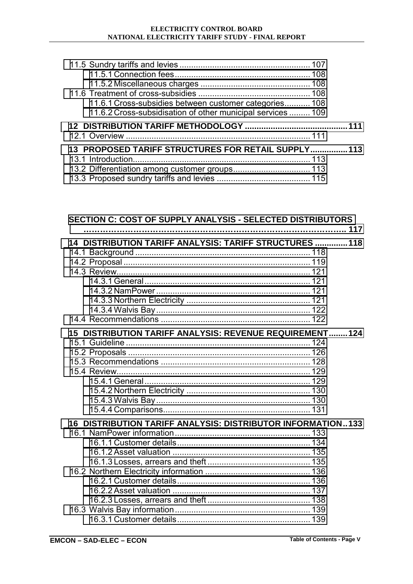| 11.6.1 Cross-subsidies between customer categories 108      |  |
|-------------------------------------------------------------|--|
| 11.6.2 Cross-subsidisation of other municipal services  109 |  |
|                                                             |  |
|                                                             |  |
|                                                             |  |
| 13 PROPOSED TARIFF STRUCTURES FOR RETAIL SUPPLY 113         |  |
|                                                             |  |
|                                                             |  |

## **[SECTION C: COST OF SUPPLY ANALYSIS - SELECTED DISTRIBUTORS](#page-139-0)**

| 14 DISTRIBUTION TARIFF ANALYSIS: TARIFF STRUCTURES  118           |  |
|-------------------------------------------------------------------|--|
|                                                                   |  |
|                                                                   |  |
|                                                                   |  |
|                                                                   |  |
|                                                                   |  |
|                                                                   |  |
|                                                                   |  |
|                                                                   |  |
| <b>DISTRIBUTION TARIFF ANALYSIS: REVENUE REQUIREMENT124</b><br>15 |  |
|                                                                   |  |
|                                                                   |  |
|                                                                   |  |
|                                                                   |  |
|                                                                   |  |
|                                                                   |  |
|                                                                   |  |
|                                                                   |  |
| 16 DISTRIBUTION TARIFF ANALYSIS: DISTRIBUTOR INFORMATION133       |  |
|                                                                   |  |
|                                                                   |  |
|                                                                   |  |
|                                                                   |  |
|                                                                   |  |
|                                                                   |  |
|                                                                   |  |
|                                                                   |  |
|                                                                   |  |
|                                                                   |  |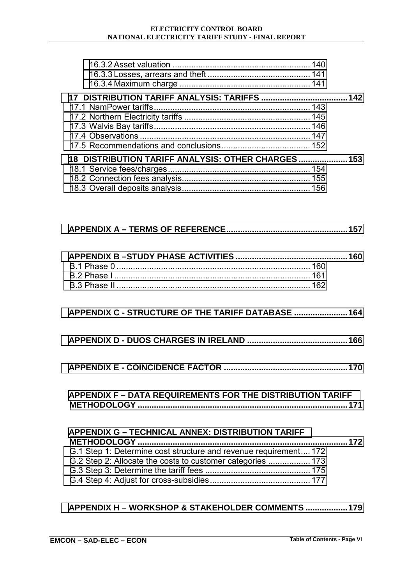#### **ELECTRICITY CONTROL BOARD NATIONAL ELECTRICITY TARIFF STUDY - FINAL REPORT**

| 18 DISTRIBUTION TARIFF ANALYSIS: OTHER CHARGES  153 |  |
|-----------------------------------------------------|--|
|                                                     |  |
|                                                     |  |
|                                                     |  |

#### **[APPENDIX C - STRUCTURE OF THE TARIFF DATABASE .......................164](#page-186-0)**

- **[APPENDIX D DUOS CHARGES IN IRELAND ...........................................166](#page-188-0)**
- **[APPENDIX E COINCIDENCE FACTOR .....................................................170](#page-192-0)**

| <b>APPENDIX F - DATA REQUIREMENTS FOR THE DISTRIBUTION TARIFF</b> |  |
|-------------------------------------------------------------------|--|
|                                                                   |  |

| <b>APPENDIX G - TECHNICAL ANNEX: DISTRIBUTION TARIFF</b>         |  |
|------------------------------------------------------------------|--|
|                                                                  |  |
| G.1 Step 1: Determine cost structure and revenue requirement 172 |  |
|                                                                  |  |
|                                                                  |  |
|                                                                  |  |

#### **[APPENDIX H – WORKSHOP & STAKEHOLDER COMMENTS ..................179](#page-201-0)**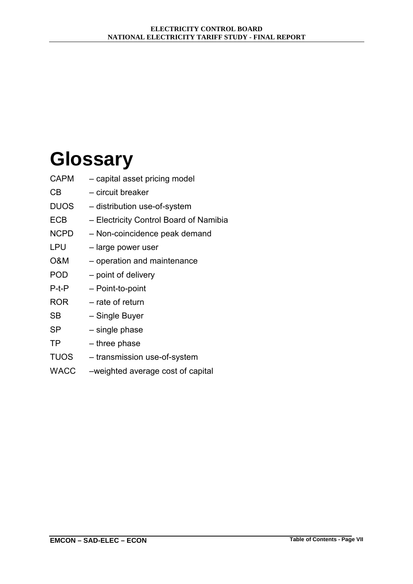# <span id="page-6-0"></span>**Glossary**

- $CAPM$   $-$  capital asset pricing model
- CB circuit breaker
- DUOS distribution use-of-system
- ECB Electricity Control Board of Namibia
- NCPD Non-coincidence peak demand
- $LPU$  large power user
- $O&M$  operation and maintenance
- POD point of delivery
- P-t-P Point-to-point
- $ROR$  rate of return
- SB Single Buyer
- $SP \t single phase$
- $TP three phase$
- TUOS transmission use-of-system
- WACC weighted average cost of capital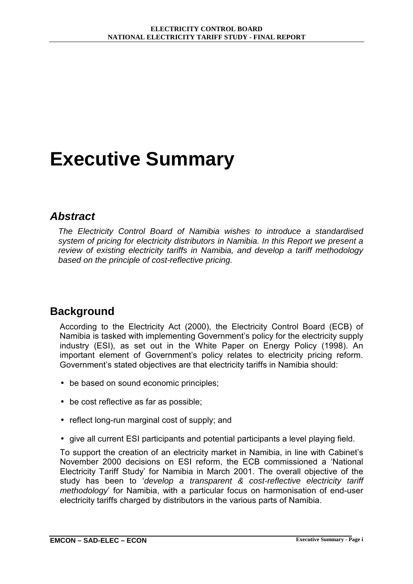# <span id="page-7-0"></span>**Executive Summary**

### *Abstract*

*The Electricity Control Board of Namibia wishes to introduce a standardised system of pricing for electricity distributors in Namibia. In this Report we present a review of existing electricity tariffs in Namibia, and develop a tariff methodology based on the principle of cost-reflective pricing.* 

## **Background**

According to the Electricity Act (2000), the Electricity Control Board (ECB) of Namibia is tasked with implementing Government's policy for the electricity supply industry (ESI), as set out in the White Paper on Energy Policy (1998). An important element of Government's policy relates to electricity pricing reform. Government's stated objectives are that electricity tariffs in Namibia should:

- be based on sound economic principles;
- be cost reflective as far as possible;
- reflect long-run marginal cost of supply; and
- give all current ESI participants and potential participants a level playing field.

To support the creation of an electricity market in Namibia, in line with Cabinetís November 2000 decisions on ESI reform, the ECB commissioned a 'National Electricity Tariff Studyí for Namibia in March 2001. The overall objective of the study has been to 'develop a transparent & cost-reflective electricity tariff *methodology* for Namibia, with a particular focus on harmonisation of end-user electricity tariffs charged by distributors in the various parts of Namibia.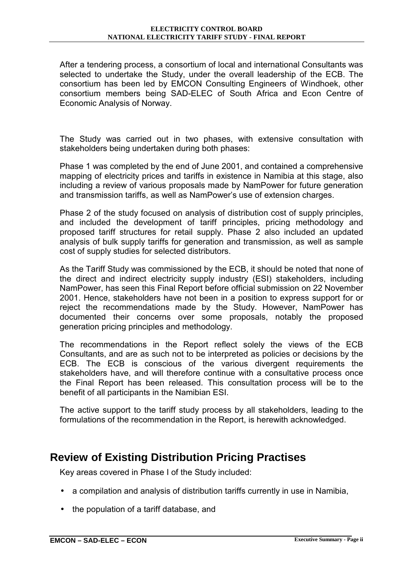After a tendering process, a consortium of local and international Consultants was selected to undertake the Study, under the overall leadership of the ECB. The consortium has been led by EMCON Consulting Engineers of Windhoek, other consortium members being SAD-ELEC of South Africa and Econ Centre of Economic Analysis of Norway.

The Study was carried out in two phases, with extensive consultation with stakeholders being undertaken during both phases:

Phase 1 was completed by the end of June 2001, and contained a comprehensive mapping of electricity prices and tariffs in existence in Namibia at this stage, also including a review of various proposals made by NamPower for future generation and transmission tariffs, as well as NamPower's use of extension charges.

Phase 2 of the study focused on analysis of distribution cost of supply principles, and included the development of tariff principles, pricing methodology and proposed tariff structures for retail supply. Phase 2 also included an updated analysis of bulk supply tariffs for generation and transmission, as well as sample cost of supply studies for selected distributors.

As the Tariff Study was commissioned by the ECB, it should be noted that none of the direct and indirect electricity supply industry (ESI) stakeholders, including NamPower, has seen this Final Report before official submission on 22 November 2001. Hence, stakeholders have not been in a position to express support for or reject the recommendations made by the Study. However, NamPower has documented their concerns over some proposals, notably the proposed generation pricing principles and methodology.

The recommendations in the Report reflect solely the views of the ECB Consultants, and are as such not to be interpreted as policies or decisions by the ECB. The ECB is conscious of the various divergent requirements the stakeholders have, and will therefore continue with a consultative process once the Final Report has been released. This consultation process will be to the benefit of all participants in the Namibian ESI.

The active support to the tariff study process by all stakeholders, leading to the formulations of the recommendation in the Report, is herewith acknowledged.

## **Review of Existing Distribution Pricing Practises**

Key areas covered in Phase I of the Study included:

- a compilation and analysis of distribution tariffs currently in use in Namibia,
- the population of a tariff database, and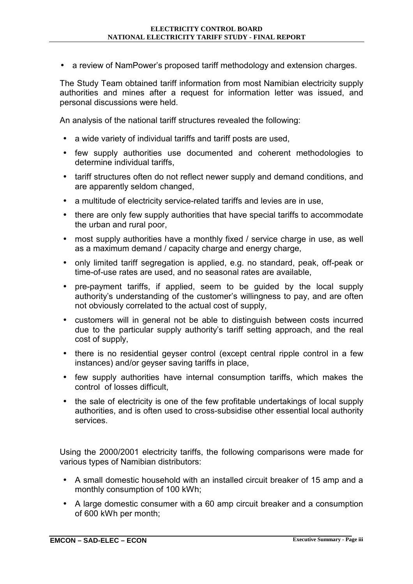• a review of NamPower's proposed tariff methodology and extension charges.

The Study Team obtained tariff information from most Namibian electricity supply authorities and mines after a request for information letter was issued, and personal discussions were held.

An analysis of the national tariff structures revealed the following:

- a wide variety of individual tariffs and tariff posts are used,
- few supply authorities use documented and coherent methodologies to determine individual tariffs,
- tariff structures often do not reflect newer supply and demand conditions, and are apparently seldom changed,
- a multitude of electricity service-related tariffs and levies are in use,
- there are only few supply authorities that have special tariffs to accommodate the urban and rural poor,
- most supply authorities have a monthly fixed / service charge in use, as well as a maximum demand / capacity charge and energy charge,
- only limited tariff segregation is applied, e.g. no standard, peak, off-peak or time-of-use rates are used, and no seasonal rates are available,
- pre-payment tariffs, if applied, seem to be guided by the local supply authority's understanding of the customer's willingness to pay, and are often not obviously correlated to the actual cost of supply,
- customers will in general not be able to distinguish between costs incurred due to the particular supply authorityís tariff setting approach, and the real cost of supply,
- there is no residential gevser control (except central ripple control in a few instances) and/or geyser saving tariffs in place,
- few supply authorities have internal consumption tariffs, which makes the control of losses difficult,
- the sale of electricity is one of the few profitable undertakings of local supply authorities, and is often used to cross-subsidise other essential local authority services.

Using the 2000/2001 electricity tariffs, the following comparisons were made for various types of Namibian distributors:

- A small domestic household with an installed circuit breaker of 15 amp and a monthly consumption of 100 kWh;
- A large domestic consumer with a 60 amp circuit breaker and a consumption of 600 kWh per month;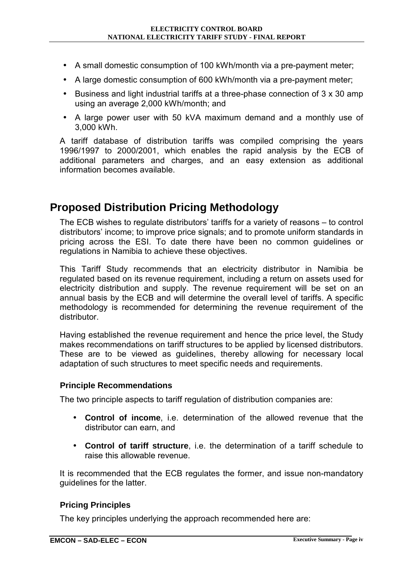- A small domestic consumption of 100 kWh/month via a pre-payment meter;
- A large domestic consumption of 600 kWh/month via a pre-payment meter;
- Business and light industrial tariffs at a three-phase connection of 3 x 30 amp using an average 2,000 kWh/month; and
- A large power user with 50 kVA maximum demand and a monthly use of 3,000 kWh.

A tariff database of distribution tariffs was compiled comprising the years 1996/1997 to 2000/2001, which enables the rapid analysis by the ECB of additional parameters and charges, and an easy extension as additional information becomes available.

## **Proposed Distribution Pricing Methodology**

The ECB wishes to regulate distributors' tariffs for a variety of reasons  $-$  to control distributorsí income; to improve price signals; and to promote uniform standards in pricing across the ESI. To date there have been no common guidelines or regulations in Namibia to achieve these objectives.

This Tariff Study recommends that an electricity distributor in Namibia be regulated based on its revenue requirement, including a return on assets used for electricity distribution and supply. The revenue requirement will be set on an annual basis by the ECB and will determine the overall level of tariffs. A specific methodology is recommended for determining the revenue requirement of the distributor.

Having established the revenue requirement and hence the price level, the Study makes recommendations on tariff structures to be applied by licensed distributors. These are to be viewed as guidelines, thereby allowing for necessary local adaptation of such structures to meet specific needs and requirements.

#### **Principle Recommendations**

The two principle aspects to tariff regulation of distribution companies are:

- **Control of income**, i.e. determination of the allowed revenue that the distributor can earn, and
- **Control of tariff structure**, i.e. the determination of a tariff schedule to raise this allowable revenue.

It is recommended that the ECB regulates the former, and issue non-mandatory guidelines for the latter.

#### **Pricing Principles**

The key principles underlying the approach recommended here are: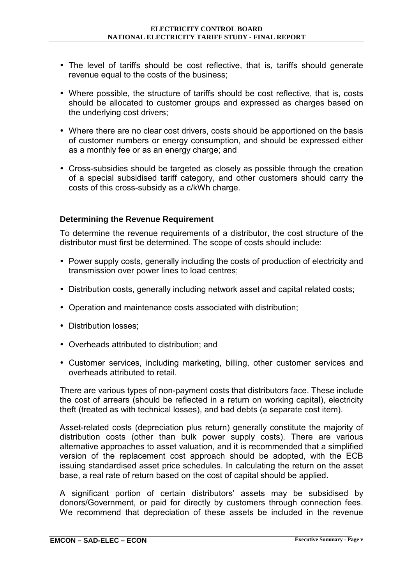- The level of tariffs should be cost reflective, that is, tariffs should generate revenue equal to the costs of the business;
- Where possible, the structure of tariffs should be cost reflective, that is, costs should be allocated to customer groups and expressed as charges based on the underlying cost drivers;
- Where there are no clear cost drivers, costs should be apportioned on the basis of customer numbers or energy consumption, and should be expressed either as a monthly fee or as an energy charge; and
- Cross-subsidies should be targeted as closely as possible through the creation of a special subsidised tariff category, and other customers should carry the costs of this cross-subsidy as a c/kWh charge.

#### **Determining the Revenue Requirement**

To determine the revenue requirements of a distributor, the cost structure of the distributor must first be determined. The scope of costs should include:

- Power supply costs, generally including the costs of production of electricity and transmission over power lines to load centres;
- Distribution costs, generally including network asset and capital related costs;
- Operation and maintenance costs associated with distribution;
- Distribution losses;
- Overheads attributed to distribution; and
- Customer services, including marketing, billing, other customer services and overheads attributed to retail.

There are various types of non-payment costs that distributors face. These include the cost of arrears (should be reflected in a return on working capital), electricity theft (treated as with technical losses), and bad debts (a separate cost item).

Asset-related costs (depreciation plus return) generally constitute the majority of distribution costs (other than bulk power supply costs). There are various alternative approaches to asset valuation, and it is recommended that a simplified version of the replacement cost approach should be adopted, with the ECB issuing standardised asset price schedules. In calculating the return on the asset base, a real rate of return based on the cost of capital should be applied.

A significant portion of certain distributorsí assets may be subsidised by donors/Government, or paid for directly by customers through connection fees. We recommend that depreciation of these assets be included in the revenue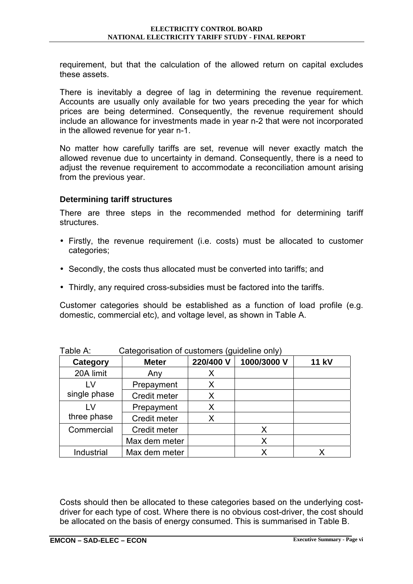requirement, but that the calculation of the allowed return on capital excludes these assets.

There is inevitably a degree of lag in determining the revenue requirement. Accounts are usually only available for two years preceding the year for which prices are being determined. Consequently, the revenue requirement should include an allowance for investments made in year n-2 that were not incorporated in the allowed revenue for year n-1.

No matter how carefully tariffs are set, revenue will never exactly match the allowed revenue due to uncertainty in demand. Consequently, there is a need to adjust the revenue requirement to accommodate a reconciliation amount arising from the previous year.

#### **Determining tariff structures**

There are three steps in the recommended method for determining tariff structures.

- Firstly, the revenue requirement (i.e. costs) must be allocated to customer categories;
- Secondly, the costs thus allocated must be converted into tariffs; and
- Thirdly, any required cross-subsidies must be factored into the tariffs.

Customer categories should be established as a function of load profile (e.g. domestic, commercial etc), and voltage level, as shown in Table A.

| 1 UNIV 7 1.<br><b>Catcgonoation or captomers (gaiacime omy)</b> |               |           |             |              |
|-----------------------------------------------------------------|---------------|-----------|-------------|--------------|
| Category                                                        | <b>Meter</b>  | 220/400 V | 1000/3000 V | <b>11 kV</b> |
| 20A limit                                                       | Any           | X         |             |              |
| LV                                                              | Prepayment    | X         |             |              |
| single phase                                                    | Credit meter  | X         |             |              |
| LV                                                              | Prepayment    | Χ         |             |              |
| three phase                                                     | Credit meter  | X         |             |              |
| Commercial                                                      | Credit meter  |           | X           |              |
|                                                                 | Max dem meter |           | Χ           |              |
| Industrial                                                      | Max dem meter |           | Х           |              |

Table A: Categorisation of customers (guideline only)

Costs should then be allocated to these categories based on the underlying costdriver for each type of cost. Where there is no obvious cost-driver, the cost should be allocated on the basis of energy consumed. This is summarised in Table B.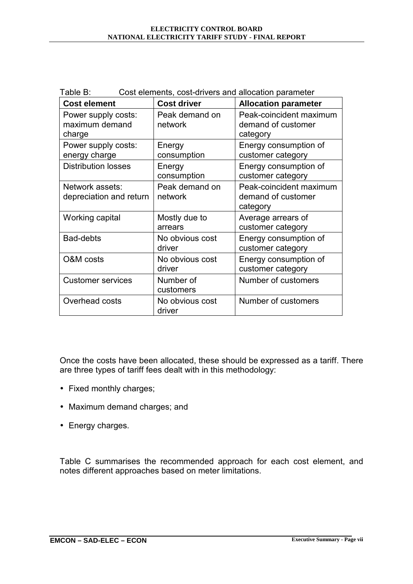| Table B:<br>Cost elements, cost-drivers and allocation parameter |                           |                                                           |  |  |
|------------------------------------------------------------------|---------------------------|-----------------------------------------------------------|--|--|
| <b>Cost element</b>                                              | <b>Cost driver</b>        | <b>Allocation parameter</b>                               |  |  |
| Power supply costs:<br>maximum demand<br>charge                  | Peak demand on<br>network | Peak-coincident maximum<br>demand of customer<br>category |  |  |
| Power supply costs:<br>energy charge                             | Energy<br>consumption     | Energy consumption of<br>customer category                |  |  |
| <b>Distribution losses</b>                                       | Energy<br>consumption     | Energy consumption of<br>customer category                |  |  |
| Network assets:<br>depreciation and return                       | Peak demand on<br>network | Peak-coincident maximum<br>demand of customer<br>category |  |  |
| Working capital                                                  | Mostly due to<br>arrears  | Average arrears of<br>customer category                   |  |  |
| Bad-debts                                                        | No obvious cost<br>driver | Energy consumption of<br>customer category                |  |  |
| O&M costs                                                        | No obvious cost<br>driver | Energy consumption of<br>customer category                |  |  |
| <b>Customer services</b>                                         | Number of<br>customers    | Number of customers                                       |  |  |
| Overhead costs                                                   | No obvious cost<br>driver | Number of customers                                       |  |  |

Once the costs have been allocated, these should be expressed as a tariff. There are three types of tariff fees dealt with in this methodology:

- Fixed monthly charges;
- Maximum demand charges; and
- Energy charges.

Table C summarises the recommended approach for each cost element, and notes different approaches based on meter limitations.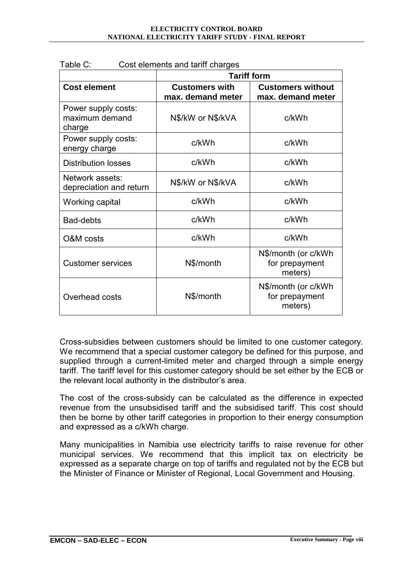|                                                 | <b>Tariff form</b>                         |                                                  |  |
|-------------------------------------------------|--------------------------------------------|--------------------------------------------------|--|
| <b>Cost element</b>                             | <b>Customers with</b><br>max. demand meter | <b>Customers without</b><br>max. demand meter    |  |
| Power supply costs:<br>maximum demand<br>charge | N\$/kW or N\$/kVA                          | c/kWh                                            |  |
| Power supply costs:<br>energy charge            | c/kWh                                      | c/kWh                                            |  |
| <b>Distribution losses</b>                      | c/kWh                                      | c/kWh                                            |  |
| Network assets:<br>depreciation and return      | N\$/kW or N\$/kVA                          | c/kWh                                            |  |
| Working capital                                 | c/kWh                                      | c/kWh                                            |  |
| <b>Bad-debts</b>                                | c/kWh                                      | c/kWh                                            |  |
| O&M costs                                       | c/kWh                                      | c/kWh                                            |  |
| <b>Customer services</b>                        | N\$/month                                  | N\$/month (or c/kWh<br>for prepayment<br>meters) |  |
| Overhead costs                                  | N\$/month                                  | N\$/month (or c/kWh<br>for prepayment<br>meters) |  |

Table C: Cost elements and tariff charges

Cross-subsidies between customers should be limited to one customer category. We recommend that a special customer category be defined for this purpose, and supplied through a current-limited meter and charged through a simple energy tariff. The tariff level for this customer category should be set either by the ECB or the relevant local authority in the distributor's area.

The cost of the cross-subsidy can be calculated as the difference in expected revenue from the unsubsidised tariff and the subsidised tariff. This cost should then be borne by other tariff categories in proportion to their energy consumption and expressed as a c/kWh charge.

Many municipalities in Namibia use electricity tariffs to raise revenue for other municipal services. We recommend that this implicit tax on electricity be expressed as a separate charge on top of tariffs and regulated not by the ECB but the Minister of Finance or Minister of Regional, Local Government and Housing.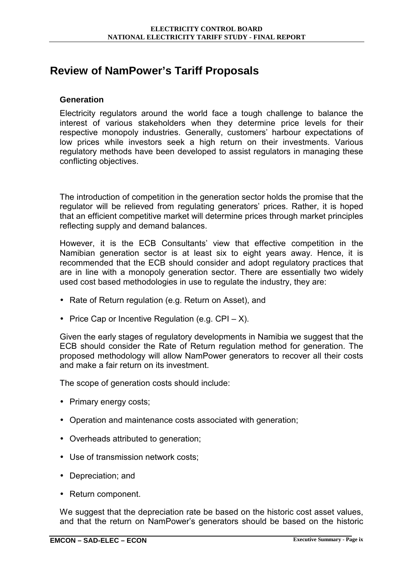## **Review of NamPower's Tariff Proposals**

#### **Generation**

Electricity regulators around the world face a tough challenge to balance the interest of various stakeholders when they determine price levels for their respective monopoly industries. Generally, customers' harbour expectations of low prices while investors seek a high return on their investments. Various regulatory methods have been developed to assist regulators in managing these conflicting objectives.

The introduction of competition in the generation sector holds the promise that the regulator will be relieved from regulating generators' prices. Rather, it is hoped that an efficient competitive market will determine prices through market principles reflecting supply and demand balances.

However, it is the ECB Consultants' view that effective competition in the Namibian generation sector is at least six to eight years away. Hence, it is recommended that the ECB should consider and adopt regulatory practices that are in line with a monopoly generation sector. There are essentially two widely used cost based methodologies in use to regulate the industry, they are:

- Rate of Return regulation (e.g. Return on Asset), and
- Price Cap or Incentive Regulation (e.g.  $\text{CPI} \text{X}$ ).

Given the early stages of regulatory developments in Namibia we suggest that the ECB should consider the Rate of Return regulation method for generation. The proposed methodology will allow NamPower generators to recover all their costs and make a fair return on its investment.

The scope of generation costs should include:

- Primary energy costs;
- Operation and maintenance costs associated with generation;
- Overheads attributed to generation;
- Use of transmission network costs;
- Depreciation; and
- Return component.

We suggest that the depreciation rate be based on the historic cost asset values, and that the return on NamPowerís generators should be based on the historic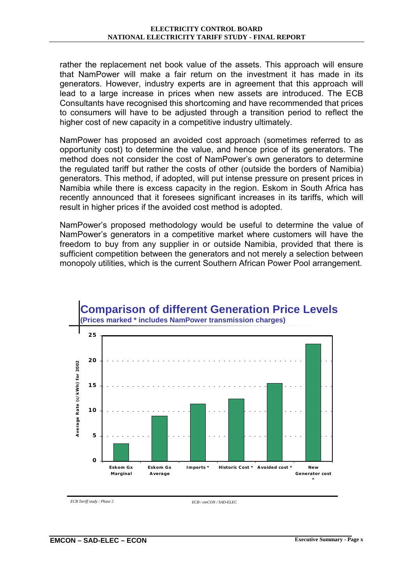rather the replacement net book value of the assets. This approach will ensure that NamPower will make a fair return on the investment it has made in its generators. However, industry experts are in agreement that this approach will lead to a large increase in prices when new assets are introduced. The ECB Consultants have recognised this shortcoming and have recommended that prices to consumers will have to be adjusted through a transition period to reflect the higher cost of new capacity in a competitive industry ultimately.

NamPower has proposed an avoided cost approach (sometimes referred to as opportunity cost) to determine the value, and hence price of its generators. The method does not consider the cost of NamPower's own generators to determine the regulated tariff but rather the costs of other (outside the borders of Namibia) generators. This method, if adopted, will put intense pressure on present prices in Namibia while there is excess capacity in the region. Eskom in South Africa has recently announced that it foresees significant increases in its tariffs, which will result in higher prices if the avoided cost method is adopted.

NamPowerís proposed methodology would be useful to determine the value of NamPowerís generators in a competitive market where customers will have the freedom to buy from any supplier in or outside Namibia, provided that there is sufficient competition between the generators and not merely a selection between monopoly utilities, which is the current Southern African Power Pool arrangement.



*ECB Tariff study : Phase 2 ECB / emCON / SAD-ELEC*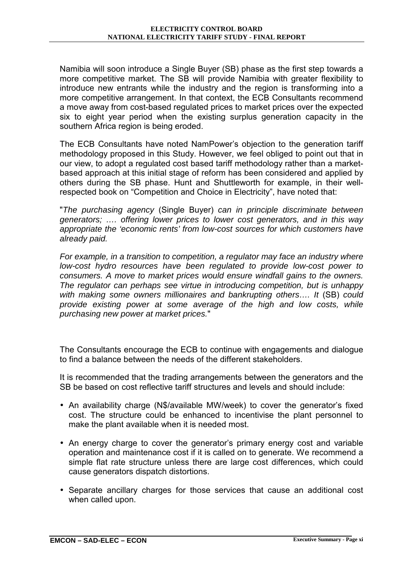Namibia will soon introduce a Single Buyer (SB) phase as the first step towards a more competitive market. The SB will provide Namibia with greater flexibility to introduce new entrants while the industry and the region is transforming into a more competitive arrangement. In that context, the ECB Consultants recommend a move away from cost-based regulated prices to market prices over the expected six to eight year period when the existing surplus generation capacity in the southern Africa region is being eroded.

The ECB Consultants have noted NamPower's objection to the generation tariff methodology proposed in this Study. However, we feel obliged to point out that in our view, to adopt a regulated cost based tariff methodology rather than a marketbased approach at this initial stage of reform has been considered and applied by others during the SB phase. Hunt and Shuttleworth for example, in their wellrespected book on "Competition and Choice in Electricity", have noted that:

"*The purchasing agency* (Single Buyer) *can in principle discriminate between generators; …. offering lower prices to lower cost generators, and in this way appropriate the 'economic rents' from low-cost sources for which customers have already paid.* 

*For example, in a transition to competition, a regulator may face an industry where low-cost hydro resources have been regulated to provide low-cost power to consumers. A move to market prices would ensure windfall gains to the owners. The regulator can perhaps see virtue in introducing competition, but is unhappy*  with making some owners millionaires and bankrupting others..., It *(SB)* could *provide existing power at some average of the high and low costs, while purchasing new power at market prices.*"

The Consultants encourage the ECB to continue with engagements and dialogue to find a balance between the needs of the different stakeholders.

It is recommended that the trading arrangements between the generators and the SB be based on cost reflective tariff structures and levels and should include:

- An availability charge (N\$/available MW/week) to cover the generator's fixed cost. The structure could be enhanced to incentivise the plant personnel to make the plant available when it is needed most.
- An energy charge to cover the generator's primary energy cost and variable operation and maintenance cost if it is called on to generate. We recommend a simple flat rate structure unless there are large cost differences, which could cause generators dispatch distortions.
- Separate ancillary charges for those services that cause an additional cost when called upon.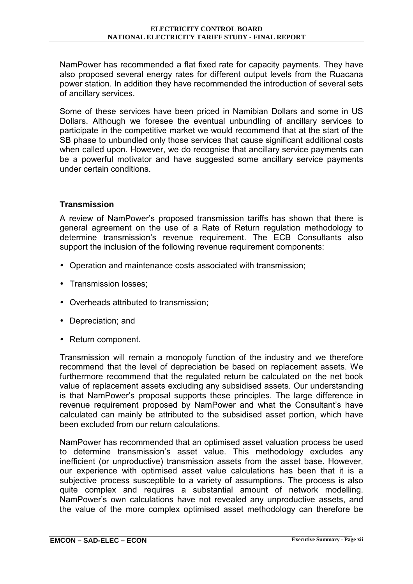NamPower has recommended a flat fixed rate for capacity payments. They have also proposed several energy rates for different output levels from the Ruacana power station. In addition they have recommended the introduction of several sets of ancillary services.

Some of these services have been priced in Namibian Dollars and some in US Dollars. Although we foresee the eventual unbundling of ancillary services to participate in the competitive market we would recommend that at the start of the SB phase to unbundled only those services that cause significant additional costs when called upon. However, we do recognise that ancillary service payments can be a powerful motivator and have suggested some ancillary service payments under certain conditions.

#### **Transmission**

A review of NamPowerís proposed transmission tariffs has shown that there is general agreement on the use of a Rate of Return regulation methodology to determine transmissionís revenue requirement. The ECB Consultants also support the inclusion of the following revenue requirement components:

- Operation and maintenance costs associated with transmission;
- Transmission losses;
- Overheads attributed to transmission;
- Depreciation; and
- Return component.

Transmission will remain a monopoly function of the industry and we therefore recommend that the level of depreciation be based on replacement assets. We furthermore recommend that the regulated return be calculated on the net book value of replacement assets excluding any subsidised assets. Our understanding is that NamPowerís proposal supports these principles. The large difference in revenue requirement proposed by NamPower and what the Consultant's have calculated can mainly be attributed to the subsidised asset portion, which have been excluded from our return calculations.

NamPower has recommended that an optimised asset valuation process be used to determine transmission's asset value. This methodology excludes any inefficient (or unproductive) transmission assets from the asset base. However, our experience with optimised asset value calculations has been that it is a subjective process susceptible to a variety of assumptions. The process is also quite complex and requires a substantial amount of network modelling. NamPowerís own calculations have not revealed any unproductive assets, and the value of the more complex optimised asset methodology can therefore be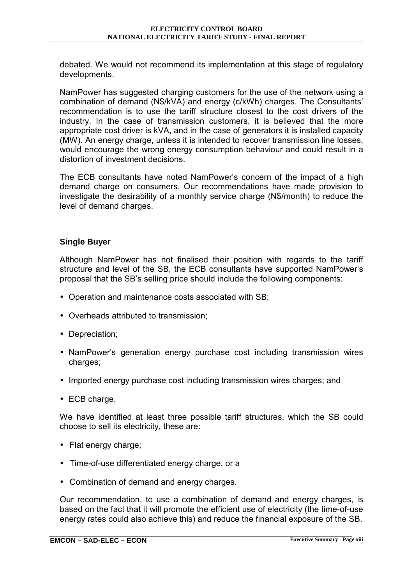debated. We would not recommend its implementation at this stage of regulatory developments.

NamPower has suggested charging customers for the use of the network using a combination of demand (N\$/kVA) and energy (c/kWh) charges. The Consultantsí recommendation is to use the tariff structure closest to the cost drivers of the industry. In the case of transmission customers, it is believed that the more appropriate cost driver is kVA, and in the case of generators it is installed capacity (MW). An energy charge, unless it is intended to recover transmission line losses, would encourage the wrong energy consumption behaviour and could result in a distortion of investment decisions.

The ECB consultants have noted NamPower's concern of the impact of a high demand charge on consumers. Our recommendations have made provision to investigate the desirability of a monthly service charge (N\$/month) to reduce the level of demand charges.

#### **Single Buyer**

Although NamPower has not finalised their position with regards to the tariff structure and level of the SB, the ECB consultants have supported NamPower's proposal that the SBís selling price should include the following components:

- Operation and maintenance costs associated with SB;
- Overheads attributed to transmission;
- Depreciation;
- NamPowerís generation energy purchase cost including transmission wires charges;
- Imported energy purchase cost including transmission wires charges; and
- ECB charge.

We have identified at least three possible tariff structures, which the SB could choose to sell its electricity, these are:

- Flat energy charge;
- Time-of-use differentiated energy charge, or a
- Combination of demand and energy charges.

Our recommendation, to use a combination of demand and energy charges, is based on the fact that it will promote the efficient use of electricity (the time-of-use energy rates could also achieve this) and reduce the financial exposure of the SB.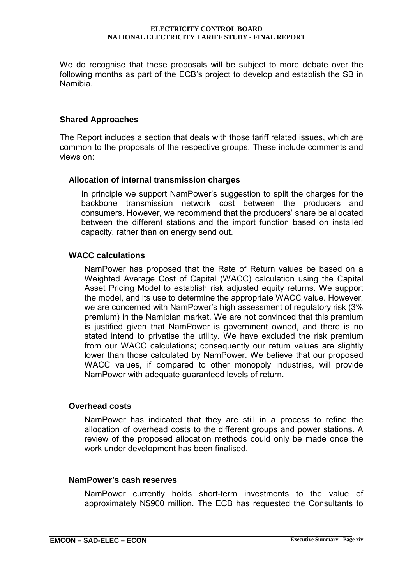We do recognise that these proposals will be subject to more debate over the following months as part of the ECB's project to develop and establish the SB in Namibia.

#### **Shared Approaches**

The Report includes a section that deals with those tariff related issues, which are common to the proposals of the respective groups. These include comments and views on:

#### **Allocation of internal transmission charges**

In principle we support NamPower's suggestion to split the charges for the backbone transmission network cost between the producers and consumers. However, we recommend that the producers' share be allocated between the different stations and the import function based on installed capacity, rather than on energy send out.

#### **WACC calculations**

NamPower has proposed that the Rate of Return values be based on a Weighted Average Cost of Capital (WACC) calculation using the Capital Asset Pricing Model to establish risk adjusted equity returns. We support the model, and its use to determine the appropriate WACC value. However, we are concerned with NamPower's high assessment of regulatory risk (3%) premium) in the Namibian market. We are not convinced that this premium is justified given that NamPower is government owned, and there is no stated intend to privatise the utility. We have excluded the risk premium from our WACC calculations; consequently our return values are slightly lower than those calculated by NamPower. We believe that our proposed WACC values, if compared to other monopoly industries, will provide NamPower with adequate guaranteed levels of return.

#### **Overhead costs**

NamPower has indicated that they are still in a process to refine the allocation of overhead costs to the different groups and power stations. A review of the proposed allocation methods could only be made once the work under development has been finalised.

#### **NamPower's cash reserves**

NamPower currently holds short-term investments to the value of approximately N\$900 million. The ECB has requested the Consultants to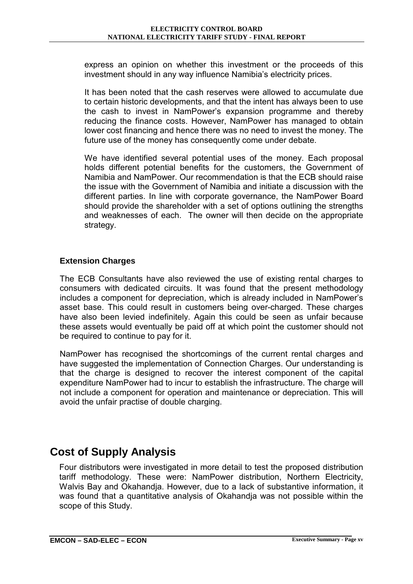express an opinion on whether this investment or the proceeds of this investment should in any way influence Namibia's electricity prices.

It has been noted that the cash reserves were allowed to accumulate due to certain historic developments, and that the intent has always been to use the cash to invest in NamPowerís expansion programme and thereby reducing the finance costs. However, NamPower has managed to obtain lower cost financing and hence there was no need to invest the money. The future use of the money has consequently come under debate.

We have identified several potential uses of the money. Each proposal holds different potential benefits for the customers, the Government of Namibia and NamPower. Our recommendation is that the ECB should raise the issue with the Government of Namibia and initiate a discussion with the different parties. In line with corporate governance, the NamPower Board should provide the shareholder with a set of options outlining the strengths and weaknesses of each. The owner will then decide on the appropriate strategy.

#### **Extension Charges**

The ECB Consultants have also reviewed the use of existing rental charges to consumers with dedicated circuits. It was found that the present methodology includes a component for depreciation, which is already included in NamPower's asset base. This could result in customers being over-charged. These charges have also been levied indefinitely. Again this could be seen as unfair because these assets would eventually be paid off at which point the customer should not be required to continue to pay for it.

NamPower has recognised the shortcomings of the current rental charges and have suggested the implementation of Connection Charges. Our understanding is that the charge is designed to recover the interest component of the capital expenditure NamPower had to incur to establish the infrastructure. The charge will not include a component for operation and maintenance or depreciation. This will avoid the unfair practise of double charging.

## **Cost of Supply Analysis**

Four distributors were investigated in more detail to test the proposed distribution tariff methodology. These were: NamPower distribution, Northern Electricity, Walvis Bay and Okahandja. However, due to a lack of substantive information, it was found that a quantitative analysis of Okahandja was not possible within the scope of this Study.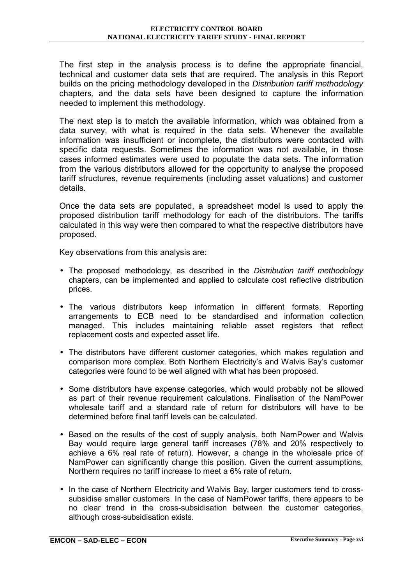The first step in the analysis process is to define the appropriate financial, technical and customer data sets that are required. The analysis in this Report builds on the pricing methodology developed in the *Distribution tariff methodology*  chapters*,* and the data sets have been designed to capture the information needed to implement this methodology.

The next step is to match the available information, which was obtained from a data survey, with what is required in the data sets. Whenever the available information was insufficient or incomplete, the distributors were contacted with specific data requests. Sometimes the information was not available, in those cases informed estimates were used to populate the data sets. The information from the various distributors allowed for the opportunity to analyse the proposed tariff structures, revenue requirements (including asset valuations) and customer details.

Once the data sets are populated, a spreadsheet model is used to apply the proposed distribution tariff methodology for each of the distributors. The tariffs calculated in this way were then compared to what the respective distributors have proposed.

Key observations from this analysis are:

- The proposed methodology, as described in the *Distribution tariff methodology*  chapters, can be implemented and applied to calculate cost reflective distribution prices.
- The various distributors keep information in different formats. Reporting arrangements to ECB need to be standardised and information collection managed. This includes maintaining reliable asset registers that reflect replacement costs and expected asset life.
- The distributors have different customer categories, which makes regulation and comparison more complex. Both Northern Electricity's and Walvis Bay's customer categories were found to be well aligned with what has been proposed.
- Some distributors have expense categories, which would probably not be allowed as part of their revenue requirement calculations. Finalisation of the NamPower wholesale tariff and a standard rate of return for distributors will have to be determined before final tariff levels can be calculated.
- Based on the results of the cost of supply analysis, both NamPower and Walvis Bay would require large general tariff increases (78% and 20% respectively to achieve a 6% real rate of return). However, a change in the wholesale price of NamPower can significantly change this position. Given the current assumptions, Northern requires no tariff increase to meet a 6% rate of return.
- In the case of Northern Electricity and Walvis Bay, larger customers tend to crosssubsidise smaller customers. In the case of NamPower tariffs, there appears to be no clear trend in the cross-subsidisation between the customer categories, although cross-subsidisation exists.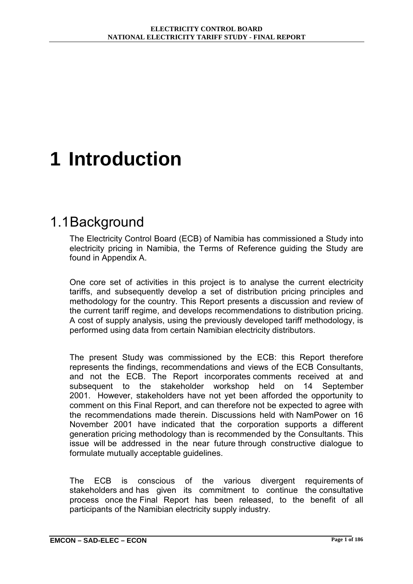# <span id="page-23-0"></span>**1 Introduction**

## 1.1 Background

The Electricity Control Board (ECB) of Namibia has commissioned a Study into electricity pricing in Namibia, the Terms of Reference guiding the Study are found in Appendix A.

One core set of activities in this project is to analyse the current electricity tariffs, and subsequently develop a set of distribution pricing principles and methodology for the country. This Report presents a discussion and review of the current tariff regime, and develops recommendations to distribution pricing. A cost of supply analysis, using the previously developed tariff methodology, is performed using data from certain Namibian electricity distributors.

The present Study was commissioned by the ECB: this Report therefore represents the findings, recommendations and views of the ECB Consultants, and not the ECB. The Report incorporates comments received at and subsequent to the stakeholder workshop held on 14 September 2001. However, stakeholders have not yet been afforded the opportunity to comment on this Final Report, and can therefore not be expected to agree with the recommendations made therein. Discussions held with NamPower on 16 November 2001 have indicated that the corporation supports a different generation pricing methodology than is recommended by the Consultants. This issue will be addressed in the near future through constructive dialogue to formulate mutually acceptable guidelines.

The ECB is conscious of the various divergent requirements of stakeholders and has given its commitment to continue the consultative process once the Final Report has been released, to the benefit of all participants of the Namibian electricity supply industry.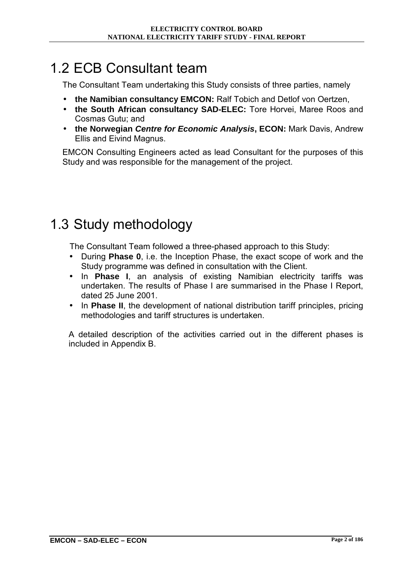## <span id="page-24-0"></span>1.2 ECB Consultant team

The Consultant Team undertaking this Study consists of three parties, namely

- **the Namibian consultancy EMCON:** Ralf Tobich and Detlof von Oertzen,
- **the South African consultancy SAD-ELEC:** Tore Horvei, Maree Roos and Cosmas Gutu; and
- **the Norwegian** *Centre for Economic Analysis***, ECON:** Mark Davis, Andrew Ellis and Eivind Magnus.

EMCON Consulting Engineers acted as lead Consultant for the purposes of this Study and was responsible for the management of the project.

## 1.3 Study methodology

The Consultant Team followed a three-phased approach to this Study:

- During **Phase 0**, i.e. the Inception Phase, the exact scope of work and the Study programme was defined in consultation with the Client.
- In **Phase I**, an analysis of existing Namibian electricity tariffs was undertaken. The results of Phase I are summarised in the Phase I Report, dated 25 June 2001.
- In **Phase II**, the development of national distribution tariff principles, pricing methodologies and tariff structures is undertaken.

A detailed description of the activities carried out in the different phases is included in Appendix B.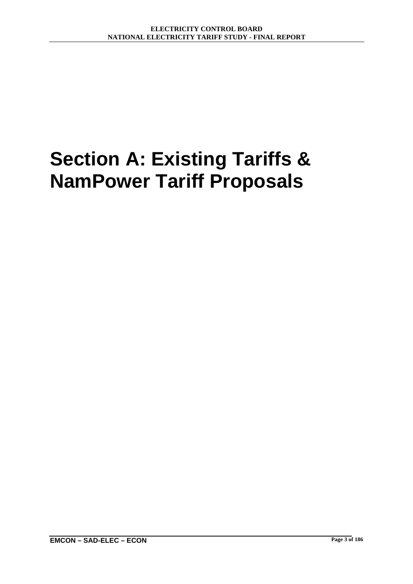# <span id="page-25-0"></span>**Section A: Existing Tariffs & NamPower Tariff Proposals**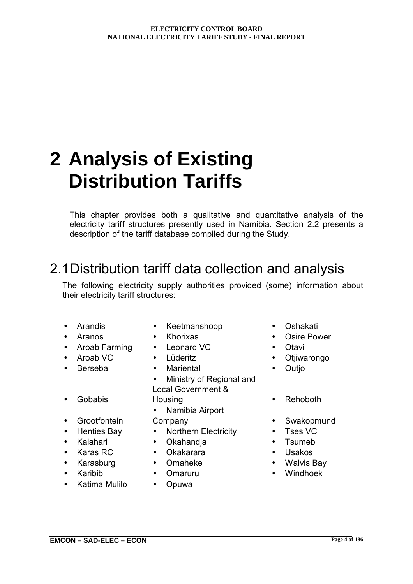# <span id="page-26-0"></span>**2 Analysis of Existing Distribution Tariffs**

This chapter provides both a qualitative and quantitative analysis of the electricity tariff structures presently used in Namibia. Section 2.2 presents a description of the tariff database compiled during the Study.

## 2.1 Distribution tariff data collection and analysis

The following electricity supply authorities provided (some) information about their electricity tariff structures:

- 
- 
- Aroab Farming Leonard VC Otavi
- 
- Berseba Mariental Outjo
- Gobabis
- Grootfontein
- 
- 
- 
- 
- 
- Katima Mulilo Opuwa
- Arandis Keetmanshoop Oshakati
	-
	-
	-
	-
	- Ministry of Regional and Local Government & Housing **• Rehoboth**
	- Namibia Airport
	-
- Henties Bay Northern Electricity Tses VC
- Kalahari Okahandja Tsumeb
- Karas RC Okakarara Usakos
	-
	-
	-
- 
- Aranos Khorixas Osire Power
	-
	- Aroab VC Lüderitz Otjiwarongo
		-
		-
		- Company Swakopmund
			-
			-
			-
- Karasburg Omaheke • Walvis Bay
- Karibib Omaruru Windhoek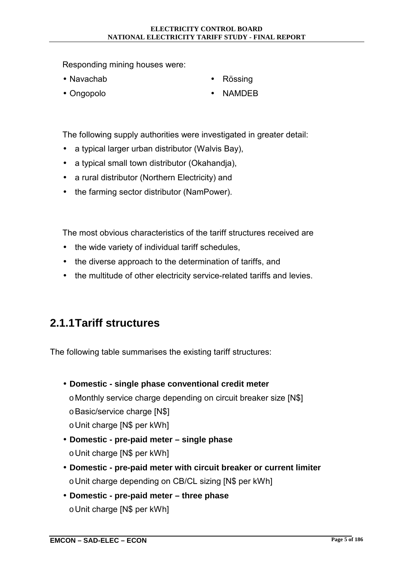<span id="page-27-0"></span>Responding mining houses were:

• Navachab

Rössing

• Ongopolo

• NAMDEB

The following supply authorities were investigated in greater detail:

- a typical larger urban distributor (Walvis Bay),
- a typical small town distributor (Okahandja),
- a rural distributor (Northern Electricity) and
- the farming sector distributor (NamPower).

The most obvious characteristics of the tariff structures received are

- the wide variety of individual tariff schedules,
- the diverse approach to the determination of tariffs, and
- the multitude of other electricity service-related tariffs and levies.

## **2.1.1 Tariff structures**

The following table summarises the existing tariff structures:

- **Domestic single phase conventional credit meter** 
	- o Monthly service charge depending on circuit breaker size [N\$]
	- o Basic/service charge [N\$]
	- o Unit charge [N\$ per kWh]
- **Domestic pre-paid meter single phase**  o Unit charge [N\$ per kWh]
- **Domestic pre-paid meter with circuit breaker or current limiter**  o Unit charge depending on CB/CL sizing [N\$ per kWh]
- **Domestic pre-paid meter three phase**  o Unit charge [N\$ per kWh]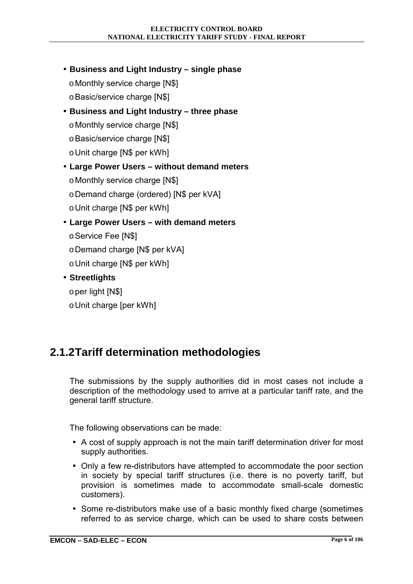- <span id="page-28-0"></span>• **Business and Light Industry – single phase** 
	- o Monthly service charge [N\$]
	- o Basic/service charge [N\$]
- **Business and Light Industry three phase** 
	- o Monthly service charge [N\$]
	- o Basic/service charge [N\$]
	- o Unit charge [N\$ per kWh]
- **Large Power Users without demand meters** 
	- o Monthly service charge [N\$]
	- o Demand charge (ordered) [N\$ per kVA]
	- o Unit charge [N\$ per kWh]
- **Large Power Users with demand meters** 
	- o Service Fee [N\$]
	- o Demand charge [N\$ per kVA]
	- o Unit charge [N\$ per kWh]
- **Streetlights** 
	- o per light [N\$]
	- o Unit charge [per kWh]

## **2.1.2 Tariff determination methodologies**

The submissions by the supply authorities did in most cases not include a description of the methodology used to arrive at a particular tariff rate, and the general tariff structure.

The following observations can be made:

- A cost of supply approach is not the main tariff determination driver for most supply authorities.
- Only a few re-distributors have attempted to accommodate the poor section in society by special tariff structures (i.e. there is no poverty tariff, but provision is sometimes made to accommodate small-scale domestic customers).
- Some re-distributors make use of a basic monthly fixed charge (sometimes referred to as service charge, which can be used to share costs between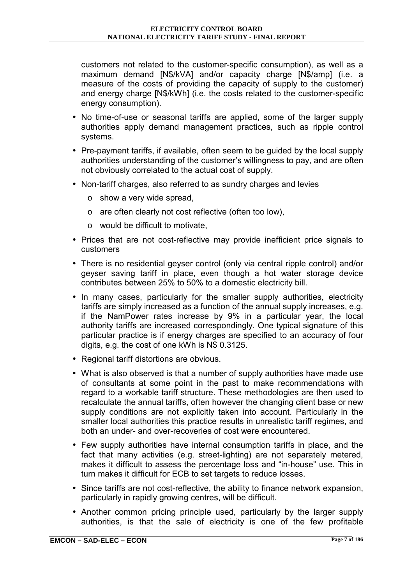customers not related to the customer-specific consumption), as well as a maximum demand [N\$/kVA] and/or capacity charge [N\$/amp] (i.e. a measure of the costs of providing the capacity of supply to the customer) and energy charge [N\$/kWh] (i.e. the costs related to the customer-specific energy consumption).

- No time-of-use or seasonal tariffs are applied, some of the larger supply authorities apply demand management practices, such as ripple control systems.
- Pre-payment tariffs, if available, often seem to be guided by the local supply authorities understanding of the customer's willingness to pay, and are often not obviously correlated to the actual cost of supply.
- Non-tariff charges, also referred to as sundry charges and levies
	- o show a very wide spread,
	- o are often clearly not cost reflective (often too low),
	- o would be difficult to motivate,
- Prices that are not cost-reflective may provide inefficient price signals to customers
- There is no residential geyser control (only via central ripple control) and/or geyser saving tariff in place, even though a hot water storage device contributes between 25% to 50% to a domestic electricity bill.
- In many cases, particularly for the smaller supply authorities, electricity tariffs are simply increased as a function of the annual supply increases, e.g. if the NamPower rates increase by 9% in a particular year, the local authority tariffs are increased correspondingly. One typical signature of this particular practice is if energy charges are specified to an accuracy of four digits, e.g. the cost of one kWh is N\$ 0.3125.
- Regional tariff distortions are obvious.
- What is also observed is that a number of supply authorities have made use of consultants at some point in the past to make recommendations with regard to a workable tariff structure. These methodologies are then used to recalculate the annual tariffs, often however the changing client base or new supply conditions are not explicitly taken into account. Particularly in the smaller local authorities this practice results in unrealistic tariff regimes, and both an under- and over-recoveries of cost were encountered.
- Few supply authorities have internal consumption tariffs in place, and the fact that many activities (e.g. street-lighting) are not separately metered, makes it difficult to assess the percentage loss and "in-house" use. This in turn makes it difficult for ECB to set targets to reduce losses.
- Since tariffs are not cost-reflective, the ability to finance network expansion, particularly in rapidly growing centres, will be difficult.
- Another common pricing principle used, particularly by the larger supply authorities, is that the sale of electricity is one of the few profitable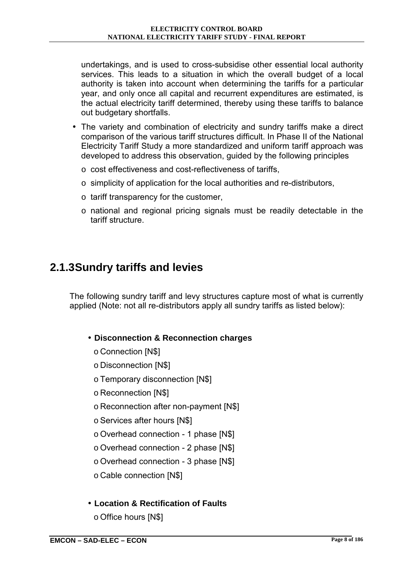<span id="page-30-0"></span>undertakings, and is used to cross-subsidise other essential local authority services. This leads to a situation in which the overall budget of a local authority is taken into account when determining the tariffs for a particular year, and only once all capital and recurrent expenditures are estimated, is the actual electricity tariff determined, thereby using these tariffs to balance out budgetary shortfalls.

- The variety and combination of electricity and sundry tariffs make a direct comparison of the various tariff structures difficult. In Phase II of the National Electricity Tariff Study a more standardized and uniform tariff approach was developed to address this observation, guided by the following principles
	- $\circ$  cost effectiveness and cost-reflectiveness of tariffs.
	- o simplicity of application for the local authorities and re-distributors,
	- o tariff transparency for the customer,
	- o national and regional pricing signals must be readily detectable in the tariff structure.

## **2.1.3 Sundry tariffs and levies**

The following sundry tariff and levy structures capture most of what is currently applied (Note: not all re-distributors apply all sundry tariffs as listed below):

#### • **Disconnection & Reconnection charges**

- o Connection [N\$]
- o Disconnection [N\$]
- o Temporary disconnection [N\$]
- o Reconnection [N\$]
- o Reconnection after non-payment [N\$]
- o Services after hours [N\$]
- o Overhead connection 1 phase [N\$]
- o Overhead connection 2 phase [N\$]
- o Overhead connection 3 phase [N\$]
- o Cable connection [N\$]
- **Location & Rectification of Faults** 
	- o Office hours [N\$]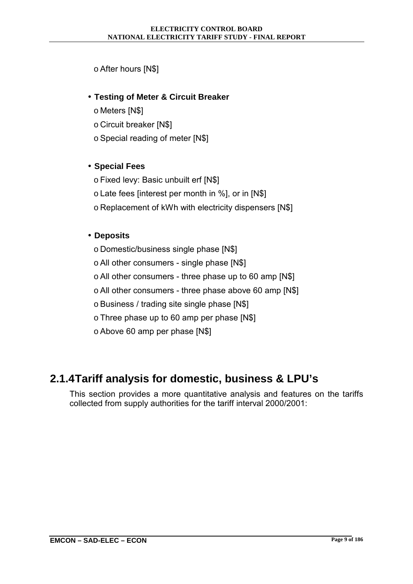#### <span id="page-31-0"></span>o After hours [N\$]

#### • **Testing of Meter & Circuit Breaker**

- o Meters [N\$]
- o Circuit breaker [N\$]
- o Special reading of meter [N\$]

#### • **Special Fees**

- o Fixed levy: Basic unbuilt erf [N\$]
- o Late fees [interest per month in %], or in [N\$]
- o Replacement of kWh with electricity dispensers [N\$]

#### • **Deposits**

- o Domestic/business single phase [N\$]
- o All other consumers single phase [N\$]
- o All other consumers three phase up to 60 amp [N\$]
- o All other consumers three phase above 60 amp [N\$]
- o Business / trading site single phase [N\$]
- o Three phase up to 60 amp per phase [N\$]
- o Above 60 amp per phase [N\$]

## **2.1.4 Tariff analysis for domestic, business & LPU's**

This section provides a more quantitative analysis and features on the tariffs collected from supply authorities for the tariff interval 2000/2001: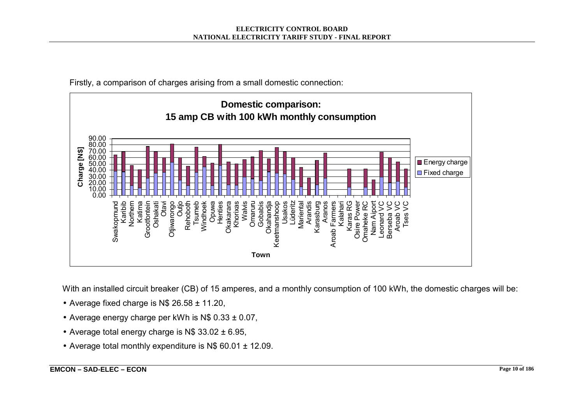

Firstly, a comparison of charges arising from a small domestic connection:

With an installed circuit breaker (CB) of 15 amperes, and a monthly consumption of 100 kWh, the domestic charges will be:

- Average fixed charge is N\$ 26.58 ± 11.20,
- Average energy charge per kWh is  $N$$  0.33  $\pm$  0.07,
- Average total energy charge is  $N$$  33.02  $\pm$  6.95,
- Average total monthly expenditure is N\$ 60.01 ± 12.09.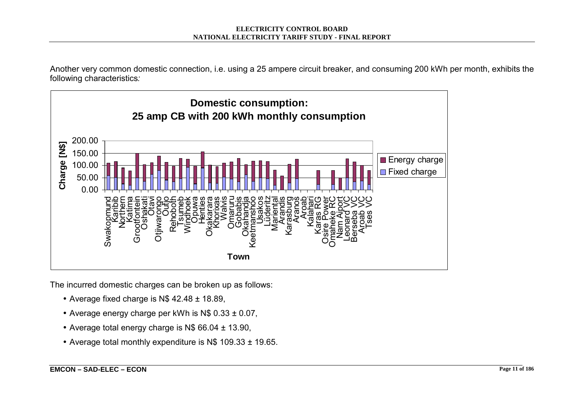Another very common domestic connection, i.e. using a 25 ampere circuit breaker, and consuming 200 kWh per month, exhibits the following characteristics*:* 



The incurred domestic charges can be broken up as follows:

- Average fixed charge is N\$ 42.48 ± 18.89,
- Average energy charge per kWh is N\$ 0.33 ± 0.07,
- Average total energy charge is N\$ 66.04 ± 13.90,
- Average total monthly expenditure is N\$ 109.33 ± 19.65.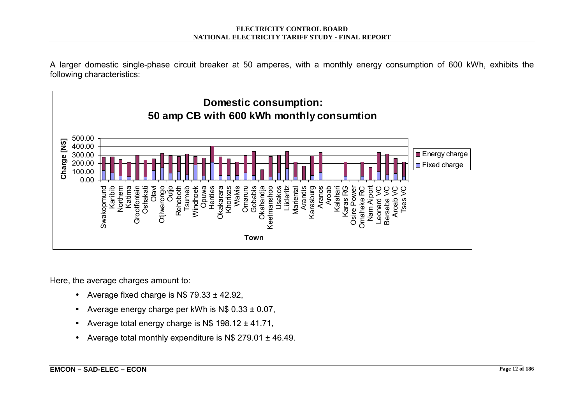A larger domestic single-phase circuit breaker at 50 amperes, with a monthly energy consumption of 600 kWh, exhibits the following characteristics:



Here, the average charges amount to:

- Average fixed charge is  $N$$  79.33  $\pm$  42.92,
- Average energy charge per kWh is  $N$ 0.33  $\pm$  0.07$ ,
- Average total energy charge is  $N$$  198.12  $\pm$  41.71,
- Average total monthly expenditure is N\$ 279.01 ± 46.49.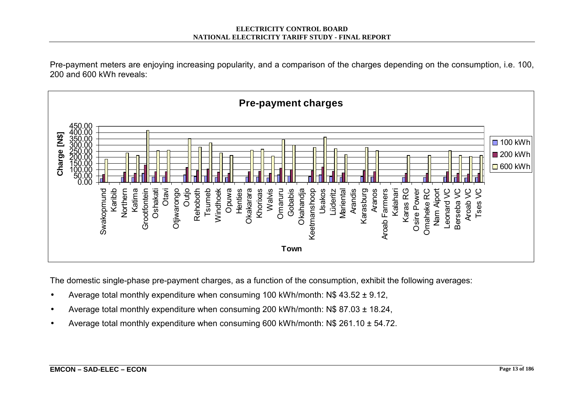Pre-payment meters are enjoying increasing popularity, and a comparison of the charges depending on the consumption, i.e. 100, 200 and 600 kWh reveals:



The domestic single-phase pre-payment charges, as a function of the consumption, exhibit the following averages:

- Average total monthly expenditure when consuming 100 kWh/month: N\$ 43.52 ± 9.12,
- Average total monthly expenditure when consuming 200 kWh/month: N\$ 87.03 ± 18.24,
- Average total monthly expenditure when consuming 600 kWh/month:  $N$$  261.10  $\pm$  54.72.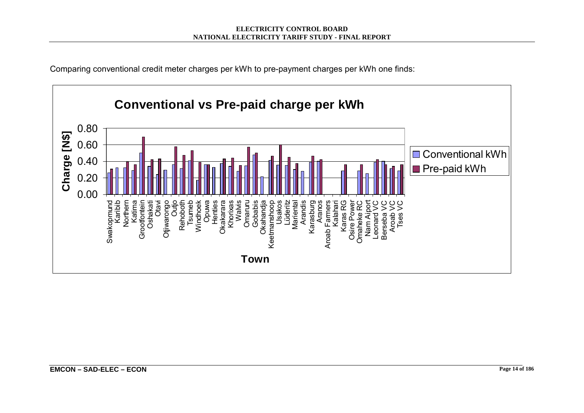

Comparing conventional credit meter charges per kWh to pre-payment charges per kWh one finds: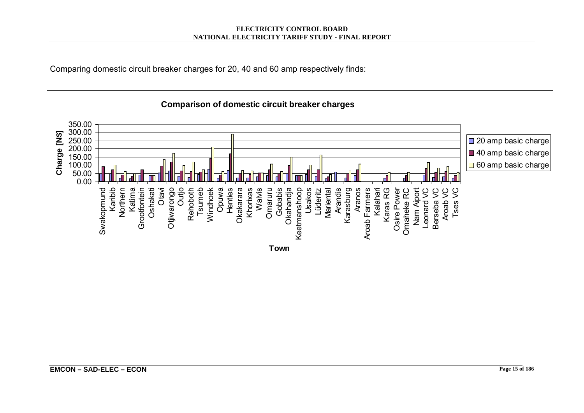

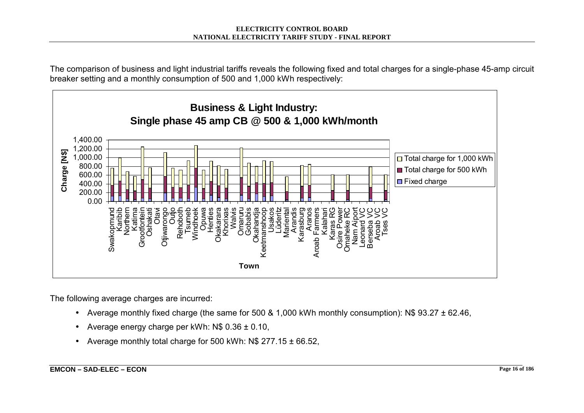The comparison of business and light industrial tariffs reveals the following fixed and total charges for a single-phase 45-amp circuit breaker setting and a monthly consumption of 500 and 1,000 kWh respectively:



The following average charges are incurred:

- Average monthly fixed charge (the same for 500 & 1,000 kWh monthly consumption): N\$ 93.27 ± 62.46,
- Average energy charge per kWh:  $N\$  0.36  $\pm$  0.10,
- Average monthly total charge for 500 kWh:  $N$ 277.15  $\pm$  66.52,$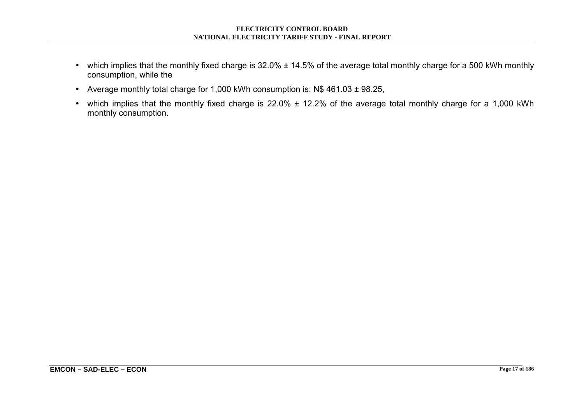- which implies that the monthly fixed charge is 32.0% ± 14.5% of the average total monthly charge for a 500 kWh monthly consumption, while the
- Average monthly total charge for 1,000 kWh consumption is: N\$ 461.03 ± 98.25,
- which implies that the monthly fixed charge is 22.0% ± 12.2% of the average total monthly charge for a 1,000 kWh monthly consumption.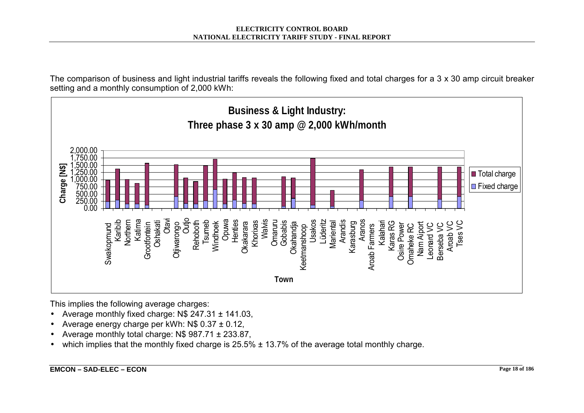The comparison of business and light industrial tariffs reveals the following fixed and total charges for a 3 x 30 amp circuit breaker setting and a monthly consumption of 2,000 kWh:



- Average monthly fixed charge: N\$ 247.31 ± 141.03,
- Average energy charge per kWh: N\$ 0.37 ± 0.12,
- Average monthly total charge: N\$ 987.71 ± 233.87,
- which implies that the monthly fixed charge is  $25.5\% \pm 13.7\%$  of the average total monthly charge.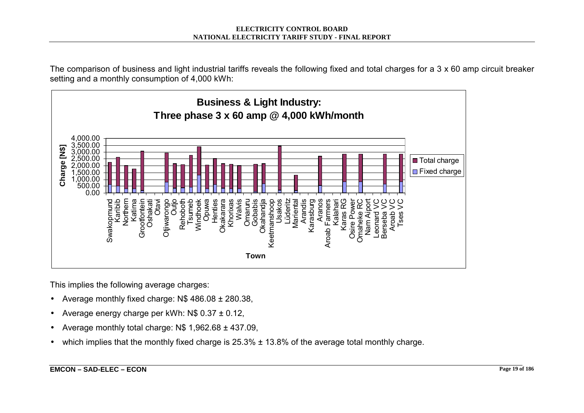The comparison of business and light industrial tariffs reveals the following fixed and total charges for a 3 x 60 amp circuit breaker setting and a monthly consumption of 4,000 kWh:



- Average monthly fixed charge: N\$ 486.08 ± 280.38,
- Average energy charge per kWh: N\$ 0.37 ± 0.12,
- Average monthly total charge:  $N$$  1,962.68  $\pm$  437.09,
- which implies that the monthly fixed charge is  $25.3\% \pm 13.8\%$  of the average total monthly charge.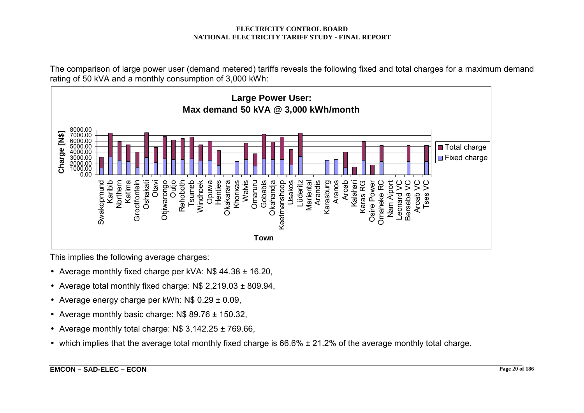The comparison of large power user (demand metered) tariffs reveals the following fixed and total charges for a maximum demand rating of 50 kVA and a monthly consumption of 3,000 kWh:



- Average monthly fixed charge per kVA: N\$ 44.38 ± 16.20,
- Average total monthly fixed charge: N\$ 2,219.03 ± 809.94,
- Average energy charge per kWh:  $N\$  0.29  $\pm$  0.09,
- Average monthly basic charge:  $N$89.76 \pm 150.32$ ,
- Average monthly total charge:  $N$$  3,142.25  $\pm$  769.66,
- which implies that the average total monthly fixed charge is 66.6% ± 21.2% of the average monthly total charge.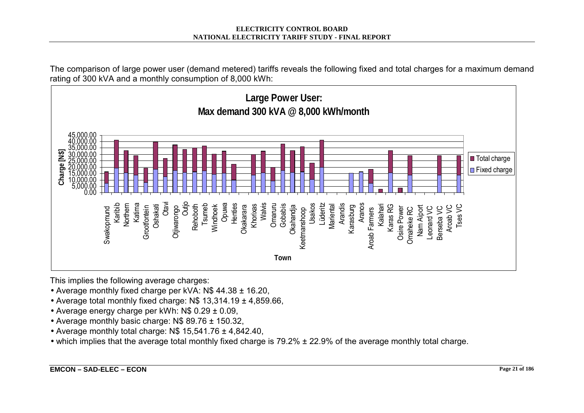The comparison of large power user (demand metered) tariffs reveals the following fixed and total charges for a maximum demand rating of 300 kVA and a monthly consumption of 8,000 kWh:



- Average monthly fixed charge per kVA: N\$ 44.38 ± 16.20,
- Average total monthly fixed charge: N\$ 13,314.19 ± 4,859.66,
- Average energy charge per kWh: N\$ 0.29 ± 0.09,
- Average monthly basic charge: N\$ 89.76 ± 150.32,
- Average monthly total charge:  $N\$  15,541.76  $\pm$  4,842.40,
- which implies that the average total monthly fixed charge is 79.2% ± 22.9% of the average monthly total charge.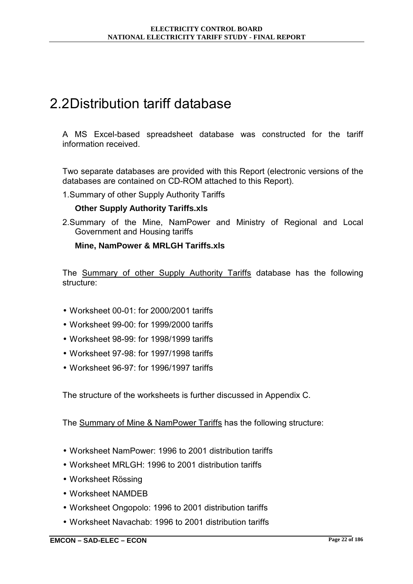# 2.2 Distribution tariff database

A MS Excel-based spreadsheet database was constructed for the tariff information received.

Two separate databases are provided with this Report (electronic versions of the databases are contained on CD-ROM attached to this Report).

1. Summary of other Supply Authority Tariffs

#### **Other Supply Authority Tariffs.xls**

2. Summary of the Mine, NamPower and Ministry of Regional and Local Government and Housing tariffs

#### **Mine, NamPower & MRLGH Tariffs.xls**

The Summary of other Supply Authority Tariffs database has the following structure:

- Worksheet 00-01: for 2000/2001 tariffs
- Worksheet 99-00: for 1999/2000 tariffs
- Worksheet 98-99: for 1998/1999 tariffs
- Worksheet 97-98: for 1997/1998 tariffs
- Worksheet 96-97: for 1996/1997 tariffs

The structure of the worksheets is further discussed in Appendix C.

The Summary of Mine & NamPower Tariffs has the following structure:

- Worksheet NamPower: 1996 to 2001 distribution tariffs
- Worksheet MRLGH: 1996 to 2001 distribution tariffs
- Worksheet Rössing
- Worksheet NAMDEB
- Worksheet Ongopolo: 1996 to 2001 distribution tariffs
- Worksheet Navachab: 1996 to 2001 distribution tariffs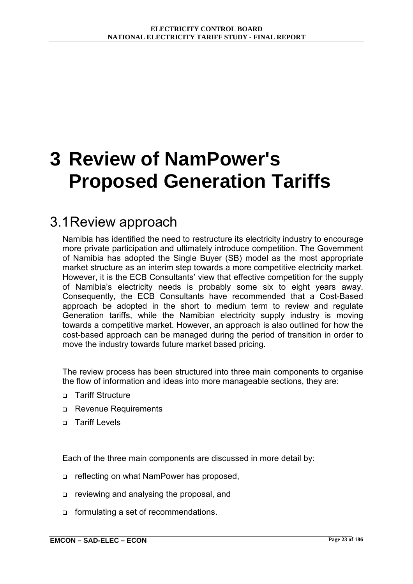# **3 Review of NamPower's Proposed Generation Tariffs**

## 3.1 Review approach

Namibia has identified the need to restructure its electricity industry to encourage more private participation and ultimately introduce competition. The Government of Namibia has adopted the Single Buyer (SB) model as the most appropriate market structure as an interim step towards a more competitive electricity market. However, it is the ECB Consultants' view that effective competition for the supply of Namibiaís electricity needs is probably some six to eight years away. Consequently, the ECB Consultants have recommended that a Cost-Based approach be adopted in the short to medium term to review and regulate Generation tariffs, while the Namibian electricity supply industry is moving towards a competitive market. However, an approach is also outlined for how the cost-based approach can be managed during the period of transition in order to move the industry towards future market based pricing.

The review process has been structured into three main components to organise the flow of information and ideas into more manageable sections, they are:

- o Tariff Structure
- □ Revenue Requirements
- n Tariff Levels

Each of the three main components are discussed in more detail by:

- □ reflecting on what NamPower has proposed,
- □ reviewing and analysing the proposal, and
- o formulating a set of recommendations.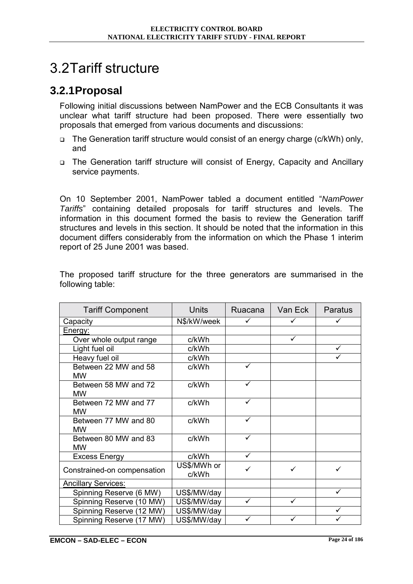# 3.2 Tariff structure

## **3.2.1 Proposal**

Following initial discussions between NamPower and the ECB Consultants it was unclear what tariff structure had been proposed. There were essentially two proposals that emerged from various documents and discussions:

- □ The Generation tariff structure would consist of an energy charge (c/kWh) only, and
- ! The Generation tariff structure will consist of Energy, Capacity and Ancillary service payments.

On 10 September 2001, NamPower tabled a document entitled "NamPower *Tariffs*î containing detailed proposals for tariff structures and levels. The information in this document formed the basis to review the Generation tariff structures and levels in this section. It should be noted that the information in this document differs considerably from the information on which the Phase 1 interim report of 25 June 2001 was based.

|                  |  |  |  | The proposed tariff structure for the three generators are summarised in the |  |
|------------------|--|--|--|------------------------------------------------------------------------------|--|
| following table: |  |  |  |                                                                              |  |
|                  |  |  |  |                                                                              |  |

| <b>Tariff Component</b>           | <b>Units</b>         | Ruacana      | Van Eck | Paratus |
|-----------------------------------|----------------------|--------------|---------|---------|
| Capacity                          | N\$/kW/week          | $\checkmark$ | ✓       | ✓       |
| Energy:                           |                      |              |         |         |
| Over whole output range           | c/kWh                |              | ✓       |         |
| Light fuel oil                    | c/kWh                |              |         | ✓       |
| Heavy fuel oil                    | c/kWh                |              |         | ✓       |
| Between 22 MW and 58<br><b>MW</b> | c/kWh                | ✓            |         |         |
| Between 58 MW and 72<br><b>MW</b> | c/kWh                | ✓            |         |         |
| Between 72 MW and 77<br><b>MW</b> | c/kWh                | ✓            |         |         |
| Between 77 MW and 80<br><b>MW</b> | c/kWh                | ✓            |         |         |
| Between 80 MW and 83<br><b>MW</b> | c/kWh                | ✓            |         |         |
| <b>Excess Energy</b>              | c/kWh                | ✓            |         |         |
| Constrained-on compensation       | US\$/MWh or<br>c/kWh | ✓            | ✓       |         |
| <b>Ancillary Services:</b>        |                      |              |         |         |
| Spinning Reserve (6 MW)           | US\$/MW/day          |              |         | ✓       |
| Spinning Reserve (10 MW)          | US\$/MW/day          | ✓            | ✓       |         |
| Spinning Reserve (12 MW)          | US\$/MW/day          |              |         | ✓       |
| Spinning Reserve (17 MW)          | US\$/MW/day          | ✓            | ✓       |         |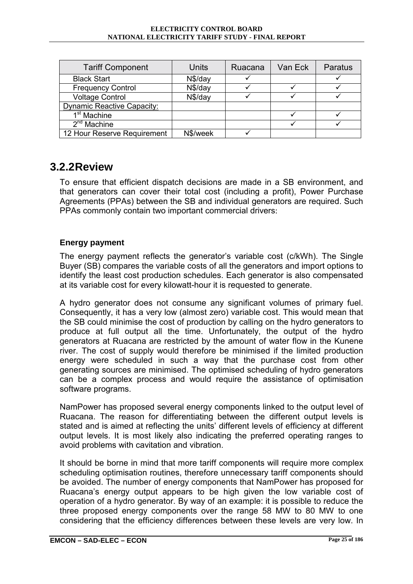#### **ELECTRICITY CONTROL BOARD NATIONAL ELECTRICITY TARIFF STUDY - FINAL REPORT**

| <b>Tariff Component</b>           | Units    | Ruacana | Van Eck | Paratus |
|-----------------------------------|----------|---------|---------|---------|
| <b>Black Start</b>                | N\$/day  |         |         |         |
| <b>Frequency Control</b>          | N\$/day  |         |         |         |
| <b>Voltage Control</b>            | N\$/day  |         |         |         |
| <b>Dynamic Reactive Capacity:</b> |          |         |         |         |
| 1 <sup>st</sup> Machine           |          |         |         |         |
| $2nd$ Machine                     |          |         |         |         |
| 12 Hour Reserve Requirement       | N\$/week |         |         |         |

### **3.2.2 Review**

To ensure that efficient dispatch decisions are made in a SB environment, and that generators can cover their total cost (including a profit), Power Purchase Agreements (PPAs) between the SB and individual generators are required. Such PPAs commonly contain two important commercial drivers:

### **Energy payment**

The energy payment reflects the generator's variable cost (c/kWh). The Single Buyer (SB) compares the variable costs of all the generators and import options to identify the least cost production schedules. Each generator is also compensated at its variable cost for every kilowatt-hour it is requested to generate.

A hydro generator does not consume any significant volumes of primary fuel. Consequently, it has a very low (almost zero) variable cost. This would mean that the SB could minimise the cost of production by calling on the hydro generators to produce at full output all the time. Unfortunately, the output of the hydro generators at Ruacana are restricted by the amount of water flow in the Kunene river. The cost of supply would therefore be minimised if the limited production energy were scheduled in such a way that the purchase cost from other generating sources are minimised. The optimised scheduling of hydro generators can be a complex process and would require the assistance of optimisation software programs.

NamPower has proposed several energy components linked to the output level of Ruacana. The reason for differentiating between the different output levels is stated and is aimed at reflecting the units' different levels of efficiency at different output levels. It is most likely also indicating the preferred operating ranges to avoid problems with cavitation and vibration.

It should be borne in mind that more tariff components will require more complex scheduling optimisation routines, therefore unnecessary tariff components should be avoided. The number of energy components that NamPower has proposed for Ruacanaís energy output appears to be high given the low variable cost of operation of a hydro generator. By way of an example: it is possible to reduce the three proposed energy components over the range 58 MW to 80 MW to one considering that the efficiency differences between these levels are very low. In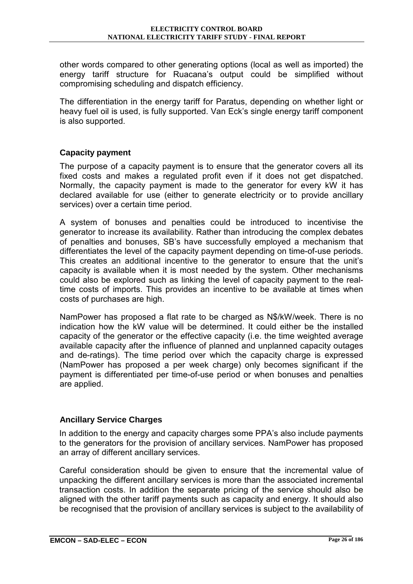other words compared to other generating options (local as well as imported) the energy tariff structure for Ruacanaís output could be simplified without compromising scheduling and dispatch efficiency.

The differentiation in the energy tariff for Paratus, depending on whether light or heavy fuel oil is used, is fully supported. Van Eck's single energy tariff component is also supported.

#### **Capacity payment**

The purpose of a capacity payment is to ensure that the generator covers all its fixed costs and makes a regulated profit even if it does not get dispatched. Normally, the capacity payment is made to the generator for every kW it has declared available for use (either to generate electricity or to provide ancillary services) over a certain time period.

A system of bonuses and penalties could be introduced to incentivise the generator to increase its availability. Rather than introducing the complex debates of penalties and bonuses, SBís have successfully employed a mechanism that differentiates the level of the capacity payment depending on time-of-use periods. This creates an additional incentive to the generator to ensure that the unit's capacity is available when it is most needed by the system. Other mechanisms could also be explored such as linking the level of capacity payment to the realtime costs of imports. This provides an incentive to be available at times when costs of purchases are high.

NamPower has proposed a flat rate to be charged as N\$/kW/week. There is no indication how the kW value will be determined. It could either be the installed capacity of the generator or the effective capacity (i.e. the time weighted average available capacity after the influence of planned and unplanned capacity outages and de-ratings). The time period over which the capacity charge is expressed (NamPower has proposed a per week charge) only becomes significant if the payment is differentiated per time-of-use period or when bonuses and penalties are applied.

#### **Ancillary Service Charges**

In addition to the energy and capacity charges some PPAís also include payments to the generators for the provision of ancillary services. NamPower has proposed an array of different ancillary services.

Careful consideration should be given to ensure that the incremental value of unpacking the different ancillary services is more than the associated incremental transaction costs. In addition the separate pricing of the service should also be aligned with the other tariff payments such as capacity and energy. It should also be recognised that the provision of ancillary services is subject to the availability of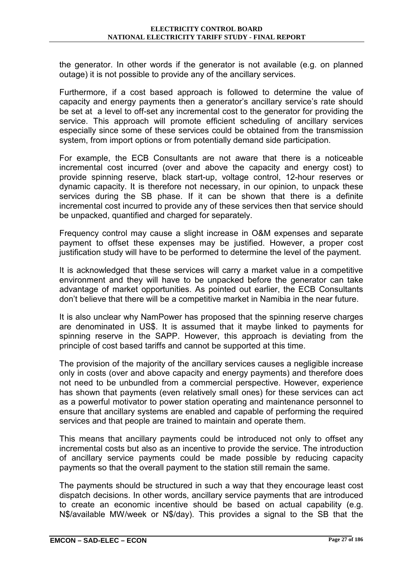the generator. In other words if the generator is not available (e.g. on planned outage) it is not possible to provide any of the ancillary services.

Furthermore, if a cost based approach is followed to determine the value of capacity and energy payments then a generator's ancillary service's rate should be set at a level to off-set any incremental cost to the generator for providing the service. This approach will promote efficient scheduling of ancillary services especially since some of these services could be obtained from the transmission system, from import options or from potentially demand side participation.

For example, the ECB Consultants are not aware that there is a noticeable incremental cost incurred (over and above the capacity and energy cost) to provide spinning reserve, black start-up, voltage control, 12-hour reserves or dynamic capacity. It is therefore not necessary, in our opinion, to unpack these services during the SB phase. If it can be shown that there is a definite incremental cost incurred to provide any of these services then that service should be unpacked, quantified and charged for separately.

Frequency control may cause a slight increase in O&M expenses and separate payment to offset these expenses may be justified. However, a proper cost justification study will have to be performed to determine the level of the payment.

It is acknowledged that these services will carry a market value in a competitive environment and they will have to be unpacked before the generator can take advantage of market opportunities. As pointed out earlier, the ECB Consultants donít believe that there will be a competitive market in Namibia in the near future.

It is also unclear why NamPower has proposed that the spinning reserve charges are denominated in US\$. It is assumed that it maybe linked to payments for spinning reserve in the SAPP. However, this approach is deviating from the principle of cost based tariffs and cannot be supported at this time.

The provision of the majority of the ancillary services causes a negligible increase only in costs (over and above capacity and energy payments) and therefore does not need to be unbundled from a commercial perspective. However, experience has shown that payments (even relatively small ones) for these services can act as a powerful motivator to power station operating and maintenance personnel to ensure that ancillary systems are enabled and capable of performing the required services and that people are trained to maintain and operate them.

This means that ancillary payments could be introduced not only to offset any incremental costs but also as an incentive to provide the service. The introduction of ancillary service payments could be made possible by reducing capacity payments so that the overall payment to the station still remain the same.

The payments should be structured in such a way that they encourage least cost dispatch decisions. In other words, ancillary service payments that are introduced to create an economic incentive should be based on actual capability (e.g. N\$/available MW/week or N\$/day). This provides a signal to the SB that the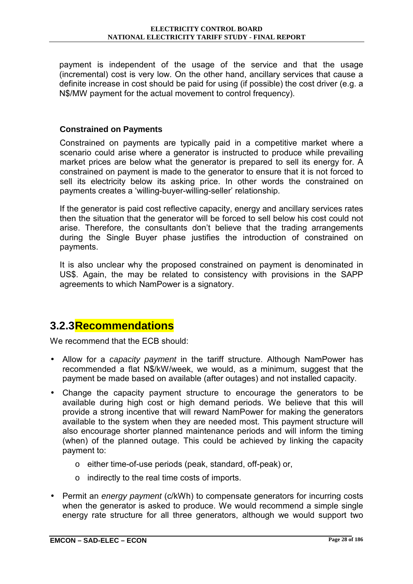payment is independent of the usage of the service and that the usage (incremental) cost is very low. On the other hand, ancillary services that cause a definite increase in cost should be paid for using (if possible) the cost driver (e.g. a N\$/MW payment for the actual movement to control frequency).

#### **Constrained on Payments**

Constrained on payments are typically paid in a competitive market where a scenario could arise where a generator is instructed to produce while prevailing market prices are below what the generator is prepared to sell its energy for. A constrained on payment is made to the generator to ensure that it is not forced to sell its electricity below its asking price. In other words the constrained on payments creates a 'willing-buyer-willing-seller' relationship.

If the generator is paid cost reflective capacity, energy and ancillary services rates then the situation that the generator will be forced to sell below his cost could not arise. Therefore, the consultants don't believe that the trading arrangements during the Single Buyer phase justifies the introduction of constrained on payments.

It is also unclear why the proposed constrained on payment is denominated in US\$. Again, the may be related to consistency with provisions in the SAPP agreements to which NamPower is a signatory.

## **3.2.3 Recommendations**

We recommend that the FCB should:

- Allow for a *capacity payment* in the tariff structure. Although NamPower has recommended a flat N\$/kW/week, we would, as a minimum, suggest that the payment be made based on available (after outages) and not installed capacity.
- Change the capacity payment structure to encourage the generators to be available during high cost or high demand periods. We believe that this will provide a strong incentive that will reward NamPower for making the generators available to the system when they are needed most. This payment structure will also encourage shorter planned maintenance periods and will inform the timing (when) of the planned outage. This could be achieved by linking the capacity payment to:
	- o either time-of-use periods (peak, standard, off-peak) or,
	- o indirectly to the real time costs of imports.
- Permit an *energy payment* (c/kWh) to compensate generators for incurring costs when the generator is asked to produce. We would recommend a simple single energy rate structure for all three generators, although we would support two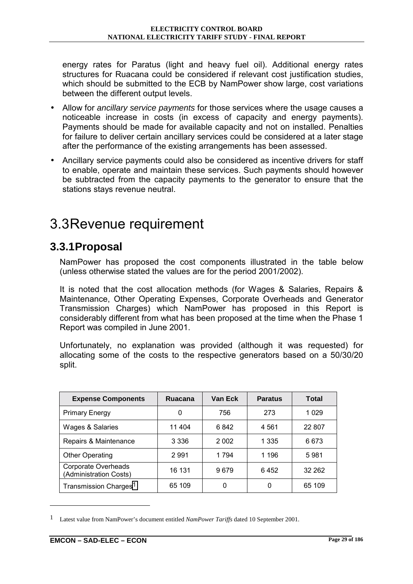energy rates for Paratus (light and heavy fuel oil). Additional energy rates structures for Ruacana could be considered if relevant cost justification studies, which should be submitted to the ECB by NamPower show large, cost variations between the different output levels.

- Allow for *ancillary service payments* for those services where the usage causes a noticeable increase in costs (in excess of capacity and energy payments). Payments should be made for available capacity and not on installed. Penalties for failure to deliver certain ancillary services could be considered at a later stage after the performance of the existing arrangements has been assessed.
- Ancillary service payments could also be considered as incentive drivers for staff to enable, operate and maintain these services. Such payments should however be subtracted from the capacity payments to the generator to ensure that the stations stays revenue neutral.

## 3.3 Revenue requirement

## **3.3.1 Proposal**

NamPower has proposed the cost components illustrated in the table below (unless otherwise stated the values are for the period 2001/2002).

It is noted that the cost allocation methods (for Wages & Salaries, Repairs & Maintenance, Other Operating Expenses, Corporate Overheads and Generator Transmission Charges) which NamPower has proposed in this Report is considerably different from what has been proposed at the time when the Phase 1 Report was compiled in June 2001.

Unfortunately, no explanation was provided (although it was requested) for allocating some of the costs to the respective generators based on a 50/30/20 split.

| <b>Expense Components</b>                     | Ruacana | Van Eck | <b>Paratus</b> | <b>Total</b> |
|-----------------------------------------------|---------|---------|----------------|--------------|
| <b>Primary Energy</b>                         | 0       | 756     | 273            | 1 0 2 9      |
| Wages & Salaries                              | 11 404  | 6842    | 4 5 61         | 22 807       |
| Repairs & Maintenance                         | 3 3 3 6 | 2 0 0 2 | 1 335          | 6673         |
| <b>Other Operating</b>                        | 2991    | 1 7 9 4 | 1 196          | 5981         |
| Corporate Overheads<br>(Administration Costs) | 16 131  | 9679    | 6452           | 32 262       |
| Transmission Charges <sup>1</sup>             | 65 109  | 0       | 0              | 65 109       |

<sup>1</sup> Latest value from NamPower's document entitled *NamPower Tariffs* dated 10 September 2001.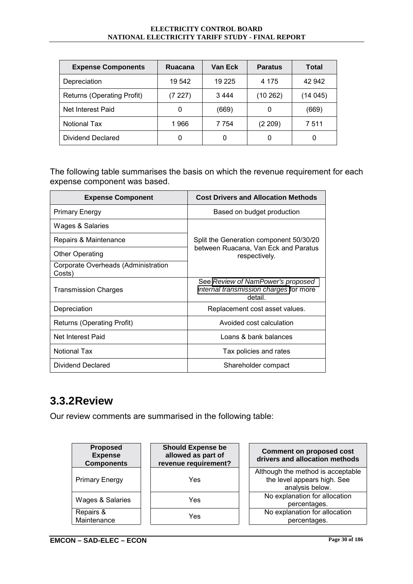#### **ELECTRICITY CONTROL BOARD NATIONAL ELECTRICITY TARIFF STUDY - FINAL REPORT**

| <b>Expense Components</b>  | <b>Ruacana</b> | Van Eck | <b>Paratus</b> | Total   |
|----------------------------|----------------|---------|----------------|---------|
| Depreciation               | 19 542         | 19 2 25 | 4 1 7 5        | 42 942  |
| Returns (Operating Profit) | (7227)         | 3444    | (10262)        | (14045) |
| Net Interest Paid          | 0              | (669)   | 0              | (669)   |
| <b>Notional Tax</b>        | 1966           | 7 7 5 4 | (2 209)        | 7511    |
| <b>Dividend Declared</b>   | 0              | 0       | 0              |         |

The following table summarises the basis on which the revenue requirement for each expense component was based.

| <b>Expense Component</b>                      | <b>Cost Drivers and Allocation Methods</b>                                             |
|-----------------------------------------------|----------------------------------------------------------------------------------------|
| <b>Primary Energy</b>                         | Based on budget production                                                             |
| Wages & Salaries                              |                                                                                        |
| Repairs & Maintenance                         | Split the Generation component 50/30/20                                                |
| <b>Other Operating</b>                        | between Ruacana, Van Eck and Paratus<br>respectively.                                  |
| Corporate Overheads (Administration<br>Costs) |                                                                                        |
| <b>Transmission Charges</b>                   | See Review of NamPower's proposed<br>internal transmission charges for more<br>detail. |
| Depreciation                                  | Replacement cost asset values.                                                         |
| <b>Returns (Operating Profit)</b>             | Avoided cost calculation                                                               |
| Net Interest Paid                             | Loans & bank balances                                                                  |
| Notional Tax                                  | Tax policies and rates                                                                 |
| Dividend Declared                             | Shareholder compact                                                                    |

## **3.3.2 Review**

Our review comments are summarised in the following table:

| <b>Proposed</b><br><b>Expense</b><br><b>Components</b> | <b>Should Expense be</b><br>allowed as part of<br>revenue requirement? | <b>Comment on proposed cost</b><br>drivers and allocation methods                   |
|--------------------------------------------------------|------------------------------------------------------------------------|-------------------------------------------------------------------------------------|
| <b>Primary Energy</b>                                  | Yes                                                                    | Although the method is acceptable<br>the level appears high. See<br>analysis below. |
| Wages & Salaries                                       | Yes                                                                    | No explanation for allocation<br>percentages.                                       |
| Repairs &<br>Maintenance                               | Yes                                                                    | No explanation for allocation<br>percentages.                                       |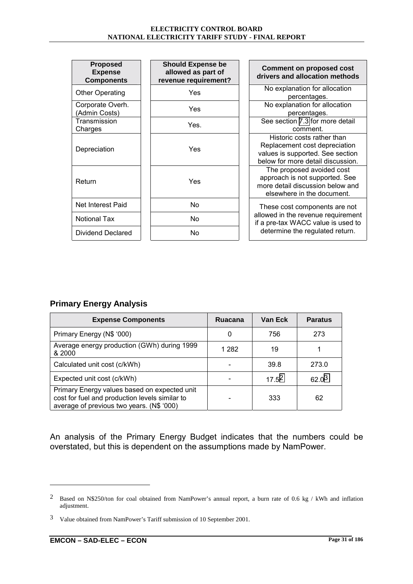| <b>Proposed</b><br><b>Expense</b><br><b>Components</b> | <b>Should Expense be</b><br>allowed as part of<br>revenue requirement? | <b>Comment on proposed cost</b><br>drivers and allocation methods                                                                    |
|--------------------------------------------------------|------------------------------------------------------------------------|--------------------------------------------------------------------------------------------------------------------------------------|
| <b>Other Operating</b>                                 | Yes                                                                    | No explanation for allocation<br>percentages.                                                                                        |
| Corporate Overh.<br>(Admin Costs)                      | Yes                                                                    | No explanation for allocation<br>percentages.                                                                                        |
| Transmission<br>Charges                                | Yes.                                                                   | See section 7.3 for more detail<br>comment.                                                                                          |
| Depreciation                                           | Yes                                                                    | Historic costs rather than<br>Replacement cost depreciation<br>values is supported. See section<br>below for more detail discussion. |
| Return                                                 | Yes                                                                    | The proposed avoided cost<br>approach is not supported. See<br>more detail discussion below and<br>elsewhere in the document.        |
| Net Interest Paid                                      | No.                                                                    | These cost components are not                                                                                                        |
| <b>Notional Tax</b>                                    | No                                                                     | allowed in the revenue requirement<br>if a pre-tax WACC value is used to                                                             |
| <b>Dividend Declared</b>                               | No.                                                                    | determine the regulated return.                                                                                                      |

### **Primary Energy Analysis**

| <b>Expense Components</b>                                                                                                                   | <b>Ruacana</b> | Van Eck  | <b>Paratus</b> |
|---------------------------------------------------------------------------------------------------------------------------------------------|----------------|----------|----------------|
| Primary Energy (N\$ '000)                                                                                                                   | O              | 756      | 273            |
| Average energy production (GWh) during 1999<br>& 2000                                                                                       | 1 2 8 2        | 19       |                |
| Calculated unit cost (c/kWh)                                                                                                                |                | 39.8     | 273.0          |
| Expected unit cost (c/kWh)                                                                                                                  |                | $17.5^2$ | $62.0^{3}$     |
| Primary Energy values based on expected unit<br>cost for fuel and production levels similar to<br>average of previous two years. (N\$ '000) |                | 333      | 62             |

An analysis of the Primary Energy Budget indicates that the numbers could be overstated, but this is dependent on the assumptions made by NamPower.

<sup>2</sup> Based on N\$250/ton for coal obtained from NamPower's annual report, a burn rate of 0.6 kg / kWh and inflation adjustment.

<sup>3</sup> Value obtained from NamPower's Tariff submission of 10 September 2001.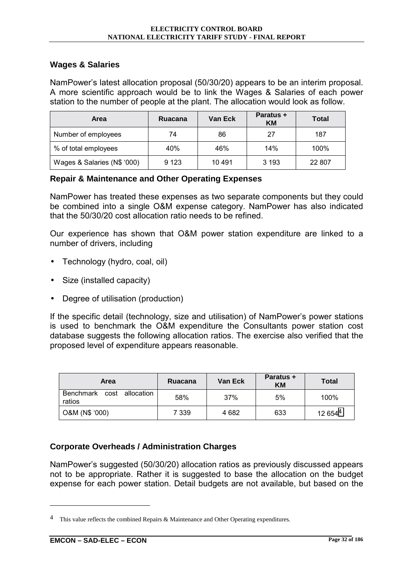#### **Wages & Salaries**

NamPowerís latest allocation proposal (50/30/20) appears to be an interim proposal. A more scientific approach would be to link the Wages & Salaries of each power station to the number of people at the plant. The allocation would look as follow.

| Area                        | <b>Ruacana</b> | Van Eck | <b>Paratus +</b><br>KМ | <b>Total</b> |
|-----------------------------|----------------|---------|------------------------|--------------|
| Number of employees         | 74             | 86      | 27                     | 187          |
| % of total employees        | 40%            | 46%     | 14%                    | 100%         |
| Wages & Salaries (N\$ '000) | 9 1 2 3        | 10 491  | 3 1 9 3                | 22 807       |

#### **Repair & Maintenance and Other Operating Expenses**

NamPower has treated these expenses as two separate components but they could be combined into a single O&M expense category. NamPower has also indicated that the 50/30/20 cost allocation ratio needs to be refined.

Our experience has shown that O&M power station expenditure are linked to a number of drivers, including

- Technology (hydro, coal, oil)
- Size (installed capacity)
- Degree of utilisation (production)

If the specific detail (technology, size and utilisation) of NamPower's power stations is used to benchmark the O&M expenditure the Consultants power station cost database suggests the following allocation ratios. The exercise also verified that the proposed level of expenditure appears reasonable.

| Area                                | Ruacana | Van Eck | <b>Paratus +</b><br>KM | <b>Total</b>        |
|-------------------------------------|---------|---------|------------------------|---------------------|
| Benchmark cost allocation<br>ratios | 58%     | 37%     | 5%                     | 100%                |
| O&M (N\$ '000)                      | 7 339   | 4 6 8 2 | 633                    | 12 654 <sup>4</sup> |

### **Corporate Overheads / Administration Charges**

NamPowerís suggested (50/30/20) allocation ratios as previously discussed appears not to be appropriate. Rather it is suggested to base the allocation on the budget expense for each power station. Detail budgets are not available, but based on the

<sup>&</sup>lt;sup>4</sup> This value reflects the combined Repairs  $\&$  Maintenance and Other Operating expenditures.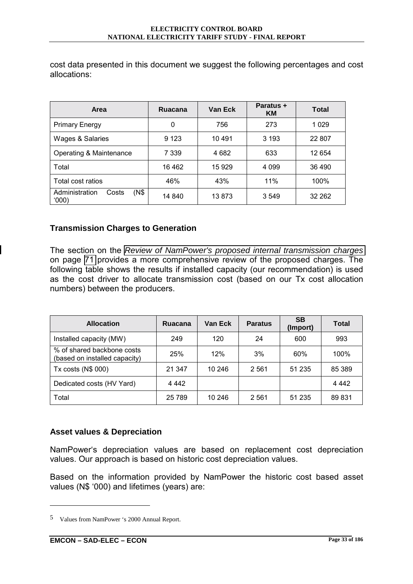cost data presented in this document we suggest the following percentages and cost allocations:

| Area                                     | Ruacana | Van Eck | Paratus +<br>KM | <b>Total</b> |
|------------------------------------------|---------|---------|-----------------|--------------|
| <b>Primary Energy</b>                    | 0       | 756     | 273             | 1 0 2 9      |
| Wages & Salaries                         | 9 1 2 3 | 10 491  | 3 1 9 3         | 22 807       |
| Operating & Maintenance                  | 7 339   | 4 682   | 633             | 12 654       |
| Total                                    | 16462   | 15 9 29 | 4 0 9 9         | 36 490       |
| Total cost ratios                        | 46%     | 43%     | 11%             | 100%         |
| Administration<br>(N\$<br>Costs<br>(000) | 14 840  | 13873   | 3549            | 32 262       |

#### **Transmission Charges to Generation**

The section on the *[Review of NamPower's proposed internal transmission charges](#page-93-0)* on page [71](#page-93-0) provides a more comprehensive review of the proposed charges. The following table shows the results if installed capacity (our recommendation) is used as the cost driver to allocate transmission cost (based on our Tx cost allocation numbers) between the producers.

| <b>Allocation</b>                                           | Ruacana | Van Eck | <b>Paratus</b> | <b>SB</b><br>(Import) | <b>Total</b> |
|-------------------------------------------------------------|---------|---------|----------------|-----------------------|--------------|
| Installed capacity (MW)                                     | 249     | 120     | 24             | 600                   | 993          |
| % of shared backbone costs<br>(based on installed capacity) | 25%     | 12%     | 3%             | 60%                   | 100%         |
| Tx costs (N\$ 000)                                          | 21 347  | 10 246  | 2 5 6 1        | 51 235                | 85 389       |
| Dedicated costs (HV Yard)                                   | 4 4 4 2 |         |                |                       | 4 4 4 2      |
| Total                                                       | 25 789  | 10 246  | 2 5 6 1        | 51 235                | 89 831       |

### **Asset values & Depreciation**

NamPowerës depreciation values are based on replacement cost depreciation values. Our approach is based on historic cost depreciation values.

Based on the information provided by NamPower the historic cost based asset values (N\$ '000) and lifetimes (years) are:

<sup>5</sup> Values from NamPower 's 2000 Annual Report.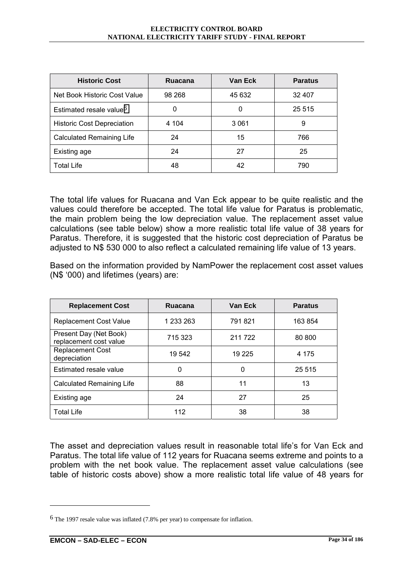| <b>Historic Cost</b>                | Ruacana | Van Eck | <b>Paratus</b> |
|-------------------------------------|---------|---------|----------------|
| Net Book Historic Cost Value        | 98 268  | 45 632  | 32 407         |
| Estimated resale value <sup>6</sup> | 0       | 0       | 25 5 15        |
| <b>Historic Cost Depreciation</b>   | 4 104   | 3 0 6 1 | 9              |
| Calculated Remaining Life           | 24      | 15      | 766            |
| Existing age                        | 24      | 27      | 25             |
| <b>Total Life</b>                   | 48      | 42      | 790            |

The total life values for Ruacana and Van Eck appear to be quite realistic and the values could therefore be accepted. The total life value for Paratus is problematic, the main problem being the low depreciation value. The replacement asset value calculations (see table below) show a more realistic total life value of 38 years for Paratus. Therefore, it is suggested that the historic cost depreciation of Paratus be adjusted to N\$ 530 000 to also reflect a calculated remaining life value of 13 years.

Based on the information provided by NamPower the replacement cost asset values (N\$ ë000) and lifetimes (years) are:

| <b>Replacement Cost</b>                          | <b>Ruacana</b> | <b>Van Eck</b> | <b>Paratus</b> |
|--------------------------------------------------|----------------|----------------|----------------|
| <b>Replacement Cost Value</b>                    | 1 233 263      | 791821         | 163 854        |
| Present Day (Net Book)<br>replacement cost value | 715 323        | 211 722        |                |
| <b>Replacement Cost</b><br>depreciation          | 19 542         | 19 2 25        | 4 1 7 5        |
| Estimated resale value                           | 0              | 0              | 25 515         |
| Calculated Remaining Life                        | 88             | 11             | 13             |
| Existing age                                     | 24             | 27             | 25             |
| <b>Total Life</b>                                | 112            | 38             | 38             |

The asset and depreciation values result in reasonable total life's for Van Eck and Paratus. The total life value of 112 years for Ruacana seems extreme and points to a problem with the net book value. The replacement asset value calculations (see table of historic costs above) show a more realistic total life value of 48 years for

<sup>6</sup> The 1997 resale value was inflated (7.8% per year) to compensate for inflation.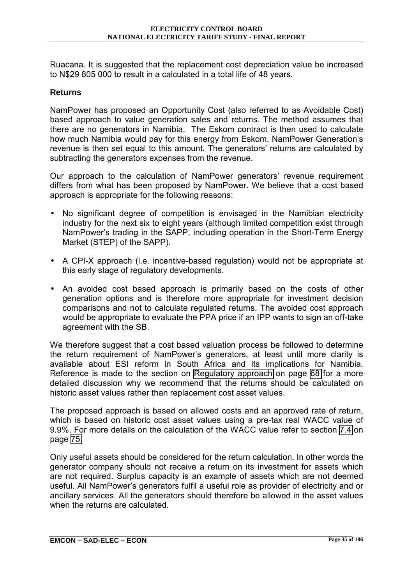Ruacana. It is suggested that the replacement cost depreciation value be increased to N\$29 805 000 to result in a calculated in a total life of 48 years.

#### **Returns**

NamPower has proposed an Opportunity Cost (also referred to as Avoidable Cost) based approach to value generation sales and returns. The method assumes that there are no generators in Namibia. The Eskom contract is then used to calculate how much Namibia would pay for this energy from Eskom. NamPower Generation's revenue is then set equal to this amount. The generators' returns are calculated by subtracting the generators expenses from the revenue.

Our approach to the calculation of NamPower generators' revenue requirement differs from what has been proposed by NamPower. We believe that a cost based approach is appropriate for the following reasons:

- No significant degree of competition is envisaged in the Namibian electricity industry for the next six to eight years (although limited competition exist through NamPowerís trading in the SAPP, including operation in the Short-Term Energy Market (STEP) of the SAPP).
- A CPI-X approach (i.e. incentive-based regulation) would not be appropriate at this early stage of regulatory developments.
- An avoided cost based approach is primarily based on the costs of other generation options and is therefore more appropriate for investment decision comparisons and not to calculate regulated returns. The avoided cost approach would be appropriate to evaluate the PPA price if an IPP wants to sign an off-take agreement with the SB.

We therefore suggest that a cost based valuation process be followed to determine the return requirement of NamPowerís generators, at least until more clarity is available about ESI reform in South Africa and its implications for Namibia. Reference is made to the section on [Regulatory approach](#page-90-0) on page [68](#page-90-0) for a more detailed discussion why we recommend that the returns should be calculated on historic asset values rather than replacement cost asset values.

The proposed approach is based on allowed costs and an approved rate of return, which is based on historic cost asset values using a pre-tax real WACC value of 9.9%. For more details on the calculation of the WACC value refer to section [7.4](#page-97-0) on page [75.](#page-97-0)

Only useful assets should be considered for the return calculation. In other words the generator company should not receive a return on its investment for assets which are not required. Surplus capacity is an example of assets which are not deemed useful. All NamPowerís generators fulfil a useful role as provider of electricity and or ancillary services. All the generators should therefore be allowed in the asset values when the returns are calculated.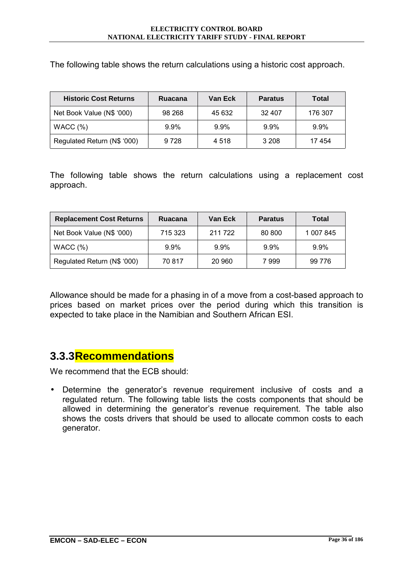The following table shows the return calculations using a historic cost approach.

| <b>Historic Cost Returns</b> | <b>Ruacana</b> | Van Eck | <b>Paratus</b> | Total   |
|------------------------------|----------------|---------|----------------|---------|
| Net Book Value (N\$ '000)    | 98 268         | 45 632  | 32 407         | 176 307 |
| WACC(%)                      | $9.9\%$        | 9.9%    | $9.9\%$        | $9.9\%$ |
| Regulated Return (N\$ '000)  | 9728           | 4 5 1 8 | 3 2 0 8        | 17454   |

The following table shows the return calculations using a replacement cost approach.

| <b>Replacement Cost Returns</b> | <b>Ruacana</b> | Van Eck | <b>Paratus</b> | <b>Total</b> |
|---------------------------------|----------------|---------|----------------|--------------|
| Net Book Value (N\$ '000)       | 715 323        | 211 722 | 80 800         | 1 007 845    |
| WACC $(%)$                      | $9.9\%$        | $9.9\%$ | $9.9\%$        | $9.9\%$      |
| Regulated Return (N\$ '000)     | 70 817         | 20 960  | 7999           | 99 776       |

Allowance should be made for a phasing in of a move from a cost-based approach to prices based on market prices over the period during which this transition is expected to take place in the Namibian and Southern African ESI.

## **3.3.3 Recommendations**

We recommend that the ECB should:

• Determine the generatorís revenue requirement inclusive of costs and a regulated return. The following table lists the costs components that should be allowed in determining the generator's revenue requirement. The table also shows the costs drivers that should be used to allocate common costs to each generator.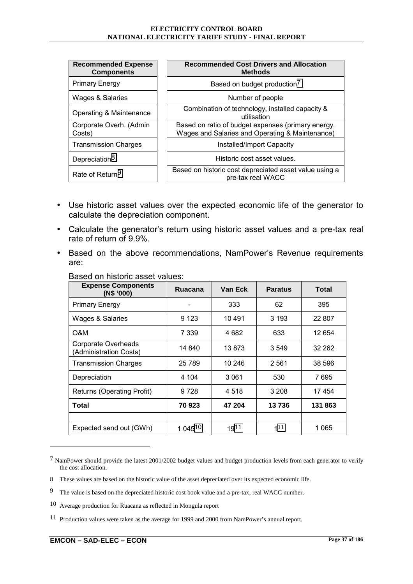| <b>Recommended Expense</b><br><b>Components</b> | <b>Recommended Cost Drivers and Allocation</b><br>Methods                                             |
|-------------------------------------------------|-------------------------------------------------------------------------------------------------------|
| <b>Primary Energy</b>                           | Based on budget production <sup>7</sup>                                                               |
| Wages & Salaries                                | Number of people                                                                                      |
| Operating & Maintenance                         | Combination of technology, installed capacity &<br>utilisation                                        |
| Corporate Overh. (Admin<br>Costs)               | Based on ratio of budget expenses (primary energy,<br>Wages and Salaries and Operating & Maintenance) |
| <b>Transmission Charges</b>                     | Installed/Import Capacity                                                                             |
| Depreciation <sup>8</sup>                       | Historic cost asset values.                                                                           |
| Rate of Return <sup>9</sup>                     | Based on historic cost depreciated asset value using a<br>pre-tax real WACC                           |

- Use historic asset values over the expected economic life of the generator to calculate the depreciation component.
- Calculate the generator's return using historic asset values and a pre-tax real rate of return of 9.9%.
- Based on the above recommendations, NamPowerís Revenue requirements are:

| <b>Expense Components</b><br>(N\$ '000)       | Ruacana | Van Eck | <b>Paratus</b> | Total   |
|-----------------------------------------------|---------|---------|----------------|---------|
| <b>Primary Energy</b>                         |         | 333     | 62             | 395     |
| Wages & Salaries                              | 9 1 2 3 | 10491   | 3 1 9 3        | 22 807  |
| O&M                                           | 7 3 3 9 | 4 682   | 633            | 12 654  |
| Corporate Overheads<br>(Administration Costs) | 14 840  | 13873   | 3 5 4 9        | 32 262  |
| <b>Transmission Charges</b>                   | 25 7 89 | 10 246  | 2561           | 38 596  |
| Depreciation                                  | 4 104   | 3061    | 530            | 7695    |
| <b>Returns (Operating Profit)</b>             | 9728    | 4518    | 3 208          | 17454   |
| Total                                         | 70 923  | 47 204  | 13736          | 131 863 |
|                                               |         |         |                |         |
| Expected send out (GWh)                       | 1 04510 | 1911    | $1^{11}$       | 1 065   |

Based on historic asset values:

<sup>7</sup> NamPower should provide the latest 2001/2002 budget values and budget production levels from each generator to verify the cost allocation.

<sup>8</sup> These values are based on the historic value of the asset depreciated over its expected economic life.

<sup>9</sup> The value is based on the depreciated historic cost book value and a pre-tax, real WACC number.

<sup>10</sup> Average production for Ruacana as reflected in Mongula report

<sup>11</sup> Production values were taken as the average for 1999 and 2000 from NamPower's annual report.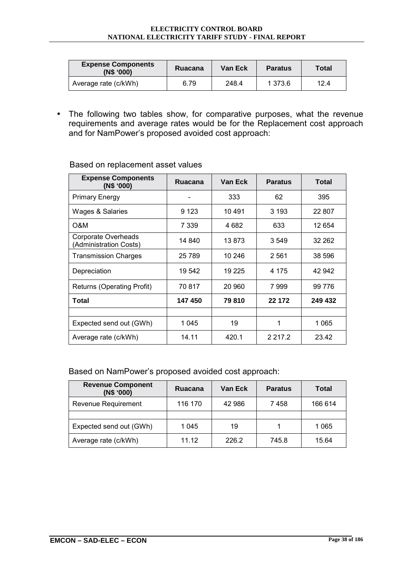| <b>Expense Components</b><br>(N\$ '000) | Ruacana | Van Eck | <b>Paratus</b> | <b>Total</b> |
|-----------------------------------------|---------|---------|----------------|--------------|
| Average rate (c/kWh)                    | 6.79    | 248.4   | 1 373.6        | 12.4         |

• The following two tables show, for comparative purposes, what the revenue requirements and average rates would be for the Replacement cost approach and for NamPower's proposed avoided cost approach:

| <b>Expense Components</b><br>(N\$ '000)       | Ruacana | Van Eck | <b>Paratus</b> | Total   |
|-----------------------------------------------|---------|---------|----------------|---------|
| <b>Primary Energy</b>                         |         | 333     | 62             | 395     |
| Wages & Salaries                              | 9 1 2 3 | 10 491  | 3 1 9 3        | 22 807  |
| O&M                                           | 7 339   | 4 682   | 633            | 12 654  |
| Corporate Overheads<br>(Administration Costs) | 14 840  | 13873   | 3549           | 32 262  |
| <b>Transmission Charges</b>                   | 25 7 89 | 10 246  | 2561           | 38 596  |
| Depreciation                                  | 19 542  | 19 2 25 | 4 175          | 42 942  |
| <b>Returns (Operating Profit)</b>             | 70817   | 20 960  | 7999           | 99 776  |
| Total                                         | 147 450 | 79810   | 22 172         | 249 432 |
|                                               |         |         |                |         |
| Expected send out (GWh)                       | 1045    | 19      | 1              | 1 0 6 5 |
| Average rate (c/kWh)                          | 14.11   | 420.1   | 2 2 1 7 . 2    | 23.42   |

#### Based on replacement asset values

#### Based on NamPower's proposed avoided cost approach:

| <b>Revenue Component</b><br>(N\$ '000) | Ruacana | Van Eck | <b>Paratus</b> | <b>Total</b> |
|----------------------------------------|---------|---------|----------------|--------------|
| Revenue Requirement                    | 116 170 | 42 986  | 7458           | 166 614      |
|                                        |         |         |                |              |
| Expected send out (GWh)                | 1 045   | 19      |                | 1 0 6 5      |
| Average rate (c/kWh)                   | 11.12   | 226.2   | 745.8          | 15.64        |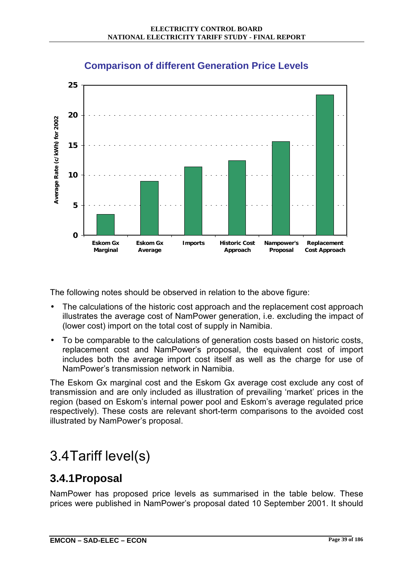

## **Comparison of different Generation Price Levels**

The following notes should be observed in relation to the above figure:

- The calculations of the historic cost approach and the replacement cost approach illustrates the average cost of NamPower generation, i.e. excluding the impact of (lower cost) import on the total cost of supply in Namibia.
- To be comparable to the calculations of generation costs based on historic costs, replacement cost and NamPowerís proposal, the equivalent cost of import includes both the average import cost itself as well as the charge for use of NamPowerís transmission network in Namibia.

The Eskom Gx marginal cost and the Eskom Gx average cost exclude any cost of transmission and are only included as illustration of prevailing 'market' prices in the region (based on Eskom's internal power pool and Eskom's average regulated price respectively). These costs are relevant short-term comparisons to the avoided cost illustrated by NamPower's proposal.

# 3.4 Tariff level(s)

## **3.4.1 Proposal**

NamPower has proposed price levels as summarised in the table below. These prices were published in NamPowerís proposal dated 10 September 2001. It should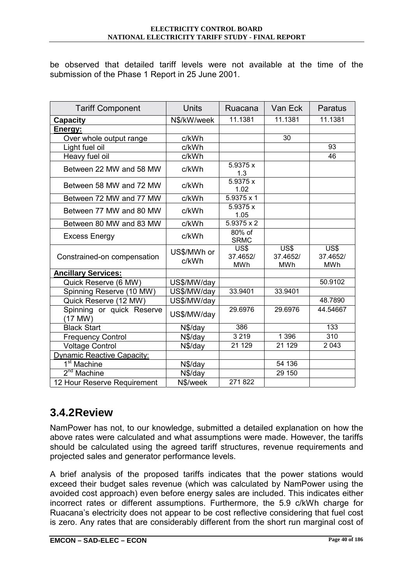be observed that detailed tariff levels were not available at the time of the submission of the Phase 1 Report in 25 June 2001.

| <b>Tariff Component</b>              | Units                | Ruacana                        | Van Eck                        | <b>Paratus</b>                 |
|--------------------------------------|----------------------|--------------------------------|--------------------------------|--------------------------------|
| <b>Capacity</b>                      | N\$/kW/week          | 11.1381                        | 11.1381                        | 11.1381                        |
| Energy:                              |                      |                                |                                |                                |
| Over whole output range              | c/kWh                |                                | 30                             |                                |
| Light fuel oil                       | c/kWh                |                                |                                | 93                             |
| Heavy fuel oil                       | c/kWh                |                                |                                | 46                             |
| Between 22 MW and 58 MW              | c/kWh                | 5.9375 x<br>1.3                |                                |                                |
| Between 58 MW and 72 MW              | c/kWh                | 5.9375 x<br>1.02               |                                |                                |
| Between 72 MW and 77 MW              | c/kWh                | $5.9375 \times 1$              |                                |                                |
| Between 77 MW and 80 MW              | c/kWh                | 5.9375 x<br>1.05               |                                |                                |
| Between 80 MW and 83 MW              | c/kWh                | $5.9375 \times 2$              |                                |                                |
| <b>Excess Energy</b>                 | c/kWh                | $80%$ of<br><b>SRMC</b>        |                                |                                |
| Constrained-on compensation          | US\$/MWh or<br>c/kWh | US\$<br>37.4652/<br><b>MWh</b> | US\$<br>37.4652/<br><b>MWh</b> | US\$<br>37.4652/<br><b>MWh</b> |
| <b>Ancillary Services:</b>           |                      |                                |                                |                                |
| Quick Reserve (6 MW)                 | US\$/MW/day          |                                |                                | 50.9102                        |
| Spinning Reserve (10 MW)             | US\$/MW/day          | 33.9401                        | 33.9401                        |                                |
| Quick Reserve (12 MW)                | US\$/MW/day          |                                |                                | 48.7890                        |
| Spinning or quick Reserve<br>(17 MW) | US\$/MW/day          | 29.6976                        | 29.6976                        | 44.54667                       |
| <b>Black Start</b>                   | N\$/day              | 386                            |                                | 133                            |
| <b>Frequency Control</b>             | N\$/day              | 3219                           | 1 3 9 6                        | $\overline{310}$               |
| <b>Voltage Control</b>               | N\$/day              | 21 1 29                        | 21 1 29                        | 2 0 4 3                        |
| <b>Dynamic Reactive Capacity:</b>    |                      |                                |                                |                                |
| 1 <sup>st</sup> Machine              | N\$/day              |                                | 54 136                         |                                |
| $2nd$ Machine                        | N\$/day              |                                | 29 150                         |                                |
| 12 Hour Reserve Requirement          | N\$/week             | 271822                         |                                |                                |

## **3.4.2 Review**

NamPower has not, to our knowledge, submitted a detailed explanation on how the above rates were calculated and what assumptions were made. However, the tariffs should be calculated using the agreed tariff structures, revenue requirements and projected sales and generator performance levels.

A brief analysis of the proposed tariffs indicates that the power stations would exceed their budget sales revenue (which was calculated by NamPower using the avoided cost approach) even before energy sales are included. This indicates either incorrect rates or different assumptions. Furthermore, the 5.9 c/kWh charge for Ruacanaís electricity does not appear to be cost reflective considering that fuel cost is zero. Any rates that are considerably different from the short run marginal cost of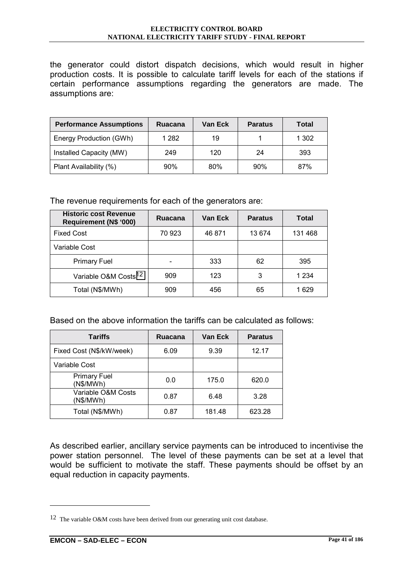the generator could distort dispatch decisions, which would result in higher production costs. It is possible to calculate tariff levels for each of the stations if certain performance assumptions regarding the generators are made. The assumptions are:

| <b>Performance Assumptions</b> | Ruacana | Van Eck | <b>Paratus</b> | Total |
|--------------------------------|---------|---------|----------------|-------|
| Energy Production (GWh)        | 1 2 8 2 | 19      |                | 1 302 |
| Installed Capacity (MW)        | 249     | 120     | 24             | 393   |
| Plant Availability (%)         | 90%     | 80%     | 90%            | 87%   |

The revenue requirements for each of the generators are:

| <b>Historic cost Revenue</b><br><b>Requirement (N\$ '000)</b> | <b>Ruacana</b>           | Van Eck | <b>Paratus</b> | Total  |
|---------------------------------------------------------------|--------------------------|---------|----------------|--------|
| <b>Fixed Cost</b>                                             | 70 923                   | 46 871  | 13 674         | 131468 |
| Variable Cost                                                 |                          |         |                |        |
| <b>Primary Fuel</b>                                           | $\overline{\phantom{0}}$ | 333     | 62             | 395    |
| Variable O&M Costs <sup>12</sup>                              | 909                      | 123     | 3              | 1 234  |
| Total (N\$/MWh)                                               | 909                      | 456     | 65             | 1 629  |

Based on the above information the tariffs can be calculated as follows:

| <b>Tariffs</b>                   | Ruacana | Van Eck | <b>Paratus</b> |
|----------------------------------|---------|---------|----------------|
| Fixed Cost (N\$/kW/week)         | 6.09    | 9.39    | 12.17          |
| Variable Cost                    |         |         |                |
| <b>Primary Fuel</b><br>(N\$/MWh) | 0.0     | 175.0   | 620.0          |
| Variable O&M Costs<br>(N\$/MWh)  | 0.87    | 6.48    | 3.28           |
| Total (N\$/MWh)                  | 0.87    | 181.48  | 623.28         |

As described earlier, ancillary service payments can be introduced to incentivise the power station personnel. The level of these payments can be set at a level that would be sufficient to motivate the staff. These payments should be offset by an equal reduction in capacity payments.

<sup>12</sup> The variable O&M costs have been derived from our generating unit cost database.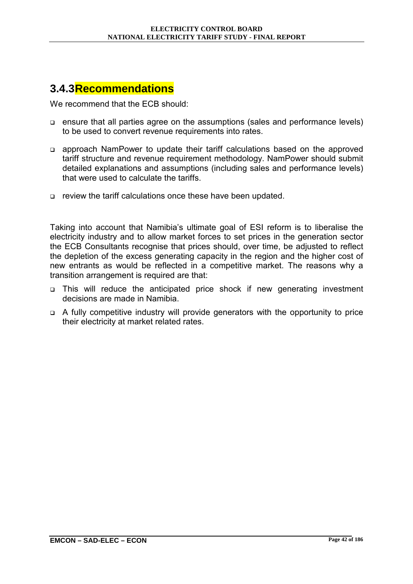## **3.4.3 Recommendations**

We recommend that the FCB should:

- ! ensure that all parties agree on the assumptions (sales and performance levels) to be used to convert revenue requirements into rates.
- ! approach NamPower to update their tariff calculations based on the approved tariff structure and revenue requirement methodology. NamPower should submit detailed explanations and assumptions (including sales and performance levels) that were used to calculate the tariffs.
- ! review the tariff calculations once these have been updated.

Taking into account that Namibiaís ultimate goal of ESI reform is to liberalise the electricity industry and to allow market forces to set prices in the generation sector the ECB Consultants recognise that prices should, over time, be adjusted to reflect the depletion of the excess generating capacity in the region and the higher cost of new entrants as would be reflected in a competitive market. The reasons why a transition arrangement is required are that:

- ! This will reduce the anticipated price shock if new generating investment decisions are made in Namibia.
- $\Box$  A fully competitive industry will provide generators with the opportunity to price their electricity at market related rates.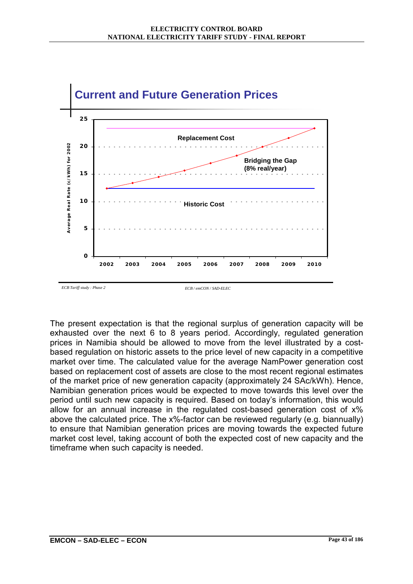

The present expectation is that the regional surplus of generation capacity will be exhausted over the next 6 to 8 years period. Accordingly, regulated generation prices in Namibia should be allowed to move from the level illustrated by a costbased regulation on historic assets to the price level of new capacity in a competitive market over time. The calculated value for the average NamPower generation cost based on replacement cost of assets are close to the most recent regional estimates of the market price of new generation capacity (approximately 24 SAc/kWh). Hence, Namibian generation prices would be expected to move towards this level over the period until such new capacity is required. Based on todayís information, this would allow for an annual increase in the regulated cost-based generation cost of x% above the calculated price. The x%-factor can be reviewed regularly (e.g. biannually) to ensure that Namibian generation prices are moving towards the expected future market cost level, taking account of both the expected cost of new capacity and the timeframe when such capacity is needed.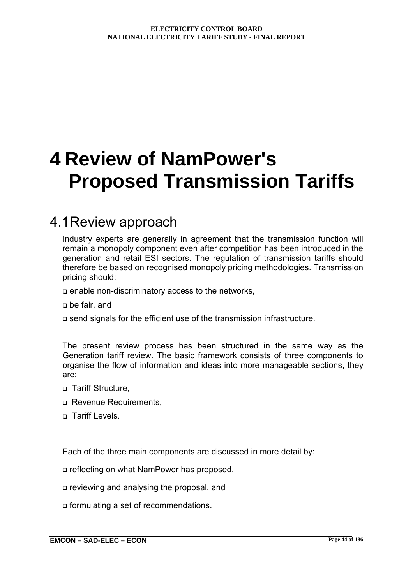# **4 Review of NamPower's Proposed Transmission Tariffs**

## 4.1 Review approach

Industry experts are generally in agreement that the transmission function will remain a monopoly component even after competition has been introduced in the generation and retail ESI sectors. The regulation of transmission tariffs should therefore be based on recognised monopoly pricing methodologies. Transmission pricing should:

 $\Box$  enable non-discriminatory access to the networks,

□ be fair, and

! send signals for the efficient use of the transmission infrastructure.

The present review process has been structured in the same way as the Generation tariff review. The basic framework consists of three components to organise the flow of information and ideas into more manageable sections, they are:

- **D** Tariff Structure.
- o Revenue Requirements,
- n Tariff Levels.

Each of the three main components are discussed in more detail by:

□ reflecting on what NamPower has proposed.

! reviewing and analysing the proposal, and

! formulating a set of recommendations.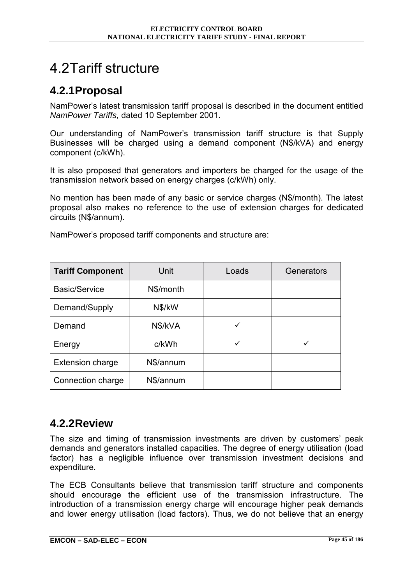## 4.2 Tariff structure

## **4.2.1 Proposal**

NamPowerís latest transmission tariff proposal is described in the document entitled *NamPower Tariffs,* dated 10 September 2001.

Our understanding of NamPowerís transmission tariff structure is that Supply Businesses will be charged using a demand component (N\$/kVA) and energy component (c/kWh).

It is also proposed that generators and importers be charged for the usage of the transmission network based on energy charges (c/kWh) only.

No mention has been made of any basic or service charges (N\$/month). The latest proposal also makes no reference to the use of extension charges for dedicated circuits (N\$/annum).

| <b>Tariff Component</b> | Unit      | Loads | Generators |
|-------------------------|-----------|-------|------------|
| <b>Basic/Service</b>    | N\$/month |       |            |
| Demand/Supply           | N\$/kW    |       |            |
| Demand                  | N\$/kVA   |       |            |
| Energy                  | c/kWh     | ✓     |            |
| <b>Extension charge</b> | N\$/annum |       |            |
| Connection charge       | N\$/annum |       |            |

NamPower's proposed tariff components and structure are:

## **4.2.2 Review**

The size and timing of transmission investments are driven by customers' peak demands and generators installed capacities. The degree of energy utilisation (load factor) has a negligible influence over transmission investment decisions and expenditure.

The ECB Consultants believe that transmission tariff structure and components should encourage the efficient use of the transmission infrastructure. The introduction of a transmission energy charge will encourage higher peak demands and lower energy utilisation (load factors). Thus, we do not believe that an energy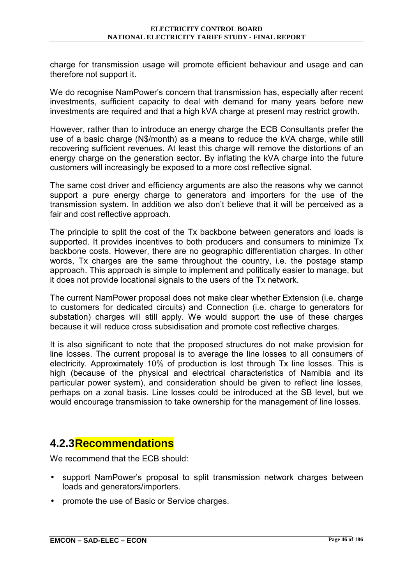charge for transmission usage will promote efficient behaviour and usage and can therefore not support it.

We do recognise NamPower's concern that transmission has, especially after recent investments, sufficient capacity to deal with demand for many years before new investments are required and that a high kVA charge at present may restrict growth.

However, rather than to introduce an energy charge the ECB Consultants prefer the use of a basic charge (N\$/month) as a means to reduce the kVA charge, while still recovering sufficient revenues. At least this charge will remove the distortions of an energy charge on the generation sector. By inflating the kVA charge into the future customers will increasingly be exposed to a more cost reflective signal.

The same cost driver and efficiency arguments are also the reasons why we cannot support a pure energy charge to generators and importers for the use of the transmission system. In addition we also donít believe that it will be perceived as a fair and cost reflective approach.

The principle to split the cost of the Tx backbone between generators and loads is supported. It provides incentives to both producers and consumers to minimize Tx backbone costs. However, there are no geographic differentiation charges. In other words, Tx charges are the same throughout the country, i.e. the postage stamp approach. This approach is simple to implement and politically easier to manage, but it does not provide locational signals to the users of the Tx network.

The current NamPower proposal does not make clear whether Extension (i.e. charge to customers for dedicated circuits) and Connection (i.e. charge to generators for substation) charges will still apply. We would support the use of these charges because it will reduce cross subsidisation and promote cost reflective charges.

It is also significant to note that the proposed structures do not make provision for line losses. The current proposal is to average the line losses to all consumers of electricity. Approximately 10% of production is lost through Tx line losses. This is high (because of the physical and electrical characteristics of Namibia and its particular power system), and consideration should be given to reflect line losses, perhaps on a zonal basis. Line losses could be introduced at the SB level, but we would encourage transmission to take ownership for the management of line losses.

### **4.2.3 Recommendations**

We recommend that the ECB should:

- support NamPower's proposal to split transmission network charges between loads and generators/importers.
- promote the use of Basic or Service charges.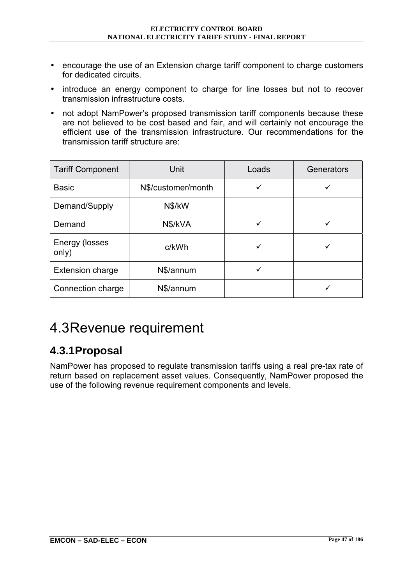- encourage the use of an Extension charge tariff component to charge customers for dedicated circuits.
- introduce an energy component to charge for line losses but not to recover transmission infrastructure costs.
- not adopt NamPower's proposed transmission tariff components because these are not believed to be cost based and fair, and will certainly not encourage the efficient use of the transmission infrastructure. Our recommendations for the transmission tariff structure are:

| <b>Tariff Component</b> | Unit               | Loads | Generators |
|-------------------------|--------------------|-------|------------|
| <b>Basic</b>            | N\$/customer/month |       |            |
| Demand/Supply           | N\$/kW             |       |            |
| Demand                  | N\$/kVA            |       |            |
| Energy (losses<br>only) | c/kWh              |       |            |
| <b>Extension charge</b> | N\$/annum          |       |            |
| Connection charge       | N\$/annum          |       |            |

# 4.3 Revenue requirement

## **4.3.1 Proposal**

NamPower has proposed to regulate transmission tariffs using a real pre-tax rate of return based on replacement asset values. Consequently, NamPower proposed the use of the following revenue requirement components and levels.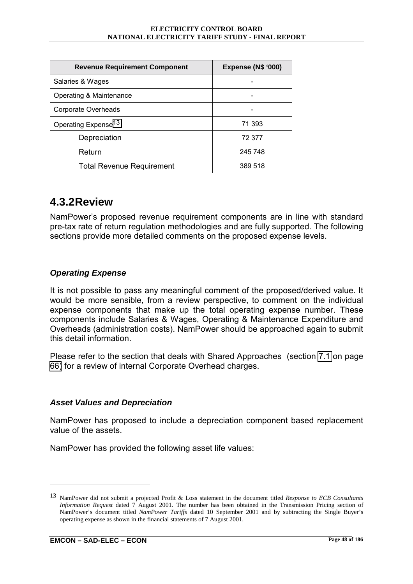#### **ELECTRICITY CONTROL BOARD NATIONAL ELECTRICITY TARIFF STUDY - FINAL REPORT**

| <b>Revenue Requirement Component</b> | <b>Expense (N\$ '000)</b> |  |
|--------------------------------------|---------------------------|--|
| Salaries & Wages                     |                           |  |
| Operating & Maintenance              |                           |  |
| Corporate Overheads                  |                           |  |
| Operating Expense <sup>13</sup>      | 71 393                    |  |
| Depreciation                         | 72 377                    |  |
| Return                               | 245 748                   |  |
| <b>Total Revenue Requirement</b>     | 389 518                   |  |

### **4.3.2 Review**

NamPowerís proposed revenue requirement components are in line with standard pre-tax rate of return regulation methodologies and are fully supported. The following sections provide more detailed comments on the proposed expense levels.

### *Operating Expense*

It is not possible to pass any meaningful comment of the proposed/derived value. It would be more sensible, from a review perspective, to comment on the individual expense components that make up the total operating expense number. These components include Salaries & Wages, Operating & Maintenance Expenditure and Overheads (administration costs). NamPower should be approached again to submit this detail information.

Please refer to the section that deals with Shared Approaches (section [7.1](#page-88-0) on page [66\)](#page-88-0) for a review of internal Corporate Overhead charges.

### *Asset Values and Depreciation*

NamPower has proposed to include a depreciation component based replacement value of the assets.

NamPower has provided the following asset life values:

<sup>13</sup> NamPower did not submit a projected Profit & Loss statement in the document titled *Response to ECB Consultants Information Request* dated 7 August 2001. The number has been obtained in the Transmission Pricing section of NamPower's document titled *NamPower Tariffs* dated 10 September 2001 and by subtracting the Single Buyer's operating expense as shown in the financial statements of 7 August 2001.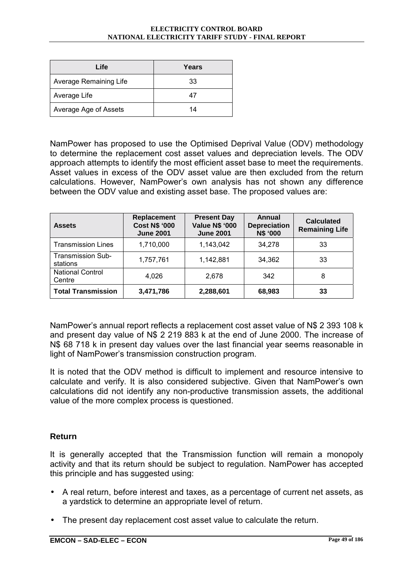#### **ELECTRICITY CONTROL BOARD NATIONAL ELECTRICITY TARIFF STUDY - FINAL REPORT**

| Life                   | Years |
|------------------------|-------|
| Average Remaining Life | 33    |
| Average Life           | 47    |
| Average Age of Assets  | 14    |

NamPower has proposed to use the Optimised Deprival Value (ODV) methodology to determine the replacement cost asset values and depreciation levels. The ODV approach attempts to identify the most efficient asset base to meet the requirements. Asset values in excess of the ODV asset value are then excluded from the return calculations. However, NamPowerís own analysis has not shown any difference between the ODV value and existing asset base. The proposed values are:

| <b>Assets</b>                        | Replacement<br><b>Cost N\$ '000</b><br><b>June 2001</b> | <b>Present Day</b><br><b>Value N\$ '000</b><br><b>June 2001</b> | Annual<br><b>Depreciation</b><br>N\$ '000 | <b>Calculated</b><br><b>Remaining Life</b> |
|--------------------------------------|---------------------------------------------------------|-----------------------------------------------------------------|-------------------------------------------|--------------------------------------------|
| <b>Transmission Lines</b>            | 1,710,000                                               | 1,143,042                                                       | 34,278                                    | 33                                         |
| <b>Transmission Sub-</b><br>stations | 1,757,761                                               | 1,142,881                                                       | 34,362                                    | 33                                         |
| <b>National Control</b><br>Centre    | 4,026                                                   | 2.678                                                           | 342                                       | 8                                          |
| <b>Total Transmission</b>            | 3,471,786                                               | 2,288,601                                                       | 68,983                                    | 33                                         |

NamPower's annual report reflects a replacement cost asset value of N\$ 2 393 108 k and present day value of N\$ 2 219 883 k at the end of June 2000. The increase of N\$ 68 718 k in present day values over the last financial year seems reasonable in light of NamPower's transmission construction program.

It is noted that the ODV method is difficult to implement and resource intensive to calculate and verify. It is also considered subjective. Given that NamPowerís own calculations did not identify any non-productive transmission assets, the additional value of the more complex process is questioned.

### **Return**

It is generally accepted that the Transmission function will remain a monopoly activity and that its return should be subject to regulation. NamPower has accepted this principle and has suggested using:

- A real return, before interest and taxes, as a percentage of current net assets, as a yardstick to determine an appropriate level of return.
- The present day replacement cost asset value to calculate the return.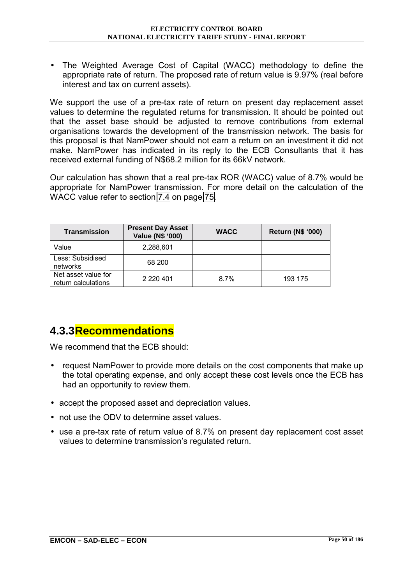• The Weighted Average Cost of Capital (WACC) methodology to define the appropriate rate of return. The proposed rate of return value is 9.97% (real before interest and tax on current assets).

We support the use of a pre-tax rate of return on present day replacement asset values to determine the regulated returns for transmission. It should be pointed out that the asset base should be adjusted to remove contributions from external organisations towards the development of the transmission network. The basis for this proposal is that NamPower should not earn a return on an investment it did not make. NamPower has indicated in its reply to the ECB Consultants that it has received external funding of N\$68.2 million for its 66kV network.

Our calculation has shown that a real pre-tax ROR (WACC) value of 8.7% would be appropriate for NamPower transmission. For more detail on the calculation of the WACC value refer to section [7.4](#page-97-0) on page [75.](#page-97-0)

| <b>Transmission</b>                        | <b>Present Day Asset</b><br>Value (N\$ '000) | <b>WACC</b> | <b>Return (N\$ '000)</b> |
|--------------------------------------------|----------------------------------------------|-------------|--------------------------|
| Value                                      | 2,288,601                                    |             |                          |
| Less: Subsidised<br>networks               | 68 200                                       |             |                          |
| Net asset value for<br>return calculations | 2 2 2 0 4 0 1                                | 8.7%        | 193 175                  |

## **4.3.3 Recommendations**

- request NamPower to provide more details on the cost components that make up the total operating expense, and only accept these cost levels once the ECB has had an opportunity to review them.
- accept the proposed asset and depreciation values.
- not use the ODV to determine asset values.
- use a pre-tax rate of return value of 8.7% on present day replacement cost asset values to determine transmission's regulated return.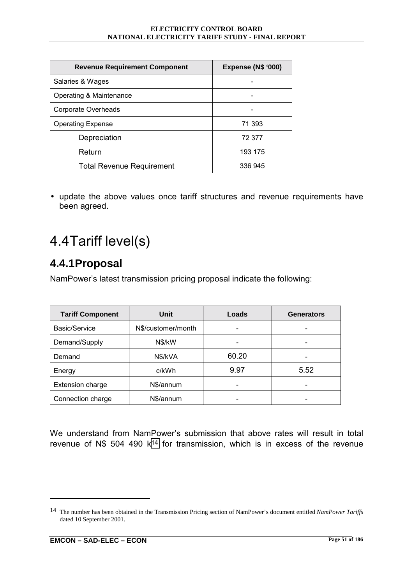| <b>Revenue Requirement Component</b> | <b>Expense (N\$ '000)</b> |
|--------------------------------------|---------------------------|
| Salaries & Wages                     |                           |
| Operating & Maintenance              |                           |
| Corporate Overheads                  |                           |
| <b>Operating Expense</b>             | 71 393                    |
| Depreciation                         | 72 377                    |
| Return                               | 193 175                   |
| <b>Total Revenue Requirement</b>     | 336 945                   |

• update the above values once tariff structures and revenue requirements have been agreed.

# 4.4 Tariff level(s)

## **4.4.1 Proposal**

NamPower's latest transmission pricing proposal indicate the following:

| <b>Tariff Component</b> | Unit               | Loads | <b>Generators</b> |
|-------------------------|--------------------|-------|-------------------|
| Basic/Service           | N\$/customer/month |       |                   |
| Demand/Supply           | N\$/kW             |       | -                 |
| Demand                  | N\$/kVA            | 60.20 |                   |
| Energy                  | c/kWh              | 9.97  | 5.52              |
| <b>Extension charge</b> | N\$/annum          |       |                   |
| Connection charge       | N\$/annum          |       |                   |

We understand from NamPower's submission that above rates will result in total revenue of N\$ 504 490 k<sup>14</sup> for transmission, which is in excess of the revenue

<sup>14</sup> The number has been obtained in the Transmission Pricing section of NamPower's document entitled *NamPower Tariffs* dated 10 September 2001.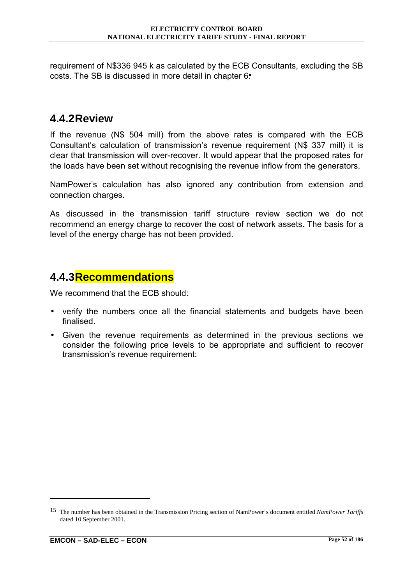requirement of N\$336 945 k as calculated by the ECB Consultants, excluding the SB costs. The SB is discussed in more detail in chapter 6.

#### **4.4.2 Review**

If the revenue (N\$ 504 mill) from the above rates is compared with the ECB Consultant's calculation of transmission's revenue requirement (N\$ 337 mill) it is clear that transmission will over-recover. It would appear that the proposed rates for the loads have been set without recognising the revenue inflow from the generators.

NamPower's calculation has also ignored any contribution from extension and connection charges.

As discussed in the transmission tariff structure review section we do not recommend an energy charge to recover the cost of network assets. The basis for a level of the energy charge has not been provided.

#### **4.4.3 Recommendations**

We recommend that the ECB should:

- verify the numbers once all the financial statements and budgets have been finalised.
- Given the revenue requirements as determined in the previous sections we consider the following price levels to be appropriate and sufficient to recover transmission's revenue requirement:

<sup>15</sup> The number has been obtained in the Transmission Pricing section of NamPower's document entitled *NamPower Tariffs* dated 10 September 2001.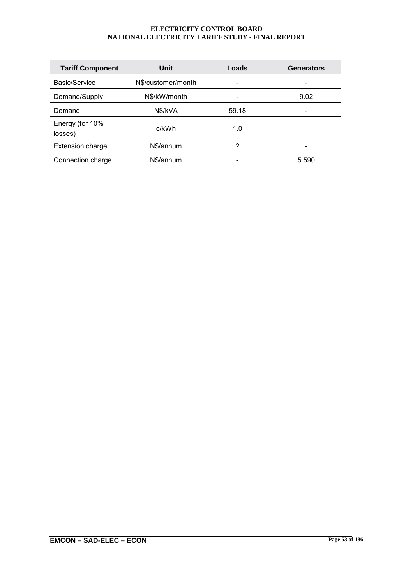| <b>Tariff Component</b>    | Unit               | Loads | <b>Generators</b> |
|----------------------------|--------------------|-------|-------------------|
| Basic/Service              | N\$/customer/month |       |                   |
| Demand/Supply              | N\$/kW/month       |       | 9.02              |
| Demand                     | N\$/kVA            | 59.18 |                   |
| Energy (for 10%<br>losses) | c/kWh              | 1.0   |                   |
| Extension charge           | N\$/annum          | ?     |                   |
| Connection charge          | N\$/annum          |       | 5 5 9 0           |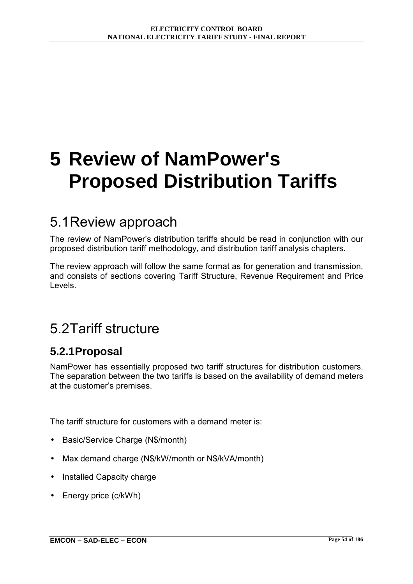# **5 Review of NamPower's Proposed Distribution Tariffs**

# 5.1 Review approach

The review of NamPower's distribution tariffs should be read in conjunction with our proposed distribution tariff methodology, and distribution tariff analysis chapters.

The review approach will follow the same format as for generation and transmission, and consists of sections covering Tariff Structure, Revenue Requirement and Price Levels.

# 5.2 Tariff structure

#### **5.2.1 Proposal**

NamPower has essentially proposed two tariff structures for distribution customers. The separation between the two tariffs is based on the availability of demand meters at the customer's premises.

The tariff structure for customers with a demand meter is:

- Basic/Service Charge (N\$/month)
- Max demand charge (N\$/kW/month or N\$/kVA/month)
- Installed Capacity charge
- Energy price (c/kWh)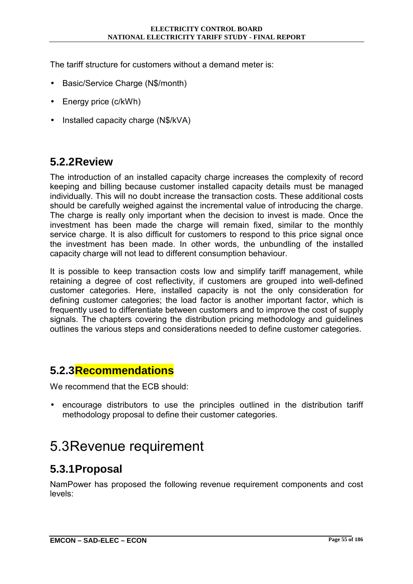The tariff structure for customers without a demand meter is:

- Basic/Service Charge (N\$/month)
- Energy price (c/kWh)
- Installed capacity charge (N\$/kVA)

#### **5.2.2 Review**

The introduction of an installed capacity charge increases the complexity of record keeping and billing because customer installed capacity details must be managed individually. This will no doubt increase the transaction costs. These additional costs should be carefully weighed against the incremental value of introducing the charge. The charge is really only important when the decision to invest is made. Once the investment has been made the charge will remain fixed, similar to the monthly service charge. It is also difficult for customers to respond to this price signal once the investment has been made. In other words, the unbundling of the installed capacity charge will not lead to different consumption behaviour.

It is possible to keep transaction costs low and simplify tariff management, while retaining a degree of cost reflectivity, if customers are grouped into well-defined customer categories. Here, installed capacity is not the only consideration for defining customer categories; the load factor is another important factor, which is frequently used to differentiate between customers and to improve the cost of supply signals. The chapters covering the distribution pricing methodology and guidelines outlines the various steps and considerations needed to define customer categories.

#### **5.2.3 Recommendations**

We recommend that the ECB should:

• encourage distributors to use the principles outlined in the distribution tariff methodology proposal to define their customer categories.

## 5.3 Revenue requirement

#### **5.3.1 Proposal**

NamPower has proposed the following revenue requirement components and cost levels: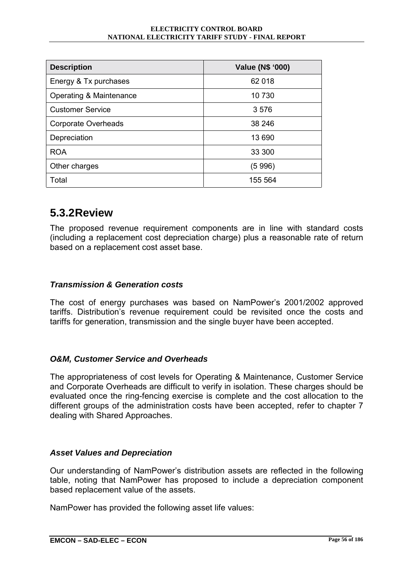| <b>Description</b>         | Value (N\$ '000) |
|----------------------------|------------------|
| Energy & Tx purchases      | 62 018           |
| Operating & Maintenance    | 10 730           |
| <b>Customer Service</b>    | 3576             |
| <b>Corporate Overheads</b> | 38 246           |
| Depreciation               | 13 690           |
| <b>ROA</b>                 | 33 300           |
| Other charges              | (5 996)          |
| Total                      | 155 564          |

#### **5.3.2 Review**

The proposed revenue requirement components are in line with standard costs (including a replacement cost depreciation charge) plus a reasonable rate of return based on a replacement cost asset base.

#### *Transmission & Generation costs*

The cost of energy purchases was based on NamPowerís 2001/2002 approved tariffs. Distributionís revenue requirement could be revisited once the costs and tariffs for generation, transmission and the single buyer have been accepted.

#### *O&M, Customer Service and Overheads*

The appropriateness of cost levels for Operating & Maintenance, Customer Service and Corporate Overheads are difficult to verify in isolation. These charges should be evaluated once the ring-fencing exercise is complete and the cost allocation to the different groups of the administration costs have been accepted, refer to chapter 7 dealing with Shared Approaches.

#### *Asset Values and Depreciation*

Our understanding of NamPowerís distribution assets are reflected in the following table, noting that NamPower has proposed to include a depreciation component based replacement value of the assets.

NamPower has provided the following asset life values: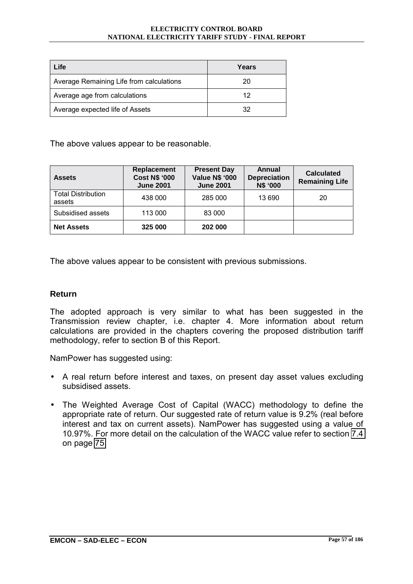| Life                                     | Years |
|------------------------------------------|-------|
| Average Remaining Life from calculations | 20    |
| Average age from calculations            | 12    |
| Average expected life of Assets          | 32    |

The above values appear to be reasonable.

| <b>Assets</b>                       | <b>Replacement</b><br><b>Cost N\$ '000</b><br><b>June 2001</b> | <b>Present Day</b><br><b>Value N\$ '000</b><br><b>June 2001</b> | Annual<br><b>Depreciation</b><br><b>N\$ '000</b> | <b>Calculated</b><br><b>Remaining Life</b> |
|-------------------------------------|----------------------------------------------------------------|-----------------------------------------------------------------|--------------------------------------------------|--------------------------------------------|
| <b>Total Distribution</b><br>assets | 438 000                                                        | 285 000                                                         | 13 690                                           | 20                                         |
| Subsidised assets                   | 113 000                                                        | 83 000                                                          |                                                  |                                            |
| <b>Net Assets</b>                   | 325 000                                                        | 202 000                                                         |                                                  |                                            |

The above values appear to be consistent with previous submissions.

#### **Return**

The adopted approach is very similar to what has been suggested in the Transmission review chapter, i.e. chapter 4. More information about return calculations are provided in the chapters covering the proposed distribution tariff methodology, refer to section B of this Report.

NamPower has suggested using:

- A real return before interest and taxes, on present day asset values excluding subsidised assets.
- The Weighted Average Cost of Capital (WACC) methodology to define the appropriate rate of return. Our suggested rate of return value is 9.2% (real before interest and tax on current assets). NamPower has suggested using a value of 10.97%. For more detail on the calculation of the WACC value refer to section [7.4](#page-97-0)  on page [75.](#page-97-0)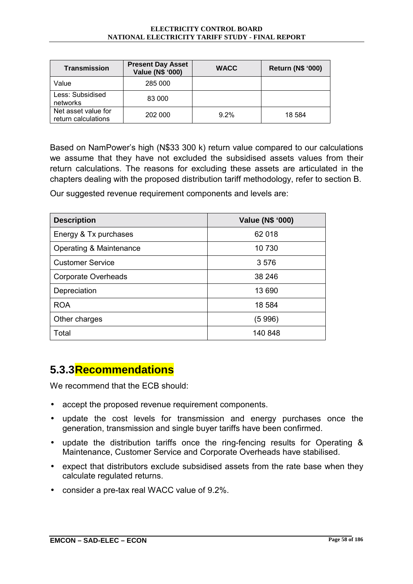| <b>Transmission</b>                        | <b>Present Day Asset</b><br>Value (N\$ '000) | <b>WACC</b> | <b>Return (N\$ '000)</b> |
|--------------------------------------------|----------------------------------------------|-------------|--------------------------|
| Value                                      | 285 000                                      |             |                          |
| Less: Subsidised<br>networks               | 83 000                                       |             |                          |
| Net asset value for<br>return calculations | 202 000                                      | $9.2\%$     | 18 5 84                  |

Based on NamPower's high (N\$33 300 k) return value compared to our calculations we assume that they have not excluded the subsidised assets values from their return calculations. The reasons for excluding these assets are articulated in the chapters dealing with the proposed distribution tariff methodology, refer to section B.

Our suggested revenue requirement components and levels are:

| <b>Description</b>         | Value (N\$ '000) |
|----------------------------|------------------|
| Energy & Tx purchases      | 62 018           |
| Operating & Maintenance    | 10 730           |
| <b>Customer Service</b>    | 3576             |
| <b>Corporate Overheads</b> | 38 246           |
| Depreciation               | 13 690           |
| <b>ROA</b>                 | 18 584           |
| Other charges              | (5 996)          |
| Total                      | 140 848          |

#### **5.3.3 Recommendations**

- accept the proposed revenue requirement components.
- update the cost levels for transmission and energy purchases once the generation, transmission and single buyer tariffs have been confirmed.
- update the distribution tariffs once the ring-fencing results for Operating & Maintenance, Customer Service and Corporate Overheads have stabilised.
- expect that distributors exclude subsidised assets from the rate base when they calculate regulated returns.
- consider a pre-tax real WACC value of 9.2%.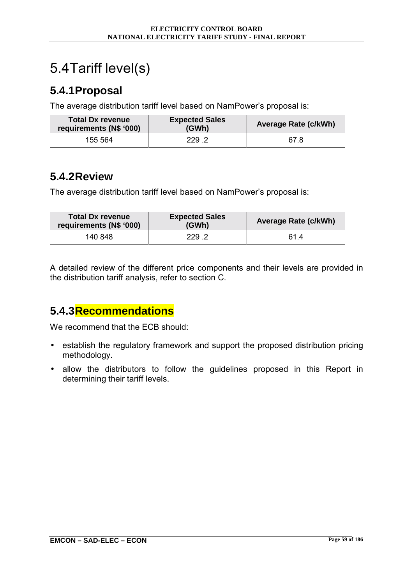# 5.4 Tariff level(s)

### **5.4.1 Proposal**

The average distribution tariff level based on NamPower's proposal is:

| <b>Total Dx revenue</b><br>requirements (N\$ '000) | <b>Expected Sales</b><br>(GWh) | <b>Average Rate (c/kWh)</b> |
|----------------------------------------------------|--------------------------------|-----------------------------|
| 155 564                                            | 229.2                          | 67.8                        |

#### **5.4.2 Review**

The average distribution tariff level based on NamPower's proposal is:

| <b>Total Dx revenue</b><br>requirements (N\$ '000) | <b>Expected Sales</b><br>(GWh) | <b>Average Rate (c/kWh)</b> |
|----------------------------------------------------|--------------------------------|-----------------------------|
| 140 848                                            | 229 .2                         | 61 4                        |

A detailed review of the different price components and their levels are provided in the distribution tariff analysis, refer to section C.

### **5.4.3 Recommendations**

- establish the regulatory framework and support the proposed distribution pricing methodology.
- allow the distributors to follow the guidelines proposed in this Report in determining their tariff levels.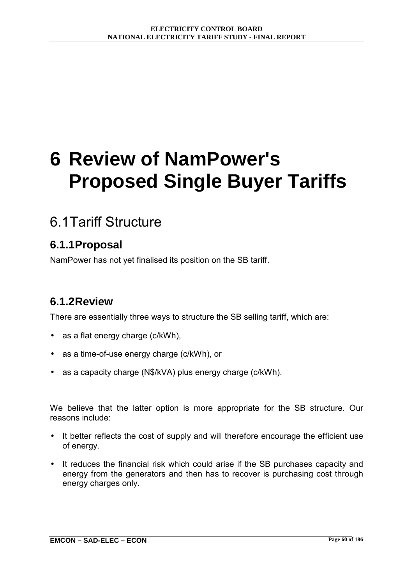# **6 Review of NamPower's Proposed Single Buyer Tariffs**

# 6.1 Tariff Structure

### **6.1.1 Proposal**

NamPower has not yet finalised its position on the SB tariff.

#### **6.1.2 Review**

There are essentially three ways to structure the SB selling tariff, which are:

- as a flat energy charge (c/kWh),
- as a time-of-use energy charge (c/kWh), or
- as a capacity charge (N\$/kVA) plus energy charge (c/kWh).

We believe that the latter option is more appropriate for the SB structure. Our reasons include:

- It better reflects the cost of supply and will therefore encourage the efficient use of energy.
- It reduces the financial risk which could arise if the SB purchases capacity and energy from the generators and then has to recover is purchasing cost through energy charges only.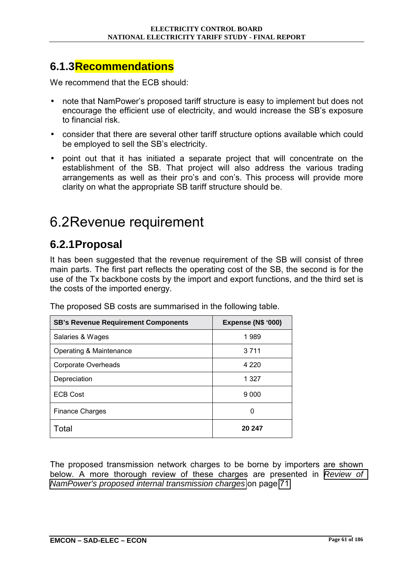#### **6.1.3 Recommendations**

We recommend that the ECB should:

- note that NamPower's proposed tariff structure is easy to implement but does not encourage the efficient use of electricity, and would increase the SB's exposure to financial risk.
- consider that there are several other tariff structure options available which could be employed to sell the SB's electricity.
- point out that it has initiated a separate project that will concentrate on the establishment of the SB. That project will also address the various trading arrangements as well as their pro's and con's. This process will provide more clarity on what the appropriate SB tariff structure should be.

## 6.2 Revenue requirement

### **6.2.1 Proposal**

It has been suggested that the revenue requirement of the SB will consist of three main parts. The first part reflects the operating cost of the SB, the second is for the use of the Tx backbone costs by the import and export functions, and the third set is the costs of the imported energy.

| <b>SB's Revenue Requirement Components</b> | <b>Expense (N\$ '000)</b> |
|--------------------------------------------|---------------------------|
| Salaries & Wages                           | 1989                      |
| Operating & Maintenance                    | 3 7 1 1                   |
| Corporate Overheads                        | 4 2 2 0                   |
| Depreciation                               | 1 3 2 7                   |
| <b>ECB Cost</b>                            | 9 0 0 0                   |
| <b>Finance Charges</b>                     | 0                         |
| Total                                      | 20 247                    |

The proposed SB costs are summarised in the following table.

The proposed transmission network charges to be borne by importers are shown below. A more thorough review of these charges are presented in *[Review of](#page-93-0)  [NamPower's proposed internal transmission charges](#page-93-0)* on page [71.](#page-93-0)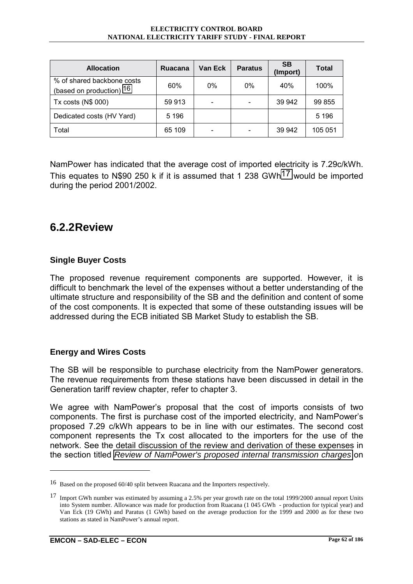<span id="page-84-0"></span>

| <b>Allocation</b>                                      | Ruacana | Van Eck | <b>Paratus</b> | <b>SB</b><br>(Import) | <b>Total</b> |
|--------------------------------------------------------|---------|---------|----------------|-----------------------|--------------|
| % of shared backbone costs<br>(based on production) 16 | 60%     | $0\%$   | $0\%$          | 40%                   | 100%         |
| Tx costs (N\$ 000)                                     | 59 913  |         |                | 39 942                | 99 855       |
| Dedicated costs (HV Yard)                              | 5 1 9 6 |         |                |                       | 5 1 9 6      |
| Total                                                  | 65 109  |         |                | 39 942                | 105 051      |

NamPower has indicated that the average cost of imported electricity is 7.29c/kWh. This equates to N\$90 250 k if it is assumed that 1 238 GWh17 would be imported during the period 2001/2002.

#### **6.2.2 Review**

#### **Single Buyer Costs**

The proposed revenue requirement components are supported. However, it is difficult to benchmark the level of the expenses without a better understanding of the ultimate structure and responsibility of the SB and the definition and content of some of the cost components. It is expected that some of these outstanding issues will be addressed during the ECB initiated SB Market Study to establish the SB.

#### **Energy and Wires Costs**

The SB will be responsible to purchase electricity from the NamPower generators. The revenue requirements from these stations have been discussed in detail in the Generation tariff review chapter, refer to chapter 3.

We agree with NamPower's proposal that the cost of imports consists of two components. The first is purchase cost of the imported electricity, and NamPowerís proposed 7.29 c/kWh appears to be in line with our estimates. The second cost component represents the Tx cost allocated to the importers for the use of the network. See the detail discussion of the review and derivation of these expenses in the section titled *[Review of NamPower's proposed internal transmission charges](#page-93-0)* on

<sup>16</sup> Based on the proposed 60/40 split between Ruacana and the Importers respectively.

<sup>&</sup>lt;sup>17</sup> Import GWh number was estimated by assuming a 2.5% per year growth rate on the total 1999/2000 annual report Units into System number. Allowance was made for production from Ruacana (1 045 GWh - production for typical year) and Van Eck (19 GWh) and Paratus (1 GWh) based on the average production for the 1999 and 2000 as for these two stations as stated in NamPower's annual report.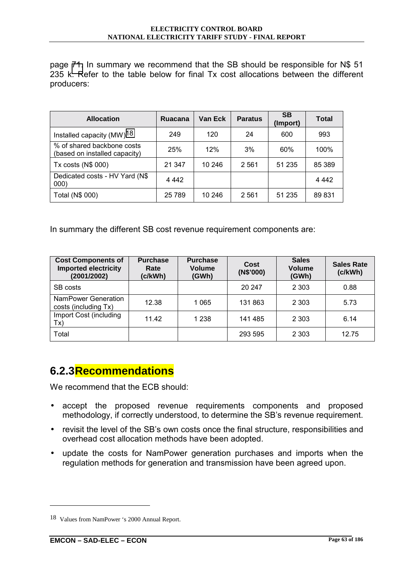page [71.](#page-93-0) In summary we recommend that the SB should be responsible for N\$ 51 235 k. Refer to the table below for final Tx cost allocations between the different producers:

| <b>Allocation</b>                                           | Ruacana | Van Eck | <b>Paratus</b> | <b>SB</b><br>(Import) | Total   |
|-------------------------------------------------------------|---------|---------|----------------|-----------------------|---------|
| Installed capacity $(MW)^{18}$                              | 249     | 120     | 24             | 600                   | 993     |
| % of shared backbone costs<br>(based on installed capacity) | 25%     | 12%     | 3%             | 60%                   | 100%    |
| Tx costs (N\$ 000)                                          | 21 347  | 10 246  | 2 5 6 1        | 51 235                | 85 389  |
| Dedicated costs - HV Yard (N\$<br>000)                      | 4 4 4 2 |         |                |                       | 4 4 4 2 |
| Total (N\$ 000)                                             | 25 7 89 | 10 246  | 2 5 6 1        | 51 235                | 89 831  |

In summary the different SB cost revenue requirement components are:

| <b>Cost Components of</b><br><b>Imported electricity</b><br>(2001/2002) | <b>Purchase</b><br>Rate<br>(c/kWh) | <b>Purchase</b><br>Volume<br>(GWh) | Cost<br>(N\$'000) | <b>Sales</b><br><b>Volume</b><br>(GWh) | <b>Sales Rate</b><br>(c/kWh) |
|-------------------------------------------------------------------------|------------------------------------|------------------------------------|-------------------|----------------------------------------|------------------------------|
| SB costs                                                                |                                    |                                    | 20 247            | 2 3 0 3                                | 0.88                         |
| NamPower Generation<br>costs (including Tx)                             | 12.38                              | 1 0 6 5                            | 131 863           | 2 3 0 3                                | 5.73                         |
| Import Cost (including<br>Tx)                                           | 11.42                              | 1 2 3 8                            | 141 485           | 2 3 0 3                                | 6.14                         |
| Total                                                                   |                                    |                                    | 293 595           | 2 3 0 3                                | 12.75                        |

#### **6.2.3 Recommendations**

We recommend that the ECB should:

- accept the proposed revenue requirements components and proposed methodology, if correctly understood, to determine the SB's revenue requirement.
- revisit the level of the SB's own costs once the final structure, responsibilities and overhead cost allocation methods have been adopted.
- update the costs for NamPower generation purchases and imports when the regulation methods for generation and transmission have been agreed upon.

<sup>18</sup> Values from NamPower 's 2000 Annual Report.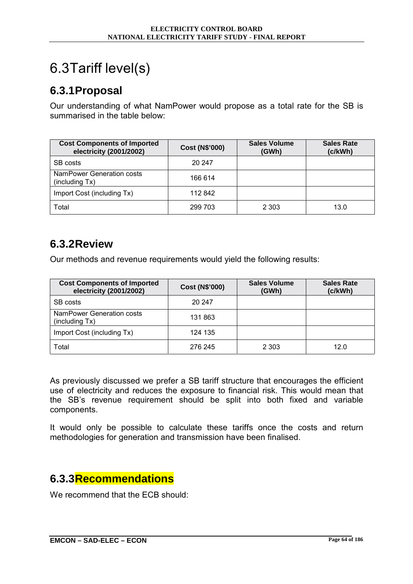# 6.3 Tariff level(s)

#### **6.3.1 Proposal**

Our understanding of what NamPower would propose as a total rate for the SB is summarised in the table below:

| <b>Cost Components of Imported</b><br>electricity (2001/2002) | <b>Cost (N\$'000)</b> | <b>Sales Volume</b><br>(GWh) | <b>Sales Rate</b><br>(c/kWh) |
|---------------------------------------------------------------|-----------------------|------------------------------|------------------------------|
| SB costs                                                      | 20 247                |                              |                              |
| NamPower Generation costs<br>(including Tx)                   | 166 614               |                              |                              |
| Import Cost (including Tx)                                    | 112 842               |                              |                              |
| Total                                                         | 299 703               | 2 3 0 3                      | 13.0                         |

### **6.3.2 Review**

Our methods and revenue requirements would yield the following results:

| <b>Cost Components of Imported</b><br>electricity (2001/2002) | <b>Cost (N\$'000)</b> | <b>Sales Volume</b><br>(GWh) | <b>Sales Rate</b><br>(c/kWh) |
|---------------------------------------------------------------|-----------------------|------------------------------|------------------------------|
| SB costs                                                      | 20 247                |                              |                              |
| NamPower Generation costs<br>(including Tx)                   | 131 863               |                              |                              |
| Import Cost (including Tx)                                    | 124 135               |                              |                              |
| Total                                                         | 276 245               | 2 3 0 3                      | 12.0                         |

As previously discussed we prefer a SB tariff structure that encourages the efficient use of electricity and reduces the exposure to financial risk. This would mean that the SBís revenue requirement should be split into both fixed and variable components.

It would only be possible to calculate these tariffs once the costs and return methodologies for generation and transmission have been finalised.

#### **6.3.3 Recommendations**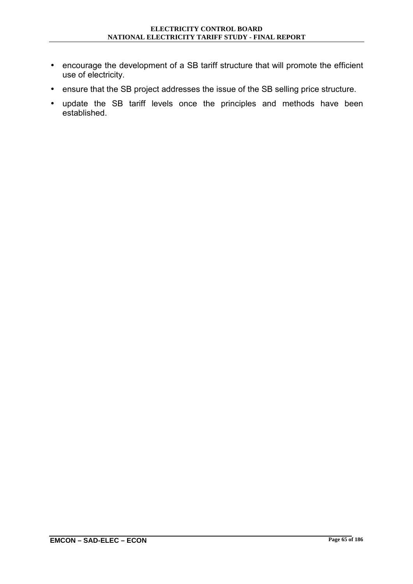- encourage the development of a SB tariff structure that will promote the efficient use of electricity.
- ensure that the SB project addresses the issue of the SB selling price structure.
- update the SB tariff levels once the principles and methods have been established.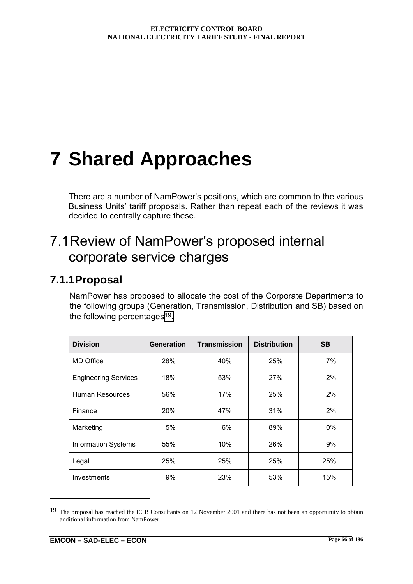# **7 Shared Approaches**

There are a number of NamPower's positions, which are common to the various Business Units' tariff proposals. Rather than repeat each of the reviews it was decided to centrally capture these.

# 7.1 Review of NamPower's proposed internal corporate service charges

#### **7.1.1 Proposal**

NamPower has proposed to allocate the cost of the Corporate Departments to the following groups (Generation, Transmission, Distribution and SB) based on the following percentages<sup>19</sup>.

| <b>Division</b>             | Generation | <b>Transmission</b> | <b>Distribution</b> | <b>SB</b> |
|-----------------------------|------------|---------------------|---------------------|-----------|
| <b>MD Office</b>            | 28%        | 40%                 | 25%                 | 7%        |
| <b>Engineering Services</b> | 18%        | 53%                 | 27%                 | 2%        |
| Human Resources             | 56%        | 17%                 | 25%                 | 2%        |
| Finance                     | 20%        | 47%                 | 31%                 | 2%        |
| Marketing                   | 5%         | 6%                  | 89%                 | 0%        |
| <b>Information Systems</b>  | 55%        | 10%                 | 26%                 | 9%        |
| Legal                       | 25%        | 25%                 | 25%                 | 25%       |
| Investments                 | 9%         | 23%                 | 53%                 | 15%       |

<sup>&</sup>lt;sup>19</sup> The proposal has reached the ECB Consultants on 12 November 2001 and there has not been an opportunity to obtain additional information from NamPower.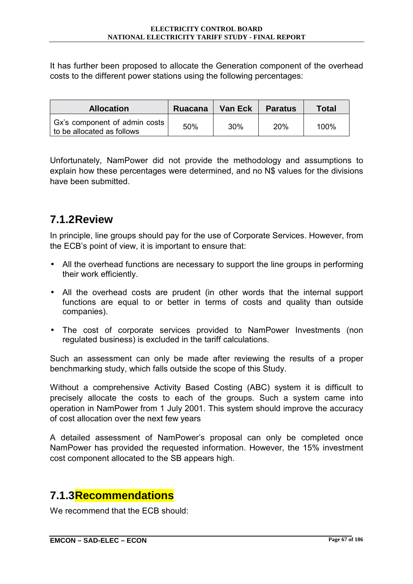It has further been proposed to allocate the Generation component of the overhead costs to the different power stations using the following percentages:

| <b>Allocation</b>                                           | <b>Ruacana</b> | <b>Van Eck</b> | <b>Paratus</b> | <b>Total</b> |
|-------------------------------------------------------------|----------------|----------------|----------------|--------------|
| Gx's component of admin costs<br>to be allocated as follows | 50%            | 30%            | 20%            | 100%         |

Unfortunately, NamPower did not provide the methodology and assumptions to explain how these percentages were determined, and no N\$ values for the divisions have been submitted.

### **7.1.2 Review**

In principle, line groups should pay for the use of Corporate Services. However, from the ECB's point of view, it is important to ensure that:

- All the overhead functions are necessary to support the line groups in performing their work efficiently.
- All the overhead costs are prudent (in other words that the internal support functions are equal to or better in terms of costs and quality than outside companies).
- The cost of corporate services provided to NamPower Investments (non regulated business) is excluded in the tariff calculations.

Such an assessment can only be made after reviewing the results of a proper benchmarking study, which falls outside the scope of this Study.

Without a comprehensive Activity Based Costing (ABC) system it is difficult to precisely allocate the costs to each of the groups. Such a system came into operation in NamPower from 1 July 2001. This system should improve the accuracy of cost allocation over the next few years

A detailed assessment of NamPowerís proposal can only be completed once NamPower has provided the requested information. However, the 15% investment cost component allocated to the SB appears high.

### **7.1.3 Recommendations**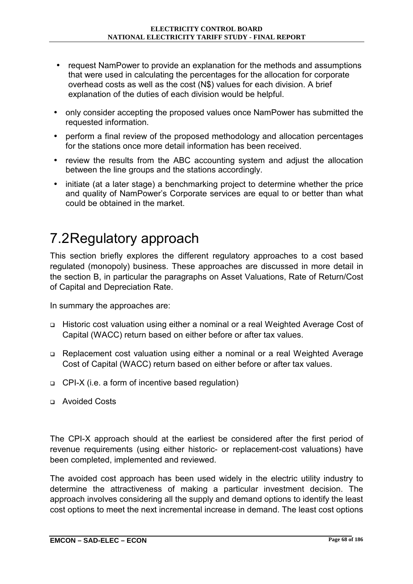- request NamPower to provide an explanation for the methods and assumptions that were used in calculating the percentages for the allocation for corporate overhead costs as well as the cost (N\$) values for each division. A brief explanation of the duties of each division would be helpful.
- only consider accepting the proposed values once NamPower has submitted the requested information.
- perform a final review of the proposed methodology and allocation percentages for the stations once more detail information has been received.
- review the results from the ABC accounting system and adjust the allocation between the line groups and the stations accordingly.
- initiate (at a later stage) a benchmarking project to determine whether the price and quality of NamPower's Corporate services are equal to or better than what could be obtained in the market.

# 7.2 Regulatory approach

This section briefly explores the different regulatory approaches to a cost based regulated (monopoly) business. These approaches are discussed in more detail in the section B, in particular the paragraphs on Asset Valuations, Rate of Return/Cost of Capital and Depreciation Rate.

In summary the approaches are:

- ! Historic cost valuation using either a nominal or a real Weighted Average Cost of Capital (WACC) return based on either before or after tax values.
- ! Replacement cost valuation using either a nominal or a real Weighted Average Cost of Capital (WACC) return based on either before or after tax values.
- □ CPI-X (i.e. a form of incentive based regulation)
- ! Avoided Costs

The CPI-X approach should at the earliest be considered after the first period of revenue requirements (using either historic- or replacement-cost valuations) have been completed, implemented and reviewed.

The avoided cost approach has been used widely in the electric utility industry to determine the attractiveness of making a particular investment decision. The approach involves considering all the supply and demand options to identify the least cost options to meet the next incremental increase in demand. The least cost options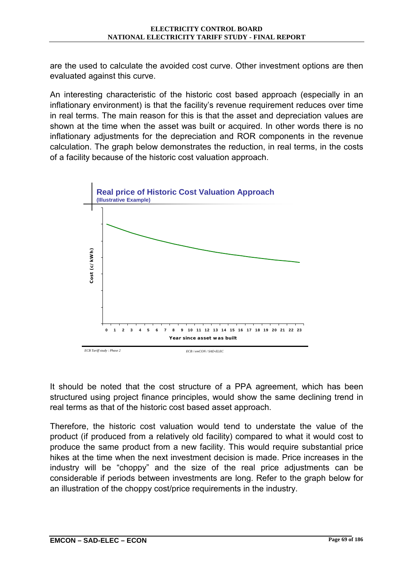are the used to calculate the avoided cost curve. Other investment options are then evaluated against this curve.

An interesting characteristic of the historic cost based approach (especially in an inflationary environment) is that the facility's revenue requirement reduces over time in real terms. The main reason for this is that the asset and depreciation values are shown at the time when the asset was built or acquired. In other words there is no inflationary adjustments for the depreciation and ROR components in the revenue calculation. The graph below demonstrates the reduction, in real terms, in the costs of a facility because of the historic cost valuation approach.



It should be noted that the cost structure of a PPA agreement, which has been structured using project finance principles, would show the same declining trend in real terms as that of the historic cost based asset approach.

Therefore, the historic cost valuation would tend to understate the value of the product (if produced from a relatively old facility) compared to what it would cost to produce the same product from a new facility. This would require substantial price hikes at the time when the next investment decision is made. Price increases in the industry will be "choppy" and the size of the real price adjustments can be considerable if periods between investments are long. Refer to the graph below for an illustration of the choppy cost/price requirements in the industry.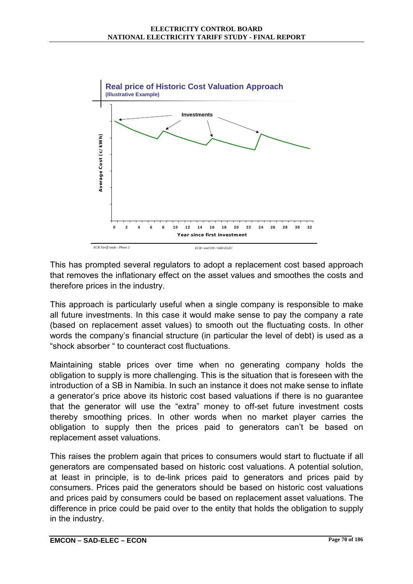

This has prompted several regulators to adopt a replacement cost based approach that removes the inflationary effect on the asset values and smoothes the costs and therefore prices in the industry.

This approach is particularly useful when a single company is responsible to make all future investments. In this case it would make sense to pay the company a rate (based on replacement asset values) to smooth out the fluctuating costs. In other words the companyís financial structure (in particular the level of debt) is used as a "shock absorber " to counteract cost fluctuations.

Maintaining stable prices over time when no generating company holds the obligation to supply is more challenging. This is the situation that is foreseen with the introduction of a SB in Namibia. In such an instance it does not make sense to inflate a generator's price above its historic cost based valuations if there is no quarantee that the generator will use the "extra" money to off-set future investment costs thereby smoothing prices. In other words when no market player carries the obligation to supply then the prices paid to generators canít be based on replacement asset valuations.

This raises the problem again that prices to consumers would start to fluctuate if all generators are compensated based on historic cost valuations. A potential solution, at least in principle, is to de-link prices paid to generators and prices paid by consumers. Prices paid the generators should be based on historic cost valuations and prices paid by consumers could be based on replacement asset valuations. The difference in price could be paid over to the entity that holds the obligation to supply in the industry.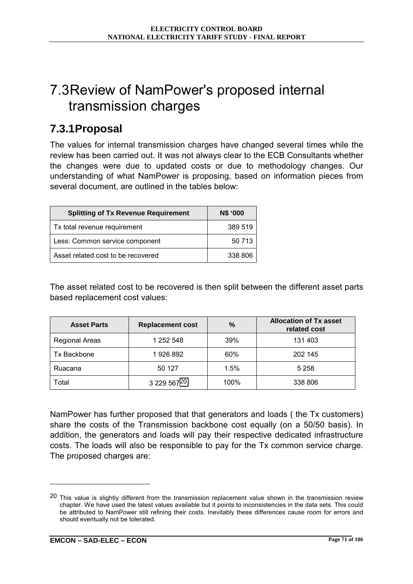# <span id="page-93-0"></span>7.3 Review of NamPower's proposed internal transmission charges

#### **7.3.1 Proposal**

The values for internal transmission charges have changed several times while the review has been carried out. It was not always clear to the ECB Consultants whether the changes were due to updated costs or due to methodology changes. Our understanding of what NamPower is proposing, based on information pieces from several document, are outlined in the tables below:

| <b>Splitting of Tx Revenue Requirement</b> | N\$ '000 |
|--------------------------------------------|----------|
| Tx total revenue requirement               | 389 519  |
| Less: Common service component             | 50 713   |
| Asset related cost to be recovered         | 338 806  |

The asset related cost to be recovered is then split between the different asset parts based replacement cost values:

| <b>Asset Parts</b>    | <b>Replacement cost</b> | $\%$ | <b>Allocation of Tx asset</b><br>related cost |
|-----------------------|-------------------------|------|-----------------------------------------------|
| <b>Regional Areas</b> | 1 252 548               | 39%  | 131 403                                       |
| <b>Tx Backbone</b>    | 1926 892                | 60%  | 202 145                                       |
| Ruacana               | 50 127                  | 1.5% | 5 2 5 8                                       |
| Total                 | 3 229 56720             | 100% | 338 806                                       |

NamPower has further proposed that that generators and loads ( the Tx customers) share the costs of the Transmission backbone cost equally (on a 50/50 basis). In addition, the generators and loads will pay their respective dedicated infrastructure costs. The loads will also be responsible to pay for the Tx common service charge. The proposed charges are:

<sup>&</sup>lt;sup>20</sup> This value is slightly different from the transmission replacement value shown in the transmission review chapter. We have used the latest values available but it points to inconsistencies in the data sets. This could be attributed to NamPower still refining their costs. Inevitably these differences cause room for errors and should eventually not be tolerated.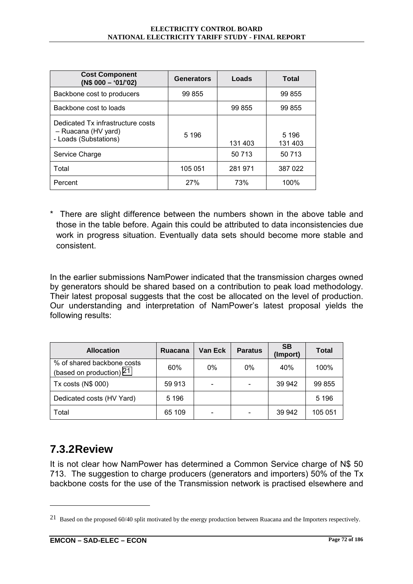| <b>Cost Component</b><br>$(N$000 - '01/'02)$                                      | <b>Generators</b> | Loads   | <b>Total</b>       |
|-----------------------------------------------------------------------------------|-------------------|---------|--------------------|
| Backbone cost to producers                                                        | 99 855            |         | 99 855             |
| Backbone cost to loads                                                            |                   | 99 855  | 99 855             |
| Dedicated Tx infrastructure costs<br>- Ruacana (HV yard)<br>- Loads (Substations) | 5 1 9 6           | 131 403 | 5 1 9 6<br>131 403 |
| Service Charge                                                                    |                   | 50 713  | 50 713             |
| Total                                                                             | 105 051           | 281 971 | 387 022            |
| Percent                                                                           | 27%               | 73%     | 100%               |

\* There are slight difference between the numbers shown in the above table and those in the table before. Again this could be attributed to data inconsistencies due work in progress situation. Eventually data sets should become more stable and consistent.

In the earlier submissions NamPower indicated that the transmission charges owned by generators should be shared based on a contribution to peak load methodology. Their latest proposal suggests that the cost be allocated on the level of production. Our understanding and interpretation of NamPowerís latest proposal yields the following results:

| <b>Allocation</b>                                      | Ruacana | Van Eck | <b>Paratus</b> | <b>SB</b><br>(Import) | <b>Total</b> |
|--------------------------------------------------------|---------|---------|----------------|-----------------------|--------------|
| % of shared backbone costs<br>(based on production) 21 | 60%     | $0\%$   | $0\%$          | 40%                   | 100%         |
| Tx costs (N\$ 000)                                     | 59 913  |         |                | 39 942                | 99 855       |
| Dedicated costs (HV Yard)                              | 5 1 9 6 |         |                |                       | 5 1 9 6      |
| Total                                                  | 65 109  |         |                | 39 942                | 105 051      |

### **7.3.2 Review**

 $\overline{a}$ 

It is not clear how NamPower has determined a Common Service charge of N\$ 50 713. The suggestion to charge producers (generators and importers) 50% of the Tx backbone costs for the use of the Transmission network is practised elsewhere and

<sup>&</sup>lt;sup>21</sup> Based on the proposed 60/40 split motivated by the energy production between Ruacana and the Importers respectively.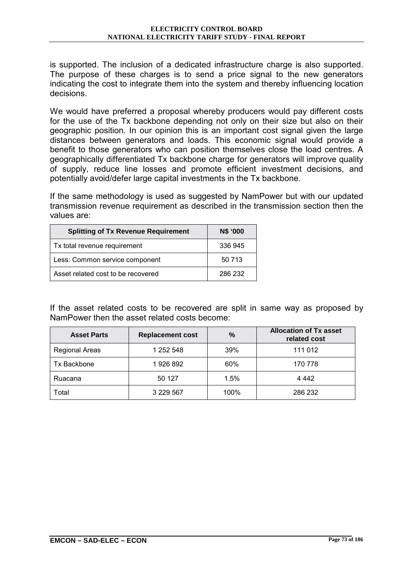is supported. The inclusion of a dedicated infrastructure charge is also supported. The purpose of these charges is to send a price signal to the new generators indicating the cost to integrate them into the system and thereby influencing location decisions.

We would have preferred a proposal whereby producers would pay different costs for the use of the Tx backbone depending not only on their size but also on their geographic position. In our opinion this is an important cost signal given the large distances between generators and loads. This economic signal would provide a benefit to those generators who can position themselves close the load centres. A geographically differentiated Tx backbone charge for generators will improve quality of supply, reduce line losses and promote efficient investment decisions, and potentially avoid/defer large capital investments in the Tx backbone.

If the same methodology is used as suggested by NamPower but with our updated transmission revenue requirement as described in the transmission section then the values are:

| <b>Splitting of Tx Revenue Requirement</b> | N\$ '000 |
|--------------------------------------------|----------|
| Tx total revenue requirement               | 336 945  |
| Less: Common service component             | 50 713   |
| Asset related cost to be recovered         | 286 232  |

If the asset related costs to be recovered are split in same way as proposed by NamPower then the asset related costs become:

| <b>Asset Parts</b> | <b>Replacement cost</b> | $\%$ | <b>Allocation of Tx asset</b><br>related cost |
|--------------------|-------------------------|------|-----------------------------------------------|
| Regional Areas     | 1 252 548               | 39%  | 111 012                                       |
| Tx Backbone        | 1926 892                | 60%  | 170 778                                       |
| Ruacana            | 50 127                  | 1.5% | 4 4 4 2                                       |
| Total              | 3 2 2 5 6 7             | 100% | 286 232                                       |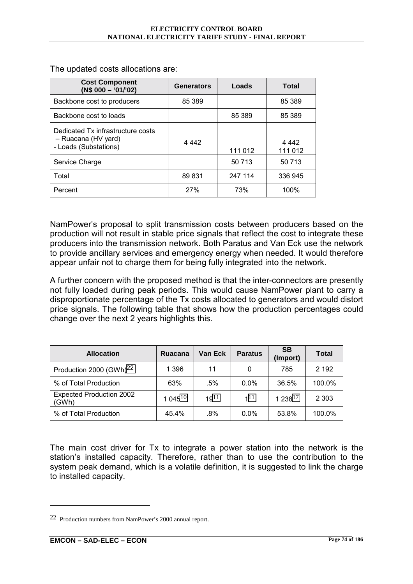| <b>Cost Component</b><br>$(N$000 - '01/'02)$                                      | <b>Generators</b> | Loads   | <b>Total</b>       |
|-----------------------------------------------------------------------------------|-------------------|---------|--------------------|
| Backbone cost to producers                                                        | 85 389            |         | 85 389             |
| Backbone cost to loads                                                            |                   | 85 389  | 85 389             |
| Dedicated Tx infrastructure costs<br>- Ruacana (HV yard)<br>- Loads (Substations) | 4 4 4 2           | 111 012 | 4 4 4 2<br>111 012 |
| Service Charge                                                                    |                   | 50 713  | 50 713             |
| Total                                                                             | 89 831            | 247 114 | 336 945            |
| Percent                                                                           | 27%               | 73%     | 100%               |

The updated costs allocations are:

NamPowerís proposal to split transmission costs between producers based on the production will not result in stable price signals that reflect the cost to integrate these producers into the transmission network. Both Paratus and Van Eck use the network to provide ancillary services and emergency energy when needed. It would therefore appear unfair not to charge them for being fully integrated into the network.

A further concern with the proposed method is that the inter-connectors are presently not fully loaded during peak periods. This would cause NamPower plant to carry a disproportionate percentage of the Tx costs allocated to generators and would distort price signals. The following table that shows how the production percentages could change over the next 2 years highlights this.

| <b>Allocation</b>                        | Ruacana    | <b>Van Eck</b> | <b>Paratus</b> | <b>SB</b><br>(Import) | <b>Total</b> |
|------------------------------------------|------------|----------------|----------------|-----------------------|--------------|
| Production 2000 (GWh) <sup>22</sup>      | 1 3 9 6    | 11             | 0              | 785                   | 2 192        |
| % of Total Production                    | 63%        | .5%            | $0.0\%$        | 36.5%                 | 100.0%       |
| <b>Expected Production 2002</b><br>(GWh) | 1 045 $10$ | $19^{11}$      | 111            | $1238^{17}$           | 2 3 0 3      |
| % of Total Production                    | 45.4%      | $.8\%$         | $0.0\%$        | 53.8%                 | 100.0%       |

The main cost driver for Tx to integrate a power station into the network is the station's installed capacity. Therefore, rather than to use the contribution to the system peak demand, which is a volatile definition, it is suggested to link the charge to installed capacity.

<sup>22</sup> Production numbers from NamPower's 2000 annual report.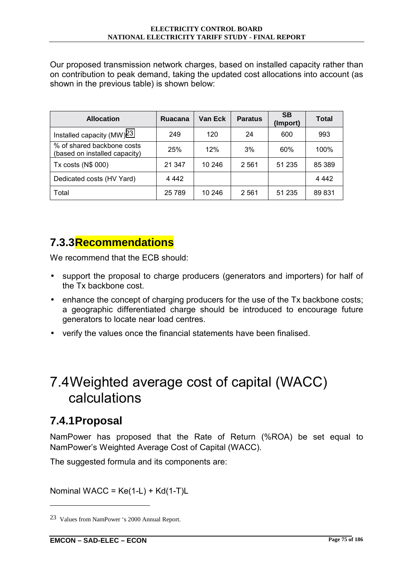<span id="page-97-0"></span>Our proposed transmission network charges, based on installed capacity rather than on contribution to peak demand, taking the updated cost allocations into account (as shown in the previous table) is shown below:

| <b>Allocation</b>                                           | Ruacana | Van Eck | <b>Paratus</b> | <b>SB</b><br>(Import) | Total   |
|-------------------------------------------------------------|---------|---------|----------------|-----------------------|---------|
| Installed capacity $(MW)^{23}$                              | 249     | 120     | 24             | 600                   | 993     |
| % of shared backbone costs<br>(based on installed capacity) | 25%     | 12%     | 3%             | 60%                   | 100%    |
| Tx costs (N\$ 000)                                          | 21 347  | 10 246  | 2 5 6 1        | 51 235                | 85 389  |
| Dedicated costs (HV Yard)                                   | 4 4 4 2 |         |                |                       | 4 4 4 2 |
| Total                                                       | 25 789  | 10 246  | 2561           | 51 235                | 89 831  |

### **7.3.3 Recommendations**

We recommend that the ECB should:

- support the proposal to charge producers (generators and importers) for half of the Tx backbone cost.
- enhance the concept of charging producers for the use of the Tx backbone costs; a geographic differentiated charge should be introduced to encourage future generators to locate near load centres.
- verify the values once the financial statements have been finalised.

## 7.4 Weighted average cost of capital (WACC) calculations

#### **7.4.1 Proposal**

 $\overline{a}$ 

NamPower has proposed that the Rate of Return (%ROA) be set equal to NamPowerís Weighted Average Cost of Capital (WACC).

The suggested formula and its components are:

Nominal WACC =  $Ke(1-L) + Kd(1-T)L$ 

<sup>23</sup> Values from NamPower 's 2000 Annual Report.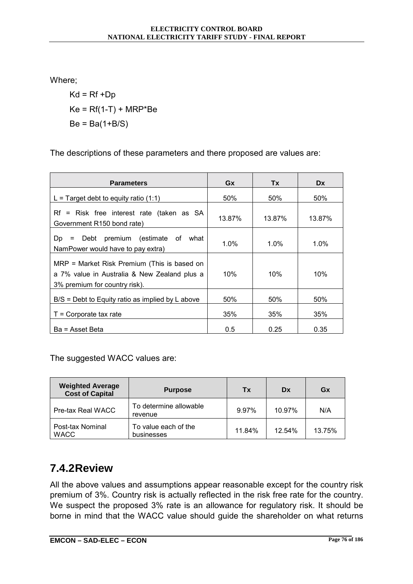Where;

 $Kd = Rf + Dp$  $Ke = Rf(1-T) + MRP*Be$  $Be = Ba(1+B/S)$ 

The descriptions of these parameters and there proposed are values are:

| <b>Parameters</b>                                                                                                            | Gx      | Tx      | <b>Dx</b> |
|------------------------------------------------------------------------------------------------------------------------------|---------|---------|-----------|
| L = Target debt to equity ratio $(1:1)$                                                                                      | 50%     | 50%     | 50%       |
| Rf = Risk free interest rate (taken as SA<br>Government R150 bond rate)                                                      | 13.87%  | 13.87%  | 13.87%    |
| Debt premium (estimate of what<br>Dp<br>$\equiv$<br>NamPower would have to pay extra)                                        | $1.0\%$ | $1.0\%$ | $1.0\%$   |
| MRP = Market Risk Premium (This is based on<br>a 7% value in Australia & New Zealand plus a<br>3% premium for country risk). | 10%     | 10%     | 10%       |
| $B/S =$ Debt to Equity ratio as implied by L above                                                                           | 50%     | 50%     | 50%       |
| $T =$ Corporate tax rate                                                                                                     | 35%     | 35%     | 35%       |
| Ba = Asset Beta                                                                                                              | 0.5     | 0.25    | 0.35      |

The suggested WACC values are:

| <b>Weighted Average</b><br><b>Cost of Capital</b> | <b>Purpose</b>                     | Tx     | Dx     | Gx     |
|---------------------------------------------------|------------------------------------|--------|--------|--------|
| Pre-tax Real WACC                                 | To determine allowable<br>revenue  | 9.97%  | 10.97% | N/A    |
| Post-tax Nominal<br><b>WACC</b>                   | To value each of the<br>businesses | 11.84% | 12.54% | 13.75% |

#### **7.4.2 Review**

All the above values and assumptions appear reasonable except for the country risk premium of 3%. Country risk is actually reflected in the risk free rate for the country. We suspect the proposed 3% rate is an allowance for regulatory risk. It should be borne in mind that the WACC value should guide the shareholder on what returns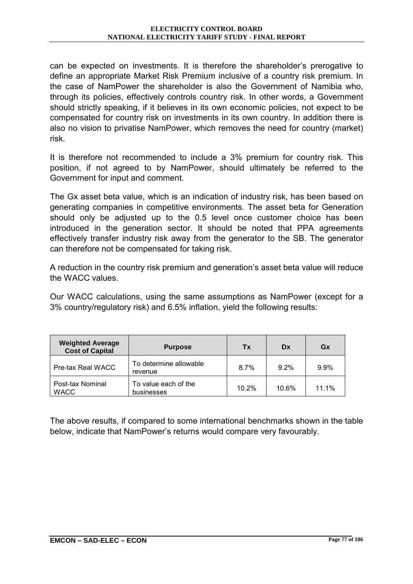can be expected on investments. It is therefore the shareholder's prerogative to define an appropriate Market Risk Premium inclusive of a country risk premium. In the case of NamPower the shareholder is also the Government of Namibia who, through its policies, effectively controls country risk. In other words, a Government should strictly speaking, if it believes in its own economic policies, not expect to be compensated for country risk on investments in its own country. In addition there is also no vision to privatise NamPower, which removes the need for country (market) risk.

It is therefore not recommended to include a 3% premium for country risk. This position, if not agreed to by NamPower, should ultimately be referred to the Government for input and comment.

The Gx asset beta value, which is an indication of industry risk, has been based on generating companies in competitive environments. The asset beta for Generation should only be adjusted up to the 0.5 level once customer choice has been introduced in the generation sector. It should be noted that PPA agreements effectively transfer industry risk away from the generator to the SB. The generator can therefore not be compensated for taking risk.

A reduction in the country risk premium and generation's asset beta value will reduce the WACC values.

Our WACC calculations, using the same assumptions as NamPower (except for a 3% country/regulatory risk) and 6.5% inflation, yield the following results:

| <b>Weighted Average</b><br><b>Cost of Capital</b> | <b>Purpose</b>                     | Tx    | Dx      | Gx    |
|---------------------------------------------------|------------------------------------|-------|---------|-------|
| Pre-tax Real WACC                                 | To determine allowable<br>revenue  | 8.7%  | $9.2\%$ | 9.9%  |
| Post-tax Nominal<br><b>WACC</b>                   | To value each of the<br>businesses | 10.2% | 10.6%   | 11.1% |

The above results, if compared to some international benchmarks shown in the table below, indicate that NamPower's returns would compare very favourably.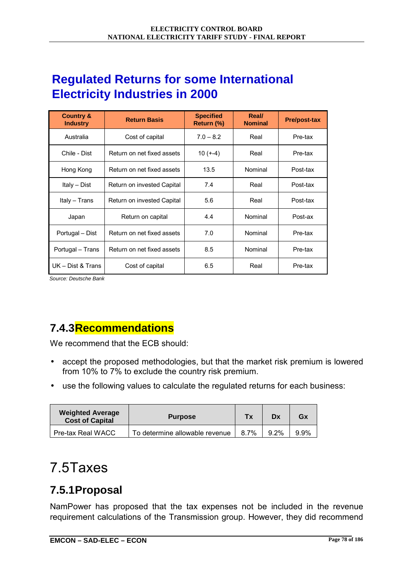## **Regulated Returns for some International Electricity Industries in 2000**

| <b>Country &amp;</b><br><b>Industry</b> | <b>Return Basis</b>        | <b>Specified</b><br>Return (%) | Real/<br><b>Nominal</b> | <b>Pre/post-tax</b> |
|-----------------------------------------|----------------------------|--------------------------------|-------------------------|---------------------|
| Australia                               | Cost of capital            | $7.0 - 8.2$                    | Real                    | Pre-tax             |
| Chile - Dist                            | Return on net fixed assets | $10 (+-4)$                     | Real                    | Pre-tax             |
| Hong Kong                               | Return on net fixed assets | 13.5                           | Nominal                 | Post-tax            |
| Italy - Dist                            | Return on invested Capital | 7.4                            | Real                    | Post-tax            |
| Italy - Trans                           | Return on invested Capital | 5.6                            | Real                    | Post-tax            |
| Japan                                   | Return on capital          | 4.4                            | Nominal                 | Post-ax             |
| Portugal - Dist                         | Return on net fixed assets | 7.0                            | Nominal                 | Pre-tax             |
| Portugal – Trans                        | Return on net fixed assets | 8.5                            | Nominal                 | Pre-tax             |
| UK - Dist & Trans                       | Cost of capital            | 6.5                            | Real                    | Pre-tax             |

*Source: Deutsche Bank*

## **7.4.3 Recommendations**

We recommend that the ECB should:

- accept the proposed methodologies, but that the market risk premium is lowered from 10% to 7% to exclude the country risk premium.
- use the following values to calculate the regulated returns for each business:

| <b>Weighted Average</b><br><b>Cost of Capital</b> | <b>Purpose</b>                 | Тx   | Dx      | Gx      |
|---------------------------------------------------|--------------------------------|------|---------|---------|
| Pre-tax Real WACC                                 | To determine allowable revenue | 8.7% | $9.2\%$ | $9.9\%$ |

# 7.5 Taxes

## **7.5.1 Proposal**

NamPower has proposed that the tax expenses not be included in the revenue requirement calculations of the Transmission group. However, they did recommend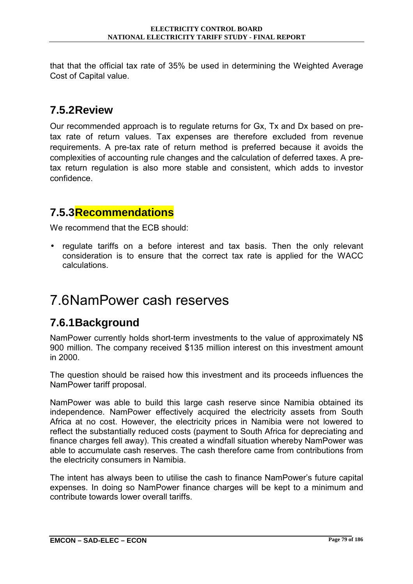that that the official tax rate of 35% be used in determining the Weighted Average Cost of Capital value.

## **7.5.2 Review**

Our recommended approach is to regulate returns for Gx, Tx and Dx based on pretax rate of return values. Tax expenses are therefore excluded from revenue requirements. A pre-tax rate of return method is preferred because it avoids the complexities of accounting rule changes and the calculation of deferred taxes. A pretax return regulation is also more stable and consistent, which adds to investor confidence.

### **7.5.3 Recommendations**

We recommend that the ECB should:

regulate tariffs on a before interest and tax basis. Then the only relevant consideration is to ensure that the correct tax rate is applied for the WACC calculations.

# 7.6 NamPower cash reserves

## **7.6.1 Background**

NamPower currently holds short-term investments to the value of approximately N\$ 900 million. The company received \$135 million interest on this investment amount in 2000.

The question should be raised how this investment and its proceeds influences the NamPower tariff proposal.

NamPower was able to build this large cash reserve since Namibia obtained its independence. NamPower effectively acquired the electricity assets from South Africa at no cost. However, the electricity prices in Namibia were not lowered to reflect the substantially reduced costs (payment to South Africa for depreciating and finance charges fell away). This created a windfall situation whereby NamPower was able to accumulate cash reserves. The cash therefore came from contributions from the electricity consumers in Namibia.

The intent has always been to utilise the cash to finance NamPower's future capital expenses. In doing so NamPower finance charges will be kept to a minimum and contribute towards lower overall tariffs.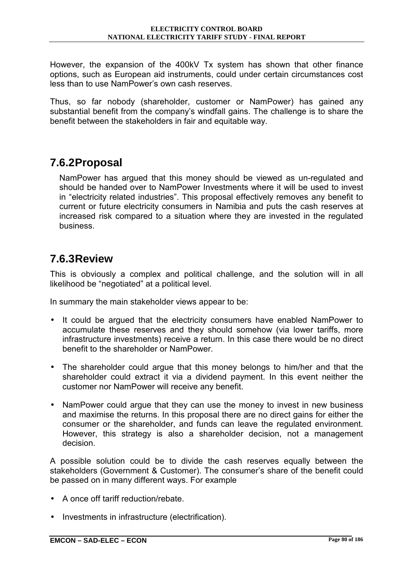However, the expansion of the 400kV Tx system has shown that other finance options, such as European aid instruments, could under certain circumstances cost less than to use NamPowerís own cash reserves.

Thus, so far nobody (shareholder, customer or NamPower) has gained any substantial benefit from the company's windfall gains. The challenge is to share the benefit between the stakeholders in fair and equitable way.

#### **7.6.2 Proposal**

NamPower has argued that this money should be viewed as un-regulated and should be handed over to NamPower Investments where it will be used to invest in "electricity related industries". This proposal effectively removes any benefit to current or future electricity consumers in Namibia and puts the cash reserves at increased risk compared to a situation where they are invested in the regulated business.

#### **7.6.3 Review**

This is obviously a complex and political challenge, and the solution will in all likelihood be "negotiated" at a political level.

In summary the main stakeholder views appear to be:

- It could be argued that the electricity consumers have enabled NamPower to accumulate these reserves and they should somehow (via lower tariffs, more infrastructure investments) receive a return. In this case there would be no direct benefit to the shareholder or NamPower.
- The shareholder could argue that this money belongs to him/her and that the shareholder could extract it via a dividend payment. In this event neither the customer nor NamPower will receive any benefit.
- NamPower could argue that they can use the money to invest in new business and maximise the returns. In this proposal there are no direct gains for either the consumer or the shareholder, and funds can leave the regulated environment. However, this strategy is also a shareholder decision, not a management decision.

A possible solution could be to divide the cash reserves equally between the stakeholders (Government & Customer). The consumer's share of the benefit could be passed on in many different ways. For example

- A once off tariff reduction/rebate.
- Investments in infrastructure (electrification).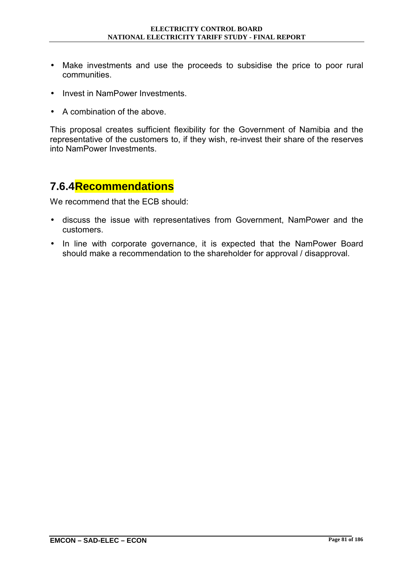- Make investments and use the proceeds to subsidise the price to poor rural communities.
- Invest in NamPower Investments.
- A combination of the above.

This proposal creates sufficient flexibility for the Government of Namibia and the representative of the customers to, if they wish, re-invest their share of the reserves into NamPower Investments.

#### **7.6.4 Recommendations**

- discuss the issue with representatives from Government, NamPower and the customers.
- In line with corporate governance, it is expected that the NamPower Board should make a recommendation to the shareholder for approval / disapproval.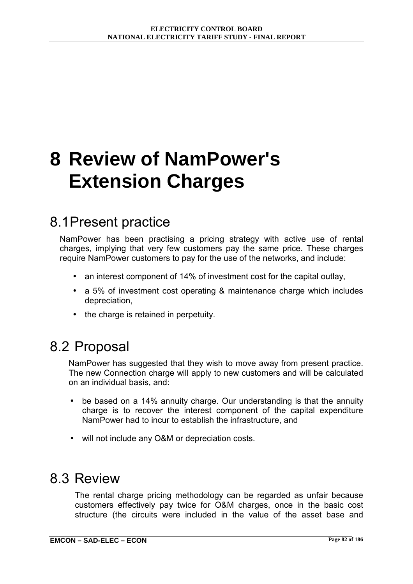# **8 Review of NamPower's Extension Charges**

# 8.1 Present practice

NamPower has been practising a pricing strategy with active use of rental charges, implying that very few customers pay the same price. These charges require NamPower customers to pay for the use of the networks, and include:

- an interest component of 14% of investment cost for the capital outlay,
- a 5% of investment cost operating & maintenance charge which includes depreciation,
- the charge is retained in perpetuity.

## 8.2 Proposal

NamPower has suggested that they wish to move away from present practice. The new Connection charge will apply to new customers and will be calculated on an individual basis, and:

- be based on a 14% annuity charge. Our understanding is that the annuity charge is to recover the interest component of the capital expenditure NamPower had to incur to establish the infrastructure, and
- will not include any O&M or depreciation costs.

## 8.3 Review

The rental charge pricing methodology can be regarded as unfair because customers effectively pay twice for O&M charges, once in the basic cost structure (the circuits were included in the value of the asset base and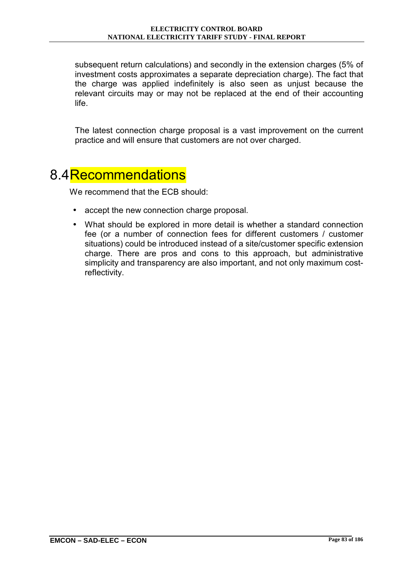subsequent return calculations) and secondly in the extension charges (5% of investment costs approximates a separate depreciation charge). The fact that the charge was applied indefinitely is also seen as unjust because the relevant circuits may or may not be replaced at the end of their accounting life.

The latest connection charge proposal is a vast improvement on the current practice and will ensure that customers are not over charged.

## 8.4 Recommendations

- accept the new connection charge proposal.
- What should be explored in more detail is whether a standard connection fee (or a number of connection fees for different customers / customer situations) could be introduced instead of a site/customer specific extension charge. There are pros and cons to this approach, but administrative simplicity and transparency are also important, and not only maximum costreflectivity.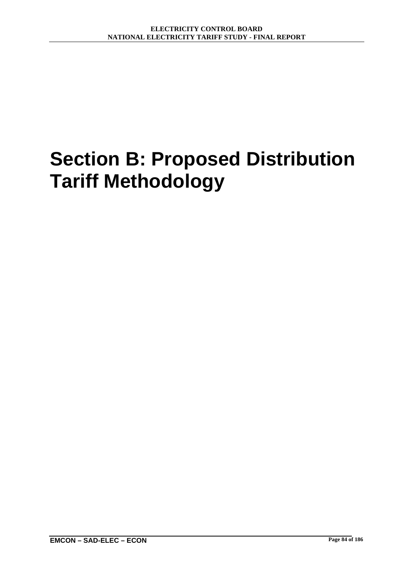# **Section B: Proposed Distribution Tariff Methodology**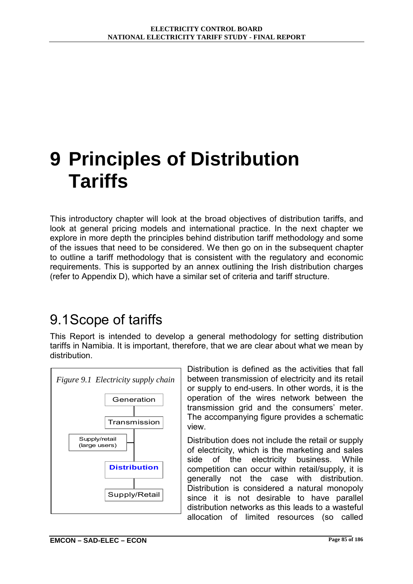# **9 Principles of Distribution Tariffs**

This introductory chapter will look at the broad objectives of distribution tariffs, and look at general pricing models and international practice. In the next chapter we explore in more depth the principles behind distribution tariff methodology and some of the issues that need to be considered. We then go on in the subsequent chapter to outline a tariff methodology that is consistent with the regulatory and economic requirements. This is supported by an annex outlining the Irish distribution charges (refer to Appendix D), which have a similar set of criteria and tariff structure.

# 9.1 Scope of tariffs

This Report is intended to develop a general methodology for setting distribution tariffs in Namibia. It is important, therefore, that we are clear about what we mean by distribution.



Distribution is defined as the activities that fall between transmission of electricity and its retail or supply to end-users. In other words, it is the operation of the wires network between the transmission grid and the consumers' meter. The accompanying figure provides a schematic view.

Distribution does not include the retail or supply of electricity, which is the marketing and sales side of the electricity business. While competition can occur within retail/supply, it is generally not the case with distribution. Distribution is considered a natural monopoly since it is not desirable to have parallel distribution networks as this leads to a wasteful allocation of limited resources (so called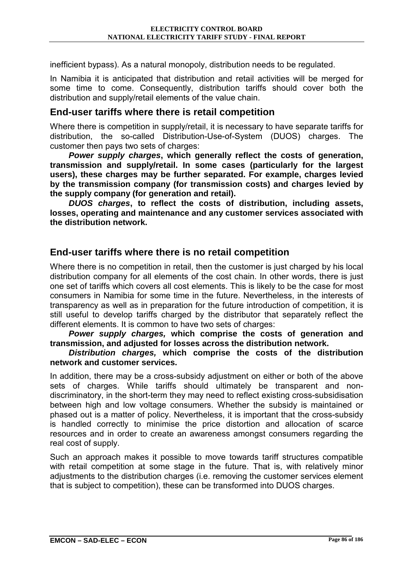inefficient bypass). As a natural monopoly, distribution needs to be regulated.

In Namibia it is anticipated that distribution and retail activities will be merged for some time to come. Consequently, distribution tariffs should cover both the distribution and supply/retail elements of the value chain.

#### **End-user tariffs where there is retail competition**

Where there is competition in supply/retail, it is necessary to have separate tariffs for distribution, the so-called Distribution-Use-of-System (DUOS) charges. The customer then pays two sets of charges:

*Power supply charges***, which generally reflect the costs of generation, transmission and supply/retail. In some cases (particularly for the largest users), these charges may be further separated. For example, charges levied by the transmission company (for transmission costs) and charges levied by the supply company (for generation and retail).** 

*DUOS charges***, to reflect the costs of distribution, including assets, losses, operating and maintenance and any customer services associated with the distribution network.** 

#### **End-user tariffs where there is no retail competition**

Where there is no competition in retail, then the customer is just charged by his local distribution company for all elements of the cost chain. In other words, there is just one set of tariffs which covers all cost elements. This is likely to be the case for most consumers in Namibia for some time in the future. Nevertheless, in the interests of transparency as well as in preparation for the future introduction of competition, it is still useful to develop tariffs charged by the distributor that separately reflect the different elements. It is common to have two sets of charges:

*Power supply charges,* **which comprise the costs of generation and transmission, and adjusted for losses across the distribution network.** 

#### *Distribution charges,* **which comprise the costs of the distribution network and customer services.**

In addition, there may be a cross-subsidy adjustment on either or both of the above sets of charges. While tariffs should ultimately be transparent and nondiscriminatory, in the short-term they may need to reflect existing cross-subsidisation between high and low voltage consumers. Whether the subsidy is maintained or phased out is a matter of policy. Nevertheless, it is important that the cross-subsidy is handled correctly to minimise the price distortion and allocation of scarce resources and in order to create an awareness amongst consumers regarding the real cost of supply.

Such an approach makes it possible to move towards tariff structures compatible with retail competition at some stage in the future. That is, with relatively minor adjustments to the distribution charges (i.e. removing the customer services element that is subject to competition), these can be transformed into DUOS charges.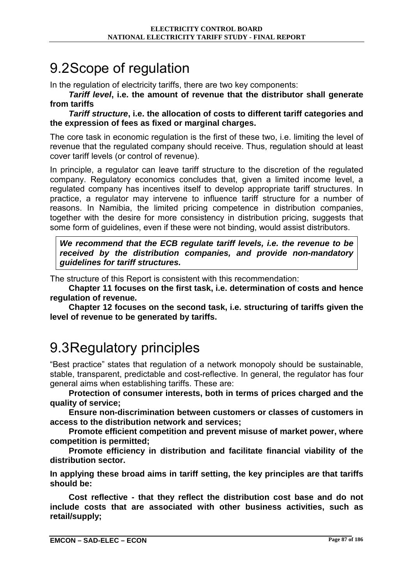# 9.2 Scope of regulation

In the regulation of electricity tariffs, there are two key components:

*Tariff level***, i.e. the amount of revenue that the distributor shall generate from tariffs** 

*Tariff structure***, i.e. the allocation of costs to different tariff categories and the expression of fees as fixed or marginal charges.** 

The core task in economic regulation is the first of these two, i.e. limiting the level of revenue that the regulated company should receive. Thus, regulation should at least cover tariff levels (or control of revenue).

In principle, a regulator can leave tariff structure to the discretion of the regulated company. Regulatory economics concludes that, given a limited income level, a regulated company has incentives itself to develop appropriate tariff structures. In practice, a regulator may intervene to influence tariff structure for a number of reasons. In Namibia, the limited pricing competence in distribution companies, together with the desire for more consistency in distribution pricing, suggests that some form of guidelines, even if these were not binding, would assist distributors.

*We recommend that the ECB regulate tariff levels, i.e. the revenue to be received by the distribution companies, and provide non-mandatory guidelines for tariff structures.* 

The structure of this Report is consistent with this recommendation:

**Chapter 11 focuses on the first task, i.e. determination of costs and hence regulation of revenue.** 

**Chapter 12 focuses on the second task, i.e. structuring of tariffs given the level of revenue to be generated by tariffs.** 

# 9.3 Regulatory principles

ìBest practiceî states that regulation of a network monopoly should be sustainable, stable, transparent, predictable and cost-reflective. In general, the regulator has four general aims when establishing tariffs. These are:

**Protection of consumer interests, both in terms of prices charged and the quality of service;** 

**Ensure non-discrimination between customers or classes of customers in access to the distribution network and services;** 

**Promote efficient competition and prevent misuse of market power, where competition is permitted;** 

**Promote efficiency in distribution and facilitate financial viability of the distribution sector.** 

**In applying these broad aims in tariff setting, the key principles are that tariffs should be:** 

**Cost reflective - that they reflect the distribution cost base and do not include costs that are associated with other business activities, such as retail/supply;**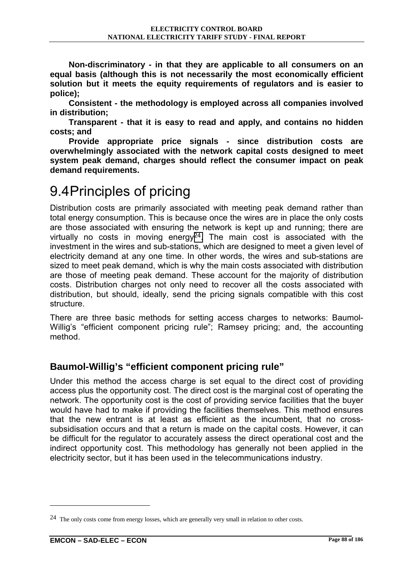**Non-discriminatory - in that they are applicable to all consumers on an equal basis (although this is not necessarily the most economically efficient solution but it meets the equity requirements of regulators and is easier to police);** 

**Consistent - the methodology is employed across all companies involved in distribution;** 

**Transparent - that it is easy to read and apply, and contains no hidden costs; and** 

**Provide appropriate price signals - since distribution costs are overwhelmingly associated with the network capital costs designed to meet system peak demand, charges should reflect the consumer impact on peak demand requirements.** 

### 9.4 Principles of pricing

Distribution costs are primarily associated with meeting peak demand rather than total energy consumption. This is because once the wires are in place the only costs are those associated with ensuring the network is kept up and running; there are virtually no costs in moving energy $24$ . The main cost is associated with the investment in the wires and sub-stations, which are designed to meet a given level of electricity demand at any one time. In other words, the wires and sub-stations are sized to meet peak demand, which is why the main costs associated with distribution are those of meeting peak demand. These account for the majority of distribution costs. Distribution charges not only need to recover all the costs associated with distribution, but should, ideally, send the pricing signals compatible with this cost structure.

There are three basic methods for setting access charges to networks: Baumol-Willig's "efficient component pricing rule"; Ramsey pricing; and, the accounting method.

### **Baumol-Willig's "efficient component pricing rule"**

Under this method the access charge is set equal to the direct cost of providing access plus the opportunity cost. The direct cost is the marginal cost of operating the network. The opportunity cost is the cost of providing service facilities that the buyer would have had to make if providing the facilities themselves. This method ensures that the new entrant is at least as efficient as the incumbent, that no crosssubsidisation occurs and that a return is made on the capital costs. However, it can be difficult for the regulator to accurately assess the direct operational cost and the indirect opportunity cost. This methodology has generally not been applied in the electricity sector, but it has been used in the telecommunications industry.

 $\overline{a}$ 

<sup>24</sup> The only costs come from energy losses, which are generally very small in relation to other costs.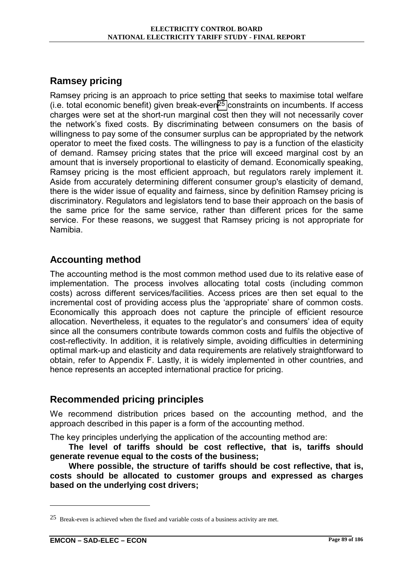### **Ramsey pricing**

Ramsey pricing is an approach to price setting that seeks to maximise total welfare (i.e. total economic benefit) given break-even25 constraints on incumbents. If access charges were set at the short-run marginal cost then they will not necessarily cover the networkís fixed costs. By discriminating between consumers on the basis of willingness to pay some of the consumer surplus can be appropriated by the network operator to meet the fixed costs. The willingness to pay is a function of the elasticity of demand. Ramsey pricing states that the price will exceed marginal cost by an amount that is inversely proportional to elasticity of demand. Economically speaking, Ramsey pricing is the most efficient approach, but regulators rarely implement it. Aside from accurately determining different consumer group's elasticity of demand, there is the wider issue of equality and fairness, since by definition Ramsey pricing is discriminatory. Regulators and legislators tend to base their approach on the basis of the same price for the same service, rather than different prices for the same service. For these reasons, we suggest that Ramsey pricing is not appropriate for Namibia.

#### **Accounting method**

The accounting method is the most common method used due to its relative ease of implementation. The process involves allocating total costs (including common costs) across different services/facilities. Access prices are then set equal to the incremental cost of providing access plus the 'appropriate' share of common costs. Economically this approach does not capture the principle of efficient resource allocation. Nevertheless, it equates to the regulator's and consumers' idea of equity since all the consumers contribute towards common costs and fulfils the objective of cost-reflectivity. In addition, it is relatively simple, avoiding difficulties in determining optimal mark-up and elasticity and data requirements are relatively straightforward to obtain, refer to Appendix F. Lastly, it is widely implemented in other countries, and hence represents an accepted international practice for pricing.

### **Recommended pricing principles**

We recommend distribution prices based on the accounting method, and the approach described in this paper is a form of the accounting method.

The key principles underlying the application of the accounting method are:

**The level of tariffs should be cost reflective, that is, tariffs should generate revenue equal to the costs of the business;** 

**Where possible, the structure of tariffs should be cost reflective, that is, costs should be allocated to customer groups and expressed as charges based on the underlying cost drivers;** 

 $\overline{a}$ 

<sup>25</sup> Break-even is achieved when the fixed and variable costs of a business activity are met.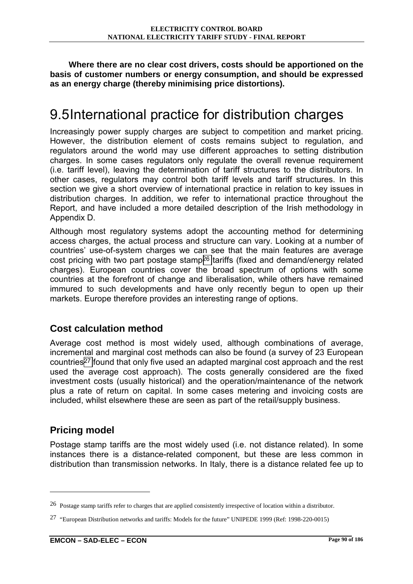**Where there are no clear cost drivers, costs should be apportioned on the basis of customer numbers or energy consumption, and should be expressed as an energy charge (thereby minimising price distortions).** 

# 9.5 International practice for distribution charges

Increasingly power supply charges are subject to competition and market pricing. However, the distribution element of costs remains subject to regulation, and regulators around the world may use different approaches to setting distribution charges. In some cases regulators only regulate the overall revenue requirement (i.e. tariff level), leaving the determination of tariff structures to the distributors. In other cases, regulators may control both tariff levels and tariff structures. In this section we give a short overview of international practice in relation to key issues in distribution charges. In addition, we refer to international practice throughout the Report, and have included a more detailed description of the Irish methodology in Appendix D.

Although most regulatory systems adopt the accounting method for determining access charges, the actual process and structure can vary. Looking at a number of countriesí use-of-system charges we can see that the main features are average cost pricing with two part postage stamp26 tariffs (fixed and demand/energy related charges). European countries cover the broad spectrum of options with some countries at the forefront of change and liberalisation, while others have remained immured to such developments and have only recently begun to open up their markets. Europe therefore provides an interesting range of options.

### **Cost calculation method**

Average cost method is most widely used, although combinations of average, incremental and marginal cost methods can also be found (a survey of 23 European countries27 found that only five used an adapted marginal cost approach and the rest used the average cost approach). The costs generally considered are the fixed investment costs (usually historical) and the operation/maintenance of the network plus a rate of return on capital. In some cases metering and invoicing costs are included, whilst elsewhere these are seen as part of the retail/supply business.

### **Pricing model**

 $\overline{a}$ 

Postage stamp tariffs are the most widely used (i.e. not distance related). In some instances there is a distance-related component, but these are less common in distribution than transmission networks. In Italy, there is a distance related fee up to

<sup>26</sup> Postage stamp tariffs refer to charges that are applied consistently irrespective of location within a distributor.

<sup>27 &</sup>quot;European Distribution networks and tariffs: Models for the future" UNIPEDE 1999 (Ref: 1998-220-0015)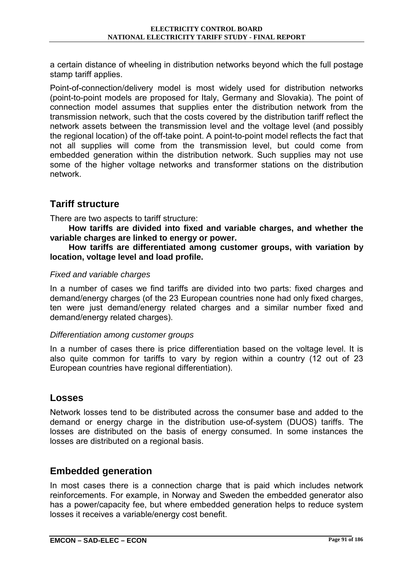a certain distance of wheeling in distribution networks beyond which the full postage stamp tariff applies.

Point-of-connection/delivery model is most widely used for distribution networks (point-to-point models are proposed for Italy, Germany and Slovakia). The point of connection model assumes that supplies enter the distribution network from the transmission network, such that the costs covered by the distribution tariff reflect the network assets between the transmission level and the voltage level (and possibly the regional location) of the off-take point. A point-to-point model reflects the fact that not all supplies will come from the transmission level, but could come from embedded generation within the distribution network. Such supplies may not use some of the higher voltage networks and transformer stations on the distribution network.

### **Tariff structure**

There are two aspects to tariff structure:

**How tariffs are divided into fixed and variable charges, and whether the variable charges are linked to energy or power.** 

**How tariffs are differentiated among customer groups, with variation by location, voltage level and load profile.** 

#### *Fixed and variable charges*

In a number of cases we find tariffs are divided into two parts: fixed charges and demand/energy charges (of the 23 European countries none had only fixed charges, ten were just demand/energy related charges and a similar number fixed and demand/energy related charges).

#### *Differentiation among customer groups*

In a number of cases there is price differentiation based on the voltage level. It is also quite common for tariffs to vary by region within a country (12 out of 23 European countries have regional differentiation).

#### **Losses**

Network losses tend to be distributed across the consumer base and added to the demand or energy charge in the distribution use-of-system (DUOS) tariffs. The losses are distributed on the basis of energy consumed. In some instances the losses are distributed on a regional basis.

### **Embedded generation**

In most cases there is a connection charge that is paid which includes network reinforcements. For example, in Norway and Sweden the embedded generator also has a power/capacity fee, but where embedded generation helps to reduce system losses it receives a variable/energy cost benefit.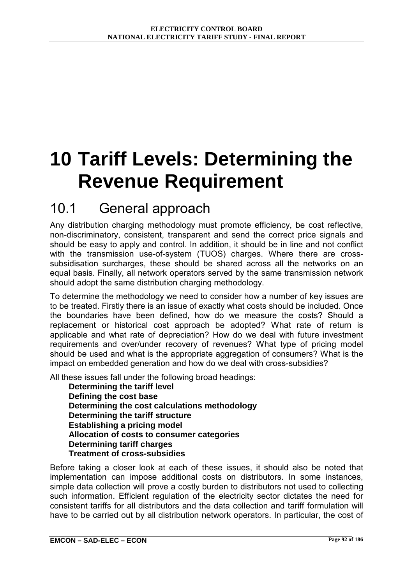# **10 Tariff Levels: Determining the Revenue Requirement**

## 10.1 General approach

Any distribution charging methodology must promote efficiency, be cost reflective, non-discriminatory, consistent, transparent and send the correct price signals and should be easy to apply and control. In addition, it should be in line and not conflict with the transmission use-of-system (TUOS) charges. Where there are crosssubsidisation surcharges, these should be shared across all the networks on an equal basis. Finally, all network operators served by the same transmission network should adopt the same distribution charging methodology.

To determine the methodology we need to consider how a number of key issues are to be treated. Firstly there is an issue of exactly what costs should be included. Once the boundaries have been defined, how do we measure the costs? Should a replacement or historical cost approach be adopted? What rate of return is applicable and what rate of depreciation? How do we deal with future investment requirements and over/under recovery of revenues? What type of pricing model should be used and what is the appropriate aggregation of consumers? What is the impact on embedded generation and how do we deal with cross-subsidies?

All these issues fall under the following broad headings:

**Determining the tariff level Defining the cost base Determining the cost calculations methodology Determining the tariff structure Establishing a pricing model Allocation of costs to consumer categories Determining tariff charges Treatment of cross-subsidies** 

Before taking a closer look at each of these issues, it should also be noted that implementation can impose additional costs on distributors. In some instances, simple data collection will prove a costly burden to distributors not used to collecting such information. Efficient regulation of the electricity sector dictates the need for consistent tariffs for all distributors and the data collection and tariff formulation will have to be carried out by all distribution network operators. In particular, the cost of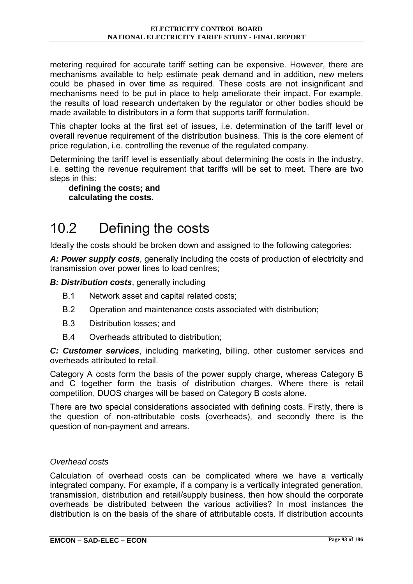metering required for accurate tariff setting can be expensive. However, there are mechanisms available to help estimate peak demand and in addition, new meters could be phased in over time as required. These costs are not insignificant and mechanisms need to be put in place to help ameliorate their impact. For example, the results of load research undertaken by the regulator or other bodies should be made available to distributors in a form that supports tariff formulation.

This chapter looks at the first set of issues, i.e. determination of the tariff level or overall revenue requirement of the distribution business. This is the core element of price regulation, i.e. controlling the revenue of the regulated company.

Determining the tariff level is essentially about determining the costs in the industry, i.e. setting the revenue requirement that tariffs will be set to meet. There are two steps in this:

**defining the costs; and calculating the costs.** 

# 10.2 Defining the costs

Ideally the costs should be broken down and assigned to the following categories:

*A: Power supply costs*, generally including the costs of production of electricity and transmission over power lines to load centres;

*B: Distribution costs*, generally including

- B.1 Network asset and capital related costs;
- B.2 Operation and maintenance costs associated with distribution;
- B.3 Distribution losses; and
- B.4 Overheads attributed to distribution;

*C: Customer services*, including marketing, billing, other customer services and overheads attributed to retail.

Category A costs form the basis of the power supply charge, whereas Category B and C together form the basis of distribution charges. Where there is retail competition, DUOS charges will be based on Category B costs alone.

There are two special considerations associated with defining costs. Firstly, there is the question of non-attributable costs (overheads), and secondly there is the question of non-payment and arrears.

#### *Overhead costs*

Calculation of overhead costs can be complicated where we have a vertically integrated company. For example, if a company is a vertically integrated generation, transmission, distribution and retail/supply business, then how should the corporate overheads be distributed between the various activities? In most instances the distribution is on the basis of the share of attributable costs. If distribution accounts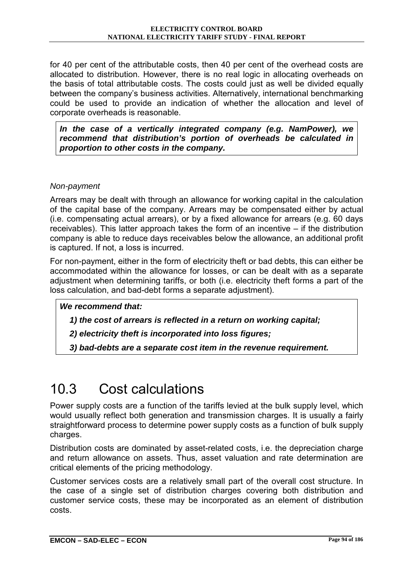for 40 per cent of the attributable costs, then 40 per cent of the overhead costs are allocated to distribution. However, there is no real logic in allocating overheads on the basis of total attributable costs. The costs could just as well be divided equally between the company's business activities. Alternatively, international benchmarking could be used to provide an indication of whether the allocation and level of corporate overheads is reasonable.

*In the case of a vertically integrated company (e.g. NamPower), we recommend that distribution's portion of overheads be calculated in proportion to other costs in the company.* 

#### *Non-payment*

Arrears may be dealt with through an allowance for working capital in the calculation of the capital base of the company. Arrears may be compensated either by actual (i.e. compensating actual arrears), or by a fixed allowance for arrears (e.g. 60 days receivables). This latter approach takes the form of an incentive  $-$  if the distribution company is able to reduce days receivables below the allowance, an additional profit is captured. If not, a loss is incurred.

For non-payment, either in the form of electricity theft or bad debts, this can either be accommodated within the allowance for losses, or can be dealt with as a separate adjustment when determining tariffs, or both (i.e. electricity theft forms a part of the loss calculation, and bad-debt forms a separate adjustment).

*We recommend that:* 

 *1) the cost of arrears is reflected in a return on working capital;* 

 *2) electricity theft is incorporated into loss figures;* 

 *3) bad-debts are a separate cost item in the revenue requirement.* 

# 10.3 Cost calculations

Power supply costs are a function of the tariffs levied at the bulk supply level, which would usually reflect both generation and transmission charges. It is usually a fairly straightforward process to determine power supply costs as a function of bulk supply charges.

Distribution costs are dominated by asset-related costs, i.e. the depreciation charge and return allowance on assets. Thus, asset valuation and rate determination are critical elements of the pricing methodology.

Customer services costs are a relatively small part of the overall cost structure. In the case of a single set of distribution charges covering both distribution and customer service costs, these may be incorporated as an element of distribution costs.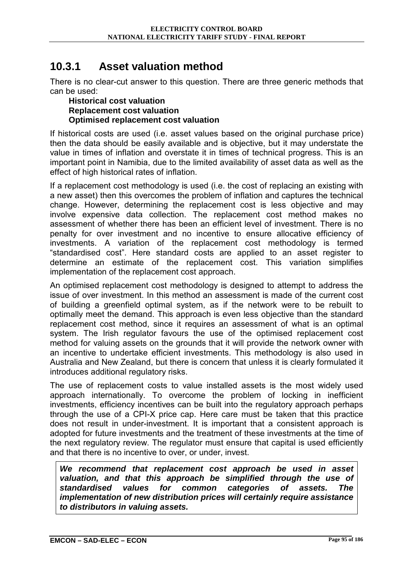### **10.3.1 Asset valuation method**

There is no clear-cut answer to this question. There are three generic methods that can be used:

#### **Historical cost valuation Replacement cost valuation Optimised replacement cost valuation**

If historical costs are used (i.e. asset values based on the original purchase price) then the data should be easily available and is objective, but it may understate the value in times of inflation and overstate it in times of technical progress. This is an important point in Namibia, due to the limited availability of asset data as well as the effect of high historical rates of inflation.

If a replacement cost methodology is used (i.e. the cost of replacing an existing with a new asset) then this overcomes the problem of inflation and captures the technical change. However, determining the replacement cost is less objective and may involve expensive data collection. The replacement cost method makes no assessment of whether there has been an efficient level of investment. There is no penalty for over investment and no incentive to ensure allocative efficiency of investments. A variation of the replacement cost methodology is termed "standardised cost". Here standard costs are applied to an asset register to determine an estimate of the replacement cost. This variation simplifies implementation of the replacement cost approach.

An optimised replacement cost methodology is designed to attempt to address the issue of over investment. In this method an assessment is made of the current cost of building a greenfield optimal system, as if the network were to be rebuilt to optimally meet the demand. This approach is even less objective than the standard replacement cost method, since it requires an assessment of what is an optimal system. The Irish regulator favours the use of the optimised replacement cost method for valuing assets on the grounds that it will provide the network owner with an incentive to undertake efficient investments. This methodology is also used in Australia and New Zealand, but there is concern that unless it is clearly formulated it introduces additional regulatory risks.

The use of replacement costs to value installed assets is the most widely used approach internationally. To overcome the problem of locking in inefficient investments, efficiency incentives can be built into the regulatory approach perhaps through the use of a CPI-X price cap. Here care must be taken that this practice does not result in under-investment. It is important that a consistent approach is adopted for future investments and the treatment of these investments at the time of the next regulatory review. The regulator must ensure that capital is used efficiently and that there is no incentive to over, or under, invest.

*We recommend that replacement cost approach be used in asset valuation, and that this approach be simplified through the use of standardised values for common categories of assets. The implementation of new distribution prices will certainly require assistance to distributors in valuing assets.*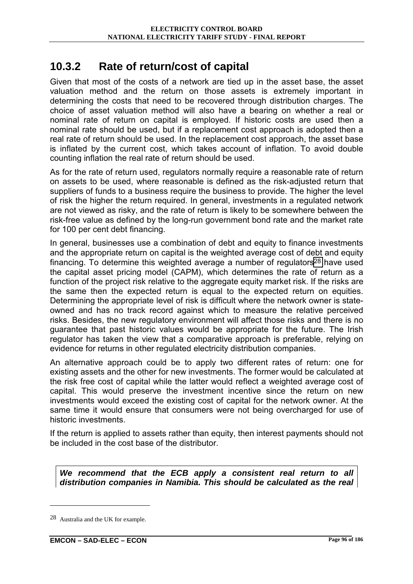### **10.3.2 Rate of return/cost of capital**

Given that most of the costs of a network are tied up in the asset base, the asset valuation method and the return on those assets is extremely important in determining the costs that need to be recovered through distribution charges. The choice of asset valuation method will also have a bearing on whether a real or nominal rate of return on capital is employed. If historic costs are used then a nominal rate should be used, but if a replacement cost approach is adopted then a real rate of return should be used. In the replacement cost approach, the asset base is inflated by the current cost, which takes account of inflation. To avoid double counting inflation the real rate of return should be used.

As for the rate of return used, regulators normally require a reasonable rate of return on assets to be used, where reasonable is defined as the risk-adjusted return that suppliers of funds to a business require the business to provide. The higher the level of risk the higher the return required. In general, investments in a regulated network are not viewed as risky, and the rate of return is likely to be somewhere between the risk-free value as defined by the long-run government bond rate and the market rate for 100 per cent debt financing.

In general, businesses use a combination of debt and equity to finance investments and the appropriate return on capital is the weighted average cost of debt and equity financing. To determine this weighted average a number of regulators<sup>28</sup> have used the capital asset pricing model (CAPM), which determines the rate of return as a function of the project risk relative to the aggregate equity market risk. If the risks are the same then the expected return is equal to the expected return on equities. Determining the appropriate level of risk is difficult where the network owner is stateowned and has no track record against which to measure the relative perceived risks. Besides, the new regulatory environment will affect those risks and there is no guarantee that past historic values would be appropriate for the future. The Irish regulator has taken the view that a comparative approach is preferable, relying on evidence for returns in other regulated electricity distribution companies.

An alternative approach could be to apply two different rates of return: one for existing assets and the other for new investments. The former would be calculated at the risk free cost of capital while the latter would reflect a weighted average cost of capital. This would preserve the investment incentive since the return on new investments would exceed the existing cost of capital for the network owner. At the same time it would ensure that consumers were not being overcharged for use of historic investments.

If the return is applied to assets rather than equity, then interest payments should not be included in the cost base of the distributor.

*We recommend that the ECB apply a consistent real return to all distribution companies in Namibia. This should be calculated as the real* 

 $\overline{a}$ 

<sup>28</sup> Australia and the UK for example.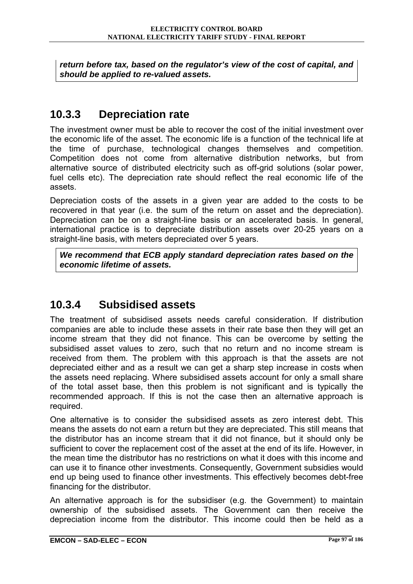*return before tax, based on the regulator's view of the cost of capital, and should be applied to re-valued assets.* 

### **10.3.3 Depreciation rate**

The investment owner must be able to recover the cost of the initial investment over the economic life of the asset. The economic life is a function of the technical life at the time of purchase, technological changes themselves and competition. Competition does not come from alternative distribution networks, but from alternative source of distributed electricity such as off-grid solutions (solar power, fuel cells etc). The depreciation rate should reflect the real economic life of the assets.

Depreciation costs of the assets in a given year are added to the costs to be recovered in that year (i.e. the sum of the return on asset and the depreciation). Depreciation can be on a straight-line basis or an accelerated basis. In general, international practice is to depreciate distribution assets over 20-25 years on a straight-line basis, with meters depreciated over 5 years.

*We recommend that ECB apply standard depreciation rates based on the economic lifetime of assets.* 

### **10.3.4 Subsidised assets**

The treatment of subsidised assets needs careful consideration. If distribution companies are able to include these assets in their rate base then they will get an income stream that they did not finance. This can be overcome by setting the subsidised asset values to zero, such that no return and no income stream is received from them. The problem with this approach is that the assets are not depreciated either and as a result we can get a sharp step increase in costs when the assets need replacing. Where subsidised assets account for only a small share of the total asset base, then this problem is not significant and is typically the recommended approach. If this is not the case then an alternative approach is required.

One alternative is to consider the subsidised assets as zero interest debt. This means the assets do not earn a return but they are depreciated. This still means that the distributor has an income stream that it did not finance, but it should only be sufficient to cover the replacement cost of the asset at the end of its life. However, in the mean time the distributor has no restrictions on what it does with this income and can use it to finance other investments. Consequently, Government subsidies would end up being used to finance other investments. This effectively becomes debt-free financing for the distributor.

An alternative approach is for the subsidiser (e.g. the Government) to maintain ownership of the subsidised assets. The Government can then receive the depreciation income from the distributor. This income could then be held as a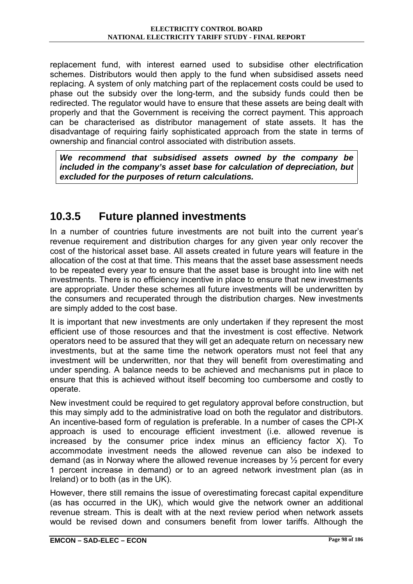replacement fund, with interest earned used to subsidise other electrification schemes. Distributors would then apply to the fund when subsidised assets need replacing. A system of only matching part of the replacement costs could be used to phase out the subsidy over the long-term, and the subsidy funds could then be redirected. The regulator would have to ensure that these assets are being dealt with properly and that the Government is receiving the correct payment. This approach can be characterised as distributor management of state assets. It has the disadvantage of requiring fairly sophisticated approach from the state in terms of ownership and financial control associated with distribution assets.

*We recommend that subsidised assets owned by the company be included in the company's asset base for calculation of depreciation, but excluded for the purposes of return calculations.* 

### **10.3.5 Future planned investments**

In a number of countries future investments are not built into the current year's revenue requirement and distribution charges for any given year only recover the cost of the historical asset base. All assets created in future years will feature in the allocation of the cost at that time. This means that the asset base assessment needs to be repeated every year to ensure that the asset base is brought into line with net investments. There is no efficiency incentive in place to ensure that new investments are appropriate. Under these schemes all future investments will be underwritten by the consumers and recuperated through the distribution charges. New investments are simply added to the cost base.

It is important that new investments are only undertaken if they represent the most efficient use of those resources and that the investment is cost effective. Network operators need to be assured that they will get an adequate return on necessary new investments, but at the same time the network operators must not feel that any investment will be underwritten, nor that they will benefit from overestimating and under spending. A balance needs to be achieved and mechanisms put in place to ensure that this is achieved without itself becoming too cumbersome and costly to operate.

New investment could be required to get regulatory approval before construction, but this may simply add to the administrative load on both the regulator and distributors. An incentive-based form of regulation is preferable. In a number of cases the CPI-X approach is used to encourage efficient investment (i.e. allowed revenue is increased by the consumer price index minus an efficiency factor X). To accommodate investment needs the allowed revenue can also be indexed to demand (as in Norway where the allowed revenue increases by ½ percent for every 1 percent increase in demand) or to an agreed network investment plan (as in Ireland) or to both (as in the UK).

However, there still remains the issue of overestimating forecast capital expenditure (as has occurred in the UK), which would give the network owner an additional revenue stream. This is dealt with at the next review period when network assets would be revised down and consumers benefit from lower tariffs. Although the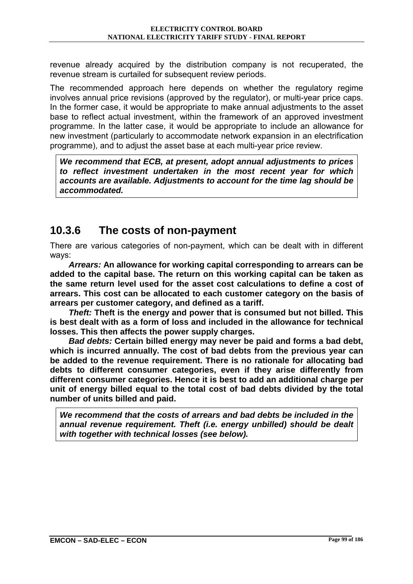revenue already acquired by the distribution company is not recuperated, the revenue stream is curtailed for subsequent review periods.

The recommended approach here depends on whether the regulatory regime involves annual price revisions (approved by the regulator), or multi-year price caps. In the former case, it would be appropriate to make annual adjustments to the asset base to reflect actual investment, within the framework of an approved investment programme. In the latter case, it would be appropriate to include an allowance for new investment (particularly to accommodate network expansion in an electrification programme), and to adjust the asset base at each multi-year price review.

*We recommend that ECB, at present, adopt annual adjustments to prices to reflect investment undertaken in the most recent year for which accounts are available. Adjustments to account for the time lag should be accommodated.* 

### **10.3.6 The costs of non-payment**

There are various categories of non-payment, which can be dealt with in different ways:

*Arrears:* **An allowance for working capital corresponding to arrears can be added to the capital base. The return on this working capital can be taken as the same return level used for the asset cost calculations to define a cost of arrears. This cost can be allocated to each customer category on the basis of arrears per customer category, and defined as a tariff.** 

*Theft:* **Theft is the energy and power that is consumed but not billed. This is best dealt with as a form of loss and included in the allowance for technical losses. This then affects the power supply charges.** 

*Bad debts:* **Certain billed energy may never be paid and forms a bad debt, which is incurred annually. The cost of bad debts from the previous year can be added to the revenue requirement. There is no rationale for allocating bad debts to different consumer categories, even if they arise differently from different consumer categories. Hence it is best to add an additional charge per unit of energy billed equal to the total cost of bad debts divided by the total number of units billed and paid.** 

*We recommend that the costs of arrears and bad debts be included in the annual revenue requirement. Theft (i.e. energy unbilled) should be dealt with together with technical losses (see below).*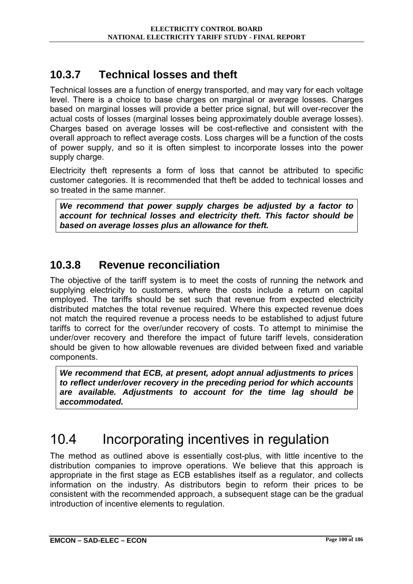### **10.3.7 Technical losses and theft**

Technical losses are a function of energy transported, and may vary for each voltage level. There is a choice to base charges on marginal or average losses. Charges based on marginal losses will provide a better price signal, but will over-recover the actual costs of losses (marginal losses being approximately double average losses). Charges based on average losses will be cost-reflective and consistent with the overall approach to reflect average costs. Loss charges will be a function of the costs of power supply, and so it is often simplest to incorporate losses into the power supply charge.

Electricity theft represents a form of loss that cannot be attributed to specific customer categories. It is recommended that theft be added to technical losses and so treated in the same manner.

*We recommend that power supply charges be adjusted by a factor to account for technical losses and electricity theft. This factor should be based on average losses plus an allowance for theft.* 

### **10.3.8 Revenue reconciliation**

The objective of the tariff system is to meet the costs of running the network and supplying electricity to customers, where the costs include a return on capital employed. The tariffs should be set such that revenue from expected electricity distributed matches the total revenue required. Where this expected revenue does not match the required revenue a process needs to be established to adjust future tariffs to correct for the over/under recovery of costs. To attempt to minimise the under/over recovery and therefore the impact of future tariff levels, consideration should be given to how allowable revenues are divided between fixed and variable components.

*We recommend that ECB, at present, adopt annual adjustments to prices to reflect under/over recovery in the preceding period for which accounts are available. Adjustments to account for the time lag should be accommodated.* 

# 10.4 Incorporating incentives in regulation

The method as outlined above is essentially cost-plus, with little incentive to the distribution companies to improve operations. We believe that this approach is appropriate in the first stage as ECB establishes itself as a regulator, and collects information on the industry. As distributors begin to reform their prices to be consistent with the recommended approach, a subsequent stage can be the gradual introduction of incentive elements to regulation.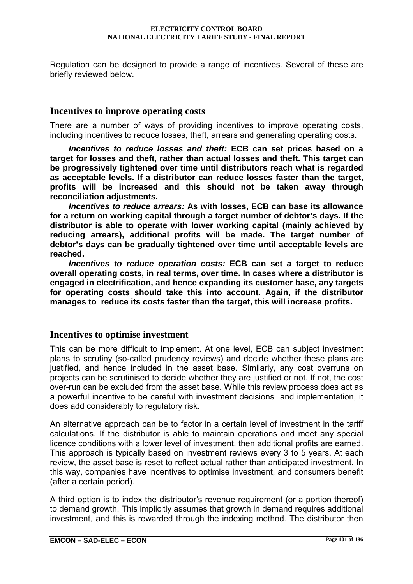Regulation can be designed to provide a range of incentives. Several of these are briefly reviewed below.

#### **Incentives to improve operating costs**

There are a number of ways of providing incentives to improve operating costs, including incentives to reduce losses, theft, arrears and generating operating costs.

*Incentives to reduce losses and theft:* **ECB can set prices based on a target for losses and theft, rather than actual losses and theft. This target can be progressively tightened over time until distributors reach what is regarded as acceptable levels. If a distributor can reduce losses faster than the target, profits will be increased and this should not be taken away through reconciliation adjustments.** 

*Incentives to reduce arrears:* **As with losses, ECB can base its allowance for a return on working capital through a target number of debtor's days. If the distributor is able to operate with lower working capital (mainly achieved by reducing arrears), additional profits will be made. The target number of debtor's days can be gradually tightened over time until acceptable levels are reached.** 

*Incentives to reduce operation costs:* **ECB can set a target to reduce overall operating costs, in real terms, over time. In cases where a distributor is engaged in electrification, and hence expanding its customer base, any targets for operating costs should take this into account. Again, if the distributor manages to reduce its costs faster than the target, this will increase profits.** 

#### **Incentives to optimise investment**

This can be more difficult to implement. At one level, ECB can subject investment plans to scrutiny (so-called prudency reviews) and decide whether these plans are justified, and hence included in the asset base. Similarly, any cost overruns on projects can be scrutinised to decide whether they are justified or not. If not, the cost over-run can be excluded from the asset base. While this review process does act as a powerful incentive to be careful with investment decisions and implementation, it does add considerably to regulatory risk.

An alternative approach can be to factor in a certain level of investment in the tariff calculations. If the distributor is able to maintain operations and meet any special licence conditions with a lower level of investment, then additional profits are earned. This approach is typically based on investment reviews every 3 to 5 years. At each review, the asset base is reset to reflect actual rather than anticipated investment. In this way, companies have incentives to optimise investment, and consumers benefit (after a certain period).

A third option is to index the distributor's revenue requirement (or a portion thereof) to demand growth. This implicitly assumes that growth in demand requires additional investment, and this is rewarded through the indexing method. The distributor then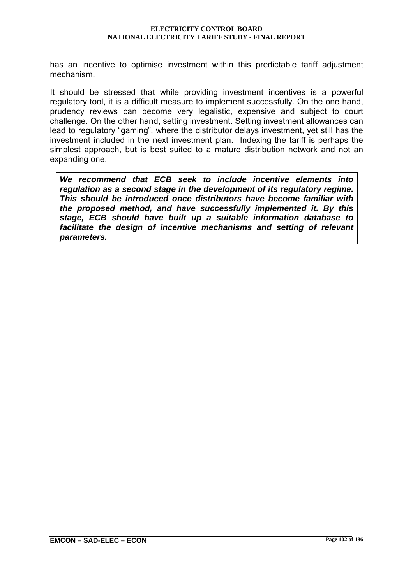has an incentive to optimise investment within this predictable tariff adjustment mechanism.

It should be stressed that while providing investment incentives is a powerful regulatory tool, it is a difficult measure to implement successfully. On the one hand, prudency reviews can become very legalistic, expensive and subject to court challenge. On the other hand, setting investment. Setting investment allowances can lead to regulatory "gaming", where the distributor delays investment, yet still has the investment included in the next investment plan. Indexing the tariff is perhaps the simplest approach, but is best suited to a mature distribution network and not an expanding one.

*We recommend that ECB seek to include incentive elements into regulation as a second stage in the development of its regulatory regime. This should be introduced once distributors have become familiar with the proposed method, and have successfully implemented it. By this stage, ECB should have built up a suitable information database to facilitate the design of incentive mechanisms and setting of relevant parameters.*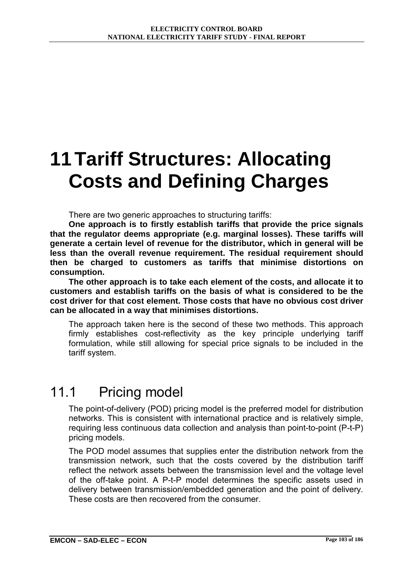# **11 Tariff Structures: Allocating Costs and Defining Charges**

There are two generic approaches to structuring tariffs:

**One approach is to firstly establish tariffs that provide the price signals that the regulator deems appropriate (e.g. marginal losses). These tariffs will generate a certain level of revenue for the distributor, which in general will be less than the overall revenue requirement. The residual requirement should then be charged to customers as tariffs that minimise distortions on consumption.** 

**The other approach is to take each element of the costs, and allocate it to customers and establish tariffs on the basis of what is considered to be the cost driver for that cost element. Those costs that have no obvious cost driver can be allocated in a way that minimises distortions.** 

The approach taken here is the second of these two methods. This approach firmly establishes cost-reflectivity as the key principle underlying tariff formulation, while still allowing for special price signals to be included in the tariff system.

### 11.1 Pricing model

The point-of-delivery (POD) pricing model is the preferred model for distribution networks. This is consistent with international practice and is relatively simple, requiring less continuous data collection and analysis than point-to-point (P-t-P) pricing models.

The POD model assumes that supplies enter the distribution network from the transmission network, such that the costs covered by the distribution tariff reflect the network assets between the transmission level and the voltage level of the off-take point. A P-t-P model determines the specific assets used in delivery between transmission/embedded generation and the point of delivery. These costs are then recovered from the consumer.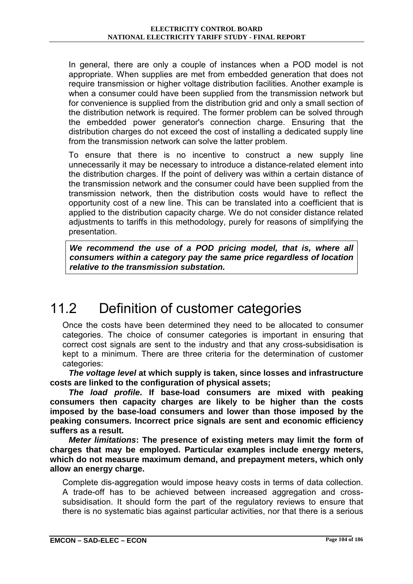In general, there are only a couple of instances when a POD model is not appropriate. When supplies are met from embedded generation that does not require transmission or higher voltage distribution facilities. Another example is when a consumer could have been supplied from the transmission network but for convenience is supplied from the distribution grid and only a small section of the distribution network is required. The former problem can be solved through the embedded power generator's connection charge. Ensuring that the distribution charges do not exceed the cost of installing a dedicated supply line from the transmission network can solve the latter problem.

To ensure that there is no incentive to construct a new supply line unnecessarily it may be necessary to introduce a distance-related element into the distribution charges. If the point of delivery was within a certain distance of the transmission network and the consumer could have been supplied from the transmission network, then the distribution costs would have to reflect the opportunity cost of a new line. This can be translated into a coefficient that is applied to the distribution capacity charge. We do not consider distance related adjustments to tariffs in this methodology, purely for reasons of simplifying the presentation.

*We recommend the use of a POD pricing model, that is, where all consumers within a category pay the same price regardless of location relative to the transmission substation.* 

# 11.2 Definition of customer categories

Once the costs have been determined they need to be allocated to consumer categories. The choice of consumer categories is important in ensuring that correct cost signals are sent to the industry and that any cross-subsidisation is kept to a minimum. There are three criteria for the determination of customer categories:

*The voltage level* **at which supply is taken, since losses and infrastructure costs are linked to the configuration of physical assets;** 

*The load profile***. If base-load consumers are mixed with peaking consumers then capacity charges are likely to be higher than the costs imposed by the base-load consumers and lower than those imposed by the peaking consumers. Incorrect price signals are sent and economic efficiency suffers as a result.** 

*Meter limitations***: The presence of existing meters may limit the form of charges that may be employed. Particular examples include energy meters, which do not measure maximum demand, and prepayment meters, which only allow an energy charge.** 

Complete dis-aggregation would impose heavy costs in terms of data collection. A trade-off has to be achieved between increased aggregation and crosssubsidisation. It should form the part of the regulatory reviews to ensure that there is no systematic bias against particular activities, nor that there is a serious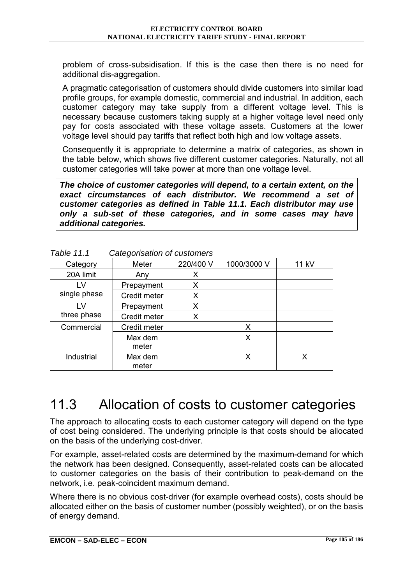problem of cross-subsidisation. If this is the case then there is no need for additional dis-aggregation.

A pragmatic categorisation of customers should divide customers into similar load profile groups, for example domestic, commercial and industrial. In addition, each customer category may take supply from a different voltage level. This is necessary because customers taking supply at a higher voltage level need only pay for costs associated with these voltage assets. Customers at the lower voltage level should pay tariffs that reflect both high and low voltage assets.

Consequently it is appropriate to determine a matrix of categories, as shown in the table below, which shows five different customer categories. Naturally, not all customer categories will take power at more than one voltage level.

*The choice of customer categories will depend, to a certain extent, on the exact circumstances of each distributor. We recommend a set of customer categories as defined in Table 11.1. Each distributor may use only a sub-set of these categories, and in some cases may have additional categories.* 

|              | ັ                |           |             |       |
|--------------|------------------|-----------|-------------|-------|
| Category     | Meter            | 220/400 V | 1000/3000 V | 11 kV |
| 20A limit    | Any              | Χ         |             |       |
| LV           | Prepayment       | X         |             |       |
| single phase | Credit meter     | X         |             |       |
| ١V           | Prepayment       | Χ         |             |       |
| three phase  | Credit meter     | X         |             |       |
| Commercial   | Credit meter     |           | X           |       |
|              | Max dem<br>meter |           | Х           |       |
| Industrial   | Max dem<br>meter |           | Χ           |       |

*Table 11.1 Categorisation of customers* 

# 11.3 Allocation of costs to customer categories

The approach to allocating costs to each customer category will depend on the type of cost being considered. The underlying principle is that costs should be allocated on the basis of the underlying cost-driver.

For example, asset-related costs are determined by the maximum-demand for which the network has been designed. Consequently, asset-related costs can be allocated to customer categories on the basis of their contribution to peak-demand on the network, i.e. peak-coincident maximum demand.

Where there is no obvious cost-driver (for example overhead costs), costs should be allocated either on the basis of customer number (possibly weighted), or on the basis of energy demand.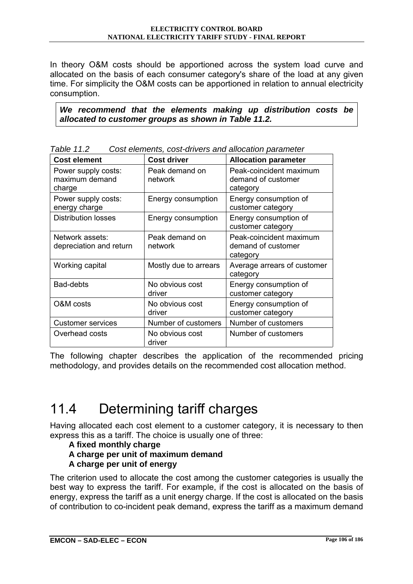In theory O&M costs should be apportioned across the system load curve and allocated on the basis of each consumer category's share of the load at any given time. For simplicity the O&M costs can be apportioned in relation to annual electricity consumption.

*We recommend that the elements making up distribution costs be allocated to customer groups as shown in Table 11.2.* 

| <b>Cost element</b>                             | <b>Cost driver</b>        | <b>Allocation parameter</b>                               |
|-------------------------------------------------|---------------------------|-----------------------------------------------------------|
| Power supply costs:<br>maximum demand<br>charge | Peak demand on<br>network | Peak-coincident maximum<br>demand of customer<br>category |
| Power supply costs:<br>energy charge            | Energy consumption        | Energy consumption of<br>customer category                |
| <b>Distribution losses</b>                      | Energy consumption        | Energy consumption of<br>customer category                |
| Network assets:<br>depreciation and return      | Peak demand on<br>network | Peak-coincident maximum<br>demand of customer<br>category |
| Working capital                                 | Mostly due to arrears     | Average arrears of customer<br>category                   |
| <b>Bad-debts</b>                                | No obvious cost<br>driver | Energy consumption of<br>customer category                |
| O&M costs                                       | No obvious cost<br>driver | Energy consumption of<br>customer category                |
| <b>Customer services</b>                        | Number of customers       | Number of customers                                       |
| Overhead costs                                  | No obvious cost<br>driver | Number of customers                                       |

*Table 11.2 Cost elements, cost-drivers and allocation parameter* 

The following chapter describes the application of the recommended pricing methodology, and provides details on the recommended cost allocation method.

# 11.4 Determining tariff charges

Having allocated each cost element to a customer category, it is necessary to then express this as a tariff. The choice is usually one of three:

#### **A fixed monthly charge A charge per unit of maximum demand A charge per unit of energy**

The criterion used to allocate the cost among the customer categories is usually the best way to express the tariff. For example, if the cost is allocated on the basis of energy, express the tariff as a unit energy charge. If the cost is allocated on the basis of contribution to co-incident peak demand, express the tariff as a maximum demand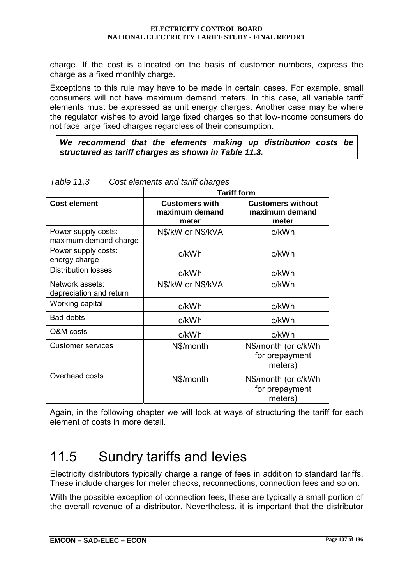charge. If the cost is allocated on the basis of customer numbers, express the charge as a fixed monthly charge.

Exceptions to this rule may have to be made in certain cases. For example, small consumers will not have maximum demand meters. In this case, all variable tariff elements must be expressed as unit energy charges. Another case may be where the regulator wishes to avoid large fixed charges so that low-income consumers do not face large fixed charges regardless of their consumption.

*We recommend that the elements making up distribution costs be structured as tariff charges as shown in Table 11.3.* 

|                                              | <b>Tariff form</b>                               |                                                     |  |
|----------------------------------------------|--------------------------------------------------|-----------------------------------------------------|--|
| <b>Cost element</b>                          | <b>Customers with</b><br>maximum demand<br>meter | <b>Customers without</b><br>maximum demand<br>meter |  |
| Power supply costs:<br>maximum demand charge | N\$/kW or N\$/kVA                                | c/kWh                                               |  |
| Power supply costs:<br>energy charge         | c/kWh                                            | c/kWh                                               |  |
| <b>Distribution losses</b>                   | c/kWh                                            | c/kWh                                               |  |
| Network assets:<br>depreciation and return   | N\$/kW or N\$/kVA                                | c/kWh                                               |  |
| Working capital                              | c/kWh                                            | c/kWh                                               |  |
| Bad-debts                                    | c/kWh                                            | c/kWh                                               |  |
| O&M costs                                    | c/kWh                                            | c/kWh                                               |  |
| <b>Customer services</b>                     | N\$/month                                        | N\$/month (or c/kWh<br>for prepayment<br>meters)    |  |
| Overhead costs                               | N\$/month                                        | N\$/month (or c/kWh<br>for prepayment<br>meters)    |  |

*Table 11.3 Cost elements and tariff charges* 

Again, in the following chapter we will look at ways of structuring the tariff for each element of costs in more detail.

# 11.5 Sundry tariffs and levies

Electricity distributors typically charge a range of fees in addition to standard tariffs. These include charges for meter checks, reconnections, connection fees and so on.

With the possible exception of connection fees, these are typically a small portion of the overall revenue of a distributor. Nevertheless, it is important that the distributor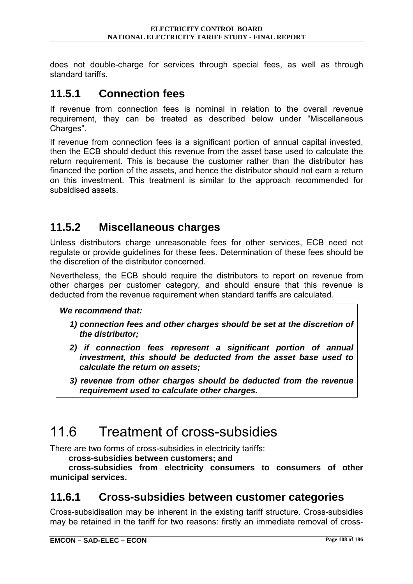does not double-charge for services through special fees, as well as through standard tariffs.

### **11.5.1 Connection fees**

If revenue from connection fees is nominal in relation to the overall revenue requirement, they can be treated as described below under "Miscellaneous" Charges<sup>"</sup>.

If revenue from connection fees is a significant portion of annual capital invested, then the ECB should deduct this revenue from the asset base used to calculate the return requirement. This is because the customer rather than the distributor has financed the portion of the assets, and hence the distributor should not earn a return on this investment. This treatment is similar to the approach recommended for subsidised assets.

### **11.5.2 Miscellaneous charges**

Unless distributors charge unreasonable fees for other services, ECB need not regulate or provide guidelines for these fees. Determination of these fees should be the discretion of the distributor concerned.

Nevertheless, the ECB should require the distributors to report on revenue from other charges per customer category, and should ensure that this revenue is deducted from the revenue requirement when standard tariffs are calculated.

#### *We recommend that:*

- *1) connection fees and other charges should be set at the discretion of the distributor;*
- *2) if connection fees represent a significant portion of annual investment, this should be deducted from the asset base used to calculate the return on assets;*
- *3) revenue from other charges should be deducted from the revenue requirement used to calculate other charges.*

# 11.6 Treatment of cross-subsidies

There are two forms of cross-subsidies in electricity tariffs:

**cross-subsidies between customers; and** 

**cross-subsidies from electricity consumers to consumers of other municipal services.** 

### **11.6.1 Cross-subsidies between customer categories**

Cross-subsidisation may be inherent in the existing tariff structure. Cross-subsidies may be retained in the tariff for two reasons: firstly an immediate removal of cross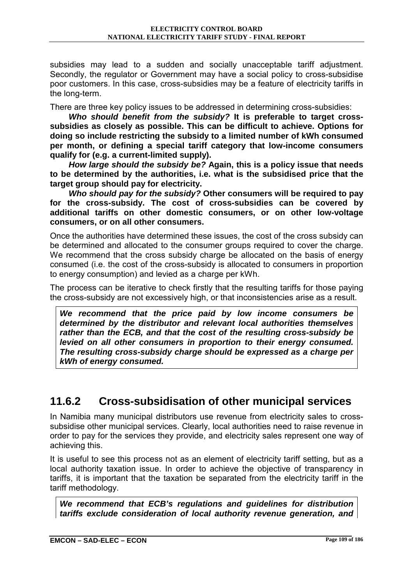subsidies may lead to a sudden and socially unacceptable tariff adjustment. Secondly, the regulator or Government may have a social policy to cross-subsidise poor customers. In this case, cross-subsidies may be a feature of electricity tariffs in the long-term.

There are three key policy issues to be addressed in determining cross-subsidies:

*Who should benefit from the subsidy?* **It is preferable to target crosssubsidies as closely as possible. This can be difficult to achieve. Options for doing so include restricting the subsidy to a limited number of kWh consumed per month, or defining a special tariff category that low-income consumers qualify for (e.g. a current-limited supply).** 

*How large should the subsidy be?* **Again, this is a policy issue that needs to be determined by the authorities, i.e. what is the subsidised price that the target group should pay for electricity.** 

*Who should pay for the subsidy?* **Other consumers will be required to pay for the cross-subsidy. The cost of cross-subsidies can be covered by additional tariffs on other domestic consumers, or on other low-voltage consumers, or on all other consumers.** 

Once the authorities have determined these issues, the cost of the cross subsidy can be determined and allocated to the consumer groups required to cover the charge. We recommend that the cross subsidy charge be allocated on the basis of energy consumed (i.e. the cost of the cross-subsidy is allocated to consumers in proportion to energy consumption) and levied as a charge per kWh.

The process can be iterative to check firstly that the resulting tariffs for those paying the cross-subsidy are not excessively high, or that inconsistencies arise as a result.

*We recommend that the price paid by low income consumers be determined by the distributor and relevant local authorities themselves rather than the ECB, and that the cost of the resulting cross-subsidy be levied on all other consumers in proportion to their energy consumed. The resulting cross-subsidy charge should be expressed as a charge per kWh of energy consumed.* 

### **11.6.2 Cross-subsidisation of other municipal services**

In Namibia many municipal distributors use revenue from electricity sales to crosssubsidise other municipal services. Clearly, local authorities need to raise revenue in order to pay for the services they provide, and electricity sales represent one way of achieving this.

It is useful to see this process not as an element of electricity tariff setting, but as a local authority taxation issue. In order to achieve the objective of transparency in tariffs, it is important that the taxation be separated from the electricity tariff in the tariff methodology.

*We recommend that ECB's regulations and guidelines for distribution tariffs exclude consideration of local authority revenue generation, and*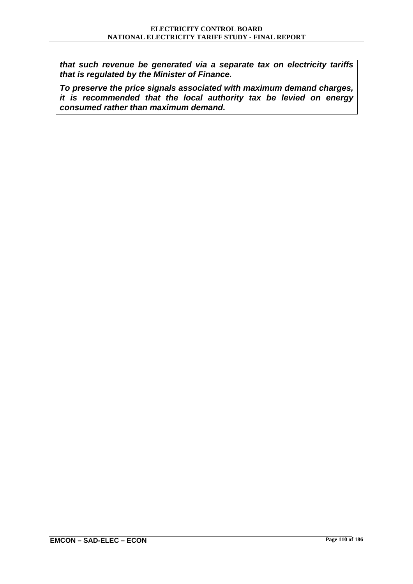*that such revenue be generated via a separate tax on electricity tariffs that is regulated by the Minister of Finance.* 

*To preserve the price signals associated with maximum demand charges, it is recommended that the local authority tax be levied on energy consumed rather than maximum demand.*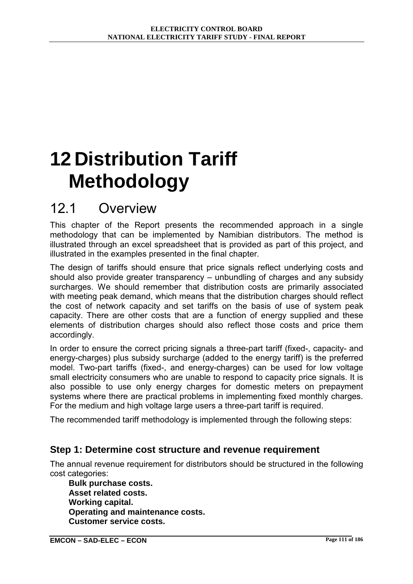# **12 Distribution Tariff Methodology**

### 12.1 Overview

This chapter of the Report presents the recommended approach in a single methodology that can be implemented by Namibian distributors. The method is illustrated through an excel spreadsheet that is provided as part of this project, and illustrated in the examples presented in the final chapter.

The design of tariffs should ensure that price signals reflect underlying costs and should also provide greater transparency  $-$  unbundling of charges and any subsidy surcharges. We should remember that distribution costs are primarily associated with meeting peak demand, which means that the distribution charges should reflect the cost of network capacity and set tariffs on the basis of use of system peak capacity. There are other costs that are a function of energy supplied and these elements of distribution charges should also reflect those costs and price them accordingly.

In order to ensure the correct pricing signals a three-part tariff (fixed-, capacity- and energy-charges) plus subsidy surcharge (added to the energy tariff) is the preferred model. Two-part tariffs (fixed-, and energy-charges) can be used for low voltage small electricity consumers who are unable to respond to capacity price signals. It is also possible to use only energy charges for domestic meters on prepayment systems where there are practical problems in implementing fixed monthly charges. For the medium and high voltage large users a three-part tariff is required.

The recommended tariff methodology is implemented through the following steps:

#### **Step 1: Determine cost structure and revenue requirement**

The annual revenue requirement for distributors should be structured in the following cost categories:

**Bulk purchase costs. Asset related costs. Working capital. Operating and maintenance costs. Customer service costs.**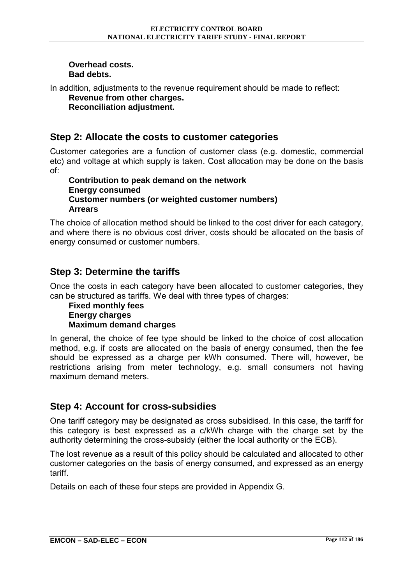#### **Overhead costs. Bad debts.**

In addition, adjustments to the revenue requirement should be made to reflect: **Revenue from other charges.** 

**Reconciliation adjustment.** 

### **Step 2: Allocate the costs to customer categories**

Customer categories are a function of customer class (e.g. domestic, commercial etc) and voltage at which supply is taken. Cost allocation may be done on the basis of:

#### **Contribution to peak demand on the network Energy consumed Customer numbers (or weighted customer numbers) Arrears**

The choice of allocation method should be linked to the cost driver for each category, and where there is no obvious cost driver, costs should be allocated on the basis of energy consumed or customer numbers.

### **Step 3: Determine the tariffs**

Once the costs in each category have been allocated to customer categories, they can be structured as tariffs. We deal with three types of charges:

#### **Fixed monthly fees Energy charges Maximum demand charges**

In general, the choice of fee type should be linked to the choice of cost allocation method, e.g. if costs are allocated on the basis of energy consumed, then the fee should be expressed as a charge per kWh consumed. There will, however, be restrictions arising from meter technology, e.g. small consumers not having maximum demand meters.

#### **Step 4: Account for cross-subsidies**

One tariff category may be designated as cross subsidised. In this case, the tariff for this category is best expressed as a c/kWh charge with the charge set by the authority determining the cross-subsidy (either the local authority or the ECB).

The lost revenue as a result of this policy should be calculated and allocated to other customer categories on the basis of energy consumed, and expressed as an energy tariff.

Details on each of these four steps are provided in Appendix G.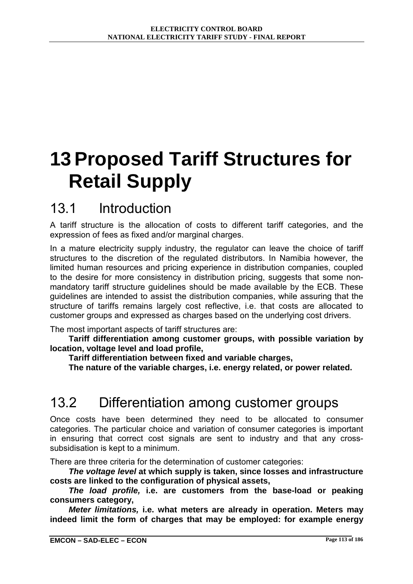# **13 Proposed Tariff Structures for Retail Supply**

## 13.1 Introduction

A tariff structure is the allocation of costs to different tariff categories, and the expression of fees as fixed and/or marginal charges.

In a mature electricity supply industry, the regulator can leave the choice of tariff structures to the discretion of the regulated distributors. In Namibia however, the limited human resources and pricing experience in distribution companies, coupled to the desire for more consistency in distribution pricing, suggests that some nonmandatory tariff structure guidelines should be made available by the ECB. These guidelines are intended to assist the distribution companies, while assuring that the structure of tariffs remains largely cost reflective, i.e. that costs are allocated to customer groups and expressed as charges based on the underlying cost drivers.

The most important aspects of tariff structures are:

**Tariff differentiation among customer groups, with possible variation by location, voltage level and load profile,** 

**Tariff differentiation between fixed and variable charges,** 

**The nature of the variable charges, i.e. energy related, or power related.** 

# 13.2 Differentiation among customer groups

Once costs have been determined they need to be allocated to consumer categories. The particular choice and variation of consumer categories is important in ensuring that correct cost signals are sent to industry and that any crosssubsidisation is kept to a minimum.

There are three criteria for the determination of customer categories:

*The voltage level* **at which supply is taken, since losses and infrastructure costs are linked to the configuration of physical assets,** 

*The load profile,* **i.e. are customers from the base-load or peaking consumers category,** 

*Meter limitations,* **i.e. what meters are already in operation. Meters may indeed limit the form of charges that may be employed: for example energy**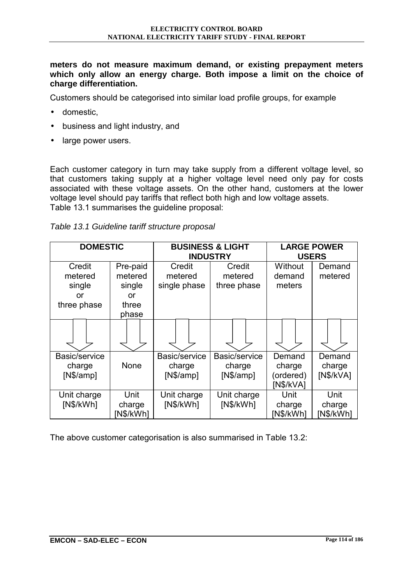**meters do not measure maximum demand, or existing prepayment meters which only allow an energy charge. Both impose a limit on the choice of charge differentiation.** 

Customers should be categorised into similar load profile groups, for example

- domestic,
- business and light industry, and
- large power users.

Each customer category in turn may take supply from a different voltage level, so that customers taking supply at a higher voltage level need only pay for costs associated with these voltage assets. On the other hand, customers at the lower voltage level should pay tariffs that reflect both high and low voltage assets. Table 13.1 summarises the guideline proposal:

| Table 13.1 Guideline tariff structure proposal |  |
|------------------------------------------------|--|
|------------------------------------------------|--|

| <b>DOMESTIC</b>                                  |                                                       |                                      | <b>BUSINESS &amp; LIGHT</b><br><b>INDUSTRY</b> | <b>LARGE POWER</b><br><b>USERS</b>         |                               |
|--------------------------------------------------|-------------------------------------------------------|--------------------------------------|------------------------------------------------|--------------------------------------------|-------------------------------|
| Credit<br>metered<br>single<br>or<br>three phase | Pre-paid<br>metered<br>single<br>or<br>three<br>phase | Credit<br>metered<br>single phase    | Credit<br>metered<br>three phase               | Without<br>demand<br>meters                | Demand<br>metered             |
|                                                  |                                                       |                                      |                                                |                                            |                               |
| Basic/service<br>charge<br>[N\$/amp]             | None                                                  | Basic/service<br>charge<br>[N\$/amp] | Basic/service<br>charge<br>[N\$/amp]           | Demand<br>charge<br>(ordered)<br>[N\$/kVA] | Demand<br>charge<br>[N\$/kVA] |
| Unit charge<br>[N\$/kWh]                         | Unit<br>charge<br>[N\$/kWh]                           | Unit charge<br>[N\$/kWh]             | Unit charge<br>[N\$/kWh]                       | Unit<br>charge<br>[N\$/kWh]                | Unit<br>charge<br>[N\$/kWh]   |

The above customer categorisation is also summarised in Table 13.2: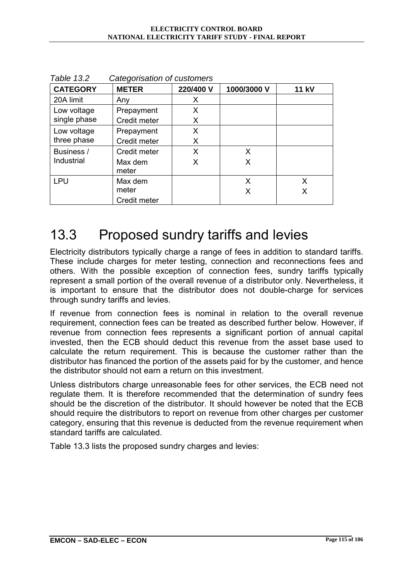| <b>CATEGORY</b> | <b>METER</b>     | 220/400 V | 1000/3000 V | <b>11 kV</b> |
|-----------------|------------------|-----------|-------------|--------------|
| 20A limit       | Any              | X         |             |              |
| Low voltage     | Prepayment       | X         |             |              |
| single phase    | Credit meter     | X         |             |              |
| Low voltage     | Prepayment       | X         |             |              |
| three phase     | Credit meter     | X         |             |              |
| Business /      | Credit meter     | X         | X           |              |
| Industrial      | Max dem<br>meter | X         | X           |              |
| <b>LPU</b>      | Max dem          |           | X           | X            |
|                 | meter            |           | Χ           | X            |
|                 | Credit meter     |           |             |              |

*Table 13.2 Categorisation of customers* 

## 13.3 Proposed sundry tariffs and levies

Electricity distributors typically charge a range of fees in addition to standard tariffs. These include charges for meter testing, connection and reconnections fees and others. With the possible exception of connection fees, sundry tariffs typically represent a small portion of the overall revenue of a distributor only. Nevertheless, it is important to ensure that the distributor does not double-charge for services through sundry tariffs and levies.

If revenue from connection fees is nominal in relation to the overall revenue requirement, connection fees can be treated as described further below. However, if revenue from connection fees represents a significant portion of annual capital invested, then the ECB should deduct this revenue from the asset base used to calculate the return requirement. This is because the customer rather than the distributor has financed the portion of the assets paid for by the customer, and hence the distributor should not earn a return on this investment.

Unless distributors charge unreasonable fees for other services, the ECB need not regulate them. It is therefore recommended that the determination of sundry fees should be the discretion of the distributor. It should however be noted that the ECB should require the distributors to report on revenue from other charges per customer category, ensuring that this revenue is deducted from the revenue requirement when standard tariffs are calculated.

Table 13.3 lists the proposed sundry charges and levies: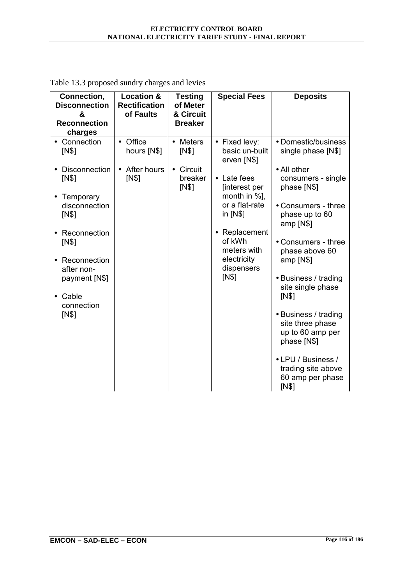| Connection,<br><b>Disconnection</b><br>&<br><b>Reconnection</b><br>charges                                                                                                                                      | <b>Location &amp;</b><br><b>Rectification</b><br>of Faults   | <b>Testing</b><br>of Meter<br>& Circuit<br><b>Breaker</b>    | <b>Special Fees</b>                                                                                                                                                                                        | <b>Deposits</b>                                                                                                                                                                                                                                                                                                                                                                                                       |
|-----------------------------------------------------------------------------------------------------------------------------------------------------------------------------------------------------------------|--------------------------------------------------------------|--------------------------------------------------------------|------------------------------------------------------------------------------------------------------------------------------------------------------------------------------------------------------------|-----------------------------------------------------------------------------------------------------------------------------------------------------------------------------------------------------------------------------------------------------------------------------------------------------------------------------------------------------------------------------------------------------------------------|
| • Connection<br>IN\$<br><b>Disconnection</b><br>[N\$]<br>Temporary<br>disconnection<br>IN\$<br>Reconnection<br>[N\$]<br>Reconnection<br>after non-<br>payment [N\$]<br>Cable<br>$\bullet$<br>connection<br>IN\$ | • Office<br>hours [N\$]<br>After hours<br>$\bullet$<br>[N\$] | • Meters<br>IN\$<br>Circuit<br>$\bullet$<br>breaker<br>[N\$] | • Fixed levy:<br>basic un-built<br>erven [N\$]<br>• Late fees<br>[interest per<br>month in %],<br>or a flat-rate<br>in [N\$]<br>Replacement<br>of kWh<br>meters with<br>electricity<br>dispensers<br>[N\$] | • Domestic/business<br>single phase [N\$]<br>• All other<br>consumers - single<br>phase [N\$]<br>• Consumers - three<br>phase up to 60<br>amp [N\$]<br>• Consumers - three<br>phase above 60<br>amp [N\$]<br>• Business / trading<br>site single phase<br>IN\$<br>• Business / trading<br>site three phase<br>up to 60 amp per<br>phase [N\$]<br>• LPU / Business /<br>trading site above<br>60 amp per phase<br>IN\$ |

Table 13.3 proposed sundry charges and levies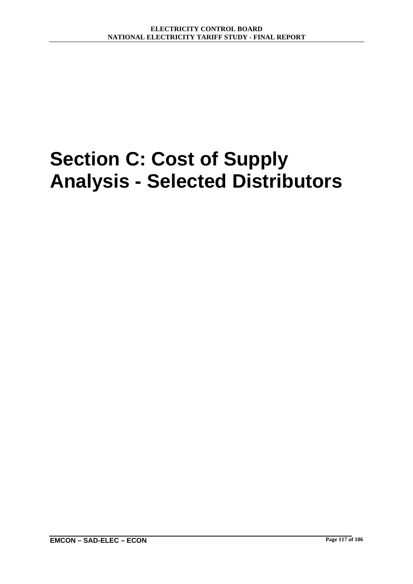# **Section C: Cost of Supply Analysis - Selected Distributors**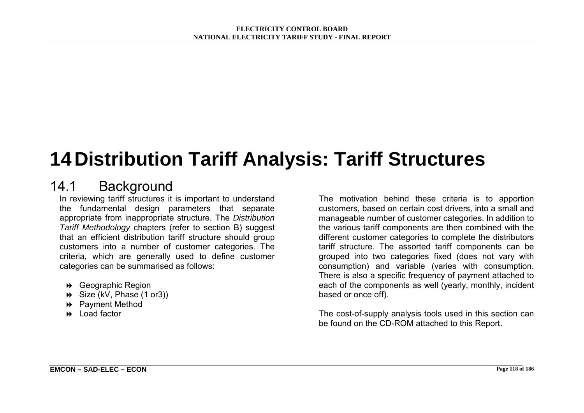# **14 Distribution Tariff Analysis: Tariff Structures**

### 14.1 Background

In reviewing tariff structures it is important to understand the fundamental design parameters that separate appropriate from inappropriate structure. The *Distribution Tariff Methodology* chapters (refer to section B) suggest that an efficient distribution tariff structure should group customers into a number of customer categories. The criteria, which are generally used to define customer categories can be summarised as follows:

- ! Geographic Region
- ! Size (kV, Phase (1 or3))
- ! Payment Method
- **B** Load factor

The motivation behind these criteria is to apportion customers, based on certain cost drivers, into a small and manageable number of customer categories. In addition to the various tariff components are then combined with the different customer categories to complete the distributors tariff structure. The assorted tariff components can be grouped into two categories fixed (does not vary with consumption) and variable (varies with consumption. There is also a specific frequency of payment attached to each of the components as well (yearly, monthly, incident based or once off).

The cost-of-supply analysis tools used in this section can be found on the CD-ROM attached to this Report.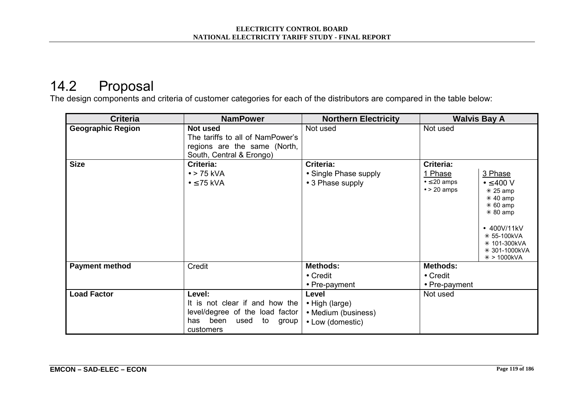# 14.2 Proposal

The design components and criteria of customer categories for each of the distributors are compared in the table below:

| <b>Criteria</b>          | <b>NamPower</b>                                                                                                             | <b>Northern Electricity</b>                                        | <b>Walvis Bay A</b>                                                                                                                                                                                                                            |
|--------------------------|-----------------------------------------------------------------------------------------------------------------------------|--------------------------------------------------------------------|------------------------------------------------------------------------------------------------------------------------------------------------------------------------------------------------------------------------------------------------|
| <b>Geographic Region</b> | Not used<br>The tariffs to all of NamPower's<br>regions are the same (North,<br>South, Central & Erongo)                    | Not used                                                           | Not used                                                                                                                                                                                                                                       |
| <b>Size</b>              | Criteria:<br>$\bullet$ > 75 kVA<br>$\bullet \leq 75$ kVA                                                                    | Criteria:<br>• Single Phase supply<br>• 3 Phase supply             | Criteria:<br>1 Phase<br>3 Phase<br>$\bullet \leq 20$ amps<br>$\bullet \leq 400$ V<br>$\bullet$ > 20 amps<br>$*$ 25 amp<br>$*$ 40 amp<br>$*60$ amp<br>$*80$ amp<br>• 400V/11kV<br>* 55-100kVA<br>* 101-300kVA<br>* 301-1000kVA<br>$* > 1000kVA$ |
| <b>Payment method</b>    | Credit                                                                                                                      | <b>Methods:</b><br>$\bullet$ Credit<br>• Pre-payment               | Methods:<br>$\bullet$ Credit<br>• Pre-payment                                                                                                                                                                                                  |
| <b>Load Factor</b>       | Level:<br>It is not clear if and how the<br>level/degree of the load factor<br>has been<br>used<br>to<br>group<br>customers | Level<br>• High (large)<br>• Medium (business)<br>• Low (domestic) | Not used                                                                                                                                                                                                                                       |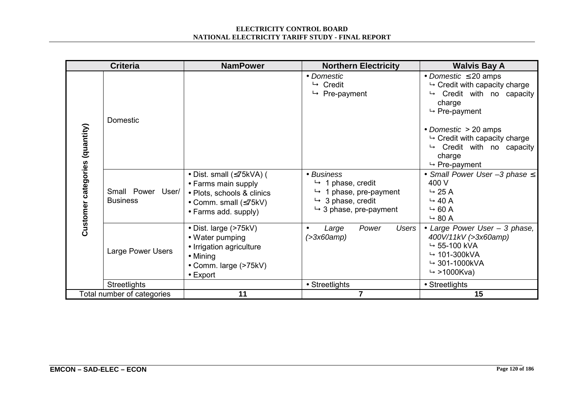#### **ELECTRICITY CONTROL BOARD NATIONAL ELECTRICITY TARIFF STUDY - FINAL REPORT**

|                                | <b>Criteria</b>                      | <b>NamPower</b>                                                                                                                            | <b>Northern Electricity</b>                                                                                                                     | <b>Walvis Bay A</b>                                                                                                                                                                                                                                                                     |
|--------------------------------|--------------------------------------|--------------------------------------------------------------------------------------------------------------------------------------------|-------------------------------------------------------------------------------------------------------------------------------------------------|-----------------------------------------------------------------------------------------------------------------------------------------------------------------------------------------------------------------------------------------------------------------------------------------|
|                                | Domestic                             |                                                                                                                                            | • Domestic<br>$ightharpoonup$ Credit<br>$ightharpoonup$ Pre-payment                                                                             | • Domestic $\leq 20$ amps<br>$\mapsto$ Credit with capacity charge<br>Credit with no capacity<br>charge<br>$ightharpoonup$ Pre-payment<br>• Domestic $> 20$ amps<br>$\mapsto$ Credit with capacity charge<br>$\mapsto$ Credit with no capacity<br>charge<br>$ightharpoonup$ Pre-payment |
| Customer categories (quantity) | Small Power User/<br><b>Business</b> | • Dist. small $(\leq 75kVA)$ (<br>• Farms main supply<br>• Plots, schools & clinics<br>• Comm. small $(\leq 75kV)$<br>• Farms add. supply) | • Business<br>$\rightarrow$ 1 phase, credit<br>1 phase, pre-payment<br>↳<br>$\rightarrow$ 3 phase, credit<br>$\rightarrow$ 3 phase, pre-payment | • Small Power User $-3$ phase $\leq$<br>400 V<br>$\rightarrow$ 25 A<br>$\rightarrow$ 40 A<br>$\rightarrow$ 60 A<br>$\rightarrow$ 80 A                                                                                                                                                   |
|                                | Large Power Users                    | • Dist. large (>75kV)<br>• Water pumping<br>• Irrigation agriculture<br>$\bullet$ Mining<br>• Comm. large (>75kV)<br>$\bullet$ Export      | Large<br>Power<br>Users<br>(>3x60amp)                                                                                                           | • Large Power User - 3 phase,<br>400V/11kV (>3x60amp)<br>$\rightarrow$ 55-100 kVA<br>$\rightarrow$ 101-300kVA<br>$\rightarrow$ 301-1000kVA<br>$\rightarrow$ >1000Kva)                                                                                                                   |
|                                | <b>Streetlights</b>                  |                                                                                                                                            | • Streetlights                                                                                                                                  | • Streetlights                                                                                                                                                                                                                                                                          |
|                                | Total number of categories           | 11                                                                                                                                         | $\overline{7}$                                                                                                                                  | 15                                                                                                                                                                                                                                                                                      |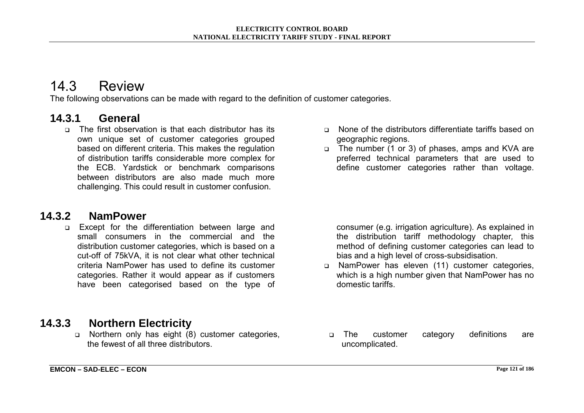### 14.3 Review

The following observations can be made with regard to the definition of customer categories.

### **14.3.1 General**

□ The first observation is that each distributor has its own unique set of customer categories grouped based on different criteria. This makes the regulation of distribution tariffs considerable more complex for the ECB. Yardstick or benchmark comparisons between distributors are also made much more challenging. This could result in customer confusion.

### **14.3.2 NamPower**

**Except for the differentiation between large and** small consumers in the commercial and the distribution customer categories, which is based on a cut-off of 75kVA, it is not clear what other technical criteria NamPower has used to define its customer categories. Rather it would appear as if customers have been categorised based on the type of

- □ None of the distributors differentiate tariffs based on geographic regions.
- □ The number (1 or 3) of phases, amps and KVA are preferred technical parameters that are used to define customer categories rather than voltage.

consumer (e.g. irrigation agriculture). As explained in the distribution tariff methodology chapter*,* this method of defining customer categories can lead to bias and a high level of cross-subsidisation.

□ NamPower has eleven (11) customer categories, which is a high number given that NamPower has no domestic tariffs.

### **14.3.3 Northern Electricity**

□ Northern only has eight (8) customer categories, the fewest of all three distributors.

! The customer category definitions are uncomplicated.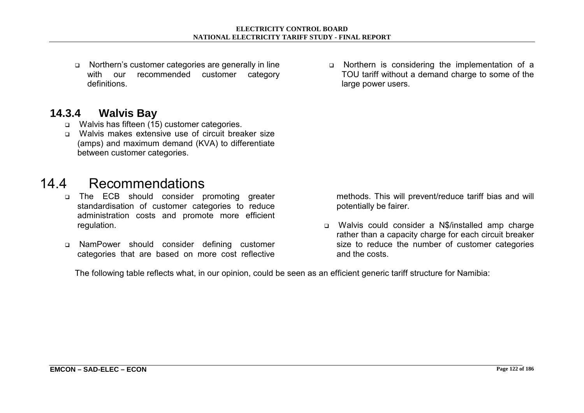□ Northern's customer categories are generally in line with our recommended customer category definitions.

## **14.3.4 Walvis Bay**

- □ Walvis has fifteen (15) customer categories.
- □ Walvis makes extensive use of circuit breaker size (amps) and maximum demand (KVA) to differentiate between customer categories.

## 14.4 Recommendations

- o The ECB should consider promoting greater standardisation of customer categories to reduce administration costs and promote more efficient regulation.
- ! NamPower should consider defining customer categories that are based on more cost reflective

o Northern is considering the implementation of a TOU tariff without a demand charge to some of the large power users.

methods. This will prevent/reduce tariff bias and will potentially be fairer.

! Walvis could consider a N\$/installed amp charge rather than a capacity charge for each circuit breaker size to reduce the number of customer categories and the costs.

The following table reflects what, in our opinion, could be seen as an efficient generic tariff structure for Namibia: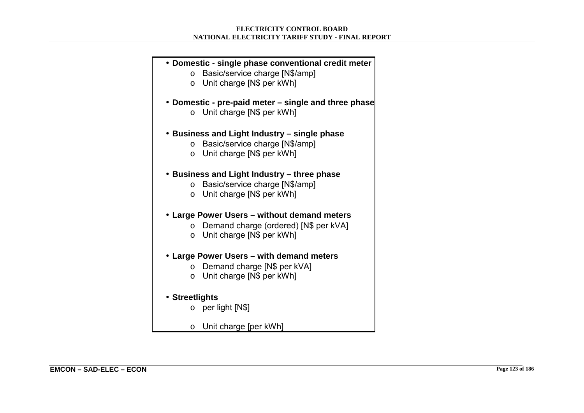#### • **Domestic - single phase conventional credit meter**

- o Basic/service charge [N\$/amp]
- o Unit charge [N\$ per kWh]
- **Domestic pre-paid meter single and three phase** 
	- $\circ$  Unit charge [N\$ per kWh]

#### • **Business and Light Industry – single phase**

- o Basic/service charge [N\$/amp]
- o Unit charge [N\$ per kWh]

#### • **Business and Light Industry – three phase**

- o Basic/service charge [N\$/amp]
- o Unit charge [N\$ per kWh]

#### • **Large Power Users – without demand meters**

- o Demand charge (ordered) [N\$ per kVA]
- o Unit charge [N\$ per kWh]

#### • **Large Power Users – with demand meters**

- o Demand charge [N\$ per kVA]
- $\circ$  Unit charge [N\$ per kWh]

#### • **Streetlights**

- $\circ$  per light [N\$]
- o Unit charge [per kWh]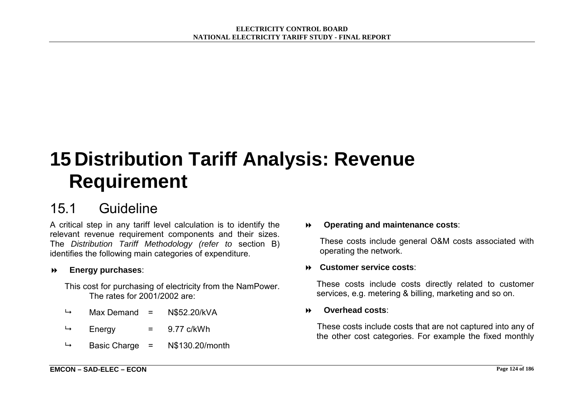# **15 Distribution Tariff Analysis: Revenue Requirement**

## 15.1 Guideline

A critical step in any tariff level calculation is to identify the relevant revenue requirement components and their sizes. The *Distribution Tariff Methodology (refer to* section B) identifies the following main categories of expenditure.

#### $\blacktriangleright$ **Energy purchases**:

This cost for purchasing of electricity from the NamPower. The rates for 2001/2002 are:

- $\rightarrow$  Max Demand = N\$52.20/kVA
- $\rightarrow$  Energy = 9.77 c/kWh
- $\rightarrow$  Basic Charge = N\$130.20/month

 $\blacktriangleright$ **Operating and maintenance costs**:

These costs include general O&M costs associated with operating the network.

#### $\blacktriangleright$ **Customer service costs**:

These costs include costs directly related to customer services, e.g. metering & billing, marketing and so on.

#### ! **Overhead costs**:

These costs include costs that are not captured into any of the other cost categories. For example the fixed monthly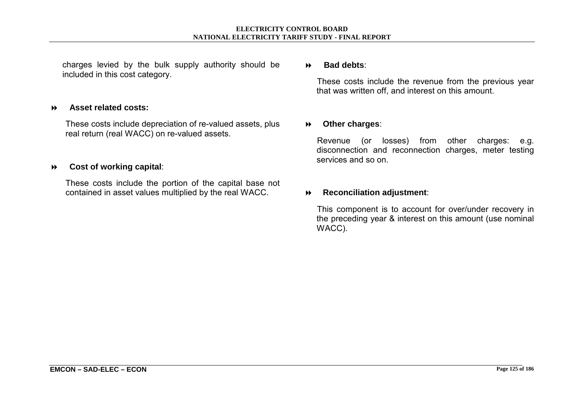charges levied by the bulk supply authority should be included in this cost category.

#### ! **Asset related costs:**

These costs include depreciation of re-valued assets, plus real return (real WACC) on re-valued assets.

#### $\blacktriangleright$ **Cost of working capital**:

These costs include the portion of the capital base not contained in asset values multiplied by the real WACC.

#### ! **Bad debts**:

These costs include the revenue from the previous year that was written off, and interest on this amount.

#### ! **Other charges**:

Revenue (or losses) from other charges: e.g. disconnection and reconnection charges, meter testing services and so on.

#### ! **Reconciliation adjustment**:

This component is to account for over/under recovery in the preceding year & interest on this amount (use nominal WACC).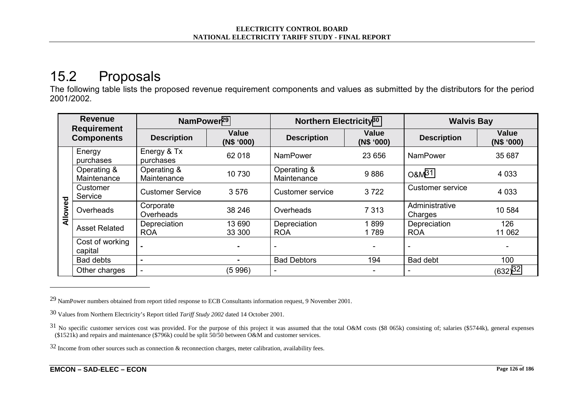# 15.2 Proposals

The following table lists the proposed revenue requirement components and values as submitted by the distributors for the period 2001/2002.

| <b>Revenue</b><br><b>Requirement</b><br><b>Components</b> |                            | NamPower <sup>29</sup>     |                                                                                | Northern Electricity <sup>30</sup> |                    | <b>Walvis Bay</b>          |                       |
|-----------------------------------------------------------|----------------------------|----------------------------|--------------------------------------------------------------------------------|------------------------------------|--------------------|----------------------------|-----------------------|
|                                                           |                            | <b>Description</b>         | <b>Value</b><br><b>Value</b><br><b>Description</b><br>(N\$ '000)<br>(N\$ '000) |                                    | <b>Description</b> | <b>Value</b><br>(N\$ '000) |                       |
|                                                           | Energy<br>purchases        | Energy & Tx<br>purchases   | 62 018                                                                         | <b>NamPower</b>                    | 23 656             | <b>NamPower</b>            | 35 687                |
|                                                           | Operating &<br>Maintenance | Operating &<br>Maintenance | 10 730                                                                         | Operating &<br>Maintenance         | 9886               | O&M <sup>31</sup>          | 4 0 3 3               |
|                                                           | Customer<br>Service        | <b>Customer Service</b>    | 3576                                                                           | Customer service                   | 3722               | <b>Customer service</b>    | 4 0 3 3               |
| Allowed                                                   | Overheads                  | Corporate<br>Overheads     | 38 246                                                                         | Overheads                          | 7 3 1 3            | Administrative<br>Charges  | 10 584                |
|                                                           | <b>Asset Related</b>       | Depreciation<br><b>ROA</b> | 13 690<br>33 300                                                               | Depreciation<br><b>ROA</b>         | 1899<br>1789       | Depreciation<br><b>ROA</b> | 126<br>11 062         |
|                                                           | Cost of working<br>capital |                            | $\blacksquare$                                                                 |                                    |                    | $\overline{\phantom{a}}$   |                       |
|                                                           | Bad debts                  | $\blacksquare$             | $\blacksquare$                                                                 | <b>Bad Debtors</b>                 | 194                | <b>Bad debt</b>            | 100                   |
|                                                           | Other charges              | $\overline{\phantom{0}}$   | (5996)                                                                         |                                    |                    | ۰                          | $(632)$ <sup>32</sup> |

<sup>29</sup> NamPower numbers obtained from report titled response to ECB Consultants information request, 9 November 2001.

<sup>30</sup> Values from Northern Electricity's Report titled *Tariff Study 2002* dated 14 October 2001.

 $31$  No specific customer services cost was provided. For the purpose of this project it was assumed that the total O&M costs (\$8 065k) consisting of; salaries (\$5744k), general expenses (\$1521k) and repairs and maintenance (\$796k) could be split 50/50 between O&M and customer services.

<sup>32</sup> Income from other sources such as connection & reconnection charges, meter calibration, availability fees.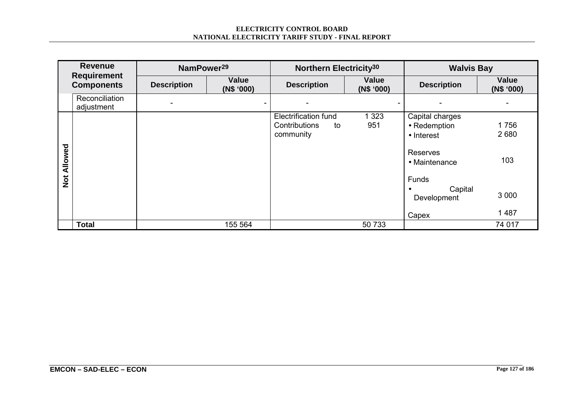#### **ELECTRICITY CONTROL BOARD NATIONAL ELECTRICITY TARIFF STUDY - FINAL REPORT**

|                   | <b>Revenue</b><br><b>Requirement</b> | NamPower <sup>29</sup> |                            | Northern Electricity <sup>30</sup> |                            | <b>Walvis Bay</b>         |                     |  |  |  |
|-------------------|--------------------------------------|------------------------|----------------------------|------------------------------------|----------------------------|---------------------------|---------------------|--|--|--|
| <b>Components</b> |                                      | <b>Description</b>     | <b>Value</b><br>(N\$ '000) | <b>Description</b>                 | <b>Value</b><br>(N\$ '000) | <b>Description</b>        | Value<br>(N\$ '000) |  |  |  |
|                   | Reconciliation<br>adjustment         |                        | ۰.                         |                                    |                            |                           |                     |  |  |  |
|                   |                                      |                        |                            | <b>Electrification fund</b>        | 1 3 2 3                    | Capital charges           |                     |  |  |  |
|                   |                                      |                        |                            | Contributions<br>to                | 951                        | • Redemption              | 1756                |  |  |  |
|                   |                                      |                        |                            | community                          |                            | • Interest                | 2680                |  |  |  |
| Allowed           |                                      |                        |                            |                                    |                            | Reserves<br>• Maintenance | 103                 |  |  |  |
| $\frac{1}{2}$     |                                      |                        |                            |                                    |                            | Funds                     |                     |  |  |  |
|                   |                                      |                        |                            |                                    |                            | Capital<br>Development    | 3 0 0 0             |  |  |  |
|                   |                                      |                        |                            |                                    |                            | Capex                     | 1 4 8 7             |  |  |  |
|                   | Total                                |                        | 155 564                    |                                    | 50 733                     |                           | 74 017              |  |  |  |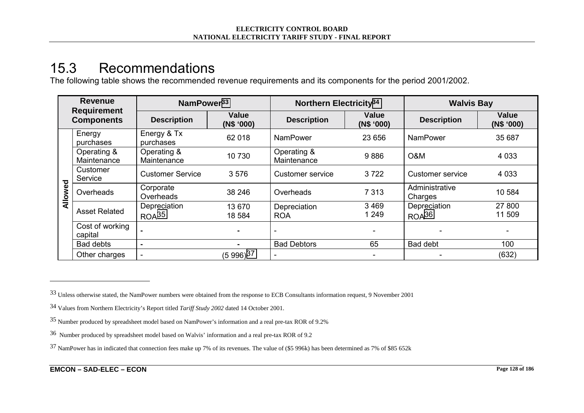## 15.3 Recommendations

The following table shows the recommended revenue requirements and its components for the period 2001/2002.

| <b>Revenue</b><br><b>Requirement</b><br><b>Components</b> |                            | NamPower <sup>33</sup>            |                                                                                | Northern Electricity <sup>34</sup> |                          | <b>Walvis Bay</b>                 |                  |
|-----------------------------------------------------------|----------------------------|-----------------------------------|--------------------------------------------------------------------------------|------------------------------------|--------------------------|-----------------------------------|------------------|
|                                                           |                            | <b>Description</b>                | <b>Value</b><br><b>Value</b><br><b>Description</b><br>(N\$ '000)<br>(N\$ '000) |                                    | <b>Description</b>       | <b>Value</b><br>(N\$ '000)        |                  |
|                                                           | Energy<br>purchases        | Energy & Tx<br>purchases          | 62 018                                                                         | <b>NamPower</b>                    | 23 656                   | <b>NamPower</b>                   | 35 687           |
|                                                           | Operating &<br>Maintenance | Operating &<br>Maintenance        | 10 730                                                                         | Operating &<br>Maintenance         | 9886                     | O&M                               | 4 0 3 3          |
|                                                           | Customer<br>Service        | <b>Customer Service</b>           | 3576                                                                           | 3722<br><b>Customer service</b>    |                          | Customer service                  | 4 0 3 3          |
| ၓ<br><b>Allow</b>                                         | Overheads                  | Corporate<br>Overheads            | 38 246                                                                         | Overheads                          | 7 3 1 3                  | Administrative<br>Charges         | 10 584           |
|                                                           | <b>Asset Related</b>       | Depreciation<br>ROA <sup>35</sup> | 13 670<br>18 5 84                                                              | Depreciation<br><b>ROA</b>         | 3 4 6 9<br>1 2 4 9       | Depreciation<br>ROA <sup>36</sup> | 27 800<br>11 509 |
|                                                           | Cost of working<br>capital |                                   | $\blacksquare$<br>$\blacksquare$                                               |                                    | $\overline{\phantom{a}}$ |                                   |                  |
|                                                           | <b>Bad debts</b>           |                                   | $\blacksquare$                                                                 | <b>Bad Debtors</b>                 | 65                       | Bad debt                          | 100              |
|                                                           | Other charges              |                                   | $(5996)^{37}$                                                                  |                                    |                          |                                   | (632)            |

<sup>33</sup> Unless otherwise stated, the NamPower numbers were obtained from the response to ECB Consultants information request, 9 November 2001

<sup>34</sup> Values from Northern Electricity's Report titled *Tariff Study 2002* dated 14 October 2001.

<sup>35</sup> Number produced by spreadsheet model based on NamPower's information and a real pre-tax ROR of 9.2%

<sup>36</sup> Number produced by spreadsheet model based on Walvis' information and a real pre-tax ROR of 9.2

<sup>37</sup> NamPower has in indicated that connection fees make up 7% of its revenues. The value of (\$5 996k) has been determined as 7% of \$85 652k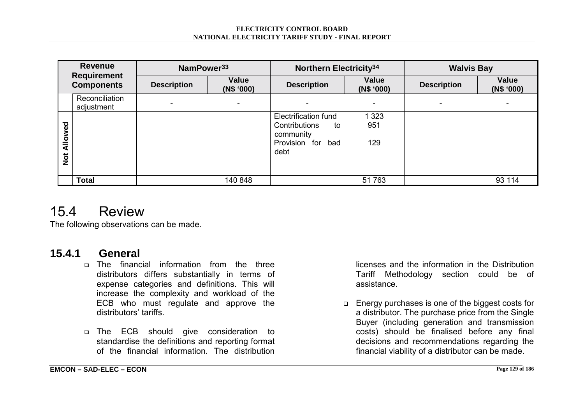#### **ELECTRICITY CONTROL BOARD NATIONAL ELECTRICITY TARIFF STUDY - FINAL REPORT**

| <b>Revenue</b><br><b>Requirement</b><br><b>Components</b> |                              | NamPower <sup>33</sup> |                     | Northern Electricity <sup>34</sup>                                                    |                       | <b>Walvis Bay</b>        |                            |
|-----------------------------------------------------------|------------------------------|------------------------|---------------------|---------------------------------------------------------------------------------------|-----------------------|--------------------------|----------------------------|
|                                                           |                              | <b>Description</b>     | Value<br>(N\$ '000) | <b>Description</b>                                                                    | Value<br>(N\$ '000)   | <b>Description</b>       | <b>Value</b><br>(N\$ '000) |
|                                                           | Reconciliation<br>adjustment |                        | $\sim$              |                                                                                       |                       | $\overline{\phantom{0}}$ |                            |
| Allowed<br>$\frac{5}{2}$                                  |                              |                        |                     | Electrification fund<br>Contributions<br>to<br>community<br>Provision for bad<br>debt | 1 3 2 3<br>951<br>129 |                          |                            |
|                                                           | Total                        |                        | 140 848             |                                                                                       | 51 763                |                          | 93 114                     |

## 15.4 Review

The following observations can be made.

## **15.4.1 General**

- $\Box$  The financial information from the three distributors differs substantially in terms of expense categories and definitions. This will increase the complexity and workload of the ECB who must regulate and approve the distributors' tariffs.
- **n** The ECB should give consideration to standardise the definitions and reporting format of the financial information. The distribution

licenses and the information in the Distribution Tariff Methodology section could be of assistance.

□ Energy purchases is one of the biggest costs for a distributor. The purchase price from the Single Buyer (including generation and transmission costs) should be finalised before any final decisions and recommendations regarding the financial viability of a distributor can be made.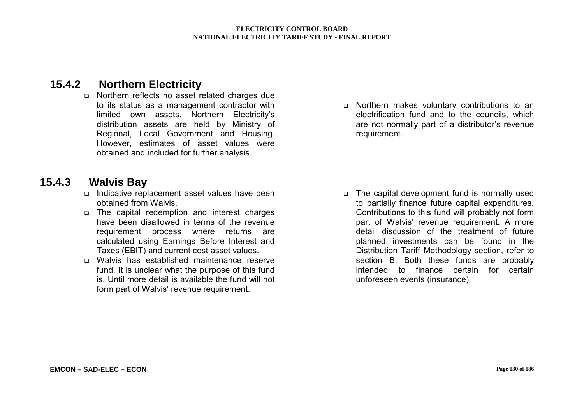## **15.4.2 Northern Electricity**

o Northern reflects no asset related charges due to its status as a management contractor with limited own assets. Northern Electricityís distribution assets are held by Ministry of Regional, Local Government and Housing. However, estimates of asset values were obtained and included for further analysis.

### **15.4.3 Walvis Bay**

- ! Indicative replacement asset values have been obtained from Walvis.
- ! The capital redemption and interest charges have been disallowed in terms of the revenue requirement process where returns are calculated using Earnings Before Interest and Taxes (EBIT) and current cost asset values.
- ! Walvis has established maintenance reserve fund. It is unclear what the purpose of this fund is. Until more detail is available the fund will not form part of Walvis' revenue requirement.

! Northern makes voluntary contributions to an electrification fund and to the councils, which are not normally part of a distributor's revenue requirement.

□ The capital development fund is normally used to partially finance future capital expenditures. Contributions to this fund will probably not form part of Walvis' revenue requirement. A more detail discussion of the treatment of future planned investments can be found in the Distribution Tariff Methodology section, refer to section B. Both these funds are probably intended to finance certain for certain unforeseen events (insurance).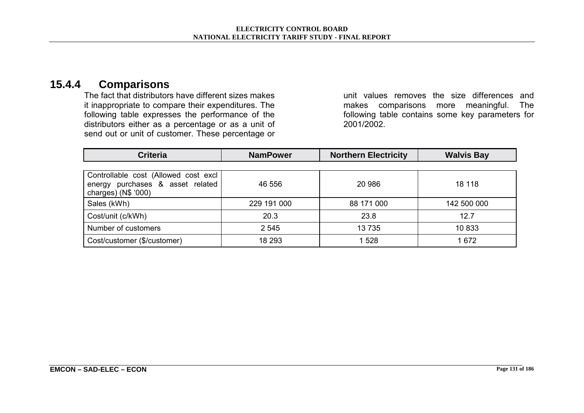#### **15.4.4 Comparisons**

The fact that distributors have different sizes makes it inappropriate to compare their expenditures. The following table expresses the performance of the distributors either as a percentage or as a unit of send out or unit of customer. These percentage or unit values removes the size differences and makes comparisons more meaningful. The following table contains some key parameters for 2001/2002.

| <b>Criteria</b>                                                                                     | <b>NamPower</b> | <b>Northern Electricity</b> | <b>Walvis Bay</b> |
|-----------------------------------------------------------------------------------------------------|-----------------|-----------------------------|-------------------|
|                                                                                                     |                 |                             |                   |
| Controllable cost (Allowed cost excl<br>purchases & asset related<br>energy<br>charges) $(N$ '000)$ | 46 556          | 20 986                      | 18 118            |
| Sales (kWh)                                                                                         | 229 191 000     | 88 171 000                  | 142 500 000       |
| Cost/unit (c/kWh)                                                                                   | 20.3            | 23.8                        | 12.7              |
| Number of customers                                                                                 | 2 5 4 5         | 13735                       | 10833             |
| Cost/customer (\$/customer)                                                                         | 18 293          | 1 5 2 8                     | 1 672             |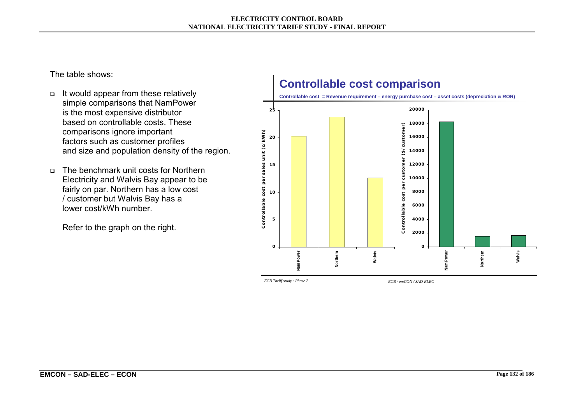#### **ELECTRICITY CONTROL BOARD NATIONAL ELECTRICITY TARIFF STUDY - FINAL REPORT**

The table shows:

- It would appear from these relatively simple comparisons that NamPower is the most expensive distributor based on controllable costs. These comparisons ignore important factors such as customer profiles and size and population density of the region.
- □ The benchmark unit costs for Northern Electricity and Walvis Bay appear to be fairly on par. Northern has a low cost / customer but Walvis Bay has a lower cost/kWh number.

Refer to the graph on the right.



*ECB Tariff study : Phase 2 ECB / emCON / SAD-ELEC*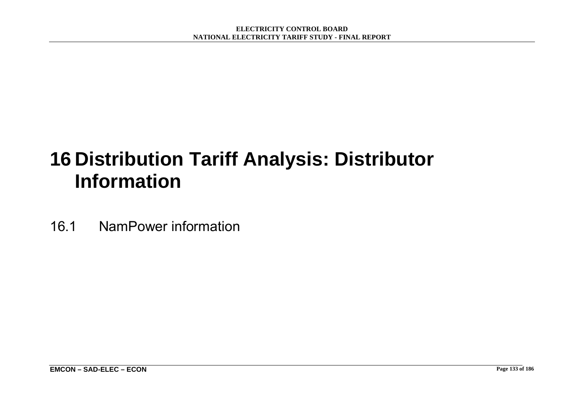# **16 Distribution Tariff Analysis: Distributor Information**

16.1 NamPower information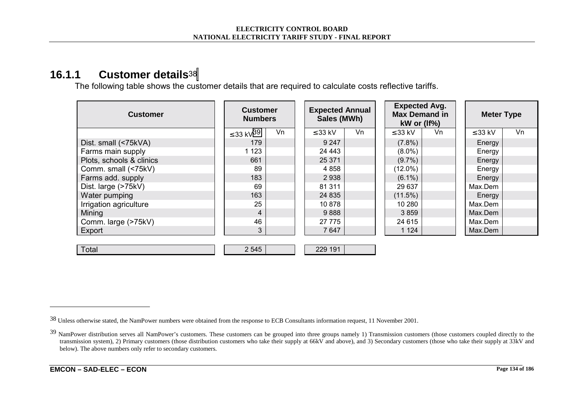### **16.1.1 Customer details**<sup>38</sup>

The following table shows the customer details that are required to calculate costs reflective tariffs.

| <b>Customer</b>          | <b>Customer</b><br><b>Numbers</b> |    | <b>Expected Annual</b><br>Sales (MWh) |    | <b>Expected Avg.</b><br><b>Max Demand in</b><br>$kW$ or (If%) |    |              | <b>Meter Type</b> |  |  |
|--------------------------|-----------------------------------|----|---------------------------------------|----|---------------------------------------------------------------|----|--------------|-------------------|--|--|
|                          | ≤ 33 kV <sup>39</sup>             | Vn | $\leq$ 33 kV                          | Vn | $\leq$ 33 kV                                                  | Vn | $\leq$ 33 kV | Vn                |  |  |
| Dist. small (<75kVA)     | 179                               |    | 9 2 4 7                               |    | $(7.8\%)$                                                     |    | Energy       |                   |  |  |
| Farms main supply        | 1 1 2 3                           |    | 24 443                                |    | $(8.0\%)$                                                     |    | Energy       |                   |  |  |
| Plots, schools & clinics | 661                               |    | 25 371                                |    | $(9.7\%)$                                                     |    | Energy       |                   |  |  |
| Comm. small (<75kV)      | 89                                |    | 4 8 5 8                               |    | $(12.0\%)$                                                    |    | Energy       |                   |  |  |
| Farms add. supply        | 183                               |    | 2938                                  |    | $(6.1\%)$                                                     |    | Energy       |                   |  |  |
| Dist. large (>75kV)      | 69                                |    | 81 311                                |    | 29 637                                                        |    | Max.Dem      |                   |  |  |
| Water pumping            | 163                               |    | 24 8 35                               |    | (11.5%)                                                       |    | Energy       |                   |  |  |
| Irrigation agriculture   | 25                                |    | 10878                                 |    | 10 280                                                        |    | Max.Dem      |                   |  |  |
| Mining                   | 4                                 |    | 9888                                  |    | 3859                                                          |    | Max.Dem      |                   |  |  |
| Comm. large (>75kV)      | 46                                |    | 27 775                                |    | 24 615                                                        |    | Max.Dem      |                   |  |  |
| Export                   | 3                                 |    | 7647                                  |    | 1 1 2 4                                                       |    | Max.Dem      |                   |  |  |
|                          |                                   |    |                                       |    |                                                               |    |              |                   |  |  |
| Total                    | 2 5 4 5                           |    | 229 191                               |    |                                                               |    |              |                   |  |  |

<sup>38</sup> Unless otherwise stated, the NamPower numbers were obtained from the response to ECB Consultants information request, 11 November 2001.

<sup>&</sup>lt;sup>39</sup> NamPower distribution serves all NamPower's customers. These customers can be grouped into three groups namely 1) Transmission customers (those customers coupled directly to the transmission system), 2) Primary customers (those distribution customers who take their supply at 66kV and above), and 3) Secondary customers (those who take their supply at 33kV and below). The above numbers only refer to secondary customers.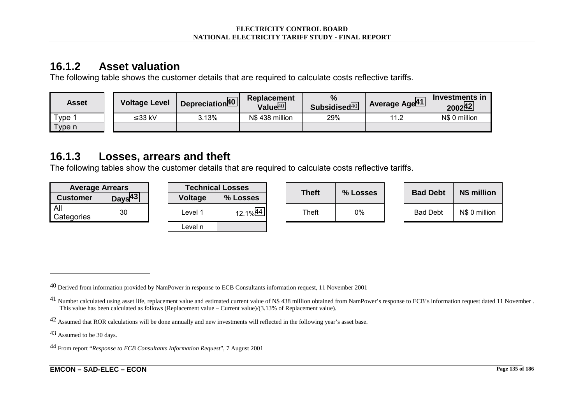## **16.1.2 Asset valuation**

The following table shows the customer details that are required to calculate costs reflective tariffs.

| Asset  | <b>Voltage Level</b> | Depreciation <sup>40</sup> | <b>Replacement</b><br>Value $40$ | $\frac{0}{0}$<br>Subsidised $40$ | Average Age <sup>41</sup> | Investments in<br>2002 <sup>42</sup> |
|--------|----------------------|----------------------------|----------------------------------|----------------------------------|---------------------------|--------------------------------------|
| Type 1 | ≤ 33 kV              | 3.13%                      | N\$438 million                   | 29%                              | 11.2                      | N\$ 0 million                        |
| Type n |                      |                            |                                  |                                  |                           |                                      |

## **16.1.3 Losses, arrears and theft**

The following tables show the customer details that are required to calculate costs reflective tariffs.

| <b>Average Arrears</b> |                    | <b>Technical Losses</b> |          |              |          |                 |               |  |
|------------------------|--------------------|-------------------------|----------|--------------|----------|-----------------|---------------|--|
| <b>Customer</b>        | Days <sup>43</sup> | Voltage                 | % Losses | <b>Theft</b> | % Losses | <b>Bad Debt</b> | N\$ million   |  |
| All<br>Categories      | 30                 | -evel.                  | 12.1%44  | Theft        | 0%       | <b>Bad Debt</b> | N\$ 0 million |  |

| <b>Technical Losses</b> |          |  |  |  |  |  |  |  |
|-------------------------|----------|--|--|--|--|--|--|--|
| <b>Voltage</b>          | % Losses |  |  |  |  |  |  |  |
| Level 1                 | 12.1%44  |  |  |  |  |  |  |  |
| Level n                 |          |  |  |  |  |  |  |  |

| Theft | % Losses |
|-------|----------|
| Theft | $0\%$    |

| <b>Bad Debt</b> | N\$ million   |
|-----------------|---------------|
| Bad Debt        | N\$ 0 million |

43 Assumed to be 30 days.

<sup>&</sup>lt;sup>40</sup> Derived from information provided by NamPower in response to ECB Consultants information request, 11 November 2001

 $^{41}$  Number calculated using asset life, replacement value and estimated current value of N\$ 438 million obtained from NamPower's response to ECB's information request dated 11 November . This value has been calculated as follows (Replacement value – Current value)/(3.13% of Replacement value).

<sup>42</sup> Assumed that ROR calculations will be done annually and new investments will reflected in the following year's asset base.

<sup>44</sup> From report "*Response to ECB Consultants Information Request*", 7 August 2001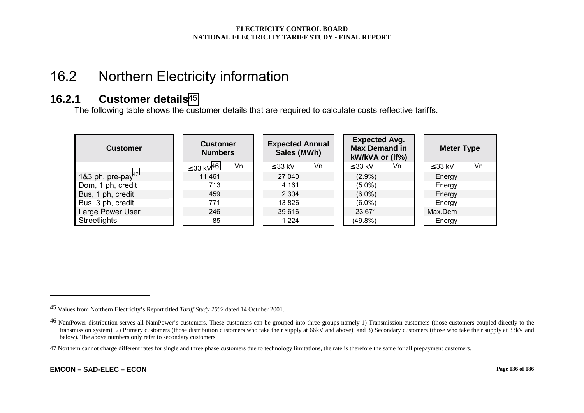# 16.2 Northern Electricity information

#### **16.2.1 Customer details**<sup>45</sup>

The following table shows the customer details that are required to calculate costs reflective tariffs.

| <b>Customer</b>               |                            | <b>Customer</b><br><b>Numbers</b> |  | <b>Expected Annual</b><br>Sales (MWh) |    |  | <b>Expected Avg.</b><br><b>Max Demand in</b><br>kW/kVA or (If%) |    |  | <b>Meter Type</b> |    |  |
|-------------------------------|----------------------------|-----------------------------------|--|---------------------------------------|----|--|-----------------------------------------------------------------|----|--|-------------------|----|--|
|                               | $\leq$ 33 kV <sup>46</sup> | Vn                                |  | $\leq$ 33 kV                          | Vn |  | $\leq$ 33 kV                                                    | Vn |  | $\leq$ 33 kV      | Vn |  |
| 1&3 ph, pre-pay <sup>47</sup> | 11 4 61                    |                                   |  | 27 040                                |    |  | $(2.9\%)$                                                       |    |  | Energy            |    |  |
| Dom, 1 ph, credit             | 713                        |                                   |  | 4 1 6 1                               |    |  | $(5.0\%)$                                                       |    |  | Energy            |    |  |
| Bus, 1 ph, credit             | 459                        |                                   |  | 2 3 0 4                               |    |  | $(6.0\%)$                                                       |    |  | Energy            |    |  |
| Bus, 3 ph, credit             | 771                        |                                   |  | 13 826                                |    |  | $(6.0\%)$                                                       |    |  | Energy            |    |  |
| Large Power User              | 246                        |                                   |  | 39 616                                |    |  | 23 671                                                          |    |  | Max.Dem           |    |  |
| <b>Streetlights</b>           | 85                         |                                   |  | 1 2 2 4                               |    |  | $(49.8\%)$                                                      |    |  | Energy            |    |  |

<sup>45</sup> Values from Northern Electricity's Report titled *Tariff Study 2002* dated 14 October 2001.

<sup>&</sup>lt;sup>46</sup> NamPower distribution serves all NamPower's customers. These customers can be grouped into three groups namely 1) Transmission customers (those customers coupled directly to the transmission system), 2) Primary customers (those distribution customers who take their supply at 66kV and above), and 3) Secondary customers (those who take their supply at 33kV and below). The above numbers only refer to secondary customers.

<sup>47</sup> Northern cannot charge different rates for single and three phase customers due to technology limitations, the rate is therefore the same for all prepayment customers.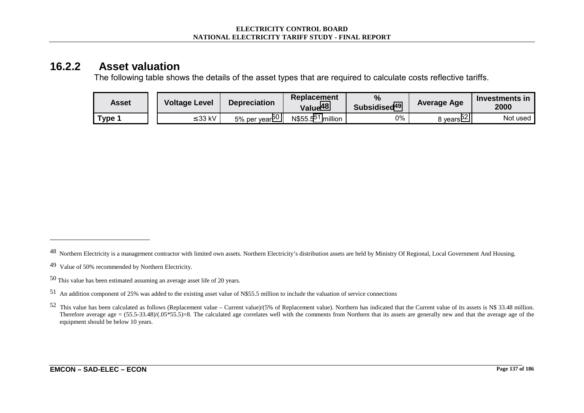#### **16.2.2 Asset valuation**

The following table shows the details of the asset types that are required to calculate costs reflective tariffs.

| Asset | <b>Voltage Level</b><br><b>Depreciation</b> |              | <b>Replacement</b><br>Value <sup>48</sup> | %<br>Subsidised <sup>49</sup>    | Average Age | Investments in<br>2000 |          |
|-------|---------------------------------------------|--------------|-------------------------------------------|----------------------------------|-------------|------------------------|----------|
| ™уре  |                                             | $\leq$ 33 kV | 5% per year <sup>50</sup>                 | N\$55.5 <sup>51</sup><br>million | 0%          | 3 vears <sup>oz</sup>  | Not used |

<sup>&</sup>lt;sup>48</sup> Northern Electricity is a management contractor with limited own assets. Northern Electricity's distribution assets are held by Ministry Of Regional, Local Government And Housing.

<sup>49</sup> Value of 50% recommended by Northern Electricity.

<sup>50</sup> This value has been estimated assuming an average asset life of 20 years.

<sup>51</sup> An addition component of 25% was added to the existing asset value of N\$55.5 million to include the valuation of service connections

<sup>52</sup> This value has been calculated as follows (Replacement value – Current value)/(5% of Replacement value). Northern has indicated that the Current value of its assets is N\$ 33.48 million. Therefore average age =  $(55.5-33.48)/(0.05*5.5)=8$ . The calculated age correlates well with the comments from Northern that its assets are generally new and that the average age of the equipment should be below 10 years.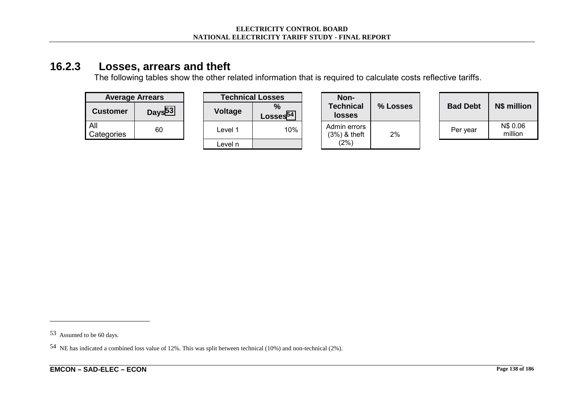## **16.2.3 Losses, arrears and theft**

The following tables show the other related information that is required to calculate costs reflective tariffs.

| <b>Average Arrears</b> |                    |  |  |  |  |  |  |  |  |  |
|------------------------|--------------------|--|--|--|--|--|--|--|--|--|
| <b>Customer</b>        | Days <sup>53</sup> |  |  |  |  |  |  |  |  |  |
| All<br>Categories      | 60                 |  |  |  |  |  |  |  |  |  |

| <b>Average Arrears</b> |                    |                | <b>Technical Losses</b>               |
|------------------------|--------------------|----------------|---------------------------------------|
| Customer               | Days <sup>53</sup> | <b>Voltage</b> | $\frac{9}{6}$<br>Losses <sup>54</sup> |
| ۸II<br>categories      | 60                 | Level 1        | 10%                                   |
|                        |                    | Level n        |                                       |

|                   | <b>Average Arrears</b> |  | <b>Technical Losses</b> |                           | Non-                              |          |                 |                     |
|-------------------|------------------------|--|-------------------------|---------------------------|-----------------------------------|----------|-----------------|---------------------|
| <b>Customer</b>   | Days <sup>53</sup>     |  | <b>Voltage</b>          | %<br>Losses <sup>54</sup> | <b>Technical</b><br><b>losses</b> | % Losses | <b>Bad Debt</b> | N\$ millio          |
| All<br>Categories | 60                     |  | Level 1                 | 10%                       | Admin errors<br>$(3%)$ & theft    | 2%       | Per year        | N\$ 0.06<br>million |
|                   |                        |  | Level n                 |                           | (2%)                              |          |                 |                     |

| % Losses | <b>Bad Debt</b> | N\$ million         |
|----------|-----------------|---------------------|
| 2%       | Per year        | N\$ 0.06<br>million |

<sup>53</sup> Assumed to be 60 days.

<sup>54</sup> NE has indicated a combined loss value of 12%. This was split between technical (10%) and non-technical (2%).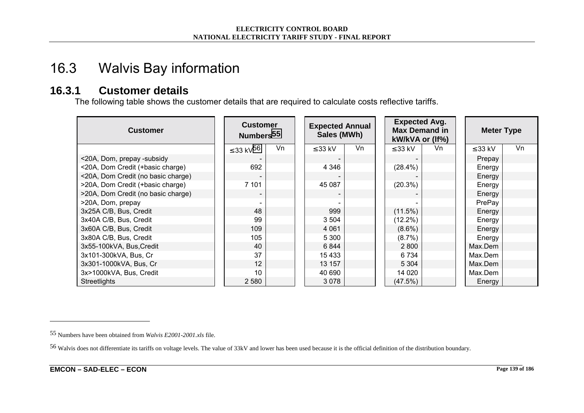## 16.3 Walvis Bay information

#### **16.3.1 Customer details**

The following table shows the customer details that are required to calculate costs reflective tariffs.

| <b>Customer</b>                    | <b>Customer</b><br>Numbers <sup>55</sup> |    | <b>Expected Annual</b><br>Sales (MWh) |    | <b>Expected Avg.</b><br><b>Max Demand in</b><br>kW/kVA or (If%) |    | <b>Meter Type</b> |    |  |
|------------------------------------|------------------------------------------|----|---------------------------------------|----|-----------------------------------------------------------------|----|-------------------|----|--|
|                                    | ≤ 33 kV <sup>56</sup>                    | Vn | $\leq$ 33 kV                          | Vn | $\leq$ 33 kV                                                    | Vn | $\leq$ 33 kV      | Vn |  |
| <20A, Dom, prepay -subsidy         |                                          |    |                                       |    |                                                                 |    | Prepay            |    |  |
| <20A, Dom Credit (+basic charge)   | 692                                      |    | 4 3 4 6                               |    | $(28.4\%)$                                                      |    | Energy            |    |  |
| <20A, Dom Credit (no basic charge) |                                          |    |                                       |    |                                                                 |    | Energy            |    |  |
| >20A, Dom Credit (+basic charge)   | 7 101                                    |    | 45 087                                |    | $(20.3\%)$                                                      |    | Energy            |    |  |
| >20A, Dom Credit (no basic charge) |                                          |    |                                       |    |                                                                 |    | Energy            |    |  |
| >20A, Dom, prepay                  |                                          |    |                                       |    |                                                                 |    | PrePay            |    |  |
| 3x25A C/B, Bus, Credit             | 48                                       |    | 999                                   |    | $(11.5\%)$                                                      |    | Energy            |    |  |
| 3x40A C/B, Bus, Credit             | 99                                       |    | 3 5 0 4                               |    |                                                                 |    | Energy            |    |  |
| 3x60A C/B, Bus, Credit             | 109                                      |    | 4 0 6 1                               |    | $(8.6\%)$                                                       |    | Energy            |    |  |
| 3x80A C/B, Bus, Credit             | 105                                      |    | 5 3 0 0                               |    | $(8.7\%)$                                                       |    | Energy            |    |  |
| 3x55-100kVA, Bus, Credit           | 40                                       |    | 6844                                  |    | 2 8 0 0                                                         |    | Max.Dem           |    |  |
| 3x101-300kVA, Bus, Cr              | 37                                       |    |                                       |    | 6 7 3 4                                                         |    | Max.Dem           |    |  |
| 3x301-1000kVA, Bus, Cr             | 12                                       |    | 13 157                                |    | 5 3 0 4                                                         |    | Max.Dem           |    |  |
| 3x>1000kVA, Bus, Credit            | 10                                       |    | 40 690                                |    | 14 0 20                                                         |    | Max.Dem           |    |  |
| <b>Streetlights</b>                | 2 5 8 0                                  |    | 3 0 7 8                               |    | (47.5%)                                                         |    | Energy            |    |  |

<sup>55</sup> Numbers have been obtained from *Walvis E2001-2001.xls* file.

<sup>56</sup> Walvis does not differentiate its tariffs on voltage levels. The value of 33kV and lower has been used because it is the official definition of the distribution boundary.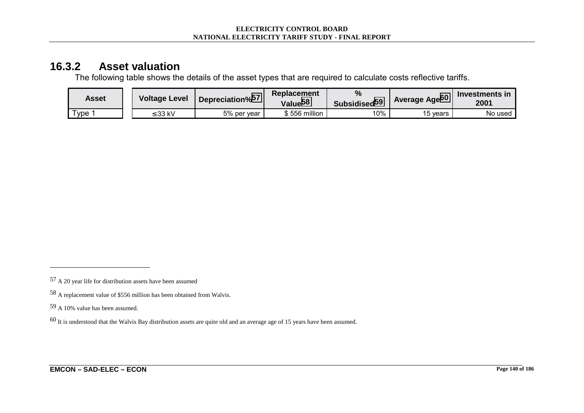#### **16.3.2 Asset valuation**

The following table shows the details of the asset types that are required to calculate costs reflective tariffs.

| Asset         | <b>Voltage Level</b> | Depreciation% <sup>57</sup> | <b>Replacement</b><br>Value <sup>58</sup> | $\frac{9}{6}$<br>Subsidised <sup>59</sup> | Average Age <sup>60</sup> | Investments in<br>2001 |
|---------------|----------------------|-----------------------------|-------------------------------------------|-------------------------------------------|---------------------------|------------------------|
| $r_{\rm ype}$ | : 33 kV              | 5% per year                 | 556 million                               | 10%                                       | 15 vears                  | No used                |

<sup>57</sup> A 20 year life for distribution assets have been assumed

<sup>58</sup> A replacement value of \$556 million has been obtained from Walvis.

<sup>59</sup> A 10% value has been assumed.

<sup>60</sup> It is understood that the Walvis Bay distribution assets are quite old and an average age of 15 years have been assumed.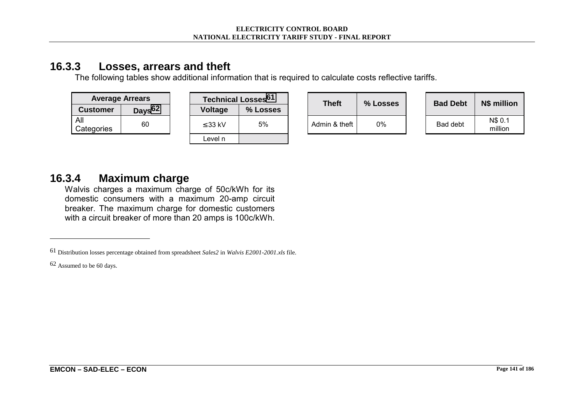#### **16.3.3 Losses, arrears and theft**

The following tables show additional information that is required to calculate costs reflective tariffs.

| <b>Average Arrears</b> |                    |  |                | <b>Technical Losses<sup>61</sup></b> | <b>Theft</b>  | % Losses | <b>Bad Debt</b> | N\$ million        |  |
|------------------------|--------------------|--|----------------|--------------------------------------|---------------|----------|-----------------|--------------------|--|
| <b>Customer</b>        | Days <sup>62</sup> |  | <b>Voltage</b> | % Losses                             |               |          |                 |                    |  |
| All<br>Categories      | 60                 |  | $\leq$ 33 kV   | 5%                                   | Admin & theft | 0%       | Bad debt        | N\$ 0.1<br>million |  |
|                        |                    |  | Level n        |                                      |               |          |                 |                    |  |

### **16.3.4 Maximum charge**

Walvis charges a maximum charge of 50c/kWh for its domestic consumers with a maximum 20-amp circuit breaker. The maximum charge for domestic customers with a circuit breaker of more than 20 amps is 100c/kWh.

62 Assumed to be 60 days.

<sup>61</sup> Distribution losses percentage obtained from spreadsheet *Sales2* in *Walvis E2001-2001.xls* file.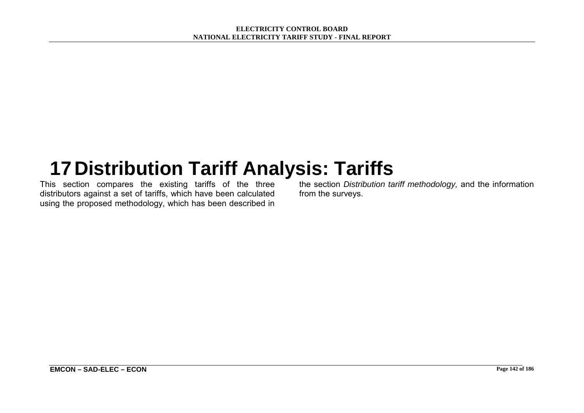# **17 Distribution Tariff Analysis: Tariffs**

This section compares the existing tariffs of the three distributors against a set of tariffs, which have been calculated using the proposed methodology, which has been described in

the section *Distribution tariff methodology,* and the information from the surveys.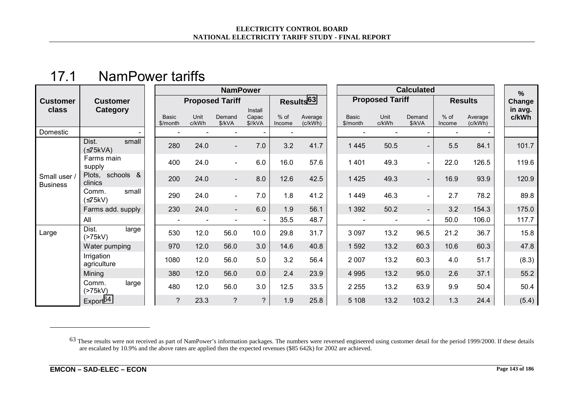## 17.1 NamPower tariffs

|                               |                             |                          |               | <b>NamPower</b>        |                               |                  |                       |                          | %                      |                          |                  |                    |  |                  |
|-------------------------------|-----------------------------|--------------------------|---------------|------------------------|-------------------------------|------------------|-----------------------|--------------------------|------------------------|--------------------------|------------------|--------------------|--|------------------|
| <b>Customer</b>               | <b>Customer</b>             |                          |               | <b>Proposed Tariff</b> |                               |                  | Results <sup>63</sup> |                          | <b>Proposed Tariff</b> |                          |                  | <b>Results</b>     |  | Change           |
| class                         | Category                    | <b>Basic</b><br>\$/month | Unit<br>c/kWh | Demand<br>\$/kVA       | Install<br>Capac<br>$$$ //kVA | $%$ of<br>Income | Average<br>(c/kWh)    | <b>Basic</b><br>\$/month | Unit<br>c/kWh          | Demand<br>\$/kVA         | $%$ of<br>Income | Average<br>(c/kWh) |  | in avg.<br>c/kWh |
| Domestic                      |                             |                          |               |                        |                               |                  |                       |                          |                        | $\overline{\phantom{a}}$ |                  |                    |  |                  |
|                               | Dist.<br>small<br>(575kVA)  | 280                      | 24.0          |                        | $7.0$                         | 3.2              | 41.7                  | 1 4 4 5                  | 50.5                   | $\blacksquare$           | 5.5              | 84.1               |  | 101.7            |
|                               | Farms main<br>supply        | 400                      | 24.0          | $\blacksquare$         | 6.0                           | 16.0             | 57.6                  | 1 4 0 1                  | 49.3                   | $\blacksquare$           | 22.0             | 126.5              |  | 119.6            |
| Small user<br><b>Business</b> | Plots, schools &<br>clinics | 200                      | 24.0          |                        | 8.0                           | 12.6             | 42.5                  | 1 4 2 5                  | 49.3                   | $\overline{\phantom{a}}$ | 16.9             | 93.9               |  | 120.9            |
|                               | small<br>Comm.<br>(575kV)   | 290                      | 24.0          | $\blacksquare$         | 7.0                           | 1.8              | 41.2                  | 1449                     | 46.3                   | $\blacksquare$           | 2.7              | 78.2               |  | 89.8             |
|                               | Farms add. supply           | 230                      | 24.0          | $\blacksquare$         | 6.0                           | 1.9              | 56.1                  | 1 3 9 2                  | 50.2                   | $\overline{\phantom{0}}$ | 3.2              | 154.3              |  | 175.0            |
|                               | All                         |                          |               |                        | $\overline{\phantom{a}}$      | 35.5             | 48.7                  |                          |                        | $\blacksquare$           | 50.0             | 106.0              |  | 117.7            |
| Large                         | large<br>Dist.<br>(>75kV)   | 530                      | 12.0          | 56.0                   | 10.0                          | 29.8             | 31.7                  | 3 0 9 7                  | 13.2                   | 96.5                     | 21.2             | 36.7               |  | 15.8             |
|                               | Water pumping               | 970                      | 12.0          | 56.0                   | 3.0                           | 14.6             | 40.8                  | 1592                     | 13.2                   | 60.3                     | 10.6             | 60.3               |  | 47.8             |
|                               | Irrigation<br>agriculture   | 1080                     | 12.0          | 56.0                   | 5.0                           | 3.2              | 56.4                  | 2 0 0 7                  | 13.2                   | 60.3                     | 4.0              | 51.7               |  | (8.3)            |
|                               | Mining                      | 380                      | 12.0          | 56.0                   | 0.0                           | 2.4              | 23.9                  | 4 9 9 5                  | 13.2                   | 95.0                     | 2.6              | 37.1               |  | 55.2             |
|                               | large<br>Comm.<br>(>75kV)   | 480                      | 12.0          | 56.0                   | 3.0                           | 12.5             | 33.5                  | 2 2 5 5                  | 13.2                   | 63.9                     | 9.9              | 50.4               |  | 50.4             |
|                               | Export <sup>64</sup>        | $\overline{?}$           | 23.3          | $\overline{?}$         | $\overline{?}$                | 1.9              | 25.8                  | 5 1 0 8                  | 13.2                   | 103.2                    | 1.3              | 24.4               |  | (5.4)            |

<sup>&</sup>lt;sup>63</sup> These results were not received as part of NamPower's information packages. The numbers were reversed engineered using customer detail for the period 1999/2000. If these details are escalated by 10.9% and the above rates are applied then the expected revenues (\$85 642k) for 2002 are achieved.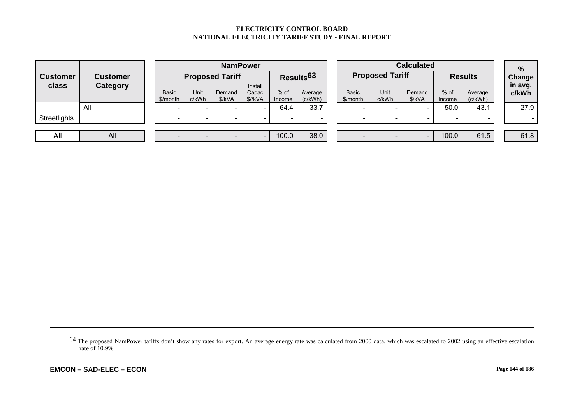#### **ELECTRICITY CONTROL BOARD NATIONAL ELECTRICITY TARIFF STUDY - FINAL REPORT**

|                 | <b>Customer</b> |                          | <b>NamPower</b>                                                                                                                        |   |                          |                          |                  |                        |                  |  | <b>Calculated</b>        |       |                          |                |      |  |
|-----------------|-----------------|--------------------------|----------------------------------------------------------------------------------------------------------------------------------------|---|--------------------------|--------------------------|------------------|------------------------|------------------|--|--------------------------|-------|--------------------------|----------------|------|--|
| <b>Customer</b> |                 |                          | <b>Proposed Tariff</b>                                                                                                                 |   | Results <sup>63</sup>    |                          |                  | <b>Proposed Tariff</b> |                  |  | <b>Results</b>           |       |                          | $\%$<br>Change |      |  |
| class           | Category        | <b>Basic</b><br>\$/month | Install<br>Unit<br><b>Basic</b><br>$%$ of<br>Demand<br>Capac<br>Average<br>\$//kVA<br>\$/kVA<br>(c/kWh)<br>c/kWh<br>\$/month<br>Income |   | Unit<br>c/kWh            | Demand<br>\$/kVA         | $%$ of<br>Income | Average<br>(c/kWh)     | in avg.<br>c/kWh |  |                          |       |                          |                |      |  |
|                 | All             | $\overline{\phantom{a}}$ |                                                                                                                                        |   | $\overline{\phantom{a}}$ | 64.4                     | 33.7             |                        | -                |  | $\overline{\phantom{0}}$ | 50.0  | 43.1                     |                | 27.9 |  |
| Streetlights    |                 | $\overline{\phantom{0}}$ |                                                                                                                                        | - | $\overline{\phantom{0}}$ | $\overline{\phantom{0}}$ | -                |                        |                  |  | -                        |       | $\overline{\phantom{a}}$ |                |      |  |
|                 |                 |                          |                                                                                                                                        |   |                          |                          |                  |                        |                  |  |                          |       |                          |                |      |  |
| All             | All             |                          |                                                                                                                                        |   | $\overline{\phantom{0}}$ | 100.0                    | 38.0             |                        |                  |  | -                        | 100.0 | 61.5                     |                | 61.8 |  |

64 The proposed NamPower tariffs don't show any rates for export. An average energy rate was calculated from 2000 data, which was escalated to 2002 using an effective escalation rate of 10.9%.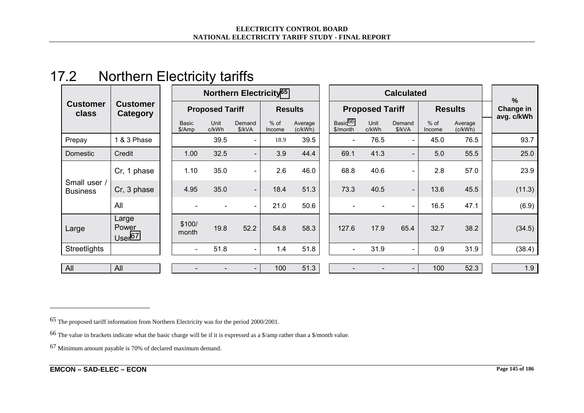| 17.2 | <b>Northern Electricity tariffs</b> |
|------|-------------------------------------|
|------|-------------------------------------|

|                                 | <b>Customer</b><br>Category         |  |                          |               |                          | Northern Electricity <sup>65</sup> |                    |  |                                 |                        |                          | $\frac{9}{6}$    |                    |            |
|---------------------------------|-------------------------------------|--|--------------------------|---------------|--------------------------|------------------------------------|--------------------|--|---------------------------------|------------------------|--------------------------|------------------|--------------------|------------|
| <b>Customer</b><br>class        |                                     |  | <b>Proposed Tariff</b>   |               |                          |                                    | <b>Results</b>     |  |                                 | <b>Proposed Tariff</b> |                          | <b>Results</b>   |                    | Change in  |
|                                 |                                     |  | <b>Basic</b><br>\$/Amp   | Unit<br>c/kWh | Demand<br>\$/kVA         | $%$ of<br>Income                   | Average<br>(c/kWh) |  | Basic <sup>66</sup><br>\$/month | Unit<br>c/kWh          | Demand<br>\$/kVA         | $%$ of<br>Income | Average<br>(c/kWh) | avg. c/kWh |
| Prepay                          | 1 & 3 Phase                         |  |                          | 39.5          | $\overline{\phantom{a}}$ | 18.9                               | 39.5               |  | $\overline{\phantom{a}}$        | 76.5                   | $\blacksquare$           | 45.0             | 76.5               | 93.7       |
| Domestic                        | Credit                              |  | 1.00                     | 32.5          | $\overline{\phantom{a}}$ | 3.9                                | 44.4               |  | 69.1                            | 41.3                   | $\blacksquare$           | 5.0              | 55.5               | 25.0       |
|                                 | Cr, 1 phase                         |  | 1.10                     | 35.0          | $\overline{\phantom{a}}$ | 2.6                                | 46.0               |  | 68.8                            | 40.6                   | $\blacksquare$           | 2.8              | 57.0               | 23.9       |
| Small user /<br><b>Business</b> | Cr, 3 phase                         |  | 4.95                     | 35.0          | $\sim$                   | 18.4                               | 51.3               |  | 73.3                            | 40.5                   | $\overline{\phantom{a}}$ | 13.6             | 45.5               | (11.3)     |
|                                 | All                                 |  | $\overline{\phantom{a}}$ |               | $\sim$                   | 21.0                               | 50.6               |  |                                 |                        | $\blacksquare$           | 16.5             | 47.1               | (6.9)      |
| Large                           | Large<br>Power<br>Use <sup>67</sup> |  | \$100/<br>month          | 19.8          | 52.2                     | 54.8                               | 58.3               |  | 127.6                           | 17.9                   | 65.4                     | 32.7             | 38.2               | (34.5)     |
| <b>Streetlights</b>             |                                     |  | $\overline{\phantom{a}}$ | 51.8          | $\sim$                   | 1.4                                | 51.8               |  | $\overline{\phantom{a}}$        | 31.9                   | $\blacksquare$           | 0.9              | 31.9               | (38.4)     |
|                                 |                                     |  |                          |               |                          |                                    |                    |  |                                 |                        |                          |                  |                    |            |
| All                             | All                                 |  |                          |               | $\overline{\phantom{a}}$ | 100                                | 51.3               |  |                                 |                        |                          | 100              | 52.3               | 1.9        |

<sup>65</sup> The proposed tariff information from Northern Electricity was for the period 2000/2001.

<sup>66</sup> The value in brackets indicate what the basic charge will be if it is expressed as a \$/amp rather than a \$/month value.

<sup>67</sup> Minimum amount payable is 70% of declared maximum demand.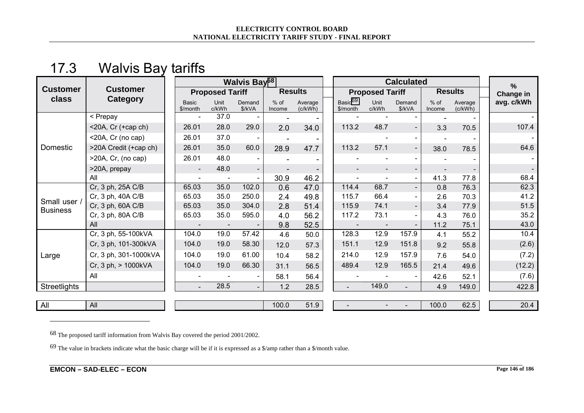## 17.3 Walvis Bay tariffs

|                                 | <b>Customer</b><br><b>Category</b> |  | <b>Walvis Bay<sup>68</sup></b> |                          |                          |                  | <b>Calculated</b>      |                                 |                          |                          | %                |                    |            |     |      |       |
|---------------------------------|------------------------------------|--|--------------------------------|--------------------------|--------------------------|------------------|------------------------|---------------------------------|--------------------------|--------------------------|------------------|--------------------|------------|-----|------|-------|
| <b>Customer</b><br>class        |                                    |  | <b>Proposed Tariff</b>         |                          | <b>Results</b>           |                  | <b>Proposed Tariff</b> |                                 | <b>Results</b>           |                          | Change in        |                    |            |     |      |       |
|                                 |                                    |  | <b>Basic</b><br>\$/month       | Unit<br>c/kWh            | Demand<br>\$/kVA         | $%$ of<br>Income | Average<br>(c/kWh)     | Basic <sup>69</sup><br>\$/month | Unit<br>c/kWh            | Demand<br>\$/kVA         | $%$ of<br>Income | Average<br>(c/kWh) | avg. c/kWh |     |      |       |
| Domestic                        | < Prepay                           |  |                                | $\overline{\phantom{a}}$ | 37.0                     |                  |                        |                                 |                          |                          |                  |                    |            |     |      |       |
|                                 | <20A, Cr (+cap ch)                 |  | 26.01                          | 28.0                     | 29.0                     | 2.0              | 34.0                   | 113.2                           | 48.7                     | $\overline{\phantom{a}}$ | 3.3              | 70.5               | 107.4      |     |      |       |
|                                 | <20A, Cr (no cap)                  |  | 26.01                          | 37.0                     |                          |                  |                        |                                 |                          | $\overline{\phantom{a}}$ |                  |                    |            |     |      |       |
|                                 | >20A Credit (+cap ch)              |  | 26.01                          | 35.0                     | 60.0                     | 28.9             | 47.7                   | 113.2                           | 57.1                     | $\overline{\phantom{a}}$ | 38.0             | 78.5               | 64.6       |     |      |       |
|                                 | >20A, Cr, (no cap)                 |  | 26.01                          | 48.0                     | $\blacksquare$           |                  |                        |                                 |                          | $\overline{\phantom{a}}$ |                  |                    |            |     |      |       |
|                                 | >20A, prepay                       |  | $\overline{\phantom{a}}$       | 48.0                     | $\overline{\phantom{a}}$ |                  |                        |                                 | $\overline{\phantom{a}}$ | $\overline{\phantom{a}}$ |                  |                    |            |     |      |       |
|                                 | All                                |  | $\blacksquare$                 | $\overline{\phantom{a}}$ | $\blacksquare$           | 30.9             | 46.2                   |                                 | $\blacksquare$           | $\blacksquare$           | 41.3             | 77.8               | 68.4       |     |      |       |
| Small user /<br><b>Business</b> | Cr, 3 ph, 25A C/B                  |  | 65.03                          | 35.0                     | 102.0                    | 0.6              | 47.0                   | 114.4                           | 68.7                     | $\overline{\phantom{a}}$ | 0.8              | 76.3               | 62.3       |     |      |       |
|                                 | Cr, 3 ph, 40A C/B                  |  | 65.03                          | 35.0                     | 250.0                    | 2.4              | 49.8                   | 115.7                           | 66.4                     | $\blacksquare$           | 2.6              | 70.3               | 41.2       |     |      |       |
|                                 | Cr, 3 ph, 60A C/B                  |  | 65.03                          | 35.0                     | 304.0                    | 2.8              | 51.4                   | 115.9                           | 74.1                     | $\overline{\phantom{a}}$ | 3.4              | 77.9               | 51.5       |     |      |       |
|                                 | Cr, 3 ph, 80A C/B                  |  | 65.03                          | 35.0                     | 595.0                    | 4.0              | 56.2                   | 117.2                           | 73.1                     | $\overline{\phantom{a}}$ | 4.3              | 76.0               | 35.2       |     |      |       |
|                                 | All                                |  | $\overline{\phantom{a}}$       |                          |                          | 9.8              | 52.5                   |                                 | $\overline{\phantom{a}}$ | $\overline{\phantom{a}}$ | 11.2             | 75.1               | 43.0       |     |      |       |
| Large                           | Cr, 3 ph, 55-100kVA                |  | 104.0                          | 19.0                     | 57.42                    | 4.6              | 50.0                   | 128.3                           | 12.9                     | 157.9                    | 4.1              | 55.2               | 10.4       |     |      |       |
|                                 | Cr, 3 ph, 101-300kVA               |  |                                |                          |                          | 104.0            | 19.0                   | 58.30                           | 12.0                     | 57.3                     | 151.1            | 12.9               | 151.8      | 9.2 | 55.8 | (2.6) |
|                                 | Cr, 3 ph, 301-1000kVA              |  | 104.0                          | 19.0                     | 61.00                    | 10.4             | 58.2                   | 214.0                           | 12.9                     | 157.9                    | 7.6              | 54.0               | (7.2)      |     |      |       |
|                                 | Cr, 3 ph, > 1000kVA                |  | 104.0                          | 19.0                     | 66.30                    | 31.1             | 56.5                   | 489.4                           | 12.9                     | 165.5                    | 21.4             | 49.6               | (12.2)     |     |      |       |
|                                 | All                                |  | $\blacksquare$                 |                          |                          | 58.1             | 56.4                   |                                 |                          | $\overline{\phantom{a}}$ | 42.6             | 52.1               | (7.6)      |     |      |       |
| Streetlights                    |                                    |  | $\blacksquare$                 | 28.5                     |                          | 1.2              | 28.5                   | $\blacksquare$                  | 149.0                    |                          | 4.9              | 149.0              | 422.8      |     |      |       |
| All                             | All                                |  |                                |                          |                          | 100.0            | 51.9                   |                                 |                          |                          | 100.0            | 62.5               | 20.4       |     |      |       |

68 The proposed tariff information from Walvis Bay covered the period 2001/2002.

 $69$  The value in brackets indicate what the basic charge will be if it is expressed as a \$/amp rather than a \$/month value.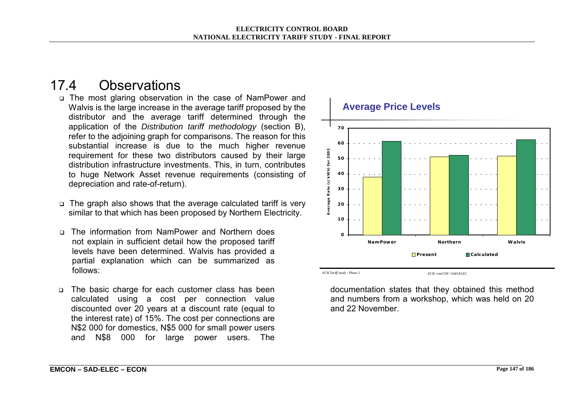## 17.4 Observations

- ! The most glaring observation in the case of NamPower and Walvis is the large increase in the average tariff proposed by the distributor and the average tariff determined through the application of the *Distribution tariff methodology* (section B), refer to the adjoining graph for comparisons. The reason for this substantial increase is due to the much higher revenue requirement for these two distributors caused by their large distribution infrastructure investments. This, in turn, contributes to huge Network Asset revenue requirements (consisting of depreciation and rate-of-return).
- $\Box$  The graph also shows that the average calculated tariff is very similar to that which has been proposed by Northern Electricity.
- □ The information from NamPower and Northern does not explain in sufficient detail how the proposed tariff levels have been determined. Walvis has provided a partial explanation which can be summarized as follows:
- □ The basic charge for each customer class has been calculated using a cost per connection value discounted over 20 years at a discount rate (equal to the interest rate) of 15%. The cost per connections are N\$2 000 for domestics, N\$5 000 for small power users and N\$8 000 for large power users. The



documentation states that they obtained this method and numbers from a workshop, which was held on 20 and 22 November.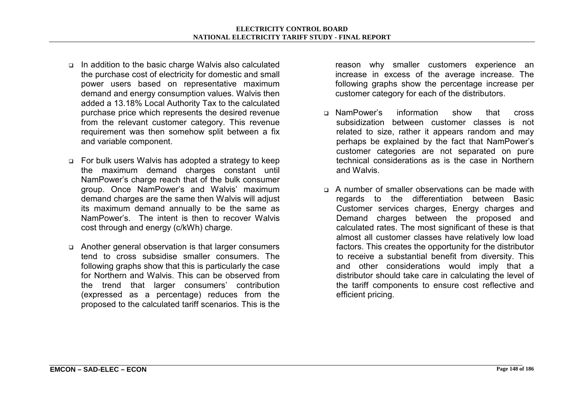- ! In addition to the basic charge Walvis also calculated the purchase cost of electricity for domestic and small power users based on representative maximum demand and energy consumption values. Walvis then added a 13.18% Local Authority Tax to the calculated purchase price which represents the desired revenue from the relevant customer category. This revenue requirement was then somehow split between a fix and variable component.
- □ For bulk users Walvis has adopted a strategy to keep the maximum demand charges constant until NamPowerís charge reach that of the bulk consumer group. Once NamPowerís and Walvisí maximum demand charges are the same then Walvis will adjust its maximum demand annually to be the same as NamPowerís. The intent is then to recover Walvis cost through and energy (c/kWh) charge.
- ! Another general observation is that larger consumers tend to cross subsidise smaller consumers. The following graphs show that this is particularly the case for Northern and Walvis. This can be observed from the trend that larger consumers' contribution (expressed as a percentage) reduces from the proposed to the calculated tariff scenarios. This is the

reason why smaller customers experience an increase in excess of the average increase. The following graphs show the percentage increase per customer category for each of the distributors.

- ! NamPowerís information show that cross subsidization between customer classes is not related to size, rather it appears random and may perhaps be explained by the fact that NamPowerís customer categories are not separated on pure technical considerations as is the case in Northern and Walvis.
- $\Box$  A number of smaller observations can be made with regards to the differentiation between Basic Customer services charges, Energy charges and Demand charges between the proposed and calculated rates. The most significant of these is that almost all customer classes have relatively low load factors. This creates the opportunity for the distributor to receive a substantial benefit from diversity. This and other considerations would imply that a distributor should take care in calculating the level of the tariff components to ensure cost reflective and efficient pricing.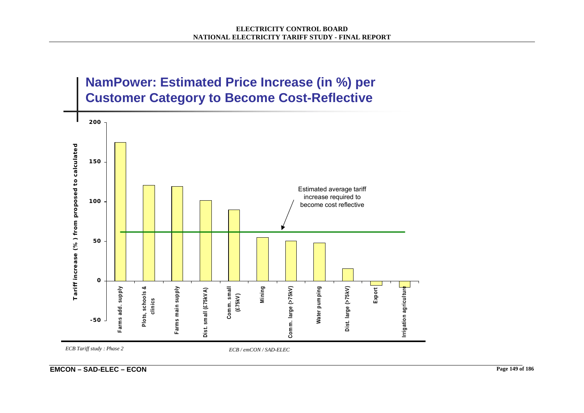

*ECB Tariff study : Phase 2 ECB / emCON / SAD-ELEC*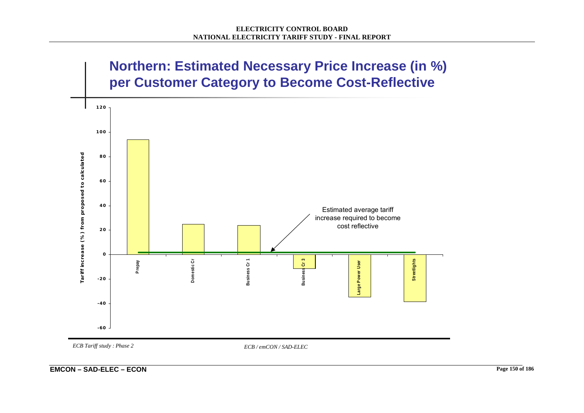

*ECB Tariff study : Phase 2 ECB / emCON / SAD-ELEC*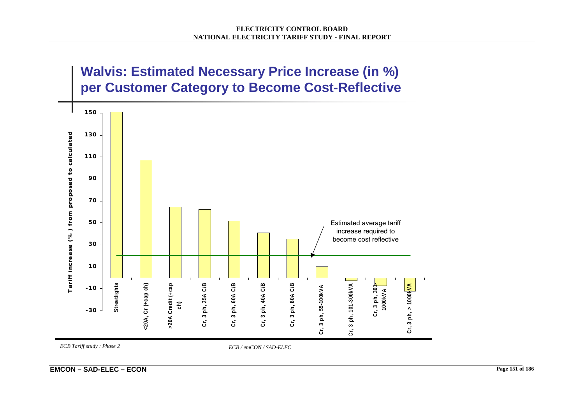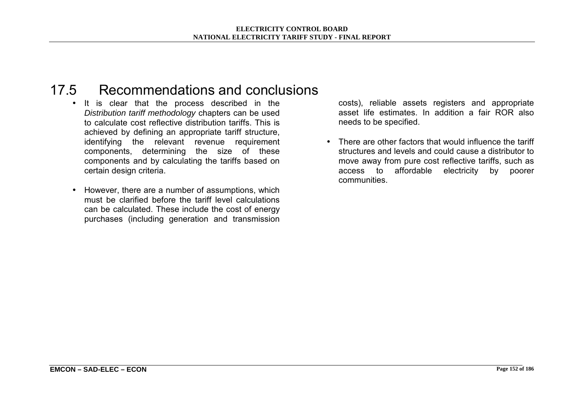## 17.5 Recommendations and conclusions

- It is clear that the process described in the *Distribution tariff methodology* chapters can be used to calculate cost reflective distribution tariffs. This is achieved by defining an appropriate tariff structure, identifying the relevant revenue requirement components, determining the size of these components and by calculating the tariffs based on certain design criteria.
- However, there are a number of assumptions, which must be clarified before the tariff level calculations can be calculated. These include the cost of energy purchases (including generation and transmission

costs), reliable assets registers and appropriate asset life estimates. In addition a fair ROR also needs to be specified.

• There are other factors that would influence the tariff structures and levels and could cause a distributor to move away from pure cost reflective tariffs, such as access to affordable electricity by poorer communities.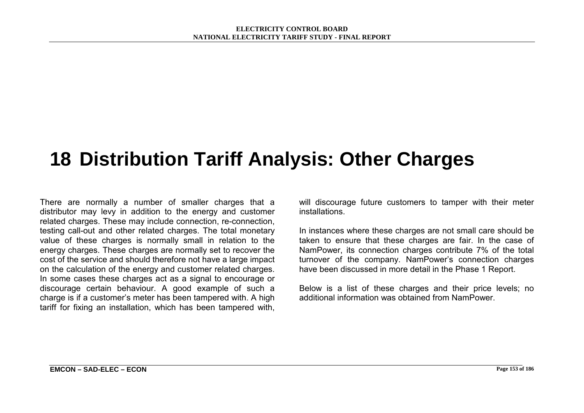# **18 Distribution Tariff Analysis: Other Charges**

There are normally a number of smaller charges that a distributor may levy in addition to the energy and customer related charges. These may include connection, re-connection, testing call-out and other related charges. The total monetary value of these charges is normally small in relation to the energy charges. These charges are normally set to recover the cost of the service and should therefore not have a large impact on the calculation of the energy and customer related charges. In some cases these charges act as a signal to encourage or discourage certain behaviour. A good example of such a charge is if a customerís meter has been tampered with. A high tariff for fixing an installation, which has been tampered with,

will discourage future customers to tamper with their meter installations.

In instances where these charges are not small care should be taken to ensure that these charges are fair. In the case of NamPower, its connection charges contribute 7% of the total turnover of the company. NamPowerís connection charges have been discussed in more detail in the Phase 1 Report.

Below is a list of these charges and their price levels; no additional information was obtained from NamPower.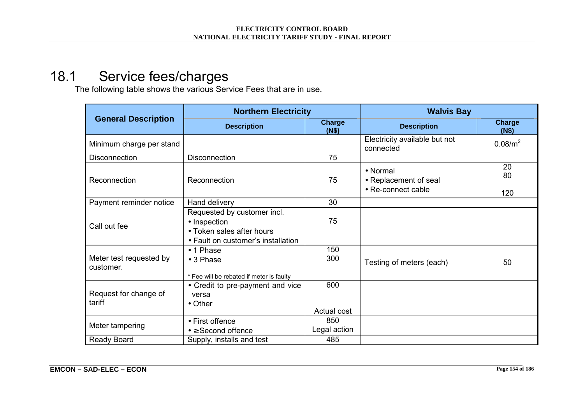## 18.1 Service fees/charges

The following table shows the various Service Fees that are in use.

|                                      | <b>Northern Electricity</b>                                                                                    |                        | <b>Walvis Bay</b>                                       |                     |  |  |  |
|--------------------------------------|----------------------------------------------------------------------------------------------------------------|------------------------|---------------------------------------------------------|---------------------|--|--|--|
| <b>General Description</b>           | <b>Description</b>                                                                                             | <b>Charge</b><br>(N\$) | <b>Description</b>                                      | Charge<br>(N\$)     |  |  |  |
| Minimum charge per stand             |                                                                                                                |                        | Electricity available but not<br>connected              | 0.08/m <sup>2</sup> |  |  |  |
| Disconnection                        | Disconnection                                                                                                  | 75                     |                                                         |                     |  |  |  |
| Reconnection                         | Reconnection                                                                                                   | 75                     | • Normal<br>• Replacement of seal<br>• Re-connect cable | 20<br>80<br>120     |  |  |  |
| Payment reminder notice              | Hand delivery                                                                                                  | 30                     |                                                         |                     |  |  |  |
| Call out fee                         | Requested by customer incl.<br>• Inspection<br>• Token sales after hours<br>• Fault on customer's installation | 75                     |                                                         |                     |  |  |  |
| Meter test requested by<br>customer. | • 1 Phase<br>$\bullet$ 3 Phase<br>* Fee will be rebated if meter is faulty                                     | 150<br>300             | Testing of meters (each)                                | 50                  |  |  |  |
| Request for change of<br>tariff      | • Credit to pre-payment and vice<br>versa<br>$\bullet$ Other                                                   | 600<br>Actual cost     |                                                         |                     |  |  |  |
| Meter tampering                      | • First offence<br>$\bullet \geq$ Second offence                                                               | 850<br>Legal action    |                                                         |                     |  |  |  |
| Ready Board                          | Supply, installs and test                                                                                      | 485                    |                                                         |                     |  |  |  |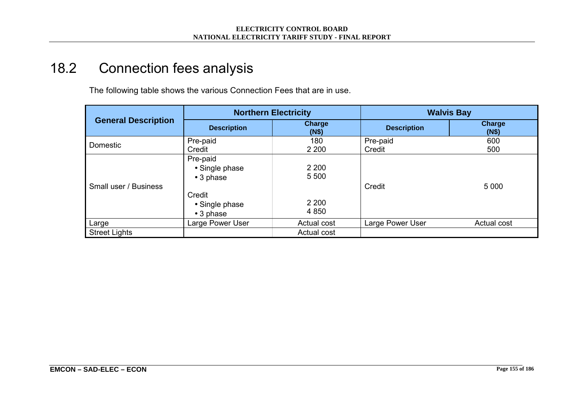# 18.2 Connection fees analysis

The following table shows the various Connection Fees that are in use.

|                            |                                                                                                  | <b>Northern Electricity</b>              | <b>Walvis Bay</b>  |                 |  |  |
|----------------------------|--------------------------------------------------------------------------------------------------|------------------------------------------|--------------------|-----------------|--|--|
| <b>General Description</b> | <b>Description</b>                                                                               | Charge<br>(N\$)                          | <b>Description</b> | Charge<br>(N\$) |  |  |
| Domestic                   | Pre-paid                                                                                         | 180                                      | Pre-paid           | 600             |  |  |
|                            | Credit                                                                                           | 2 2 0 0                                  | Credit             | 500             |  |  |
| Small user / Business      | Pre-paid<br>• Single phase<br>$\bullet$ 3 phase<br>Credit<br>• Single phase<br>$\bullet$ 3 phase | 2 2 0 0<br>5 5 0 0<br>2 2 0 0<br>4 8 5 0 | Credit             | 5 0 0 0         |  |  |
| Large                      | Large Power User                                                                                 | Actual cost                              | Large Power User   | Actual cost     |  |  |
| <b>Street Lights</b>       |                                                                                                  | Actual cost                              |                    |                 |  |  |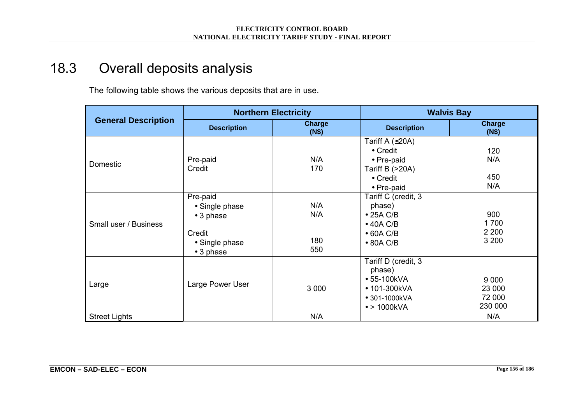# 18.3 Overall deposits analysis

The following table shows the various deposits that are in use.

|                            | <b>Northern Electricity</b>                                                                      |                          |                                                                                                                   | <b>Walvis Bay</b>                      |  |  |  |
|----------------------------|--------------------------------------------------------------------------------------------------|--------------------------|-------------------------------------------------------------------------------------------------------------------|----------------------------------------|--|--|--|
| <b>General Description</b> | <b>Description</b>                                                                               | <b>Charge</b><br>(N\$)   | <b>Description</b>                                                                                                | Charge<br>(N\$)                        |  |  |  |
| Domestic                   | Pre-paid<br>Credit                                                                               | N/A<br>170               | Tariff A $( \leq 20A)$<br>$\bullet$ Credit<br>• Pre-paid<br>Tariff B $(>20A)$<br>$\bullet$ Credit<br>• Pre-paid   | 120<br>N/A<br>450<br>N/A               |  |  |  |
| Small user / Business      | Pre-paid<br>• Single phase<br>$\bullet$ 3 phase<br>Credit<br>• Single phase<br>$\bullet$ 3 phase | N/A<br>N/A<br>180<br>550 | Tariff C (credit, 3<br>phase)<br>$\bullet$ 25A C/B<br>$\bullet$ 40A C/B<br>$\bullet$ 60A C/B<br>$\bullet$ 80A C/B | 900<br>1700<br>2 2 0 0<br>3 200        |  |  |  |
| Large                      | Large Power User                                                                                 | 3 0 0 0                  | Tariff D (credit, 3<br>phase)<br>• 55-100kVA<br>• 101-300kVA<br>• 301-1000kVA<br>$\bullet$ > 1000kVA              | 9 0 0 0<br>23 000<br>72 000<br>230 000 |  |  |  |
| <b>Street Lights</b>       |                                                                                                  | N/A                      |                                                                                                                   | N/A                                    |  |  |  |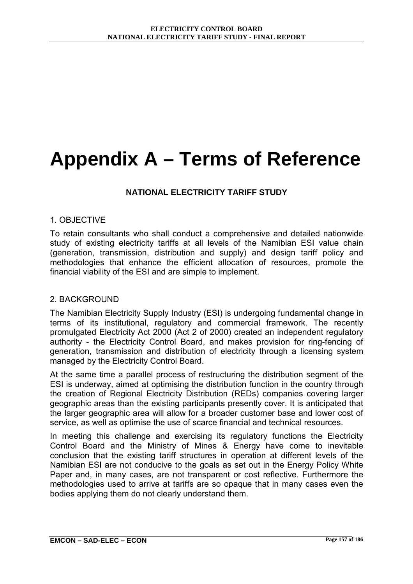# **Appendix A – Terms of Reference**

#### **NATIONAL ELECTRICITY TARIFF STUDY**

#### 1. OBJECTIVE

To retain consultants who shall conduct a comprehensive and detailed nationwide study of existing electricity tariffs at all levels of the Namibian ESI value chain (generation, transmission, distribution and supply) and design tariff policy and methodologies that enhance the efficient allocation of resources, promote the financial viability of the ESI and are simple to implement.

#### 2. BACKGROUND

The Namibian Electricity Supply Industry (ESI) is undergoing fundamental change in terms of its institutional, regulatory and commercial framework. The recently promulgated Electricity Act 2000 (Act 2 of 2000) created an independent regulatory authority - the Electricity Control Board, and makes provision for ring-fencing of generation, transmission and distribution of electricity through a licensing system managed by the Electricity Control Board.

At the same time a parallel process of restructuring the distribution segment of the ESI is underway, aimed at optimising the distribution function in the country through the creation of Regional Electricity Distribution (REDs) companies covering larger geographic areas than the existing participants presently cover. It is anticipated that the larger geographic area will allow for a broader customer base and lower cost of service, as well as optimise the use of scarce financial and technical resources.

In meeting this challenge and exercising its regulatory functions the Electricity Control Board and the Ministry of Mines & Energy have come to inevitable conclusion that the existing tariff structures in operation at different levels of the Namibian ESI are not conducive to the goals as set out in the Energy Policy White Paper and, in many cases, are not transparent or cost reflective. Furthermore the methodologies used to arrive at tariffs are so opaque that in many cases even the bodies applying them do not clearly understand them.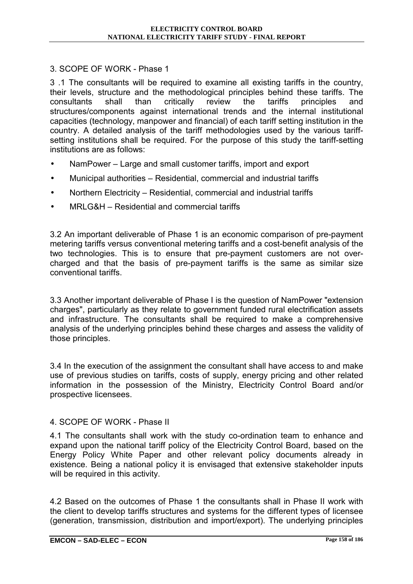# 3. SCOPE OF WORK - Phase 1

3 .1 The consultants will be required to examine all existing tariffs in the country, their levels, structure and the methodological principles behind these tariffs. The consultants shall than critically review the tariffs principles and structures/components against international trends and the internal institutional capacities (technology, manpower and financial) of each tariff setting institution in the country. A detailed analysis of the tariff methodologies used by the various tariffsetting institutions shall be required. For the purpose of this study the tariff-setting institutions are as follows:

- NamPower Large and small customer tariffs, import and export
- Municipal authorities Residential, commercial and industrial tariffs
- Northern Electricity Residential, commercial and industrial tariffs
- $MRLG&H Residental$  and commercial tariffs

3.2 An important deliverable of Phase 1 is an economic comparison of pre-payment metering tariffs versus conventional metering tariffs and a cost-benefit analysis of the two technologies. This is to ensure that pre-payment customers are not overcharged and that the basis of pre-payment tariffs is the same as similar size conventional tariffs.

3.3 Another important deliverable of Phase I is the question of NamPower "extension charges", particularly as they relate to government funded rural electrification assets and infrastructure. The consultants shall be required to make a comprehensive analysis of the underlying principles behind these charges and assess the validity of those principles.

3.4 In the execution of the assignment the consultant shall have access to and make use of previous studies on tariffs, costs of supply, energy pricing and other related information in the possession of the Ministry, Electricity Control Board and/or prospective licensees.

# 4. SCOPE OF WORK - Phase II

4.1 The consultants shall work with the study co-ordination team to enhance and expand upon the national tariff policy of the Electricity Control Board, based on the Energy Policy White Paper and other relevant policy documents already in existence. Being a national policy it is envisaged that extensive stakeholder inputs will be required in this activity.

4.2 Based on the outcomes of Phase 1 the consultants shall in Phase II work with the client to develop tariffs structures and systems for the different types of licensee (generation, transmission, distribution and import/export). The underlying principles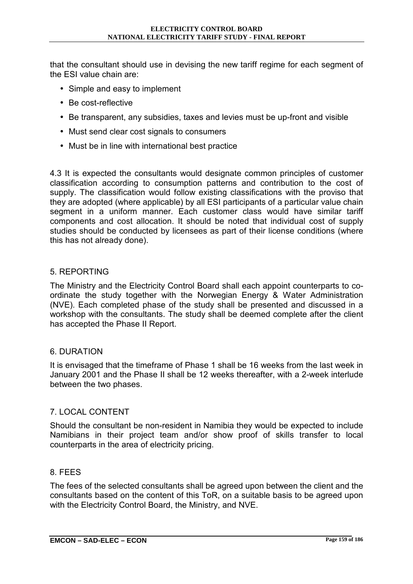that the consultant should use in devising the new tariff regime for each segment of the ESI value chain are:

- Simple and easy to implement
- Be cost-reflective
- Be transparent, any subsidies, taxes and levies must be up-front and visible
- Must send clear cost signals to consumers
- Must be in line with international best practice

4.3 It is expected the consultants would designate common principles of customer classification according to consumption patterns and contribution to the cost of supply. The classification would follow existing classifications with the proviso that they are adopted (where applicable) by all ESI participants of a particular value chain segment in a uniform manner. Each customer class would have similar tariff components and cost allocation. It should be noted that individual cost of supply studies should be conducted by licensees as part of their license conditions (where this has not already done).

# 5. REPORTING

The Ministry and the Electricity Control Board shall each appoint counterparts to coordinate the study together with the Norwegian Energy & Water Administration (NVE). Each completed phase of the study shall be presented and discussed in a workshop with the consultants. The study shall be deemed complete after the client has accepted the Phase II Report.

# 6. DURATION

It is envisaged that the timeframe of Phase 1 shall be 16 weeks from the last week in January 2001 and the Phase II shall be 12 weeks thereafter, with a 2-week interlude between the two phases.

# 7. LOCAL CONTENT

Should the consultant be non-resident in Namibia they would be expected to include Namibians in their project team and/or show proof of skills transfer to local counterparts in the area of electricity pricing.

#### 8. FEES

The fees of the selected consultants shall be agreed upon between the client and the consultants based on the content of this ToR, on a suitable basis to be agreed upon with the Electricity Control Board, the Ministry, and NVE.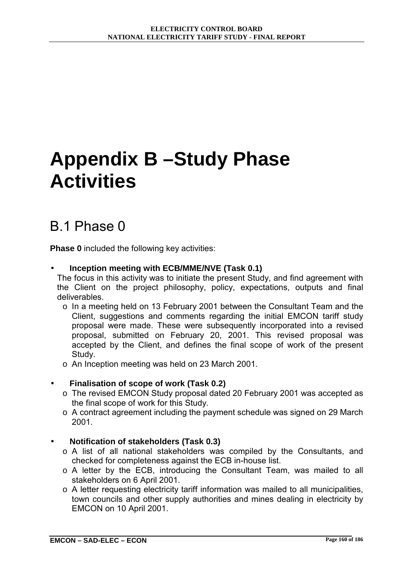# **Appendix B –Study Phase Activities**

# B.1 Phase 0

**Phase 0** included the following key activities:

# • **Inception meeting with ECB/MME/NVE (Task 0.1)**

The focus in this activity was to initiate the present Study, and find agreement with the Client on the project philosophy, policy, expectations, outputs and final deliverables.

- o In a meeting held on 13 February 2001 between the Consultant Team and the Client, suggestions and comments regarding the initial EMCON tariff study proposal were made. These were subsequently incorporated into a revised proposal, submitted on February 20, 2001. This revised proposal was accepted by the Client, and defines the final scope of work of the present Study.
- o An Inception meeting was held on 23 March 2001.

# • **Finalisation of scope of work (Task 0.2)**

- o The revised EMCON Study proposal dated 20 February 2001 was accepted as the final scope of work for this Study.
- o A contract agreement including the payment schedule was signed on 29 March 2001.
- **Notification of stakeholders (Task 0.3)** 
	- o A list of all national stakeholders was compiled by the Consultants, and checked for completeness against the ECB in-house list.
	- o A letter by the ECB, introducing the Consultant Team, was mailed to all stakeholders on 6 April 2001.
	- o A letter requesting electricity tariff information was mailed to all municipalities, town councils and other supply authorities and mines dealing in electricity by EMCON on 10 April 2001.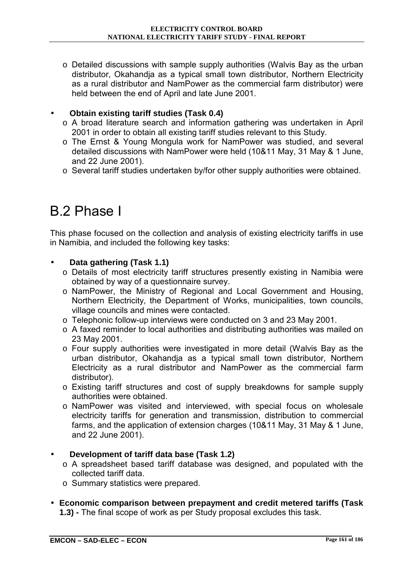o Detailed discussions with sample supply authorities (Walvis Bay as the urban distributor, Okahandja as a typical small town distributor, Northern Electricity as a rural distributor and NamPower as the commercial farm distributor) were held between the end of April and late June 2001.

# • **Obtain existing tariff studies (Task 0.4)**

- o A broad literature search and information gathering was undertaken in April 2001 in order to obtain all existing tariff studies relevant to this Study.
- o The Ernst & Young Mongula work for NamPower was studied, and several detailed discussions with NamPower were held (10&11 May, 31 May & 1 June, and 22 June 2001).
- o Several tariff studies undertaken by/for other supply authorities were obtained.

# B.2 Phase I

This phase focused on the collection and analysis of existing electricity tariffs in use in Namibia, and included the following key tasks:

# • **Data gathering (Task 1.1)**

- o Details of most electricity tariff structures presently existing in Namibia were obtained by way of a questionnaire survey.
- o NamPower, the Ministry of Regional and Local Government and Housing, Northern Electricity, the Department of Works, municipalities, town councils, village councils and mines were contacted.
- o Telephonic follow-up interviews were conducted on 3 and 23 May 2001.
- o A faxed reminder to local authorities and distributing authorities was mailed on 23 May 2001.
- o Four supply authorities were investigated in more detail (Walvis Bay as the urban distributor, Okahandja as a typical small town distributor, Northern Electricity as a rural distributor and NamPower as the commercial farm distributor).
- o Existing tariff structures and cost of supply breakdowns for sample supply authorities were obtained.
- o NamPower was visited and interviewed, with special focus on wholesale electricity tariffs for generation and transmission, distribution to commercial farms, and the application of extension charges (10&11 May, 31 May & 1 June, and 22 June 2001).
- **Development of tariff data base (Task 1.2)** 
	- o A spreadsheet based tariff database was designed, and populated with the collected tariff data.
	- o Summary statistics were prepared.
- **Economic comparison between prepayment and credit metered tariffs (Task 1.3) -** The final scope of work as per Study proposal excludes this task.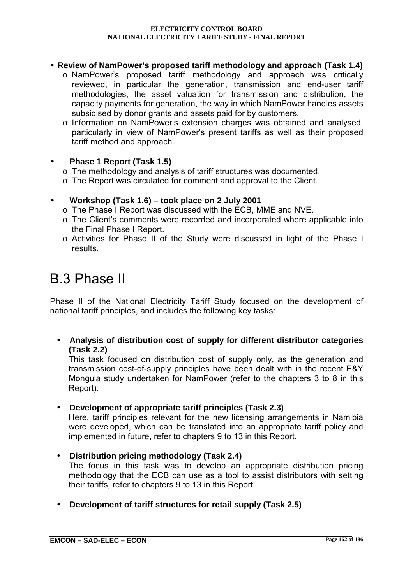# • **Review of NamPower's proposed tariff methodology and approach (Task 1.4)**

- o NamPowerís proposed tariff methodology and approach was critically reviewed, in particular the generation, transmission and end-user tariff methodologies, the asset valuation for transmission and distribution, the capacity payments for generation, the way in which NamPower handles assets subsidised by donor grants and assets paid for by customers.
- o Information on NamPowerís extension charges was obtained and analysed, particularly in view of NamPowerís present tariffs as well as their proposed tariff method and approach.

# • **Phase 1 Report (Task 1.5)**

- o The methodology and analysis of tariff structures was documented.
- o The Report was circulated for comment and approval to the Client.

# • **Workshop (Task 1.6) – took place on 2 July 2001**

- o The Phase I Report was discussed with the ECB, MME and NVE.
- o The Clientís comments were recorded and incorporated where applicable into the Final Phase I Report.
- o Activities for Phase II of the Study were discussed in light of the Phase I results.

# B.3 Phase II

Phase II of the National Electricity Tariff Study focused on the development of national tariff principles, and includes the following key tasks:

• **Analysis of distribution cost of supply for different distributor categories (Task 2.2)**

This task focused on distribution cost of supply only, as the generation and transmission cost-of-supply principles have been dealt with in the recent E&Y Mongula study undertaken for NamPower (refer to the chapters 3 to 8 in this Report).

• **Development of appropriate tariff principles (Task 2.3)** 

Here, tariff principles relevant for the new licensing arrangements in Namibia were developed, which can be translated into an appropriate tariff policy and implemented in future, refer to chapters 9 to 13 in this Report.

- **Distribution pricing methodology (Task 2.4)**  The focus in this task was to develop an appropriate distribution pricing methodology that the ECB can use as a tool to assist distributors with setting their tariffs, refer to chapters 9 to 13 in this Report.
- **Development of tariff structures for retail supply (Task 2.5)**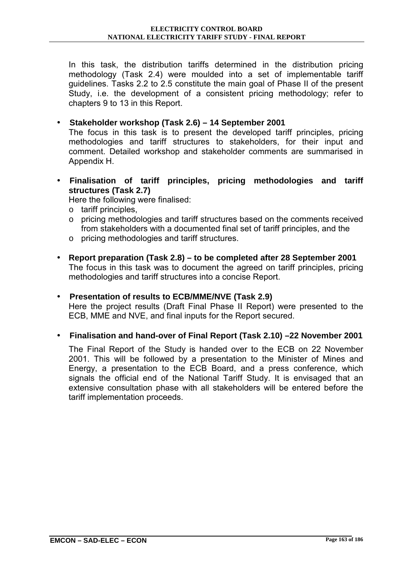In this task, the distribution tariffs determined in the distribution pricing methodology (Task 2.4) were moulded into a set of implementable tariff guidelines. Tasks 2.2 to 2.5 constitute the main goal of Phase II of the present Study, i.e. the development of a consistent pricing methodology; refer to chapters 9 to 13 in this Report.

# • **Stakeholder workshop (Task 2.6) – 14 September 2001**

The focus in this task is to present the developed tariff principles, pricing methodologies and tariff structures to stakeholders, for their input and comment. Detailed workshop and stakeholder comments are summarised in Appendix H.

• **Finalisation of tariff principles, pricing methodologies and tariff structures (Task 2.7)** 

Here the following were finalised:

- o tariff principles,
- o pricing methodologies and tariff structures based on the comments received from stakeholders with a documented final set of tariff principles, and the
- o pricing methodologies and tariff structures.
- **Report preparation (Task 2.8) to be completed after 28 September 2001**  The focus in this task was to document the agreed on tariff principles, pricing methodologies and tariff structures into a concise Report.

## • **Presentation of results to ECB/MME/NVE (Task 2.9)**

Here the project results (Draft Final Phase II Report) were presented to the ECB, MME and NVE, and final inputs for the Report secured.

# • **Finalisation and hand-over of Final Report (Task 2.10) –22 November 2001**

The Final Report of the Study is handed over to the ECB on 22 November 2001. This will be followed by a presentation to the Minister of Mines and Energy, a presentation to the ECB Board, and a press conference, which signals the official end of the National Tariff Study. It is envisaged that an extensive consultation phase with all stakeholders will be entered before the tariff implementation proceeds.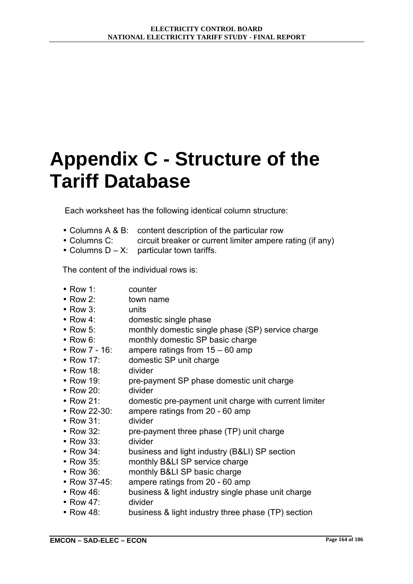# **Appendix C - Structure of the Tariff Database**

Each worksheet has the following identical column structure:

- Columns A & B: content description of the particular row
- Columns C: circuit breaker or current limiter ampere rating (if any)
- Columns  $D X$ : particular town tariffs.

The content of the individual rows is:

- Row 1: counter
- Row 2: town name
- Row 3: units
- Row 4: domestic single phase
- Row 5: monthly domestic single phase (SP) service charge
- Row 6: monthly domestic SP basic charge
- Row  $7 16$ : ampere ratings from  $15 60$  amp
- Row 17: domestic SP unit charge
- Row 18: divider
- Row 19: pre-payment SP phase domestic unit charge
- Row 20: divider
- Row 21: domestic pre-payment unit charge with current limiter
- Row 22-30: ampere ratings from 20 60 amp
- Row 31: divider
- Row 32: pre-payment three phase (TP) unit charge
- Row 33: divider
- Row 34: business and light industry (B&LI) SP section
- Row 35: monthly B&LI SP service charge
- Row 36: monthly B&LI SP basic charge
- Row 37-45: ampere ratings from 20 60 amp
- Row 46: business & light industry single phase unit charge
- Row 47: divider
- Row 48: business & light industry three phase (TP) section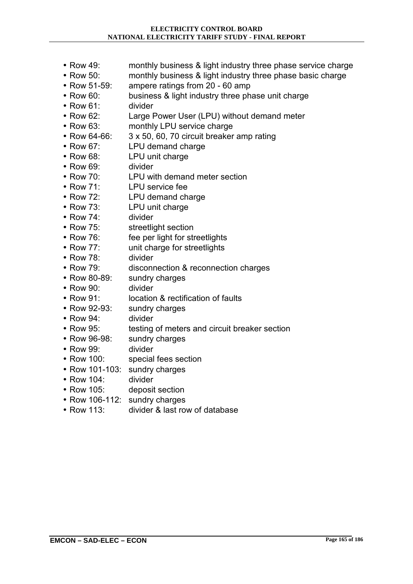- Row 49: monthly business & light industry three phase service charge
- Row 50: monthly business & light industry three phase basic charge
- Row 51-59: ampere ratings from 20 60 amp
- Row 60: business & light industry three phase unit charge
- Row 61: divider
- Row 62: Large Power User (LPU) without demand meter
- Row 63: monthly LPU service charge
- Row 64-66: 3 x 50, 60, 70 circuit breaker amp rating
- Row 67: LPU demand charge
- Row 68: LPU unit charge
- Row 69: divider
- Row 70: LPU with demand meter section
- Row 71: LPU service fee
- Row 72: LPU demand charge
- Row 73: LPU unit charge
- Row 74: divider
- Row 75: streetlight section
- Row 76: fee per light for streetlights
- Row 77: unit charge for streetlights
- Row 78: divider
- Row 79: disconnection & reconnection charges
- Row 80-89: sundry charges
- Row 90: divider
- Row 91: location & rectification of faults
- Row 92-93: sundry charges
- Row 94: divider
- Row 95: testing of meters and circuit breaker section
- Row 96-98: sundry charges
- Row 99: divider
- Row 100: special fees section
- Row 101-103: sundry charges
- Row 104: divider
- Row 105: deposit section
- Row 106-112: sundry charges
- Row 113: divider & last row of database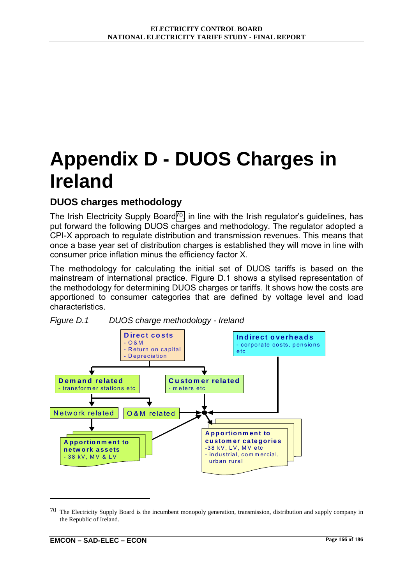# **Appendix D - DUOS Charges in Ireland**

# **DUOS charges methodology**

The Irish Electricity Supply Board<sup>70</sup>, in line with the Irish regulator's guidelines, has put forward the following DUOS charges and methodology. The regulator adopted a CPI-X approach to regulate distribution and transmission revenues. This means that once a base year set of distribution charges is established they will move in line with consumer price inflation minus the efficiency factor X.

The methodology for calculating the initial set of DUOS tariffs is based on the mainstream of international practice. Figure D.1 shows a stylised representation of the methodology for determining DUOS charges or tariffs. It shows how the costs are apportioned to consumer categories that are defined by voltage level and load characteristics.



*Figure D.1 DUOS charge methodology - Ireland* 

 $\overline{a}$ 

 $70$  The Electricity Supply Board is the incumbent monopoly generation, transmission, distribution and supply company in the Republic of Ireland.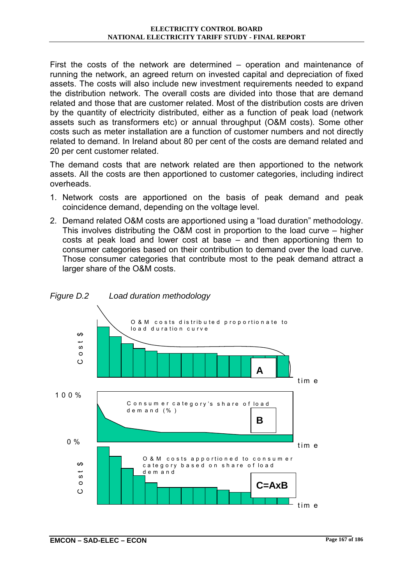First the costs of the network are determined  $-$  operation and maintenance of running the network, an agreed return on invested capital and depreciation of fixed assets. The costs will also include new investment requirements needed to expand the distribution network. The overall costs are divided into those that are demand related and those that are customer related. Most of the distribution costs are driven by the quantity of electricity distributed, either as a function of peak load (network assets such as transformers etc) or annual throughput (O&M costs). Some other costs such as meter installation are a function of customer numbers and not directly related to demand. In Ireland about 80 per cent of the costs are demand related and 20 per cent customer related.

The demand costs that are network related are then apportioned to the network assets. All the costs are then apportioned to customer categories, including indirect overheads.

- 1. Network costs are apportioned on the basis of peak demand and peak coincidence demand, depending on the voltage level.
- 2. Demand related O&M costs are apportioned using a "load duration" methodology. This involves distributing the O&M cost in proportion to the load curve  $-$  higher costs at peak load and lower cost at base  $-$  and then apportioning them to consumer categories based on their contribution to demand over the load curve. Those consumer categories that contribute most to the peak demand attract a larger share of the O&M costs.

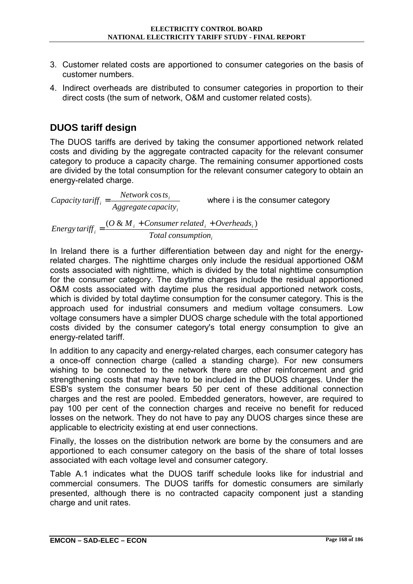- 3. Customer related costs are apportioned to consumer categories on the basis of customer numbers.
- 4. Indirect overheads are distributed to consumer categories in proportion to their direct costs (the sum of network, O&M and customer related costs).

# **DUOS tariff design**

The DUOS tariffs are derived by taking the consumer apportioned network related costs and dividing by the aggregate contracted capacity for the relevant consumer category to produce a capacity charge. The remaining consumer apportioned costs are divided by the total consumption for the relevant consumer category to obtain an energy-related charge.

*i i <sup>i</sup> Aggregate capacity Capacity tariff*  $\frac{N_{\text{e}}}{N}$  =  $\frac{N_{\text{e}}}{N_{\text{e}}}$  where i is the consumer category

*i*  $i_i$   $\top$  *Consumer retailed*  $i_i$   $\top$  *Overneaus*  $i$ *<sup>i</sup> Total consumption*  $Energy \{arity}_i = \frac{(O \& M_i + Consumer \, related_i + Overheads_i)}{T}$ 

In Ireland there is a further differentiation between day and night for the energyrelated charges. The nighttime charges only include the residual apportioned O&M costs associated with nighttime, which is divided by the total nighttime consumption for the consumer category. The daytime charges include the residual apportioned O&M costs associated with daytime plus the residual apportioned network costs, which is divided by total daytime consumption for the consumer category. This is the approach used for industrial consumers and medium voltage consumers. Low voltage consumers have a simpler DUOS charge schedule with the total apportioned costs divided by the consumer category's total energy consumption to give an energy-related tariff.

In addition to any capacity and energy-related charges, each consumer category has a once-off connection charge (called a standing charge). For new consumers wishing to be connected to the network there are other reinforcement and grid strengthening costs that may have to be included in the DUOS charges. Under the ESB's system the consumer bears 50 per cent of these additional connection charges and the rest are pooled. Embedded generators, however, are required to pay 100 per cent of the connection charges and receive no benefit for reduced losses on the network. They do not have to pay any DUOS charges since these are applicable to electricity existing at end user connections.

Finally, the losses on the distribution network are borne by the consumers and are apportioned to each consumer category on the basis of the share of total losses associated with each voltage level and consumer category.

Table A.1 indicates what the DUOS tariff schedule looks like for industrial and commercial consumers. The DUOS tariffs for domestic consumers are similarly presented, although there is no contracted capacity component just a standing charge and unit rates.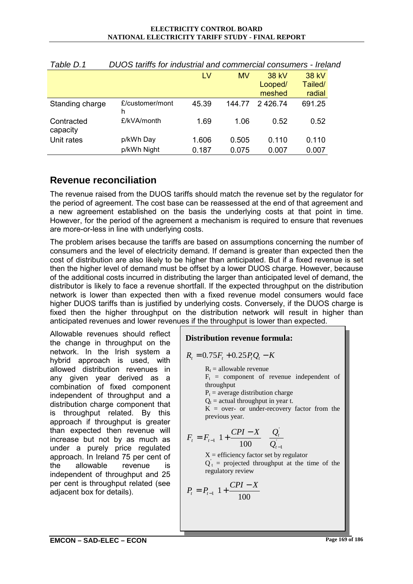#### **ELECTRICITY CONTROL BOARD NATIONAL ELECTRICITY TARIFF STUDY - FINAL REPORT**

| .                      |                      |       |           |         |         |
|------------------------|----------------------|-------|-----------|---------|---------|
|                        |                      | LV    | <b>MV</b> | 38 kV   | 38 kV   |
|                        |                      |       |           | Looped/ | Tailed/ |
|                        |                      |       |           | meshed  | radial  |
| Standing charge        | £/customer/mont<br>h | 45.39 | 144 77    | 2426.74 | 691.25  |
| Contracted<br>capacity | £/kVA/month          | 1.69  | 1.06      | 0.52    | 0.52    |
| Unit rates             | p/kWh Day            | 1.606 | 0.505     | 0.110   | 0.110   |
|                        | p/kWh Night          | 0.187 | 0.075     | 0.007   | 0.007   |

*Table D.1 DUOS tariffs for industrial and commercial consumers - Ireland* 

# **Revenue reconciliation**

The revenue raised from the DUOS tariffs should match the revenue set by the regulator for the period of agreement. The cost base can be reassessed at the end of that agreement and a new agreement established on the basis the underlying costs at that point in time. However, for the period of the agreement a mechanism is required to ensure that revenues are more-or-less in line with underlying costs.

The problem arises because the tariffs are based on assumptions concerning the number of consumers and the level of electricity demand. If demand is greater than expected then the cost of distribution are also likely to be higher than anticipated. But if a fixed revenue is set then the higher level of demand must be offset by a lower DUOS charge. However, because of the additional costs incurred in distributing the larger than anticipated level of demand, the distributor is likely to face a revenue shortfall. If the expected throughput on the distribution network is lower than expected then with a fixed revenue model consumers would face higher DUOS tariffs than is justified by underlying costs. Conversely, if the DUOS charge is fixed then the higher throughput on the distribution network will result in higher than anticipated revenues and lower revenues if the throughput is lower than expected.

Allowable revenues should reflect the change in throughput on the network. In the Irish system a hybrid approach is used, with allowed distribution revenues in any given year derived as a combination of fixed component independent of throughput and a distribution charge component that is throughput related. By this approach if throughput is greater than expected then revenue will increase but not by as much as under a purely price regulated approach. In Ireland 75 per cent of the allowable revenue is independent of throughput and 25 per cent is throughput related (see adjacent box for details).

# **Distribution revenue formula:**

 $R_t = 0.75F_t + 0.25P_tQ_t - K$ 

 $R<sub>t</sub>$  = allowable revenue

 $F_t$  = component of revenue independent of throughput

 $P_t$  = average distribution charge

 $Q_t$  = actual throughput in year t.

 $K =$  over- or under-recovery factor from the previous year.

$$
F_{t} = F_{t-1} \left( 1 + \frac{CPI - X}{100} \left( \frac{Q_{t}}{Q_{t-1}} \right) \right)
$$

 $X =$  efficiency factor set by regulator  $Q_t$  = projected throughput at the time of the regulatory review

$$
P_t = P_{t-1} \left( 1 + \frac{CPI - X}{100} \right)
$$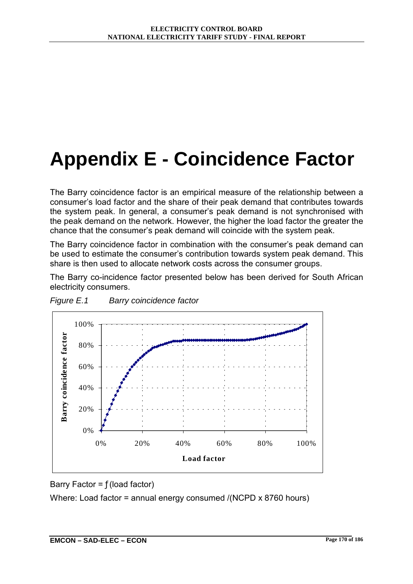# **Appendix E - Coincidence Factor**

The Barry coincidence factor is an empirical measure of the relationship between a consumerís load factor and the share of their peak demand that contributes towards the system peak. In general, a consumer's peak demand is not synchronised with the peak demand on the network. However, the higher the load factor the greater the chance that the consumer's peak demand will coincide with the system peak.

The Barry coincidence factor in combination with the consumerís peak demand can be used to estimate the consumerís contribution towards system peak demand. This share is then used to allocate network costs across the consumer groups.

The Barry co-incidence factor presented below has been derived for South African electricity consumers.





Barry Factor =  $f$ (load factor)

Where: Load factor = annual energy consumed /(NCPD x 8760 hours)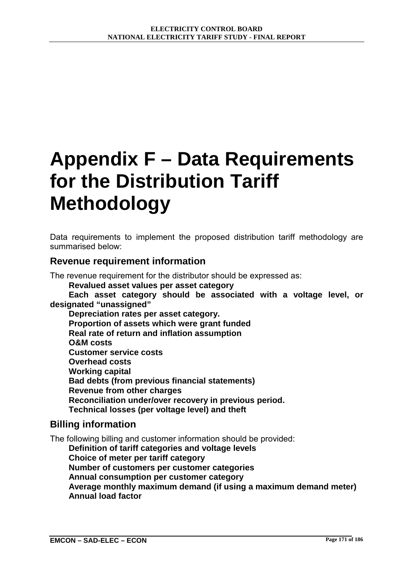# **Appendix F – Data Requirements for the Distribution Tariff Methodology**

Data requirements to implement the proposed distribution tariff methodology are summarised below:

# **Revenue requirement information**

The revenue requirement for the distributor should be expressed as:

**Revalued asset values per asset category** 

**Each asset category should be associated with a voltage level, or designated "unassigned"** 

**Depreciation rates per asset category. Proportion of assets which were grant funded Real rate of return and inflation assumption O&M costs Customer service costs Overhead costs Working capital Bad debts (from previous financial statements) Revenue from other charges Reconciliation under/over recovery in previous period. Technical losses (per voltage level) and theft** 

# **Billing information**

The following billing and customer information should be provided:

**Definition of tariff categories and voltage levels Choice of meter per tariff category Number of customers per customer categories Annual consumption per customer category Average monthly maximum demand (if using a maximum demand meter) Annual load factor**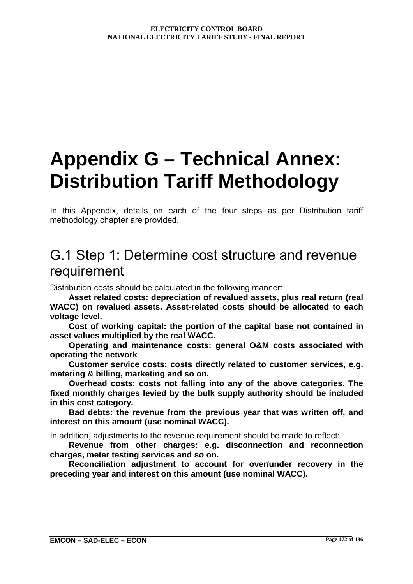# **Appendix G – Technical Annex: Distribution Tariff Methodology**

In this Appendix, details on each of the four steps as per Distribution tariff methodology chapter are provided.

# G.1 Step 1: Determine cost structure and revenue requirement

Distribution costs should be calculated in the following manner:

**Asset related costs: depreciation of revalued assets, plus real return (real WACC) on revalued assets. Asset-related costs should be allocated to each voltage level.** 

**Cost of working capital: the portion of the capital base not contained in asset values multiplied by the real WACC.** 

**Operating and maintenance costs: general O&M costs associated with operating the network** 

**Customer service costs: costs directly related to customer services, e.g. metering & billing, marketing and so on.** 

**Overhead costs: costs not falling into any of the above categories. The fixed monthly charges levied by the bulk supply authority should be included in this cost category.** 

**Bad debts: the revenue from the previous year that was written off, and interest on this amount (use nominal WACC).** 

In addition, adjustments to the revenue requirement should be made to reflect:

**Revenue from other charges: e.g. disconnection and reconnection charges, meter testing services and so on.** 

**Reconciliation adjustment to account for over/under recovery in the preceding year and interest on this amount (use nominal WACC).**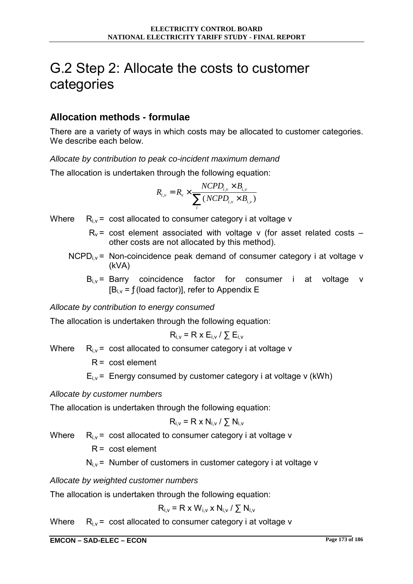# G.2 Step 2: Allocate the costs to customer categories

# **Allocation methods - formulae**

There are a variety of ways in which costs may be allocated to customer categories. We describe each below.

*Allocate by contribution to peak co-incident maximum demand* 

The allocation is undertaken through the following equation:

$$
R_{i,v} = R_v \times \frac{NCPD_{i,v} \times B_{i,v}}{\sum_{i} (NCPD_{i,v} \times B_{i,v})}
$$

Where  $R_{i,v}$  = cost allocated to consumer category i at voltage v

- $R_v$  = cost element associated with voltage v (for asset related costs  $$ other costs are not allocated by this method).
- $NCPD<sub>i</sub>$   $\vee$  = Non-coincidence peak demand of consumer category i at voltage v (kVA)
	- $B_{i,v}$  = Barry coincidence factor for consumer i at voltage v  $[B_{i,y} = f(\text{load factor})]$ , refer to Appendix E

*Allocate by contribution to energy consumed* 

The allocation is undertaken through the following equation:

$$
R_{i,v} = R \times E_{i,v} / \sum E_{i,v}
$$

Where  $R_{i,v}$  = cost allocated to consumer category i at voltage v

 $R = \text{cost element}$ 

 $E_{i,v}$  = Energy consumed by customer category i at voltage v (kWh)

#### *Allocate by customer numbers*

The allocation is undertaken through the following equation:

$$
R_{i,v} = R \times N_{i,v} / \sum N_{i,v}
$$

Where  $R_{i,y}$  = cost allocated to consumer category i at voltage v

 $R = \text{cost element}$ 

 $N_{i,y}$  = Number of customers in customer category i at voltage v

*Allocate by weighted customer numbers* 

The allocation is undertaken through the following equation:

$$
R_{i,v} = R \times W_{i,v} \times N_{i,v} / \sum N_{i,v}
$$

Where  $R_{i,v}$  = cost allocated to consumer category i at voltage v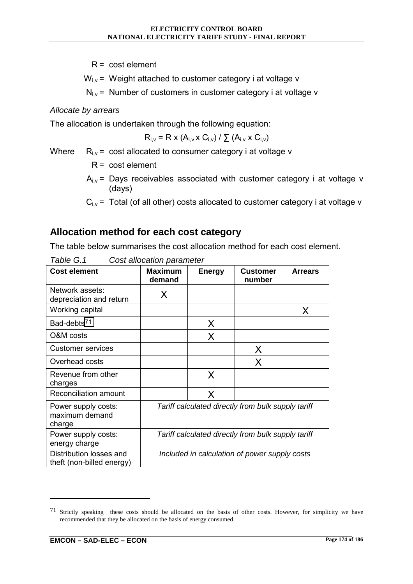$R = \text{cost element}$ 

 $W_{i,v}$  = Weight attached to customer category i at voltage v

 $N_{i,v}$  = Number of customers in customer category i at voltage v

*Allocate by arrears* 

The allocation is undertaken through the following equation:

$$
R_{i,v} = R \times (A_{i,v} \times C_{i,v}) / \sum (A_{i,v} \times C_{i,v})
$$

Where  $R_{i,v}$  = cost allocated to consumer category i at voltage v

 $R = \text{cost element}$ 

- $A_{i,v}$  = Days receivables associated with customer category i at voltage v (days)
- $C_{i,v}$  = Total (of all other) costs allocated to customer category i at voltage v

# **Allocation method for each cost category**

The table below summarises the cost allocation method for each cost element.

| <b>Cost element</b>                                  | Maximum<br>demand                                  | <b>Energy</b> | Customer<br>number | <b>Arrears</b> |
|------------------------------------------------------|----------------------------------------------------|---------------|--------------------|----------------|
| Network assets:<br>depreciation and return           | X                                                  |               |                    |                |
| Working capital                                      |                                                    |               |                    | X              |
| Bad-debts <sup>71</sup>                              |                                                    | X             |                    |                |
| O&M costs                                            |                                                    | X             |                    |                |
| <b>Customer services</b>                             |                                                    |               | X                  |                |
| Overhead costs                                       |                                                    |               | X                  |                |
| Revenue from other<br>charges                        |                                                    | X             |                    |                |
| <b>Reconciliation amount</b>                         |                                                    | X             |                    |                |
| Power supply costs:<br>maximum demand<br>charge      | Tariff calculated directly from bulk supply tariff |               |                    |                |
| Power supply costs:<br>energy charge                 | Tariff calculated directly from bulk supply tariff |               |                    |                |
| Distribution losses and<br>theft (non-billed energy) | Included in calculation of power supply costs      |               |                    |                |

*Table G.1 Cost allocation parameter* 

 $\overline{a}$ 

 $71$  Strictly speaking these costs should be allocated on the basis of other costs. However, for simplicity we have recommended that they be allocated on the basis of energy consumed.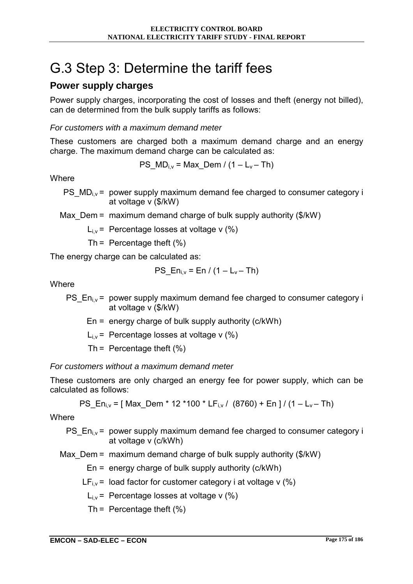# G.3 Step 3: Determine the tariff fees

# **Power supply charges**

Power supply charges, incorporating the cost of losses and theft (energy not billed), can de determined from the bulk supply tariffs as follows:

# *For customers with a maximum demand meter*

These customers are charged both a maximum demand charge and an energy charge. The maximum demand charge can be calculated as:

$$
PS_{M}D_{i,v} = Max_{D}m / (1 - L_v - Th)
$$

**Where** 

PS  $MD_{i,v}$  = power supply maximum demand fee charged to consumer category i at voltage v (\$/kW)

Max Dem = maximum demand charge of bulk supply authority ( $$/kW$ )

 $L_{i,v}$  = Percentage losses at voltage v  $(\%)$ 

Th = Percentage theft  $(\%)$ 

The energy charge can be calculated as:

$$
PS_{in,v} = En / (1 - L_v - Th)
$$

**Where** 

PS  $En_i = power$  supply maximum demand fee charged to consumer category i at voltage v (\$/kW)

En = energy charge of bulk supply authority (c/kWh)

 $L_{i,v}$  = Percentage losses at voltage v (%)

Th = Percentage theft  $(%)$ 

# *For customers without a maximum demand meter*

These customers are only charged an energy fee for power supply, which can be calculated as follows:

PS\_En<sub>i,v</sub> = [ Max\_Dem \* 12 \*100 \* LF<sub>i,v</sub> / (8760) + En ] / (1 – L<sub>v</sub> – Th)

**Where** 

PS  $En_i = power$  supply maximum demand fee charged to consumer category i at voltage v (c/kWh)

Max Dem = maximum demand charge of bulk supply authority ( $$/kW$ )

 $En = energy charge of bulk supply authority (c/kWh)$ 

 $LF_{i,v}$  = load factor for customer category i at voltage v (%)

 $L_{i,v}$  = Percentage losses at voltage v (%)

Th = Percentage theft  $(\%)$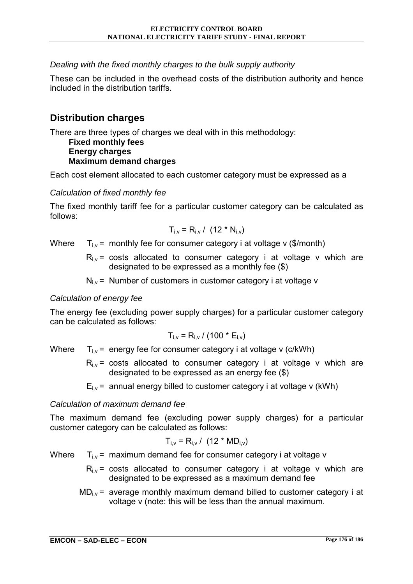# *Dealing with the fixed monthly charges to the bulk supply authority*

These can be included in the overhead costs of the distribution authority and hence included in the distribution tariffs.

# **Distribution charges**

There are three types of charges we deal with in this methodology:

## **Fixed monthly fees Energy charges Maximum demand charges**

Each cost element allocated to each customer category must be expressed as a

# *Calculation of fixed monthly fee*

The fixed monthly tariff fee for a particular customer category can be calculated as follows:

$$
T_{i,v} = R_{i,v} / (12 * N_{i,v})
$$

Where  $T_{i,v}$  = monthly fee for consumer category i at voltage v (\$/month)

 $R_{i,v}$  = costs allocated to consumer category i at voltage v which are designated to be expressed as a monthly fee (\$)

 $N_{i,v}$  = Number of customers in customer category i at voltage v

# *Calculation of energy fee*

The energy fee (excluding power supply charges) for a particular customer category can be calculated as follows:

$$
T_{i,v} = R_{i,v} / (100 * E_{i,v})
$$

Where  $T_{i,v}$  = energy fee for consumer category i at voltage v (c/kWh)

- $R_{i,v}$  = costs allocated to consumer category i at voltage v which are designated to be expressed as an energy fee (\$)
- $E_i =$  annual energy billed to customer category i at voltage v (kWh)

# *Calculation of maximum demand fee*

The maximum demand fee (excluding power supply charges) for a particular customer category can be calculated as follows:

$$
T_{i,v} = R_{i,v} / (12 * MD_{i,v})
$$

Where  $T_{i,v}$  = maximum demand fee for consumer category i at voltage v

- $R_{i,v}$  = costs allocated to consumer category i at voltage v which are designated to be expressed as a maximum demand fee
- $MD_{i,v}$  = average monthly maximum demand billed to customer category i at voltage v (note: this will be less than the annual maximum.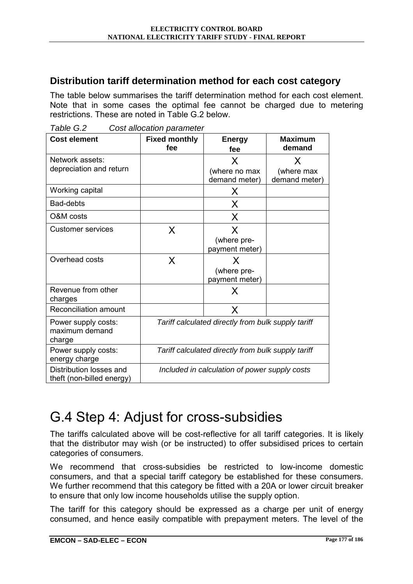# **Distribution tariff determination method for each cost category**

The table below summarises the tariff determination method for each cost element. Note that in some cases the optimal fee cannot be charged due to metering restrictions. These are noted in Table G.2 below.

| <b>Cost element</b>       | .<br><b>Fixed monthly</b>                          | <b>Energy</b>  | <b>Maximum</b> |  |  |
|---------------------------|----------------------------------------------------|----------------|----------------|--|--|
|                           | fee                                                | fee            | demand         |  |  |
| Network assets:           |                                                    | X              | X              |  |  |
| depreciation and return   |                                                    | (where no max  | (where max     |  |  |
|                           |                                                    | demand meter)  | demand meter)  |  |  |
| Working capital           |                                                    | X              |                |  |  |
| Bad-debts                 |                                                    | X              |                |  |  |
| O&M costs                 |                                                    | X              |                |  |  |
| <b>Customer services</b>  | X                                                  | X              |                |  |  |
|                           |                                                    | (where pre-    |                |  |  |
|                           |                                                    | payment meter) |                |  |  |
| Overhead costs            | X                                                  | X              |                |  |  |
|                           |                                                    | (where pre-    |                |  |  |
|                           |                                                    | payment meter) |                |  |  |
| Revenue from other        |                                                    | X              |                |  |  |
| charges                   |                                                    |                |                |  |  |
| Reconciliation amount     |                                                    | X              |                |  |  |
| Power supply costs:       | Tariff calculated directly from bulk supply tariff |                |                |  |  |
| maximum demand<br>charge  |                                                    |                |                |  |  |
| Power supply costs:       | Tariff calculated directly from bulk supply tariff |                |                |  |  |
| energy charge             |                                                    |                |                |  |  |
| Distribution losses and   | Included in calculation of power supply costs      |                |                |  |  |
| theft (non-billed energy) |                                                    |                |                |  |  |

*Table G.2 Cost allocation parameter* 

# G.4 Step 4: Adjust for cross-subsidies

The tariffs calculated above will be cost-reflective for all tariff categories. It is likely that the distributor may wish (or be instructed) to offer subsidised prices to certain categories of consumers.

We recommend that cross-subsidies be restricted to low-income domestic consumers, and that a special tariff category be established for these consumers. We further recommend that this category be fitted with a 20A or lower circuit breaker to ensure that only low income households utilise the supply option.

The tariff for this category should be expressed as a charge per unit of energy consumed, and hence easily compatible with prepayment meters. The level of the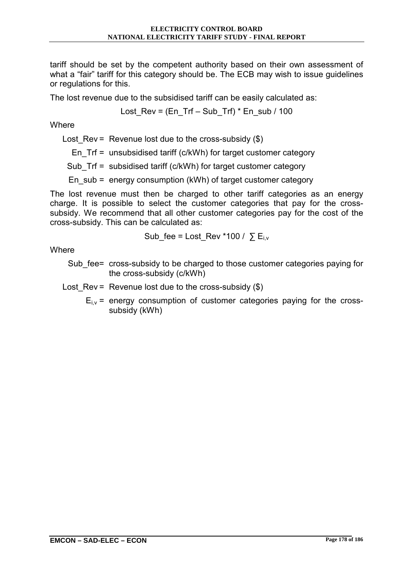tariff should be set by the competent authority based on their own assessment of what a "fair" tariff for this category should be. The ECB may wish to issue guidelines or regulations for this.

The lost revenue due to the subsidised tariff can be easily calculated as:

Lost Rev = (En Trf – Sub\_Trf)  $*$  En\_sub / 100

**Where** 

Lost Rev = Revenue lost due to the cross-subsidy  $(\$)$ 

En\_Trf = unsubsidised tariff (c/kWh) for target customer category

Sub Trf = subsidised tariff (c/kWh) for target customer category

En\_sub = energy consumption (kWh) of target customer category

The lost revenue must then be charged to other tariff categories as an energy charge. It is possible to select the customer categories that pay for the crosssubsidy. We recommend that all other customer categories pay for the cost of the cross-subsidy. This can be calculated as:

Sub\_fee = Lost\_Rev \*100 / 
$$
\sum E_{i,v}
$$

**Where** 

Sub fee= cross-subsidy to be charged to those customer categories paying for the cross-subsidy (c/kWh)

Lost  $Rev = Revenue lost due to the cross-subsidv ( $$$ )$ 

 $E_{i,v}$  = energy consumption of customer categories paying for the crosssubsidy (kWh)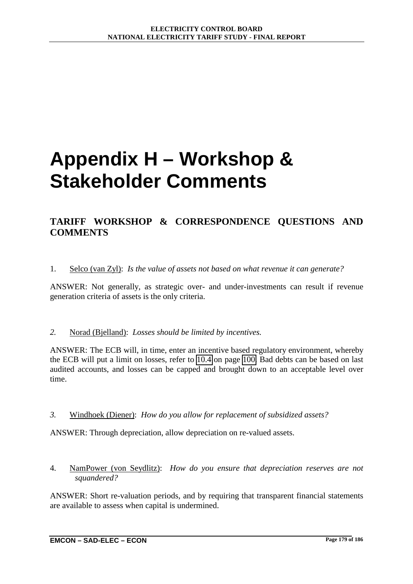# **Appendix H – Workshop & Stakeholder Comments**

# **TARIFF WORKSHOP & CORRESPONDENCE QUESTIONS AND COMMENTS**

#### 1. Selco (van Zyl): *Is the value of assets not based on what revenue it can generate?*

ANSWER: Not generally, as strategic over- and under-investments can result if revenue generation criteria of assets is the only criteria.

#### *2.* Norad (Bjelland): *Losses should be limited by incentives.*

ANSWER: The ECB will, in time, enter an incentive based regulatory environment, whereby the ECB will put a limit on losses, refer to [10.4](#page-122-0) on page [100.](#page-122-0) Bad debts can be based on last audited accounts, and losses can be capped and brought down to an acceptable level over time.

#### *3.* Windhoek (Diener): *How do you allow for replacement of subsidized assets?*

ANSWER: Through depreciation, allow depreciation on re-valued assets.

4. NamPower (von Seydlitz): *How do you ensure that depreciation reserves are not squandered?*

ANSWER: Short re-valuation periods, and by requiring that transparent financial statements are available to assess when capital is undermined.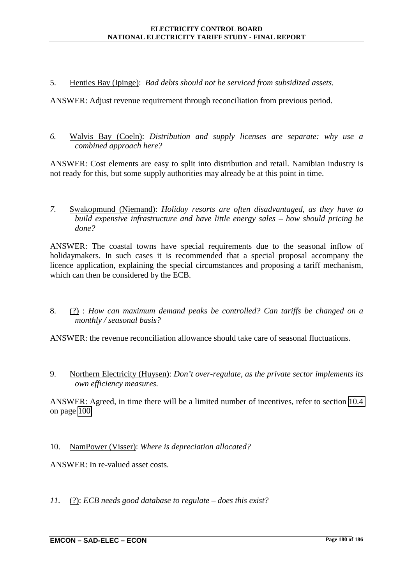5. Henties Bay (Ipinge): *Bad debts should not be serviced from subsidized assets.*

ANSWER: Adjust revenue requirement through reconciliation from previous period.

*6.* Walvis Bay (Coeln): *Distribution and supply licenses are separate: why use a combined approach here?* 

ANSWER: Cost elements are easy to split into distribution and retail. Namibian industry is not ready for this, but some supply authorities may already be at this point in time.

*7.* Swakopmund (Niemand): *Holiday resorts are often disadvantaged, as they have to build expensive infrastructure and have little energy sales – how should pricing be done?* 

ANSWER: The coastal towns have special requirements due to the seasonal inflow of holidaymakers. In such cases it is recommended that a special proposal accompany the licence application, explaining the special circumstances and proposing a tariff mechanism, which can then be considered by the ECB.

8. (?) : *How can maximum demand peaks be controlled? Can tariffs be changed on a monthly / seasonal basis?*

ANSWER: the revenue reconciliation allowance should take care of seasonal fluctuations.

9. Northern Electricity (Huysen): *Don't over-regulate, as the private sector implements its own efficiency measures.* 

ANSWER: Agreed, in time there will be a limited number of incentives, refer to section [10.4](#page-122-0)  on page [100.](#page-122-0)

10. NamPower (Visser): *Where is depreciation allocated?* 

ANSWER: In re-valued asset costs.

*11.* (?): *ECB needs good database to regulate – does this exist?*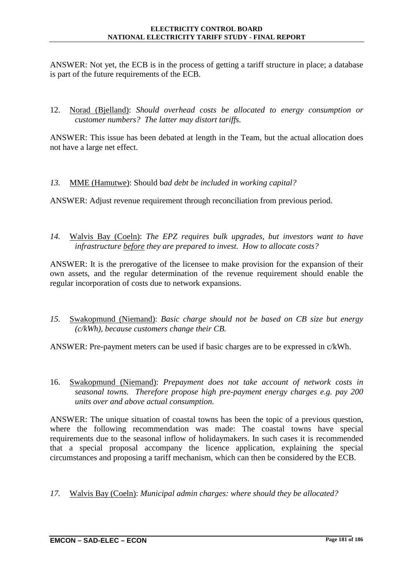ANSWER: Not yet, the ECB is in the process of getting a tariff structure in place; a database is part of the future requirements of the ECB.

12. Norad (Bjelland): *Should overhead costs be allocated to energy consumption or customer numbers? The latter may distort tariffs.*

ANSWER: This issue has been debated at length in the Team, but the actual allocation does not have a large net effect.

*13.* MME (Hamutwe): Should b*ad debt be included in working capital?* 

ANSWER: Adjust revenue requirement through reconciliation from previous period.

*14.* Walvis Bay (Coeln): *The EPZ requires bulk upgrades, but investors want to have infrastructure before they are prepared to invest. How to allocate costs?* 

ANSWER: It is the prerogative of the licensee to make provision for the expansion of their own assets, and the regular determination of the revenue requirement should enable the regular incorporation of costs due to network expansions.

*15.* Swakopmund (Niemand): *Basic charge should not be based on CB size but energy (c/kWh), because customers change their CB.* 

ANSWER: Pre-payment meters can be used if basic charges are to be expressed in c/kWh.

16. Swakopmund (Niemand): *Prepayment does not take account of network costs in seasonal towns. Therefore propose high pre-payment energy charges e.g. pay 200 units over and above actual consumption.*

ANSWER: The unique situation of coastal towns has been the topic of a previous question, where the following recommendation was made: The coastal towns have special requirements due to the seasonal inflow of holidaymakers. In such cases it is recommended that a special proposal accompany the licence application, explaining the special circumstances and proposing a tariff mechanism, which can then be considered by the ECB.

*17.* Walvis Bay (Coeln): *Municipal admin charges: where should they be allocated?*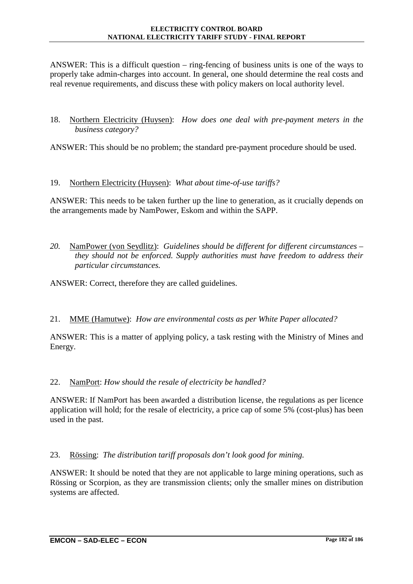ANSWER: This is a difficult question – ring-fencing of business units is one of the ways to properly take admin-charges into account. In general, one should determine the real costs and real revenue requirements, and discuss these with policy makers on local authority level.

18. Northern Electricity (Huysen): *How does one deal with pre-payment meters in the business category?*

ANSWER: This should be no problem; the standard pre-payment procedure should be used.

19. Northern Electricity (Huysen): *What about time-of-use tariffs?*

ANSWER: This needs to be taken further up the line to generation, as it crucially depends on the arrangements made by NamPower, Eskom and within the SAPP.

*20.* NamPower (von Seydlitz): *Guidelines should be different for different circumstances – they should not be enforced. Supply authorities must have freedom to address their particular circumstances.* 

ANSWER: Correct, therefore they are called guidelines.

#### 21. MME (Hamutwe): *How are environmental costs as per White Paper allocated?*

ANSWER: This is a matter of applying policy, a task resting with the Ministry of Mines and Energy.

# 22. NamPort: *How should the resale of electricity be handled?*

ANSWER: If NamPort has been awarded a distribution license, the regulations as per licence application will hold; for the resale of electricity, a price cap of some 5% (cost-plus) has been used in the past.

# 23. Rössing: *The distribution tariff proposals don't look good for mining.*

ANSWER: It should be noted that they are not applicable to large mining operations, such as Rössing or Scorpion, as they are transmission clients; only the smaller mines on distribution systems are affected.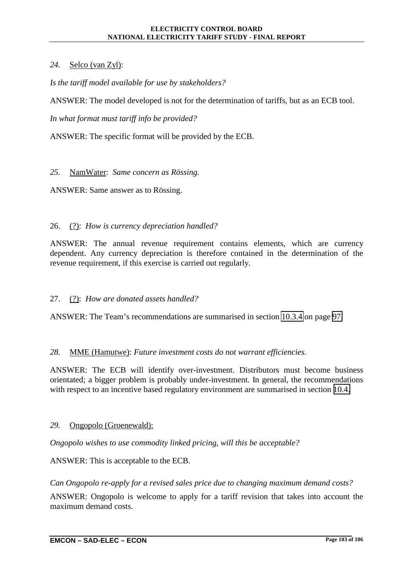# *24.* Selco (van Zyl):

*Is the tariff model available for use by stakeholders?* 

ANSWER: The model developed is not for the determination of tariffs, but as an ECB tool.

*In what format must tariff info be provided?*

ANSWER: The specific format will be provided by the ECB.

### *25.* NamWater: *Same concern as Rössing.*

ANSWER: Same answer as to Rössing.

# 26. (?): *How is currency depreciation handled?*

ANSWER: The annual revenue requirement contains elements, which are currency dependent. Any currency depreciation is therefore contained in the determination of the revenue requirement, if this exercise is carried out regularly.

# 27. (?): *How are donated assets handled?*

ANSWER: The Team's recommendations are summarised in section [10.3.4](#page-119-0) on page [97.](#page-119-0)

#### *28.* MME (Hamutwe): *Future investment costs do not warrant efficiencies.*

ANSWER: The ECB will identify over-investment. Distributors must become business orientated; a bigger problem is probably under-investment. In general, the recommendations with respect to an incentive based regulatory environment are summarised in section [10.4.](#page-122-0)

#### *29.* Ongopolo (Groenewald):

*Ongopolo wishes to use commodity linked pricing, will this be acceptable?* 

ANSWER: This is acceptable to the ECB.

*Can Ongopolo re-apply for a revised sales price due to changing maximum demand costs?* 

ANSWER: Ongopolo is welcome to apply for a tariff revision that takes into account the maximum demand costs.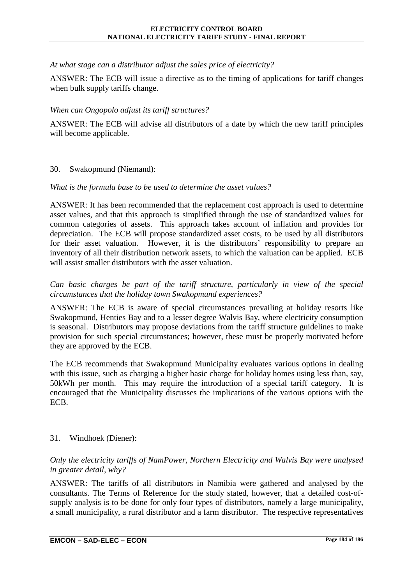*At what stage can a distributor adjust the sales price of electricity?* 

ANSWER: The ECB will issue a directive as to the timing of applications for tariff changes when bulk supply tariffs change.

### *When can Ongopolo adjust its tariff structures?*

ANSWER: The ECB will advise all distributors of a date by which the new tariff principles will become applicable.

#### 30. Swakopmund (Niemand):

### *What is the formula base to be used to determine the asset values?*

ANSWER: It has been recommended that the replacement cost approach is used to determine asset values, and that this approach is simplified through the use of standardized values for common categories of assets. This approach takes account of inflation and provides for depreciation. The ECB will propose standardized asset costs, to be used by all distributors for their asset valuation. However, it is the distributors' responsibility to prepare an inventory of all their distribution network assets, to which the valuation can be applied. ECB will assist smaller distributors with the asset valuation.

*Can basic charges be part of the tariff structure, particularly in view of the special circumstances that the holiday town Swakopmund experiences?* 

ANSWER: The ECB is aware of special circumstances prevailing at holiday resorts like Swakopmund, Henties Bay and to a lesser degree Walvis Bay, where electricity consumption is seasonal. Distributors may propose deviations from the tariff structure guidelines to make provision for such special circumstances; however, these must be properly motivated before they are approved by the ECB.

The ECB recommends that Swakopmund Municipality evaluates various options in dealing with this issue, such as charging a higher basic charge for holiday homes using less than, say, 50kWh per month. This may require the introduction of a special tariff category. It is encouraged that the Municipality discusses the implications of the various options with the ECB.

# 31. Windhoek (Diener):

### *Only the electricity tariffs of NamPower, Northern Electricity and Walvis Bay were analysed in greater detail, why?*

ANSWER: The tariffs of all distributors in Namibia were gathered and analysed by the consultants. The Terms of Reference for the study stated, however, that a detailed cost-ofsupply analysis is to be done for only four types of distributors, namely a large municipality, a small municipality, a rural distributor and a farm distributor. The respective representatives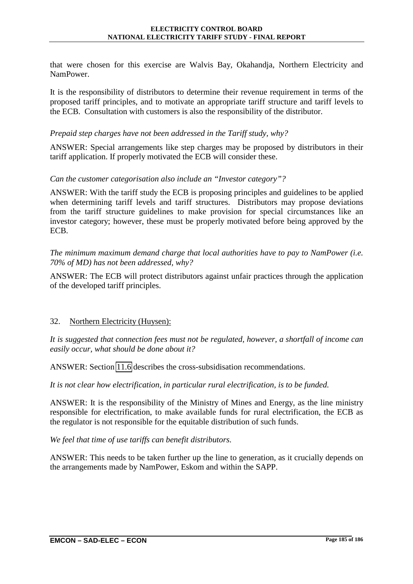that were chosen for this exercise are Walvis Bay, Okahandja, Northern Electricity and NamPower.

It is the responsibility of distributors to determine their revenue requirement in terms of the proposed tariff principles, and to motivate an appropriate tariff structure and tariff levels to the ECB. Consultation with customers is also the responsibility of the distributor.

#### *Prepaid step charges have not been addressed in the Tariff study, why?*

ANSWER: Special arrangements like step charges may be proposed by distributors in their tariff application. If properly motivated the ECB will consider these.

### *Can the customer categorisation also include an "Investor category"?*

ANSWER: With the tariff study the ECB is proposing principles and guidelines to be applied when determining tariff levels and tariff structures. Distributors may propose deviations from the tariff structure guidelines to make provision for special circumstances like an investor category; however, these must be properly motivated before being approved by the ECB.

*The minimum maximum demand charge that local authorities have to pay to NamPower (i.e. 70% of MD) has not been addressed, why?* 

ANSWER: The ECB will protect distributors against unfair practices through the application of the developed tariff principles.

# 32. Northern Electricity (Huysen):

*It is suggested that connection fees must not be regulated, however, a shortfall of income can easily occur, what should be done about it?* 

ANSWER: Section [11.6](#page-130-0) describes the cross-subsidisation recommendations.

*It is not clear how electrification, in particular rural electrification, is to be funded.* 

ANSWER: It is the responsibility of the Ministry of Mines and Energy, as the line ministry responsible for electrification, to make available funds for rural electrification, the ECB as the regulator is not responsible for the equitable distribution of such funds.

*We feel that time of use tariffs can benefit distributors.* 

ANSWER: This needs to be taken further up the line to generation, as it crucially depends on the arrangements made by NamPower, Eskom and within the SAPP.